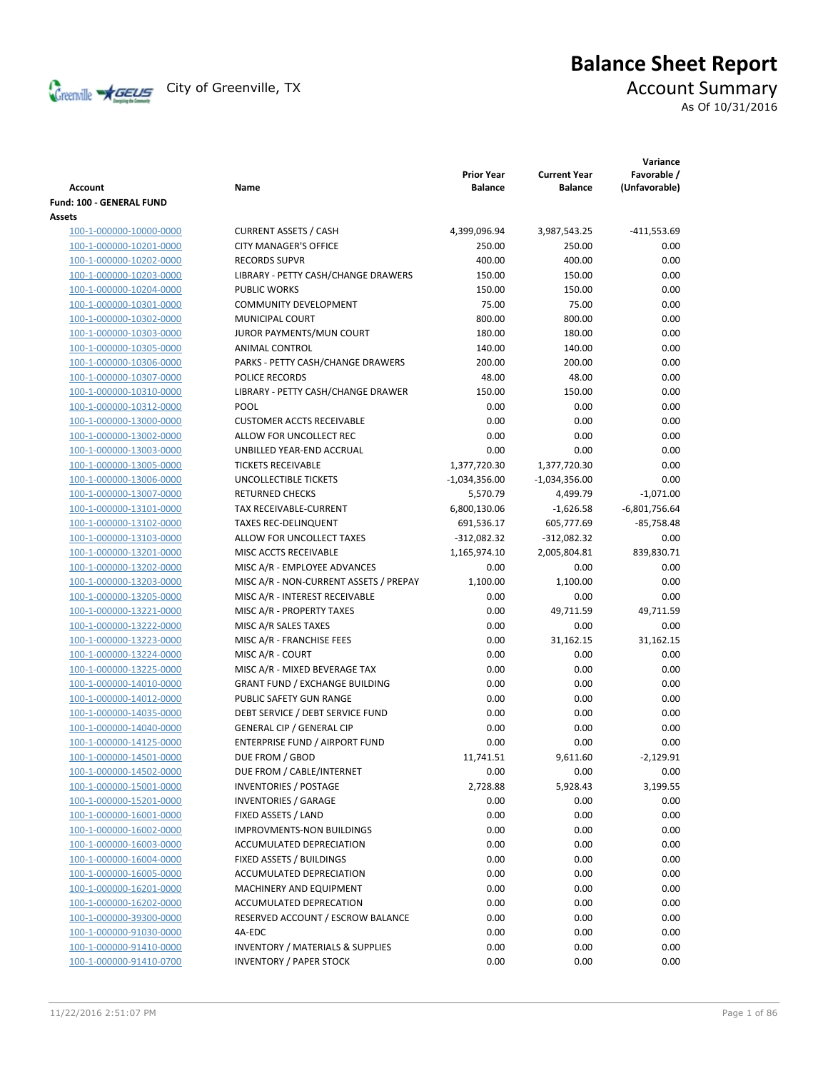

# **Balance Sheet Report**

As Of 10/31/2016

| <b>Account</b>           | Name                                        | <b>Prior Year</b><br><b>Balance</b> | <b>Current Year</b><br><b>Balance</b> | Variance<br>Favorable /<br>(Unfavorable) |
|--------------------------|---------------------------------------------|-------------------------------------|---------------------------------------|------------------------------------------|
| Fund: 100 - GENERAL FUND |                                             |                                     |                                       |                                          |
| Assets                   |                                             |                                     |                                       |                                          |
| 100-1-000000-10000-0000  | <b>CURRENT ASSETS / CASH</b>                | 4,399,096.94                        | 3,987,543.25                          | $-411,553.69$                            |
| 100-1-000000-10201-0000  | <b>CITY MANAGER'S OFFICE</b>                | 250.00                              | 250.00                                | 0.00                                     |
| 100-1-000000-10202-0000  | <b>RECORDS SUPVR</b>                        | 400.00                              | 400.00                                | 0.00                                     |
| 100-1-000000-10203-0000  | LIBRARY - PETTY CASH/CHANGE DRAWERS         | 150.00                              | 150.00                                | 0.00                                     |
| 100-1-000000-10204-0000  | <b>PUBLIC WORKS</b>                         | 150.00                              | 150.00                                | 0.00                                     |
| 100-1-000000-10301-0000  | COMMUNITY DEVELOPMENT                       | 75.00                               | 75.00                                 | 0.00                                     |
| 100-1-000000-10302-0000  | MUNICIPAL COURT                             | 800.00                              | 800.00                                | 0.00                                     |
| 100-1-000000-10303-0000  | JUROR PAYMENTS/MUN COURT                    | 180.00                              | 180.00                                | 0.00                                     |
| 100-1-000000-10305-0000  | ANIMAL CONTROL                              | 140.00                              | 140.00                                | 0.00                                     |
| 100-1-000000-10306-0000  | PARKS - PETTY CASH/CHANGE DRAWERS           | 200.00                              | 200.00                                | 0.00                                     |
| 100-1-000000-10307-0000  | POLICE RECORDS                              | 48.00                               | 48.00                                 | 0.00                                     |
| 100-1-000000-10310-0000  | LIBRARY - PETTY CASH/CHANGE DRAWER          | 150.00                              | 150.00                                | 0.00                                     |
| 100-1-000000-10312-0000  | POOL                                        | 0.00                                | 0.00                                  | 0.00                                     |
| 100-1-000000-13000-0000  | <b>CUSTOMER ACCTS RECEIVABLE</b>            | 0.00                                | 0.00                                  | 0.00                                     |
| 100-1-000000-13002-0000  | ALLOW FOR UNCOLLECT REC                     | 0.00                                | 0.00                                  | 0.00                                     |
| 100-1-000000-13003-0000  | UNBILLED YEAR-END ACCRUAL                   | 0.00                                | 0.00                                  | 0.00                                     |
| 100-1-000000-13005-0000  | <b>TICKETS RECEIVABLE</b>                   | 1,377,720.30                        | 1,377,720.30                          | 0.00                                     |
| 100-1-000000-13006-0000  | UNCOLLECTIBLE TICKETS                       | $-1,034,356.00$                     | $-1,034,356.00$                       | 0.00                                     |
| 100-1-000000-13007-0000  | <b>RETURNED CHECKS</b>                      | 5,570.79                            | 4,499.79                              | $-1,071.00$                              |
| 100-1-000000-13101-0000  | TAX RECEIVABLE-CURRENT                      | 6,800,130.06                        | $-1,626.58$                           | $-6,801,756.64$                          |
| 100-1-000000-13102-0000  | <b>TAXES REC-DELINQUENT</b>                 | 691,536.17                          | 605,777.69                            | $-85,758.48$                             |
| 100-1-000000-13103-0000  | ALLOW FOR UNCOLLECT TAXES                   | $-312,082.32$                       | $-312,082.32$                         | 0.00                                     |
| 100-1-000000-13201-0000  | MISC ACCTS RECEIVABLE                       | 1,165,974.10                        | 2,005,804.81                          | 839,830.71                               |
| 100-1-000000-13202-0000  | MISC A/R - EMPLOYEE ADVANCES                | 0.00                                | 0.00                                  | 0.00                                     |
| 100-1-000000-13203-0000  | MISC A/R - NON-CURRENT ASSETS / PREPAY      | 1,100.00                            | 1,100.00                              | 0.00                                     |
| 100-1-000000-13205-0000  | MISC A/R - INTEREST RECEIVABLE              | 0.00                                | 0.00                                  | 0.00                                     |
| 100-1-000000-13221-0000  | MISC A/R - PROPERTY TAXES                   | 0.00                                | 49,711.59                             | 49,711.59                                |
| 100-1-000000-13222-0000  | MISC A/R SALES TAXES                        | 0.00                                | 0.00                                  | 0.00                                     |
| 100-1-000000-13223-0000  | MISC A/R - FRANCHISE FEES                   | 0.00                                | 31,162.15                             | 31,162.15                                |
| 100-1-000000-13224-0000  | MISC A/R - COURT                            | 0.00                                | 0.00                                  | 0.00                                     |
| 100-1-000000-13225-0000  | MISC A/R - MIXED BEVERAGE TAX               | 0.00                                | 0.00                                  | 0.00                                     |
| 100-1-000000-14010-0000  | <b>GRANT FUND / EXCHANGE BUILDING</b>       | 0.00                                | 0.00                                  | 0.00                                     |
| 100-1-000000-14012-0000  | PUBLIC SAFETY GUN RANGE                     | 0.00                                | 0.00                                  | 0.00                                     |
| 100-1-000000-14035-0000  | DEBT SERVICE / DEBT SERVICE FUND            | 0.00                                | 0.00                                  | 0.00                                     |
| 100-1-000000-14040-0000  | <b>GENERAL CIP / GENERAL CIP</b>            | 0.00                                | 0.00                                  | 0.00                                     |
| 100-1-000000-14125-0000  | ENTERPRISE FUND / AIRPORT FUND              | 0.00                                | 0.00                                  | 0.00                                     |
| 100-1-000000-14501-0000  | DUE FROM / GBOD                             | 11,741.51                           | 9,611.60                              | $-2,129.91$                              |
| 100-1-000000-14502-0000  | DUE FROM / CABLE/INTERNET                   | 0.00                                | 0.00                                  | 0.00                                     |
| 100-1-000000-15001-0000  | <b>INVENTORIES / POSTAGE</b>                | 2,728.88                            | 5,928.43                              | 3,199.55                                 |
| 100-1-000000-15201-0000  | <b>INVENTORIES / GARAGE</b>                 | 0.00                                | 0.00                                  | 0.00                                     |
| 100-1-000000-16001-0000  | FIXED ASSETS / LAND                         | 0.00                                | 0.00                                  | 0.00                                     |
| 100-1-000000-16002-0000  | <b>IMPROVMENTS-NON BUILDINGS</b>            | 0.00                                | 0.00                                  | 0.00                                     |
| 100-1-000000-16003-0000  | <b>ACCUMULATED DEPRECIATION</b>             | 0.00                                | 0.00                                  | 0.00                                     |
| 100-1-000000-16004-0000  | FIXED ASSETS / BUILDINGS                    | 0.00                                | 0.00                                  | 0.00                                     |
| 100-1-000000-16005-0000  | ACCUMULATED DEPRECIATION                    | 0.00                                | 0.00                                  | 0.00                                     |
| 100-1-000000-16201-0000  | MACHINERY AND EQUIPMENT                     | 0.00                                | 0.00                                  | 0.00                                     |
| 100-1-000000-16202-0000  | ACCUMULATED DEPRECATION                     | 0.00                                | 0.00                                  | 0.00                                     |
| 100-1-000000-39300-0000  | RESERVED ACCOUNT / ESCROW BALANCE           | 0.00                                | 0.00                                  | 0.00                                     |
| 100-1-000000-91030-0000  | 4A-EDC                                      | 0.00                                | 0.00                                  | 0.00                                     |
| 100-1-000000-91410-0000  | <b>INVENTORY / MATERIALS &amp; SUPPLIES</b> | 0.00                                | 0.00                                  | 0.00                                     |
| 100-1-000000-91410-0700  | <b>INVENTORY / PAPER STOCK</b>              | 0.00                                | 0.00                                  | 0.00                                     |
|                          |                                             |                                     |                                       |                                          |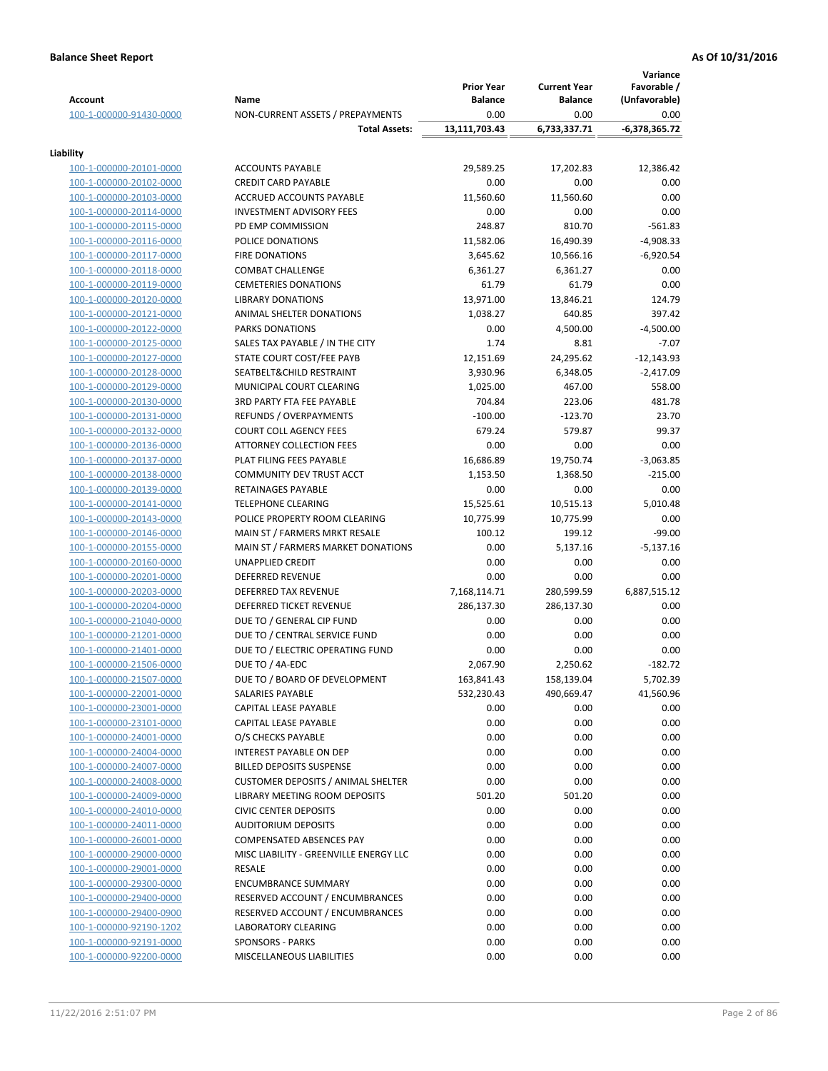|                                                    |                                             | <b>Prior Year</b> | <b>Current Year</b> | Variance<br>Favorable / |
|----------------------------------------------------|---------------------------------------------|-------------------|---------------------|-------------------------|
| <b>Account</b>                                     | Name                                        | <b>Balance</b>    | <b>Balance</b>      | (Unfavorable)           |
| 100-1-000000-91430-0000                            | NON-CURRENT ASSETS / PREPAYMENTS            | 0.00              | 0.00                | 0.00                    |
|                                                    | <b>Total Assets:</b>                        | 13,111,703.43     | 6,733,337.71        | $-6,378,365.72$         |
| Liability                                          |                                             |                   |                     |                         |
| 100-1-000000-20101-0000                            | <b>ACCOUNTS PAYABLE</b>                     | 29,589.25         | 17,202.83           | 12,386.42               |
| 100-1-000000-20102-0000                            | <b>CREDIT CARD PAYABLE</b>                  | 0.00              | 0.00                | 0.00                    |
| 100-1-000000-20103-0000                            | ACCRUED ACCOUNTS PAYABLE                    | 11,560.60         | 11,560.60           | 0.00                    |
| 100-1-000000-20114-0000                            | <b>INVESTMENT ADVISORY FEES</b>             | 0.00              | 0.00                | 0.00                    |
| 100-1-000000-20115-0000                            | PD EMP COMMISSION                           | 248.87            | 810.70              | $-561.83$               |
| 100-1-000000-20116-0000                            | POLICE DONATIONS                            | 11,582.06         | 16,490.39           | $-4,908.33$             |
| 100-1-000000-20117-0000                            | <b>FIRE DONATIONS</b>                       | 3,645.62          | 10,566.16           | $-6,920.54$             |
| 100-1-000000-20118-0000                            | <b>COMBAT CHALLENGE</b>                     | 6,361.27          | 6,361.27            | 0.00                    |
| 100-1-000000-20119-0000                            | <b>CEMETERIES DONATIONS</b>                 | 61.79             | 61.79               | 0.00                    |
| 100-1-000000-20120-0000                            | <b>LIBRARY DONATIONS</b>                    | 13,971.00         | 13,846.21           | 124.79                  |
| 100-1-000000-20121-0000                            | ANIMAL SHELTER DONATIONS                    | 1,038.27          | 640.85              | 397.42                  |
| 100-1-000000-20122-0000                            | <b>PARKS DONATIONS</b>                      | 0.00              | 4,500.00            | $-4,500.00$             |
| 100-1-000000-20125-0000                            | SALES TAX PAYABLE / IN THE CITY             | 1.74              | 8.81                | $-7.07$                 |
| 100-1-000000-20127-0000                            | STATE COURT COST/FEE PAYB                   | 12,151.69         | 24,295.62           | $-12,143.93$            |
| 100-1-000000-20128-0000                            | SEATBELT&CHILD RESTRAINT                    | 3,930.96          | 6,348.05            | $-2,417.09$             |
| 100-1-000000-20129-0000                            | MUNICIPAL COURT CLEARING                    | 1,025.00          | 467.00              | 558.00                  |
| 100-1-000000-20130-0000                            | <b>3RD PARTY FTA FEE PAYABLE</b>            | 704.84            | 223.06              | 481.78                  |
| 100-1-000000-20131-0000                            | <b>REFUNDS / OVERPAYMENTS</b>               | $-100.00$         | $-123.70$           | 23.70                   |
| 100-1-000000-20132-0000                            | <b>COURT COLL AGENCY FEES</b>               | 679.24            | 579.87              | 99.37                   |
| 100-1-000000-20136-0000                            | <b>ATTORNEY COLLECTION FEES</b>             | 0.00              | 0.00                | 0.00                    |
| 100-1-000000-20137-0000                            | PLAT FILING FEES PAYABLE                    | 16,686.89         | 19,750.74           | $-3,063.85$             |
| 100-1-000000-20138-0000                            | COMMUNITY DEV TRUST ACCT                    | 1,153.50          | 1,368.50            | $-215.00$               |
| 100-1-000000-20139-0000                            | RETAINAGES PAYABLE                          | 0.00              | 0.00                | 0.00                    |
| 100-1-000000-20141-0000                            | <b>TELEPHONE CLEARING</b>                   | 15,525.61         | 10,515.13           | 5,010.48                |
| 100-1-000000-20143-0000                            | POLICE PROPERTY ROOM CLEARING               | 10,775.99         | 10,775.99           | 0.00                    |
| 100-1-000000-20146-0000                            | MAIN ST / FARMERS MRKT RESALE               | 100.12            | 199.12              | $-99.00$                |
| 100-1-000000-20155-0000                            | MAIN ST / FARMERS MARKET DONATIONS          | 0.00              | 5,137.16            | $-5,137.16$             |
| 100-1-000000-20160-0000                            | UNAPPLIED CREDIT                            | 0.00              | 0.00                | 0.00                    |
| 100-1-000000-20201-0000                            | <b>DEFERRED REVENUE</b>                     | 0.00              | 0.00                | 0.00                    |
| 100-1-000000-20203-0000                            | <b>DEFERRED TAX REVENUE</b>                 | 7,168,114.71      | 280,599.59          | 6,887,515.12            |
| 100-1-000000-20204-0000                            | <b>DEFERRED TICKET REVENUE</b>              | 286,137.30        | 286,137.30          | 0.00                    |
| 100-1-000000-21040-0000                            | DUE TO / GENERAL CIP FUND                   | 0.00              | 0.00                | 0.00                    |
| 100-1-000000-21201-0000                            | DUE TO / CENTRAL SERVICE FUND               | 0.00              | 0.00                | 0.00                    |
| 100-1-000000-21401-0000                            | DUE TO / ELECTRIC OPERATING FUND            | 0.00              | 0.00                | 0.00                    |
| 100-1-000000-21506-0000                            | DUE TO / 4A-EDC                             | 2,067.90          | 2,250.62            | $-182.72$               |
| 100-1-000000-21507-0000                            | DUE TO / BOARD OF DEVELOPMENT               | 163,841.43        | 158,139.04          | 5,702.39                |
| 100-1-000000-22001-0000                            | SALARIES PAYABLE                            | 532,230.43        | 490,669.47          | 41,560.96               |
| 100-1-000000-23001-0000<br>100-1-000000-23101-0000 | CAPITAL LEASE PAYABLE                       | 0.00              | 0.00                | 0.00                    |
| 100-1-000000-24001-0000                            | CAPITAL LEASE PAYABLE<br>O/S CHECKS PAYABLE | 0.00<br>0.00      | 0.00<br>0.00        | 0.00<br>0.00            |
| 100-1-000000-24004-0000                            | INTEREST PAYABLE ON DEP                     | 0.00              | 0.00                | 0.00                    |
| 100-1-000000-24007-0000                            | <b>BILLED DEPOSITS SUSPENSE</b>             | 0.00              | 0.00                | 0.00                    |
| 100-1-000000-24008-0000                            | <b>CUSTOMER DEPOSITS / ANIMAL SHELTER</b>   | 0.00              | 0.00                | 0.00                    |
| 100-1-000000-24009-0000                            | LIBRARY MEETING ROOM DEPOSITS               | 501.20            | 501.20              | 0.00                    |
| 100-1-000000-24010-0000                            | <b>CIVIC CENTER DEPOSITS</b>                | 0.00              | 0.00                | 0.00                    |
| 100-1-000000-24011-0000                            | <b>AUDITORIUM DEPOSITS</b>                  | 0.00              | 0.00                | 0.00                    |
| 100-1-000000-26001-0000                            | <b>COMPENSATED ABSENCES PAY</b>             | 0.00              | 0.00                | 0.00                    |
| 100-1-000000-29000-0000                            | MISC LIABILITY - GREENVILLE ENERGY LLC      | 0.00              | 0.00                | 0.00                    |
| 100-1-000000-29001-0000                            | RESALE                                      | 0.00              | 0.00                | 0.00                    |
| 100-1-000000-29300-0000                            | <b>ENCUMBRANCE SUMMARY</b>                  | 0.00              | 0.00                | 0.00                    |
| 100-1-000000-29400-0000                            | RESERVED ACCOUNT / ENCUMBRANCES             | 0.00              | 0.00                | 0.00                    |
| 100-1-000000-29400-0900                            | RESERVED ACCOUNT / ENCUMBRANCES             | 0.00              | 0.00                | 0.00                    |
| 100-1-000000-92190-1202                            | LABORATORY CLEARING                         | 0.00              | 0.00                | 0.00                    |
| 100-1-000000-92191-0000                            | <b>SPONSORS - PARKS</b>                     | 0.00              | 0.00                | 0.00                    |
| 100-1-000000-92200-0000                            | MISCELLANEOUS LIABILITIES                   | 0.00              | 0.00                | 0.00                    |
|                                                    |                                             |                   |                     |                         |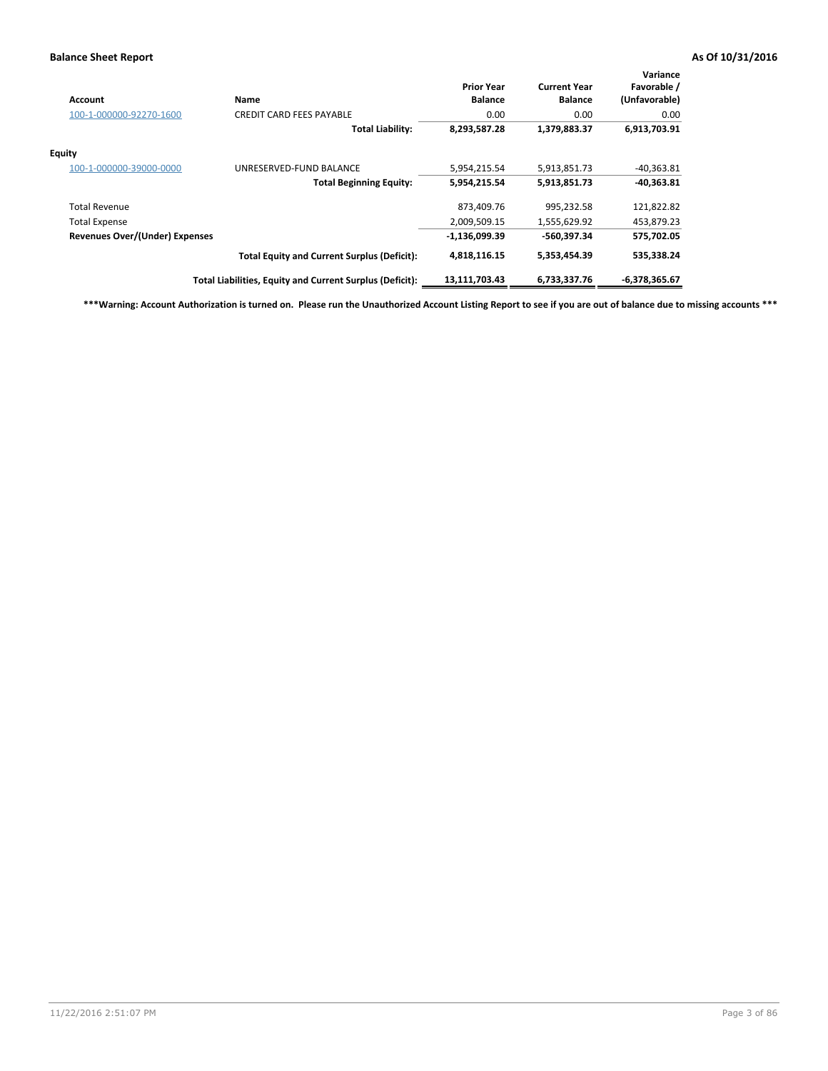| Account                               | Name                                                     | <b>Prior Year</b><br><b>Balance</b> | <b>Current Year</b><br><b>Balance</b> | Variance<br>Favorable /<br>(Unfavorable) |
|---------------------------------------|----------------------------------------------------------|-------------------------------------|---------------------------------------|------------------------------------------|
| 100-1-000000-92270-1600               | <b>CREDIT CARD FEES PAYABLE</b>                          | 0.00                                | 0.00                                  | 0.00                                     |
|                                       | <b>Total Liability:</b>                                  | 8,293,587.28                        | 1,379,883.37                          | 6,913,703.91                             |
| Equity                                |                                                          |                                     |                                       |                                          |
| 100-1-000000-39000-0000               | UNRESERVED-FUND BALANCE                                  | 5,954,215.54                        | 5,913,851.73                          | $-40,363.81$                             |
|                                       | <b>Total Beginning Equity:</b>                           | 5,954,215.54                        | 5,913,851.73                          | $-40,363.81$                             |
| <b>Total Revenue</b>                  |                                                          | 873,409.76                          | 995,232.58                            | 121,822.82                               |
| <b>Total Expense</b>                  |                                                          | 2,009,509.15                        | 1,555,629.92                          | 453,879.23                               |
| <b>Revenues Over/(Under) Expenses</b> |                                                          | $-1,136,099.39$                     | -560,397.34                           | 575,702.05                               |
|                                       | <b>Total Equity and Current Surplus (Deficit):</b>       | 4,818,116.15                        | 5,353,454.39                          | 535,338.24                               |
|                                       | Total Liabilities, Equity and Current Surplus (Deficit): | 13,111,703.43                       | 6,733,337.76                          | -6,378,365.67                            |

**\*\*\*Warning: Account Authorization is turned on. Please run the Unauthorized Account Listing Report to see if you are out of balance due to missing accounts \*\*\***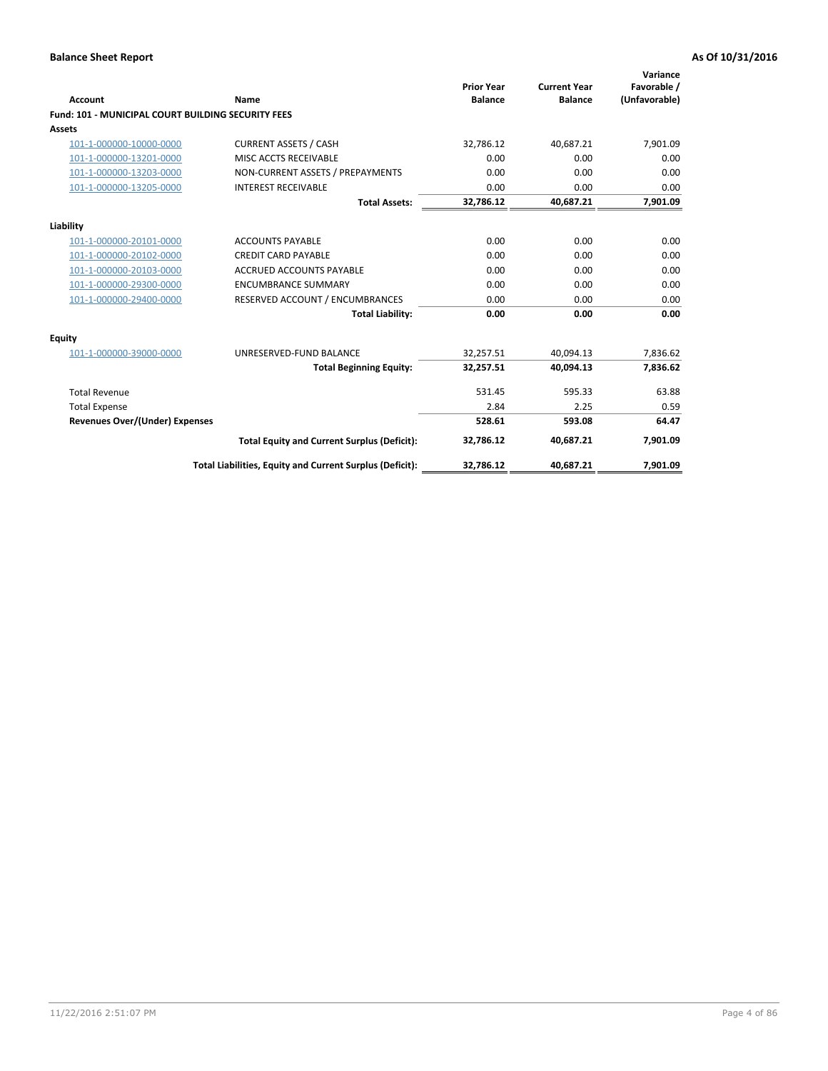| Account                                                   | Name                                                     | <b>Prior Year</b><br><b>Balance</b> | <b>Current Year</b><br><b>Balance</b> | Variance<br>Favorable /<br>(Unfavorable) |
|-----------------------------------------------------------|----------------------------------------------------------|-------------------------------------|---------------------------------------|------------------------------------------|
| <b>Fund: 101 - MUNICIPAL COURT BUILDING SECURITY FEES</b> |                                                          |                                     |                                       |                                          |
| Assets                                                    |                                                          |                                     |                                       |                                          |
| 101-1-000000-10000-0000                                   | <b>CURRENT ASSETS / CASH</b>                             | 32,786.12                           | 40,687.21                             | 7,901.09                                 |
| 101-1-000000-13201-0000                                   | MISC ACCTS RECEIVABLE                                    | 0.00                                | 0.00                                  | 0.00                                     |
| 101-1-000000-13203-0000                                   | NON-CURRENT ASSETS / PREPAYMENTS                         | 0.00                                | 0.00                                  | 0.00                                     |
| 101-1-000000-13205-0000                                   | <b>INTEREST RECEIVABLE</b>                               | 0.00                                | 0.00                                  | 0.00                                     |
|                                                           | <b>Total Assets:</b>                                     | 32,786.12                           | 40,687.21                             | 7,901.09                                 |
| Liability                                                 |                                                          |                                     |                                       |                                          |
| 101-1-000000-20101-0000                                   | <b>ACCOUNTS PAYABLE</b>                                  | 0.00                                | 0.00                                  | 0.00                                     |
| 101-1-000000-20102-0000                                   | <b>CREDIT CARD PAYABLE</b>                               | 0.00                                | 0.00                                  | 0.00                                     |
| 101-1-000000-20103-0000                                   | <b>ACCRUED ACCOUNTS PAYABLE</b>                          | 0.00                                | 0.00                                  | 0.00                                     |
| 101-1-000000-29300-0000                                   | <b>ENCUMBRANCE SUMMARY</b>                               | 0.00                                | 0.00                                  | 0.00                                     |
| 101-1-000000-29400-0000                                   | RESERVED ACCOUNT / ENCUMBRANCES                          | 0.00                                | 0.00                                  | 0.00                                     |
|                                                           | <b>Total Liability:</b>                                  | 0.00                                | 0.00                                  | 0.00                                     |
| <b>Equity</b>                                             |                                                          |                                     |                                       |                                          |
| 101-1-000000-39000-0000                                   | UNRESERVED-FUND BALANCE                                  | 32,257.51                           | 40.094.13                             | 7,836.62                                 |
|                                                           | <b>Total Beginning Equity:</b>                           | 32,257.51                           | 40,094.13                             | 7,836.62                                 |
| <b>Total Revenue</b>                                      |                                                          | 531.45                              | 595.33                                | 63.88                                    |
| <b>Total Expense</b>                                      |                                                          | 2.84                                | 2.25                                  | 0.59                                     |
| <b>Revenues Over/(Under) Expenses</b>                     |                                                          | 528.61                              | 593.08                                | 64.47                                    |
|                                                           | <b>Total Equity and Current Surplus (Deficit):</b>       | 32,786.12                           | 40,687.21                             | 7,901.09                                 |
|                                                           | Total Liabilities, Equity and Current Surplus (Deficit): | 32,786.12                           | 40,687.21                             | 7,901.09                                 |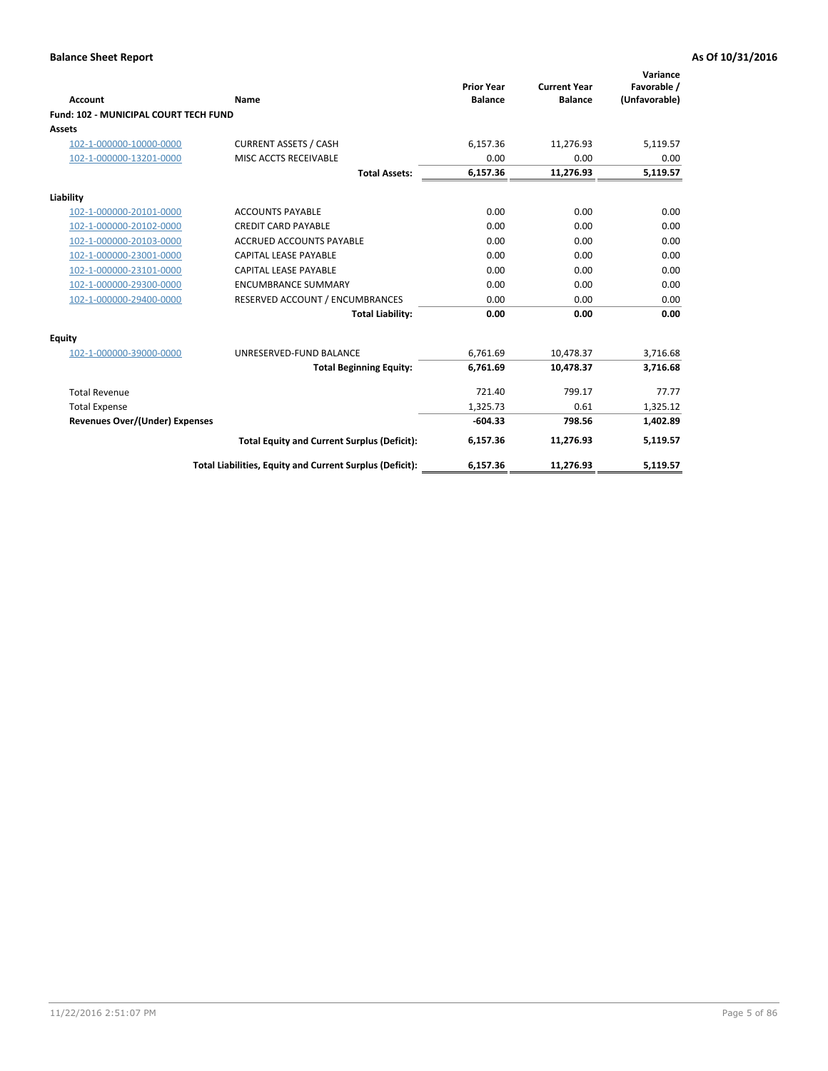| Account                               | Name                                                     | <b>Prior Year</b><br><b>Balance</b> | <b>Current Year</b><br><b>Balance</b> | Variance<br>Favorable /<br>(Unfavorable) |
|---------------------------------------|----------------------------------------------------------|-------------------------------------|---------------------------------------|------------------------------------------|
| Fund: 102 - MUNICIPAL COURT TECH FUND |                                                          |                                     |                                       |                                          |
| Assets                                |                                                          |                                     |                                       |                                          |
| 102-1-000000-10000-0000               | <b>CURRENT ASSETS / CASH</b>                             | 6,157.36                            | 11,276.93                             | 5,119.57                                 |
| 102-1-000000-13201-0000               | MISC ACCTS RECEIVABLE                                    | 0.00                                | 0.00                                  | 0.00                                     |
|                                       | <b>Total Assets:</b>                                     | 6,157.36                            | 11,276.93                             | 5,119.57                                 |
| Liability                             |                                                          |                                     |                                       |                                          |
| 102-1-000000-20101-0000               | <b>ACCOUNTS PAYABLE</b>                                  | 0.00                                | 0.00                                  | 0.00                                     |
| 102-1-000000-20102-0000               | <b>CREDIT CARD PAYABLE</b>                               | 0.00                                | 0.00                                  | 0.00                                     |
| 102-1-000000-20103-0000               | <b>ACCRUED ACCOUNTS PAYABLE</b>                          | 0.00                                | 0.00                                  | 0.00                                     |
| 102-1-000000-23001-0000               | <b>CAPITAL LEASE PAYABLE</b>                             | 0.00                                | 0.00                                  | 0.00                                     |
| 102-1-000000-23101-0000               | <b>CAPITAL LEASE PAYABLE</b>                             | 0.00                                | 0.00                                  | 0.00                                     |
| 102-1-000000-29300-0000               | <b>ENCUMBRANCE SUMMARY</b>                               | 0.00                                | 0.00                                  | 0.00                                     |
| 102-1-000000-29400-0000               | RESERVED ACCOUNT / ENCUMBRANCES                          | 0.00                                | 0.00                                  | 0.00                                     |
|                                       | <b>Total Liability:</b>                                  | 0.00                                | 0.00                                  | 0.00                                     |
| Equity                                |                                                          |                                     |                                       |                                          |
| 102-1-000000-39000-0000               | UNRESERVED-FUND BALANCE                                  | 6,761.69                            | 10,478.37                             | 3,716.68                                 |
|                                       | <b>Total Beginning Equity:</b>                           | 6,761.69                            | 10,478.37                             | 3,716.68                                 |
| <b>Total Revenue</b>                  |                                                          | 721.40                              | 799.17                                | 77.77                                    |
| <b>Total Expense</b>                  |                                                          | 1,325.73                            | 0.61                                  | 1,325.12                                 |
| <b>Revenues Over/(Under) Expenses</b> |                                                          | $-604.33$                           | 798.56                                | 1,402.89                                 |
|                                       | <b>Total Equity and Current Surplus (Deficit):</b>       | 6,157.36                            | 11,276.93                             | 5,119.57                                 |
|                                       | Total Liabilities, Equity and Current Surplus (Deficit): | 6,157.36                            | 11,276.93                             | 5,119.57                                 |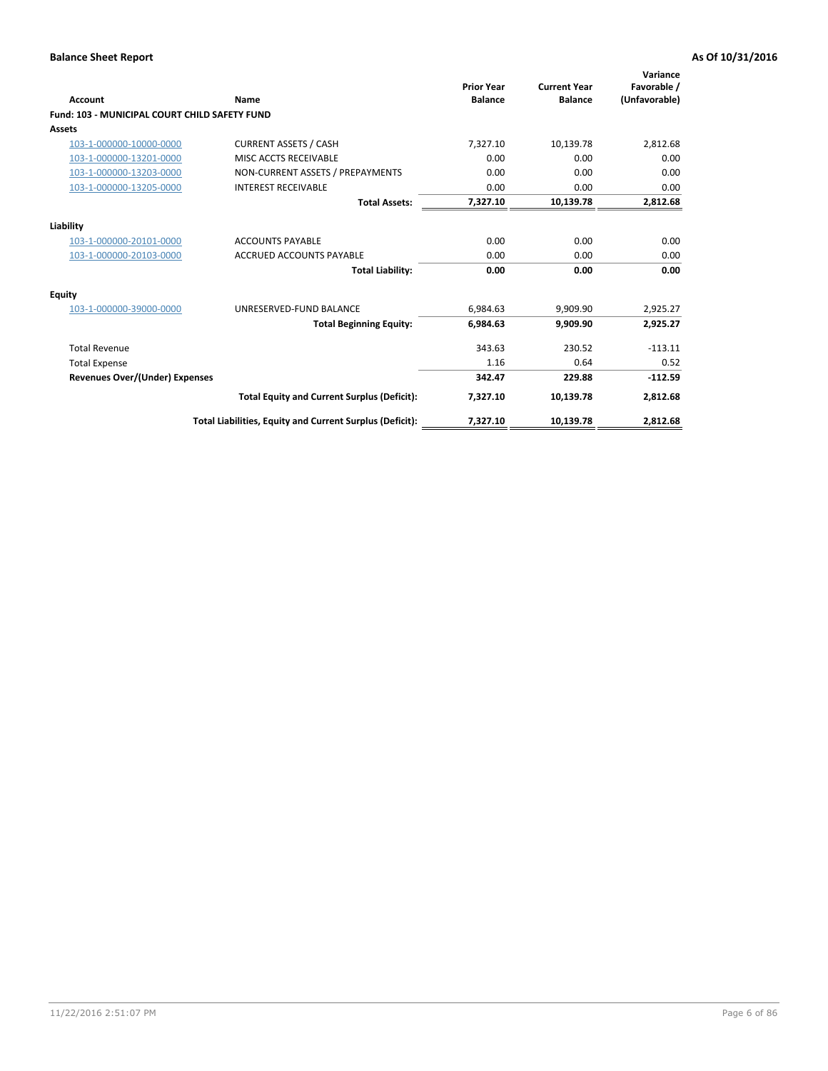| <b>Account</b>                                       | Name                                                     | <b>Prior Year</b><br><b>Balance</b> | <b>Current Year</b><br><b>Balance</b> | Variance<br>Favorable /<br>(Unfavorable) |
|------------------------------------------------------|----------------------------------------------------------|-------------------------------------|---------------------------------------|------------------------------------------|
| <b>Fund: 103 - MUNICIPAL COURT CHILD SAFETY FUND</b> |                                                          |                                     |                                       |                                          |
| <b>Assets</b>                                        |                                                          |                                     |                                       |                                          |
| 103-1-000000-10000-0000                              | <b>CURRENT ASSETS / CASH</b>                             | 7,327.10                            | 10,139.78                             | 2,812.68                                 |
| 103-1-000000-13201-0000                              | MISC ACCTS RECEIVABLE                                    | 0.00                                | 0.00                                  | 0.00                                     |
| 103-1-000000-13203-0000                              | NON-CURRENT ASSETS / PREPAYMENTS                         | 0.00                                | 0.00                                  | 0.00                                     |
| 103-1-000000-13205-0000                              | <b>INTEREST RECEIVABLE</b>                               | 0.00                                | 0.00                                  | 0.00                                     |
|                                                      | <b>Total Assets:</b>                                     | 7,327.10                            | 10,139.78                             | 2,812.68                                 |
| Liability                                            |                                                          |                                     |                                       |                                          |
| 103-1-000000-20101-0000                              | <b>ACCOUNTS PAYABLE</b>                                  | 0.00                                | 0.00                                  | 0.00                                     |
| 103-1-000000-20103-0000                              | <b>ACCRUED ACCOUNTS PAYABLE</b>                          | 0.00                                | 0.00                                  | 0.00                                     |
|                                                      | <b>Total Liability:</b>                                  | 0.00                                | 0.00                                  | 0.00                                     |
| <b>Equity</b>                                        |                                                          |                                     |                                       |                                          |
| 103-1-000000-39000-0000                              | UNRESERVED-FUND BALANCE                                  | 6,984.63                            | 9,909.90                              | 2,925.27                                 |
|                                                      | <b>Total Beginning Equity:</b>                           | 6,984.63                            | 9,909.90                              | 2,925.27                                 |
| <b>Total Revenue</b>                                 |                                                          | 343.63                              | 230.52                                | $-113.11$                                |
| <b>Total Expense</b>                                 |                                                          | 1.16                                | 0.64                                  | 0.52                                     |
| <b>Revenues Over/(Under) Expenses</b>                |                                                          | 342.47                              | 229.88                                | $-112.59$                                |
|                                                      | <b>Total Equity and Current Surplus (Deficit):</b>       | 7,327.10                            | 10,139.78                             | 2,812.68                                 |
|                                                      | Total Liabilities, Equity and Current Surplus (Deficit): | 7,327.10                            | 10,139.78                             | 2,812.68                                 |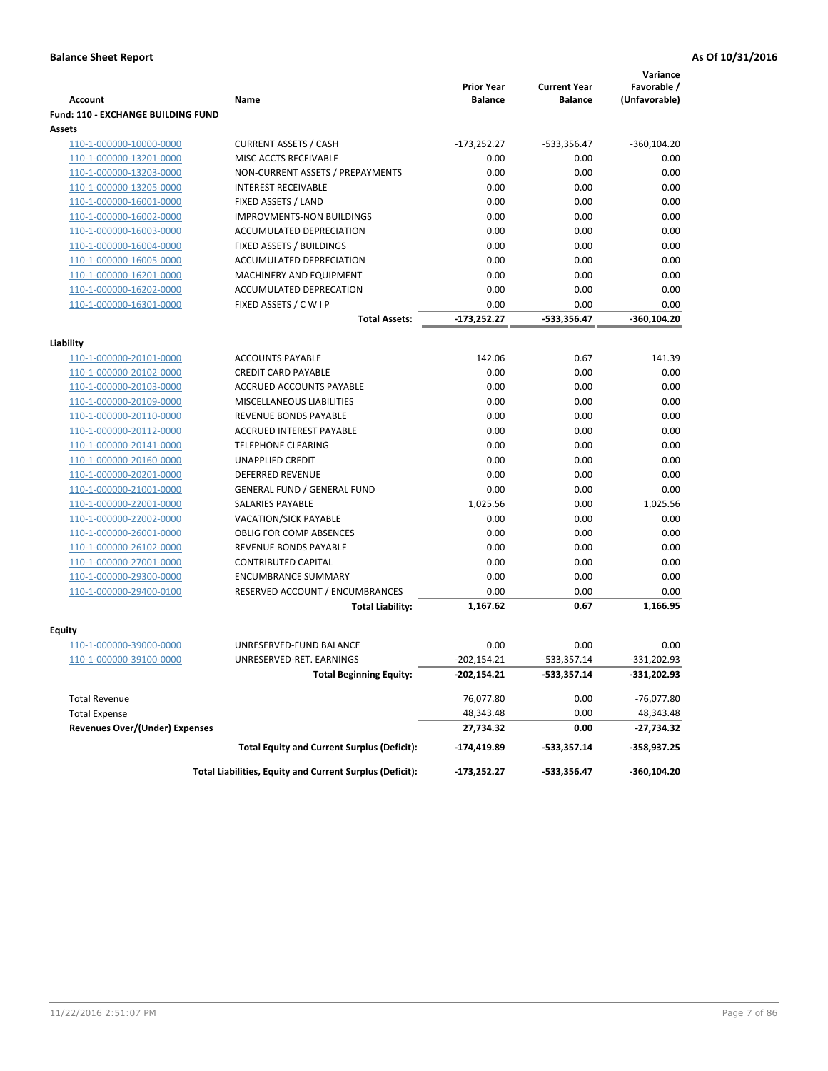|                                           |                                                          | <b>Prior Year</b> | <b>Current Year</b> | Variance<br>Favorable / |
|-------------------------------------------|----------------------------------------------------------|-------------------|---------------------|-------------------------|
| <b>Account</b>                            | Name                                                     | <b>Balance</b>    | <b>Balance</b>      | (Unfavorable)           |
| <b>Fund: 110 - EXCHANGE BUILDING FUND</b> |                                                          |                   |                     |                         |
| Assets                                    |                                                          |                   |                     |                         |
| 110-1-000000-10000-0000                   | <b>CURRENT ASSETS / CASH</b>                             | $-173,252.27$     | -533,356.47         | $-360, 104.20$          |
| 110-1-000000-13201-0000                   | MISC ACCTS RECEIVABLE                                    | 0.00              | 0.00                | 0.00                    |
| 110-1-000000-13203-0000                   | NON-CURRENT ASSETS / PREPAYMENTS                         | 0.00              | 0.00                | 0.00                    |
| 110-1-000000-13205-0000                   | <b>INTEREST RECEIVABLE</b>                               | 0.00              | 0.00                | 0.00                    |
| 110-1-000000-16001-0000                   | FIXED ASSETS / LAND                                      | 0.00              | 0.00                | 0.00                    |
| 110-1-000000-16002-0000                   | <b>IMPROVMENTS-NON BUILDINGS</b>                         | 0.00              | 0.00                | 0.00                    |
| 110-1-000000-16003-0000                   | ACCUMULATED DEPRECIATION                                 | 0.00              | 0.00                | 0.00                    |
| 110-1-000000-16004-0000                   | FIXED ASSETS / BUILDINGS                                 | 0.00              | 0.00                | 0.00                    |
| 110-1-000000-16005-0000                   | ACCUMULATED DEPRECIATION                                 | 0.00              | 0.00                | 0.00                    |
| 110-1-000000-16201-0000                   | MACHINERY AND EQUIPMENT                                  | 0.00              | 0.00                | 0.00                    |
| 110-1-000000-16202-0000                   | ACCUMULATED DEPRECATION                                  | 0.00              | 0.00                | 0.00                    |
| 110-1-000000-16301-0000                   | FIXED ASSETS / C W I P                                   | 0.00              | 0.00                | 0.00                    |
|                                           | Total Assets:                                            | $-173,252.27$     | -533,356.47         | $-360, 104.20$          |
| Liability                                 |                                                          |                   |                     |                         |
| 110-1-000000-20101-0000                   | <b>ACCOUNTS PAYABLE</b>                                  | 142.06            | 0.67                | 141.39                  |
| 110-1-000000-20102-0000                   | <b>CREDIT CARD PAYABLE</b>                               | 0.00              | 0.00                | 0.00                    |
| 110-1-000000-20103-0000                   | ACCRUED ACCOUNTS PAYABLE                                 | 0.00              | 0.00                | 0.00                    |
| 110-1-000000-20109-0000                   | MISCELLANEOUS LIABILITIES                                | 0.00              | 0.00                | 0.00                    |
| 110-1-000000-20110-0000                   | REVENUE BONDS PAYABLE                                    | 0.00              | 0.00                | 0.00                    |
| 110-1-000000-20112-0000                   | ACCRUED INTEREST PAYABLE                                 | 0.00              | 0.00                | 0.00                    |
| 110-1-000000-20141-0000                   | <b>TELEPHONE CLEARING</b>                                | 0.00              | 0.00                | 0.00                    |
| 110-1-000000-20160-0000                   | <b>UNAPPLIED CREDIT</b>                                  | 0.00              | 0.00                | 0.00                    |
| 110-1-000000-20201-0000                   | <b>DEFERRED REVENUE</b>                                  | 0.00              | 0.00                | 0.00                    |
| 110-1-000000-21001-0000                   | <b>GENERAL FUND / GENERAL FUND</b>                       | 0.00              | 0.00                | 0.00                    |
| 110-1-000000-22001-0000                   | <b>SALARIES PAYABLE</b>                                  | 1,025.56          | 0.00                | 1,025.56                |
| 110-1-000000-22002-0000                   | <b>VACATION/SICK PAYABLE</b>                             | 0.00              | 0.00                | 0.00                    |
| 110-1-000000-26001-0000                   | <b>OBLIG FOR COMP ABSENCES</b>                           | 0.00              | 0.00                | 0.00                    |
| 110-1-000000-26102-0000                   | REVENUE BONDS PAYABLE                                    | 0.00              | 0.00                | 0.00                    |
| 110-1-000000-27001-0000                   | <b>CONTRIBUTED CAPITAL</b>                               | 0.00              | 0.00                | 0.00                    |
| 110-1-000000-29300-0000                   | <b>ENCUMBRANCE SUMMARY</b>                               | 0.00              | 0.00                | 0.00                    |
| 110-1-000000-29400-0100                   | RESERVED ACCOUNT / ENCUMBRANCES                          | 0.00              | 0.00                | 0.00                    |
|                                           | <b>Total Liability:</b>                                  | 1,167.62          | 0.67                | 1,166.95                |
|                                           |                                                          |                   |                     |                         |
| Fquity                                    |                                                          |                   |                     |                         |
| 110-1-000000-39000-0000                   | UNRESERVED-FUND BALANCE                                  | 0.00              | 0.00                | 0.00                    |
| 110-1-000000-39100-0000                   | UNRESERVED-RET. EARNINGS                                 | $-202,154.21$     | $-533,357.14$       | $-331,202.93$           |
|                                           | <b>Total Beginning Equity:</b>                           | -202,154.21       | -533,357.14         | -331,202.93             |
| <b>Total Revenue</b>                      |                                                          | 76,077.80         | 0.00                | $-76,077.80$            |
| <b>Total Expense</b>                      |                                                          | 48,343.48         | 0.00                | 48,343.48               |
| <b>Revenues Over/(Under) Expenses</b>     |                                                          | 27,734.32         | 0.00                | -27,734.32              |
|                                           | <b>Total Equity and Current Surplus (Deficit):</b>       | -174,419.89       | -533,357.14         | -358,937.25             |
|                                           | Total Liabilities, Equity and Current Surplus (Deficit): | $-173,252.27$     | -533,356.47         | $-360, 104.20$          |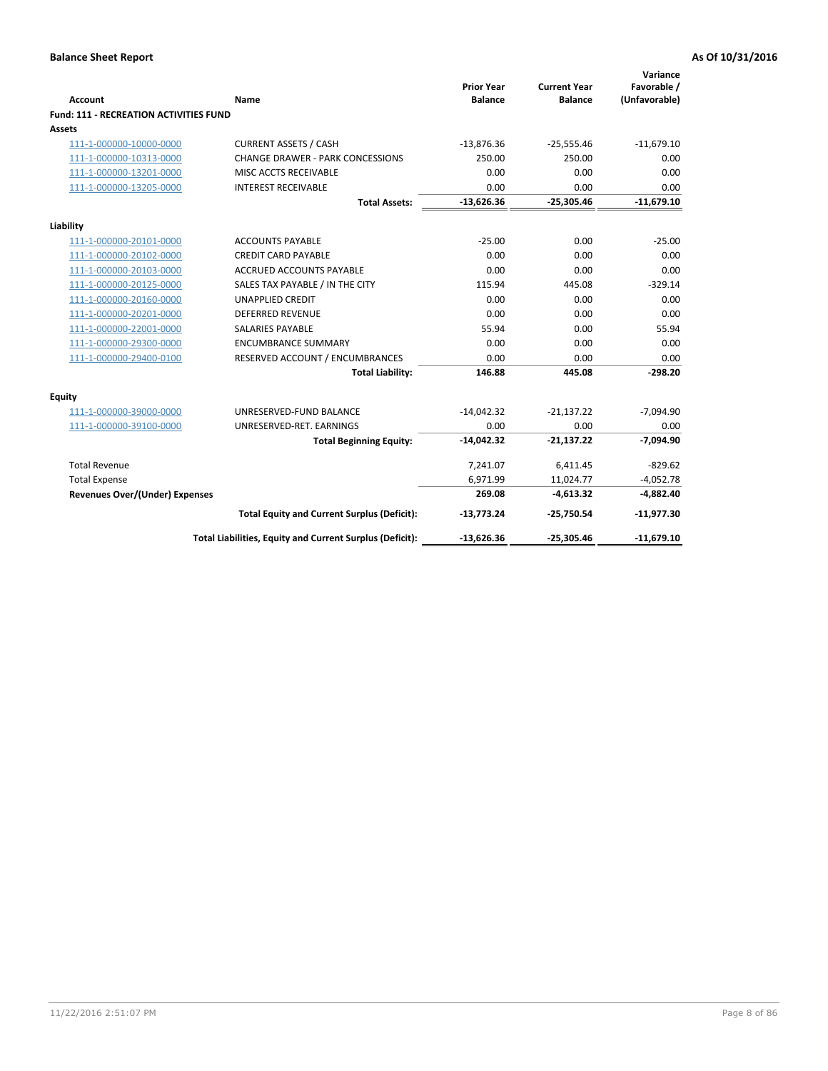| <b>Account</b>                                | Name                                                     | <b>Prior Year</b><br><b>Balance</b> | <b>Current Year</b><br><b>Balance</b> | Variance<br>Favorable /<br>(Unfavorable) |
|-----------------------------------------------|----------------------------------------------------------|-------------------------------------|---------------------------------------|------------------------------------------|
| <b>Fund: 111 - RECREATION ACTIVITIES FUND</b> |                                                          |                                     |                                       |                                          |
| Assets                                        |                                                          |                                     |                                       |                                          |
| 111-1-000000-10000-0000                       | <b>CURRENT ASSETS / CASH</b>                             | $-13,876.36$                        | $-25,555.46$                          | $-11,679.10$                             |
| 111-1-000000-10313-0000                       | <b>CHANGE DRAWER - PARK CONCESSIONS</b>                  | 250.00                              | 250.00                                | 0.00                                     |
| 111-1-000000-13201-0000                       | MISC ACCTS RECEIVABLE                                    | 0.00                                | 0.00                                  | 0.00                                     |
| 111-1-000000-13205-0000                       | <b>INTEREST RECEIVABLE</b>                               | 0.00                                | 0.00                                  | 0.00                                     |
|                                               | <b>Total Assets:</b>                                     | $-13,626.36$                        | $-25,305.46$                          | $-11,679.10$                             |
| Liability                                     |                                                          |                                     |                                       |                                          |
| 111-1-000000-20101-0000                       | <b>ACCOUNTS PAYABLE</b>                                  | $-25.00$                            | 0.00                                  | $-25.00$                                 |
| 111-1-000000-20102-0000                       | <b>CREDIT CARD PAYABLE</b>                               | 0.00                                | 0.00                                  | 0.00                                     |
| 111-1-000000-20103-0000                       | ACCRUED ACCOUNTS PAYABLE                                 | 0.00                                | 0.00                                  | 0.00                                     |
| 111-1-000000-20125-0000                       | SALES TAX PAYABLE / IN THE CITY                          | 115.94                              | 445.08                                | $-329.14$                                |
| 111-1-000000-20160-0000                       | <b>UNAPPLIED CREDIT</b>                                  | 0.00                                | 0.00                                  | 0.00                                     |
| 111-1-000000-20201-0000                       | <b>DEFERRED REVENUE</b>                                  | 0.00                                | 0.00                                  | 0.00                                     |
| 111-1-000000-22001-0000                       | <b>SALARIES PAYABLE</b>                                  | 55.94                               | 0.00                                  | 55.94                                    |
| 111-1-000000-29300-0000                       | <b>ENCUMBRANCE SUMMARY</b>                               | 0.00                                | 0.00                                  | 0.00                                     |
| 111-1-000000-29400-0100                       | RESERVED ACCOUNT / ENCUMBRANCES                          | 0.00                                | 0.00                                  | 0.00                                     |
|                                               | <b>Total Liability:</b>                                  | 146.88                              | 445.08                                | $-298.20$                                |
| Equity                                        |                                                          |                                     |                                       |                                          |
| 111-1-000000-39000-0000                       | UNRESERVED-FUND BALANCE                                  | $-14,042.32$                        | $-21,137.22$                          | $-7,094.90$                              |
| 111-1-000000-39100-0000                       | UNRESERVED-RET. EARNINGS                                 | 0.00                                | 0.00                                  | 0.00                                     |
|                                               | <b>Total Beginning Equity:</b>                           | $-14,042.32$                        | $-21,137.22$                          | $-7,094.90$                              |
| <b>Total Revenue</b>                          |                                                          | 7,241.07                            | 6,411.45                              | $-829.62$                                |
| <b>Total Expense</b>                          |                                                          | 6,971.99                            | 11,024.77                             | $-4,052.78$                              |
| <b>Revenues Over/(Under) Expenses</b>         |                                                          | 269.08                              | $-4,613.32$                           | $-4,882.40$                              |
|                                               | <b>Total Equity and Current Surplus (Deficit):</b>       | $-13,773.24$                        | $-25,750.54$                          | $-11,977.30$                             |
|                                               | Total Liabilities, Equity and Current Surplus (Deficit): | $-13,626.36$                        | $-25,305.46$                          | $-11,679.10$                             |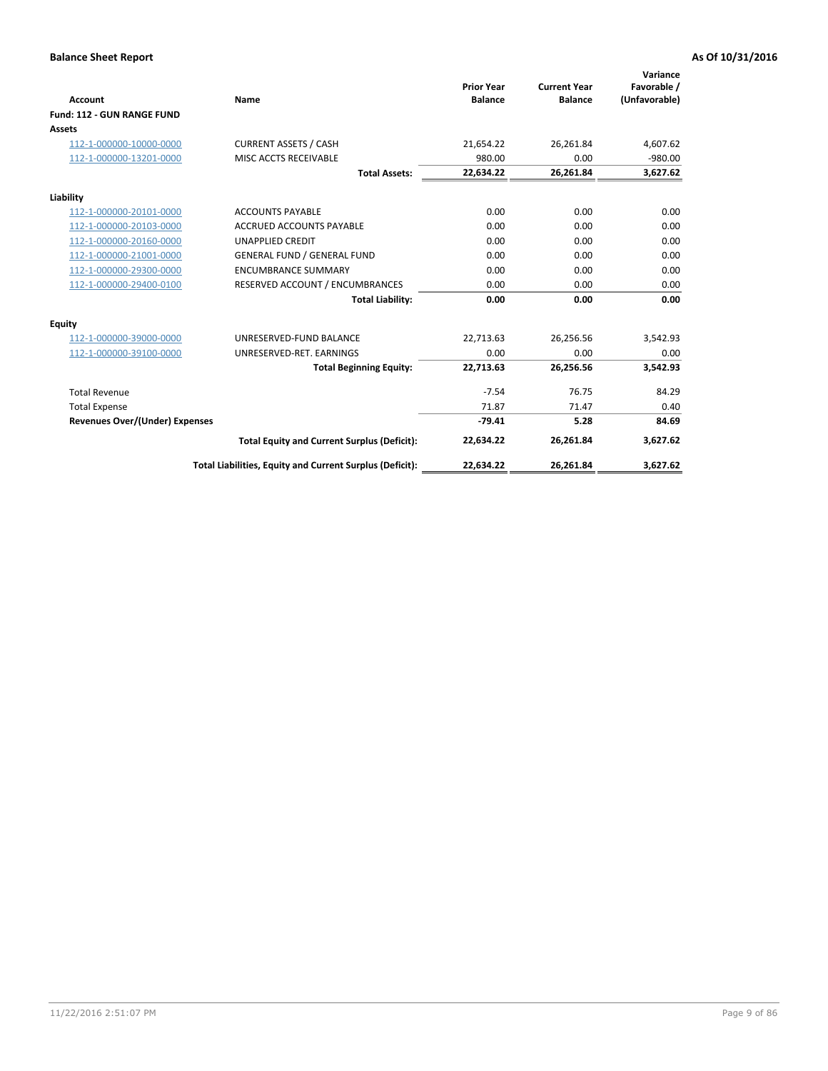|                                       |                                                          |                                     |                                       | Variance                     |
|---------------------------------------|----------------------------------------------------------|-------------------------------------|---------------------------------------|------------------------------|
| <b>Account</b>                        | Name                                                     | <b>Prior Year</b><br><b>Balance</b> | <b>Current Year</b><br><b>Balance</b> | Favorable /<br>(Unfavorable) |
| Fund: 112 - GUN RANGE FUND            |                                                          |                                     |                                       |                              |
| <b>Assets</b>                         |                                                          |                                     |                                       |                              |
| 112-1-000000-10000-0000               | <b>CURRENT ASSETS / CASH</b>                             | 21,654.22                           | 26,261.84                             | 4,607.62                     |
| 112-1-000000-13201-0000               | MISC ACCTS RECEIVABLE                                    | 980.00                              | 0.00                                  | $-980.00$                    |
|                                       | <b>Total Assets:</b>                                     | 22,634.22                           | 26,261.84                             | 3,627.62                     |
| Liability                             |                                                          |                                     |                                       |                              |
| 112-1-000000-20101-0000               | <b>ACCOUNTS PAYABLE</b>                                  | 0.00                                | 0.00                                  | 0.00                         |
| 112-1-000000-20103-0000               | <b>ACCRUED ACCOUNTS PAYABLE</b>                          | 0.00                                | 0.00                                  | 0.00                         |
| 112-1-000000-20160-0000               | <b>UNAPPLIED CREDIT</b>                                  | 0.00                                | 0.00                                  | 0.00                         |
| 112-1-000000-21001-0000               | <b>GENERAL FUND / GENERAL FUND</b>                       | 0.00                                | 0.00                                  | 0.00                         |
| 112-1-000000-29300-0000               | <b>ENCUMBRANCE SUMMARY</b>                               | 0.00                                | 0.00                                  | 0.00                         |
| 112-1-000000-29400-0100               | RESERVED ACCOUNT / ENCUMBRANCES                          | 0.00                                | 0.00                                  | 0.00                         |
|                                       | <b>Total Liability:</b>                                  | 0.00                                | 0.00                                  | 0.00                         |
| <b>Equity</b>                         |                                                          |                                     |                                       |                              |
| 112-1-000000-39000-0000               | UNRESERVED-FUND BALANCE                                  | 22,713.63                           | 26,256.56                             | 3,542.93                     |
| 112-1-000000-39100-0000               | UNRESERVED-RET. EARNINGS                                 | 0.00                                | 0.00                                  | 0.00                         |
|                                       | <b>Total Beginning Equity:</b>                           | 22.713.63                           | 26,256.56                             | 3,542.93                     |
| <b>Total Revenue</b>                  |                                                          | $-7.54$                             | 76.75                                 | 84.29                        |
| <b>Total Expense</b>                  |                                                          | 71.87                               | 71.47                                 | 0.40                         |
| <b>Revenues Over/(Under) Expenses</b> |                                                          | $-79.41$                            | 5.28                                  | 84.69                        |
|                                       | <b>Total Equity and Current Surplus (Deficit):</b>       | 22,634.22                           | 26,261.84                             | 3,627.62                     |
|                                       | Total Liabilities, Equity and Current Surplus (Deficit): | 22,634.22                           | 26,261.84                             | 3,627.62                     |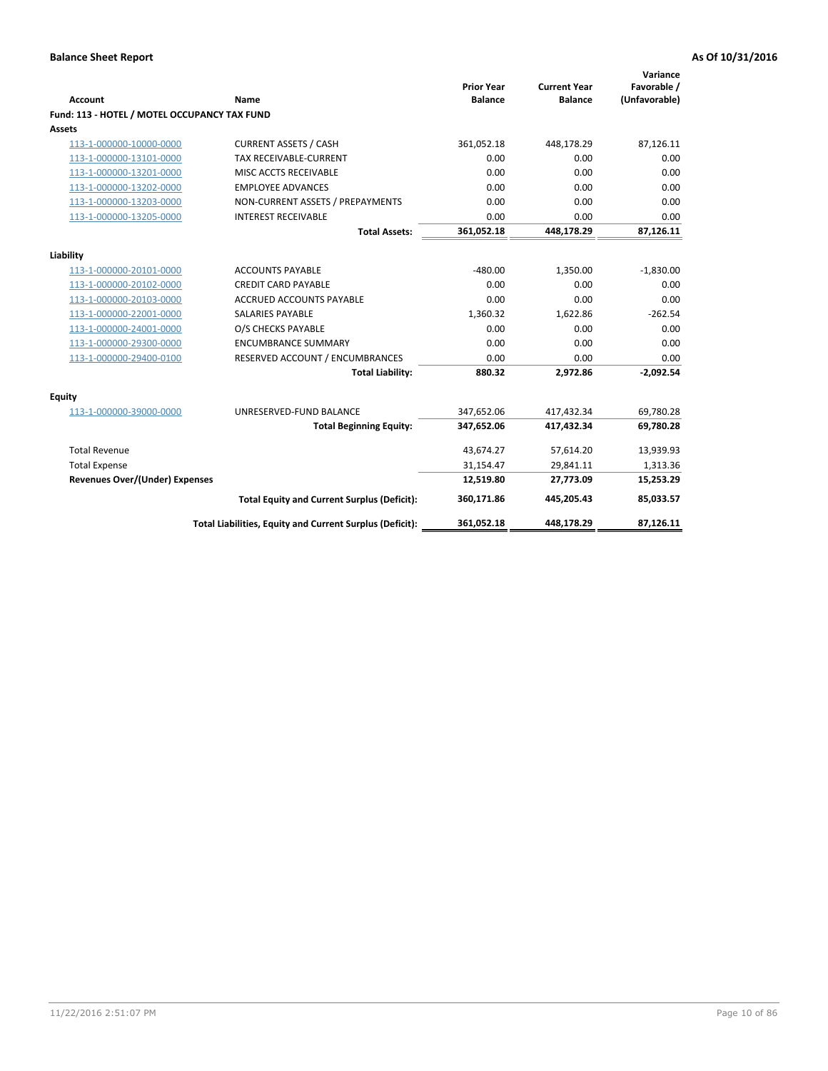| <b>Account</b>                               | Name                                                     | <b>Prior Year</b><br><b>Balance</b> | <b>Current Year</b><br><b>Balance</b> | Variance<br>Favorable /<br>(Unfavorable) |
|----------------------------------------------|----------------------------------------------------------|-------------------------------------|---------------------------------------|------------------------------------------|
| Fund: 113 - HOTEL / MOTEL OCCUPANCY TAX FUND |                                                          |                                     |                                       |                                          |
| Assets                                       |                                                          |                                     |                                       |                                          |
| 113-1-000000-10000-0000                      | <b>CURRENT ASSETS / CASH</b>                             | 361,052.18                          | 448,178.29                            | 87,126.11                                |
| 113-1-000000-13101-0000                      | TAX RECEIVABLE-CURRENT                                   | 0.00                                | 0.00                                  | 0.00                                     |
| 113-1-000000-13201-0000                      | MISC ACCTS RECEIVABLE                                    | 0.00                                | 0.00                                  | 0.00                                     |
| 113-1-000000-13202-0000                      | <b>EMPLOYEE ADVANCES</b>                                 | 0.00                                | 0.00                                  | 0.00                                     |
| 113-1-000000-13203-0000                      | NON-CURRENT ASSETS / PREPAYMENTS                         | 0.00                                | 0.00                                  | 0.00                                     |
| 113-1-000000-13205-0000                      | <b>INTEREST RECEIVABLE</b>                               | 0.00                                | 0.00                                  | 0.00                                     |
|                                              | <b>Total Assets:</b>                                     | 361,052.18                          | 448,178.29                            | 87,126.11                                |
| Liability                                    |                                                          |                                     |                                       |                                          |
| 113-1-000000-20101-0000                      | <b>ACCOUNTS PAYABLE</b>                                  | $-480.00$                           | 1,350.00                              | $-1,830.00$                              |
| 113-1-000000-20102-0000                      | <b>CREDIT CARD PAYABLE</b>                               | 0.00                                | 0.00                                  | 0.00                                     |
| 113-1-000000-20103-0000                      | <b>ACCRUED ACCOUNTS PAYABLE</b>                          | 0.00                                | 0.00                                  | 0.00                                     |
| 113-1-000000-22001-0000                      | <b>SALARIES PAYABLE</b>                                  | 1.360.32                            | 1,622.86                              | $-262.54$                                |
| 113-1-000000-24001-0000                      | O/S CHECKS PAYABLE                                       | 0.00                                | 0.00                                  | 0.00                                     |
| 113-1-000000-29300-0000                      | <b>ENCUMBRANCE SUMMARY</b>                               | 0.00                                | 0.00                                  | 0.00                                     |
| 113-1-000000-29400-0100                      | RESERVED ACCOUNT / ENCUMBRANCES                          | 0.00                                | 0.00                                  | 0.00                                     |
|                                              | <b>Total Liability:</b>                                  | 880.32                              | 2,972.86                              | $-2,092.54$                              |
| Equity                                       |                                                          |                                     |                                       |                                          |
| 113-1-000000-39000-0000                      | UNRESERVED-FUND BALANCE                                  | 347,652.06                          | 417,432.34                            | 69,780.28                                |
|                                              | <b>Total Beginning Equity:</b>                           | 347,652.06                          | 417,432.34                            | 69,780.28                                |
| <b>Total Revenue</b>                         |                                                          | 43,674.27                           | 57,614.20                             | 13,939.93                                |
| <b>Total Expense</b>                         |                                                          | 31,154.47                           | 29,841.11                             | 1,313.36                                 |
| <b>Revenues Over/(Under) Expenses</b>        |                                                          | 12,519.80                           | 27,773.09                             | 15,253.29                                |
|                                              | <b>Total Equity and Current Surplus (Deficit):</b>       | 360,171.86                          | 445,205.43                            | 85,033.57                                |
|                                              | Total Liabilities, Equity and Current Surplus (Deficit): | 361,052.18                          | 448.178.29                            | 87,126.11                                |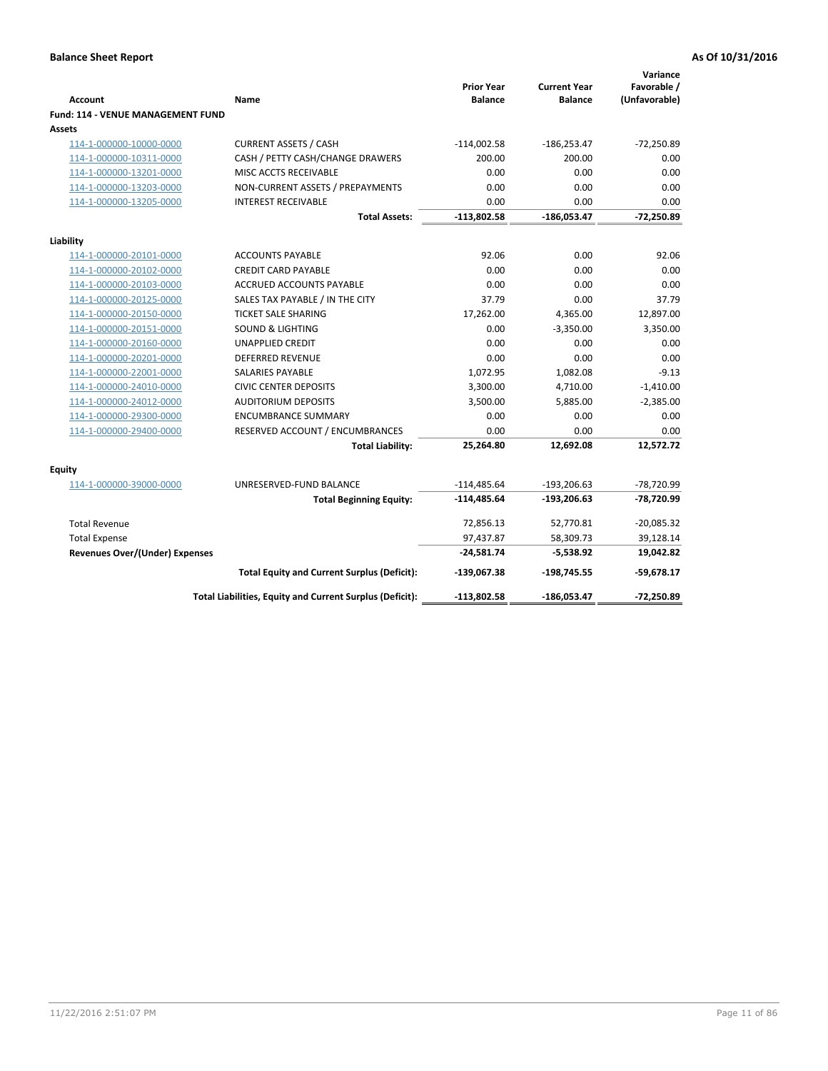| <b>Account</b>                              | Name                                                     | <b>Prior Year</b><br><b>Balance</b> | <b>Current Year</b><br><b>Balance</b> | Variance<br>Favorable /<br>(Unfavorable) |
|---------------------------------------------|----------------------------------------------------------|-------------------------------------|---------------------------------------|------------------------------------------|
| Fund: 114 - VENUE MANAGEMENT FUND<br>Assets |                                                          |                                     |                                       |                                          |
| 114-1-000000-10000-0000                     | <b>CURRENT ASSETS / CASH</b>                             | $-114,002.58$                       | $-186,253.47$                         | $-72,250.89$                             |
| 114-1-000000-10311-0000                     | CASH / PETTY CASH/CHANGE DRAWERS                         | 200.00                              | 200.00                                | 0.00                                     |
| 114-1-000000-13201-0000                     | MISC ACCTS RECEIVABLE                                    | 0.00                                | 0.00                                  | 0.00                                     |
| 114-1-000000-13203-0000                     | NON-CURRENT ASSETS / PREPAYMENTS                         | 0.00                                | 0.00                                  | 0.00                                     |
| 114-1-000000-13205-0000                     | <b>INTEREST RECEIVABLE</b>                               | 0.00                                | 0.00                                  | 0.00                                     |
|                                             | <b>Total Assets:</b>                                     | $-113,802.58$                       | $-186,053.47$                         | $-72,250.89$                             |
|                                             |                                                          |                                     |                                       |                                          |
| Liability                                   |                                                          |                                     |                                       |                                          |
| 114-1-000000-20101-0000                     | <b>ACCOUNTS PAYABLE</b>                                  | 92.06                               | 0.00                                  | 92.06                                    |
| 114-1-000000-20102-0000                     | <b>CREDIT CARD PAYABLE</b>                               | 0.00                                | 0.00                                  | 0.00                                     |
| 114-1-000000-20103-0000                     | <b>ACCRUED ACCOUNTS PAYABLE</b>                          | 0.00                                | 0.00                                  | 0.00                                     |
| 114-1-000000-20125-0000                     | SALES TAX PAYABLE / IN THE CITY                          | 37.79                               | 0.00                                  | 37.79                                    |
| 114-1-000000-20150-0000                     | <b>TICKET SALE SHARING</b>                               | 17,262.00                           | 4,365.00                              | 12,897.00                                |
| 114-1-000000-20151-0000                     | <b>SOUND &amp; LIGHTING</b>                              | 0.00                                | $-3,350.00$                           | 3,350.00                                 |
| 114-1-000000-20160-0000                     | <b>UNAPPLIED CREDIT</b>                                  | 0.00                                | 0.00                                  | 0.00                                     |
| 114-1-000000-20201-0000                     | <b>DEFERRED REVENUE</b>                                  | 0.00                                | 0.00                                  | 0.00                                     |
| 114-1-000000-22001-0000                     | <b>SALARIES PAYABLE</b>                                  | 1,072.95                            | 1,082.08                              | $-9.13$                                  |
| 114-1-000000-24010-0000                     | <b>CIVIC CENTER DEPOSITS</b>                             | 3,300.00                            | 4,710.00                              | $-1,410.00$                              |
| 114-1-000000-24012-0000                     | <b>AUDITORIUM DEPOSITS</b>                               | 3,500.00                            | 5,885.00                              | $-2,385.00$                              |
| 114-1-000000-29300-0000                     | <b>ENCUMBRANCE SUMMARY</b>                               | 0.00                                | 0.00                                  | 0.00                                     |
| 114-1-000000-29400-0000                     | RESERVED ACCOUNT / ENCUMBRANCES                          | 0.00                                | 0.00                                  | 0.00                                     |
|                                             | <b>Total Liability:</b>                                  | 25,264.80                           | 12,692.08                             | 12,572.72                                |
| Equity                                      |                                                          |                                     |                                       |                                          |
| 114-1-000000-39000-0000                     | UNRESERVED-FUND BALANCE                                  | $-114,485.64$                       | $-193,206.63$                         | -78,720.99                               |
|                                             | <b>Total Beginning Equity:</b>                           | $-114,485.64$                       | $-193,206.63$                         | -78,720.99                               |
| <b>Total Revenue</b>                        |                                                          | 72,856.13                           | 52,770.81                             | $-20,085.32$                             |
| <b>Total Expense</b>                        |                                                          | 97,437.87                           | 58,309.73                             | 39,128.14                                |
| <b>Revenues Over/(Under) Expenses</b>       |                                                          | $-24,581.74$                        | $-5,538.92$                           | 19,042.82                                |
|                                             | <b>Total Equity and Current Surplus (Deficit):</b>       | $-139,067.38$                       | $-198,745.55$                         | $-59,678.17$                             |
|                                             | Total Liabilities, Equity and Current Surplus (Deficit): | $-113,802.58$                       | $-186,053.47$                         | -72.250.89                               |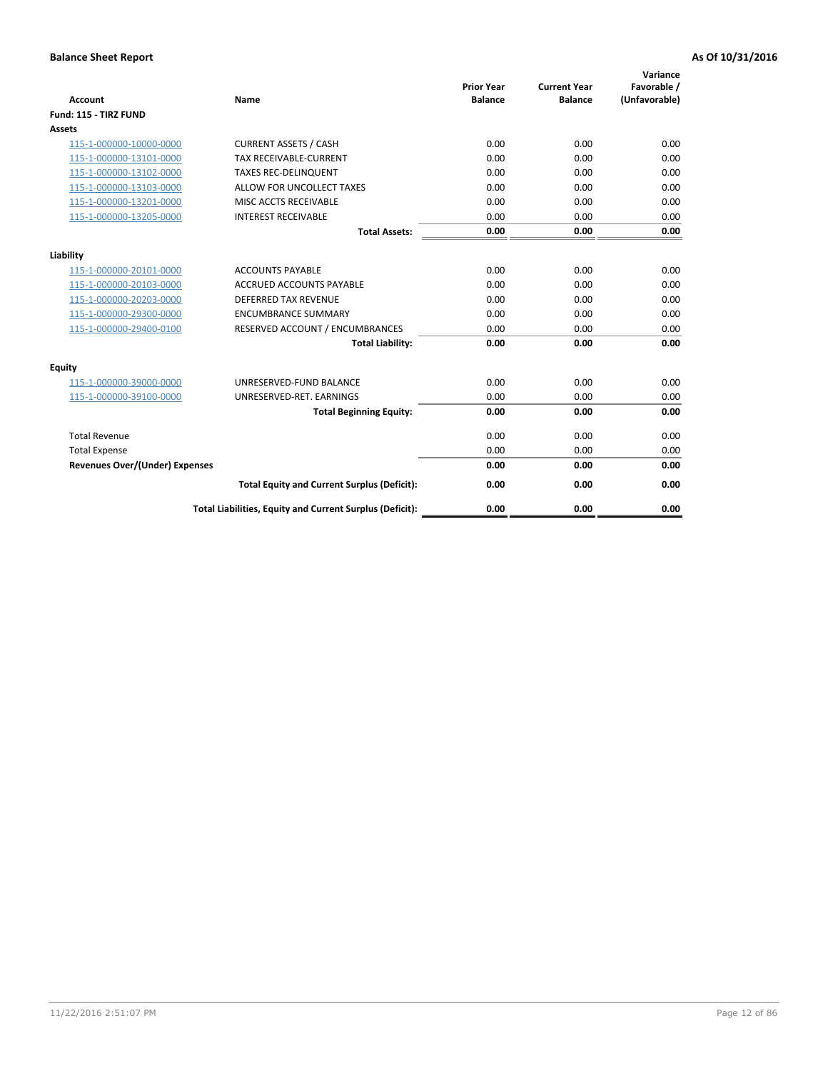| <b>Account</b>                        | <b>Name</b>                                              | <b>Prior Year</b><br><b>Balance</b> | <b>Current Year</b><br><b>Balance</b> | Variance<br>Favorable /<br>(Unfavorable) |
|---------------------------------------|----------------------------------------------------------|-------------------------------------|---------------------------------------|------------------------------------------|
| Fund: 115 - TIRZ FUND                 |                                                          |                                     |                                       |                                          |
| <b>Assets</b>                         |                                                          |                                     |                                       |                                          |
| 115-1-000000-10000-0000               | <b>CURRENT ASSETS / CASH</b>                             | 0.00                                | 0.00                                  | 0.00                                     |
| 115-1-000000-13101-0000               | TAX RECEIVABLE-CURRENT                                   | 0.00                                | 0.00                                  | 0.00                                     |
| 115-1-000000-13102-0000               | <b>TAXES REC-DELINQUENT</b>                              | 0.00                                | 0.00                                  | 0.00                                     |
| 115-1-000000-13103-0000               | ALLOW FOR UNCOLLECT TAXES                                | 0.00                                | 0.00                                  | 0.00                                     |
| 115-1-000000-13201-0000               | MISC ACCTS RECEIVABLE                                    | 0.00                                | 0.00                                  | 0.00                                     |
| 115-1-000000-13205-0000               | <b>INTEREST RECEIVABLE</b>                               | 0.00                                | 0.00                                  | 0.00                                     |
|                                       | <b>Total Assets:</b>                                     | 0.00                                | 0.00                                  | 0.00                                     |
| Liability                             |                                                          |                                     |                                       |                                          |
| 115-1-000000-20101-0000               | <b>ACCOUNTS PAYABLE</b>                                  | 0.00                                | 0.00                                  | 0.00                                     |
| 115-1-000000-20103-0000               | <b>ACCRUED ACCOUNTS PAYABLE</b>                          | 0.00                                | 0.00                                  | 0.00                                     |
| 115-1-000000-20203-0000               | <b>DEFERRED TAX REVENUE</b>                              | 0.00                                | 0.00                                  | 0.00                                     |
| 115-1-000000-29300-0000               | <b>ENCUMBRANCE SUMMARY</b>                               | 0.00                                | 0.00                                  | 0.00                                     |
| 115-1-000000-29400-0100               | RESERVED ACCOUNT / ENCUMBRANCES                          | 0.00                                | 0.00                                  | 0.00                                     |
|                                       | <b>Total Liability:</b>                                  | 0.00                                | 0.00                                  | 0.00                                     |
| Equity                                |                                                          |                                     |                                       |                                          |
| 115-1-000000-39000-0000               | UNRESERVED-FUND BALANCE                                  | 0.00                                | 0.00                                  | 0.00                                     |
| 115-1-000000-39100-0000               | UNRESERVED-RET. EARNINGS                                 | 0.00                                | 0.00                                  | 0.00                                     |
|                                       | <b>Total Beginning Equity:</b>                           | 0.00                                | 0.00                                  | 0.00                                     |
| <b>Total Revenue</b>                  |                                                          | 0.00                                | 0.00                                  | 0.00                                     |
| <b>Total Expense</b>                  |                                                          | 0.00                                | 0.00                                  | 0.00                                     |
| <b>Revenues Over/(Under) Expenses</b> |                                                          | 0.00                                | 0.00                                  | 0.00                                     |
|                                       | <b>Total Equity and Current Surplus (Deficit):</b>       | 0.00                                | 0.00                                  | 0.00                                     |
|                                       | Total Liabilities, Equity and Current Surplus (Deficit): | 0.00                                | 0.00                                  | 0.00                                     |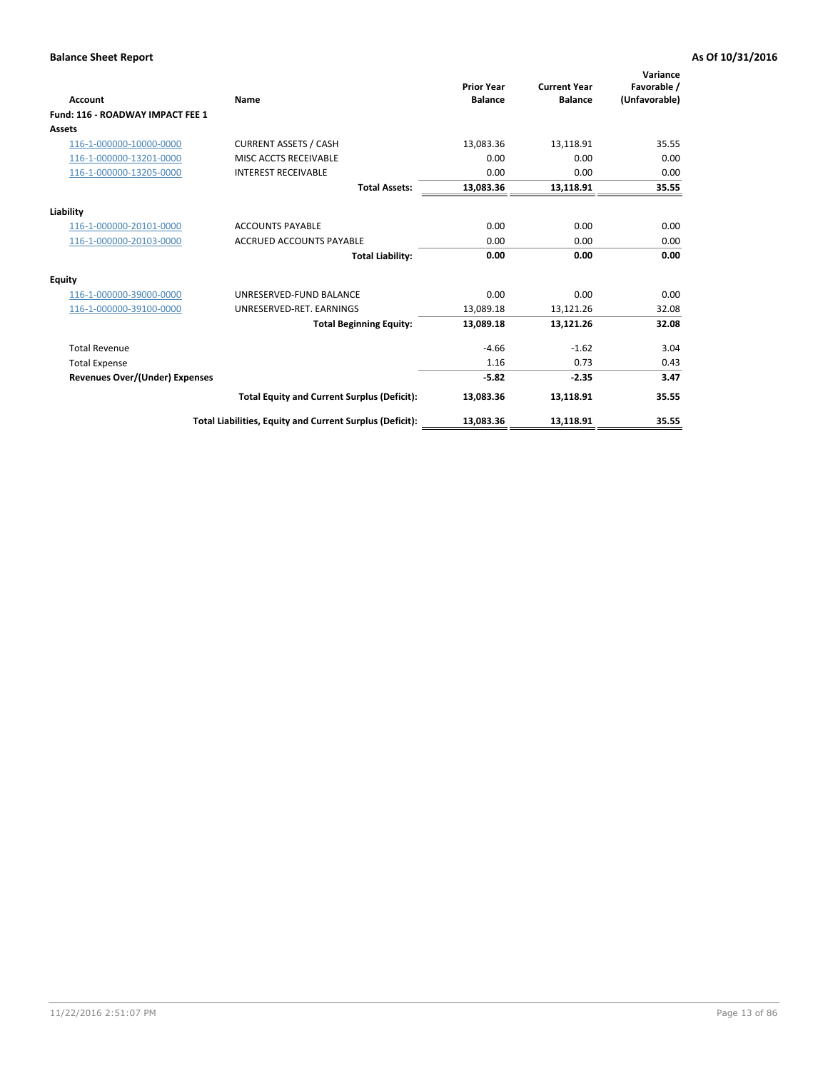| <b>Account</b>                        | Name                                                     | <b>Prior Year</b><br><b>Balance</b> | <b>Current Year</b><br><b>Balance</b> | Variance<br>Favorable /<br>(Unfavorable) |
|---------------------------------------|----------------------------------------------------------|-------------------------------------|---------------------------------------|------------------------------------------|
| Fund: 116 - ROADWAY IMPACT FEE 1      |                                                          |                                     |                                       |                                          |
| <b>Assets</b>                         |                                                          |                                     |                                       |                                          |
| 116-1-000000-10000-0000               | <b>CURRENT ASSETS / CASH</b>                             | 13,083.36                           | 13,118.91                             | 35.55                                    |
| 116-1-000000-13201-0000               | MISC ACCTS RECEIVABLE                                    | 0.00                                | 0.00                                  | 0.00                                     |
| 116-1-000000-13205-0000               | <b>INTEREST RECEIVABLE</b>                               | 0.00                                | 0.00                                  | 0.00                                     |
|                                       | <b>Total Assets:</b>                                     | 13,083.36                           | 13,118.91                             | 35.55                                    |
| Liability                             |                                                          |                                     |                                       |                                          |
| 116-1-000000-20101-0000               | <b>ACCOUNTS PAYABLE</b>                                  | 0.00                                | 0.00                                  | 0.00                                     |
| 116-1-000000-20103-0000               | <b>ACCRUED ACCOUNTS PAYABLE</b>                          | 0.00                                | 0.00                                  | 0.00                                     |
|                                       | <b>Total Liability:</b>                                  | 0.00                                | 0.00                                  | 0.00                                     |
| Equity                                |                                                          |                                     |                                       |                                          |
| 116-1-000000-39000-0000               | UNRESERVED-FUND BALANCE                                  | 0.00                                | 0.00                                  | 0.00                                     |
| 116-1-000000-39100-0000               | UNRESERVED-RET. EARNINGS                                 | 13,089.18                           | 13,121.26                             | 32.08                                    |
|                                       | <b>Total Beginning Equity:</b>                           | 13,089.18                           | 13,121.26                             | 32.08                                    |
| <b>Total Revenue</b>                  |                                                          | $-4.66$                             | $-1.62$                               | 3.04                                     |
| <b>Total Expense</b>                  |                                                          | 1.16                                | 0.73                                  | 0.43                                     |
| <b>Revenues Over/(Under) Expenses</b> |                                                          | $-5.82$                             | $-2.35$                               | 3.47                                     |
|                                       | <b>Total Equity and Current Surplus (Deficit):</b>       | 13,083.36                           | 13,118.91                             | 35.55                                    |
|                                       | Total Liabilities, Equity and Current Surplus (Deficit): | 13,083.36                           | 13,118.91                             | 35.55                                    |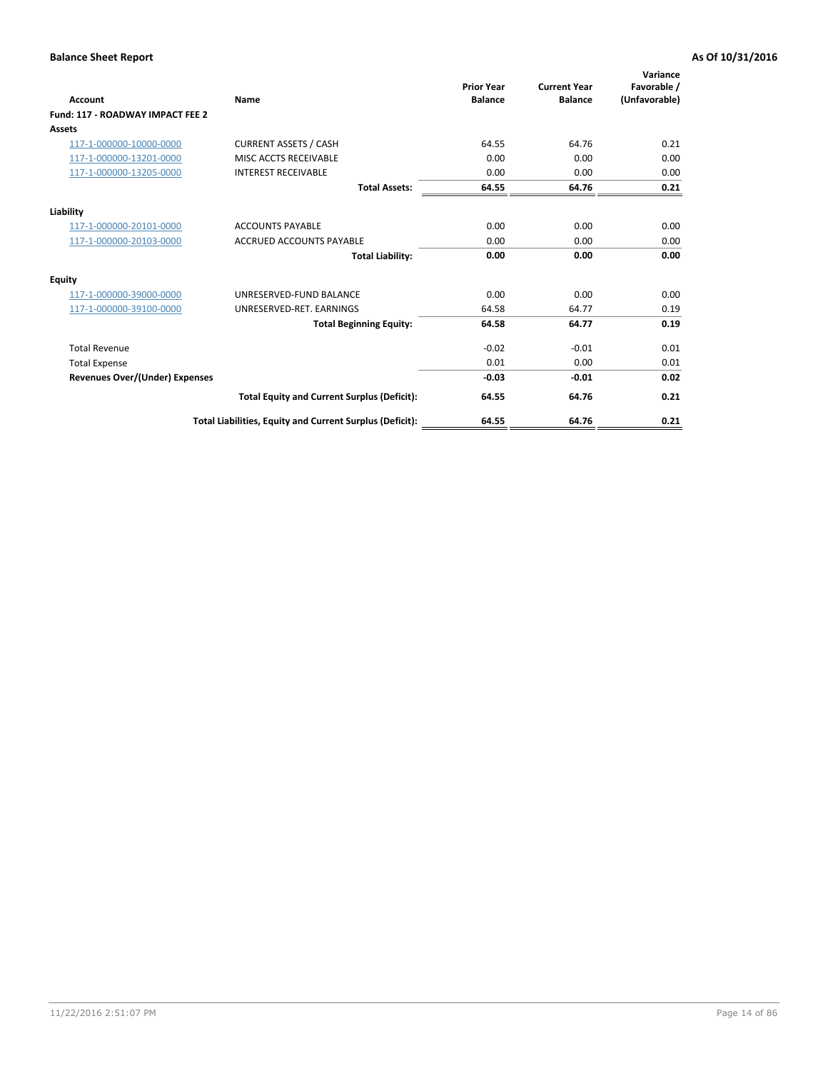| <b>Account</b>                        | Name                                                     | <b>Prior Year</b><br><b>Balance</b> | <b>Current Year</b><br><b>Balance</b> | Variance<br>Favorable /<br>(Unfavorable) |
|---------------------------------------|----------------------------------------------------------|-------------------------------------|---------------------------------------|------------------------------------------|
| Fund: 117 - ROADWAY IMPACT FEE 2      |                                                          |                                     |                                       |                                          |
| Assets                                |                                                          |                                     |                                       |                                          |
| 117-1-000000-10000-0000               | <b>CURRENT ASSETS / CASH</b>                             | 64.55                               | 64.76                                 | 0.21                                     |
| 117-1-000000-13201-0000               | MISC ACCTS RECEIVABLE                                    | 0.00                                | 0.00                                  | 0.00                                     |
| 117-1-000000-13205-0000               | <b>INTEREST RECEIVABLE</b>                               | 0.00                                | 0.00                                  | 0.00                                     |
|                                       | <b>Total Assets:</b>                                     | 64.55                               | 64.76                                 | 0.21                                     |
| Liability                             |                                                          |                                     |                                       |                                          |
| 117-1-000000-20101-0000               | <b>ACCOUNTS PAYABLE</b>                                  | 0.00                                | 0.00                                  | 0.00                                     |
| 117-1-000000-20103-0000               | <b>ACCRUED ACCOUNTS PAYABLE</b>                          | 0.00                                | 0.00                                  | 0.00                                     |
|                                       | <b>Total Liability:</b>                                  | 0.00                                | 0.00                                  | 0.00                                     |
| Equity                                |                                                          |                                     |                                       |                                          |
| 117-1-000000-39000-0000               | UNRESERVED-FUND BALANCE                                  | 0.00                                | 0.00                                  | 0.00                                     |
| 117-1-000000-39100-0000               | UNRESERVED-RET. EARNINGS                                 | 64.58                               | 64.77                                 | 0.19                                     |
|                                       | <b>Total Beginning Equity:</b>                           | 64.58                               | 64.77                                 | 0.19                                     |
| <b>Total Revenue</b>                  |                                                          | $-0.02$                             | $-0.01$                               | 0.01                                     |
| <b>Total Expense</b>                  |                                                          | 0.01                                | 0.00                                  | 0.01                                     |
| <b>Revenues Over/(Under) Expenses</b> |                                                          | $-0.03$                             | $-0.01$                               | 0.02                                     |
|                                       | <b>Total Equity and Current Surplus (Deficit):</b>       | 64.55                               | 64.76                                 | 0.21                                     |
|                                       | Total Liabilities, Equity and Current Surplus (Deficit): | 64.55                               | 64.76                                 | 0.21                                     |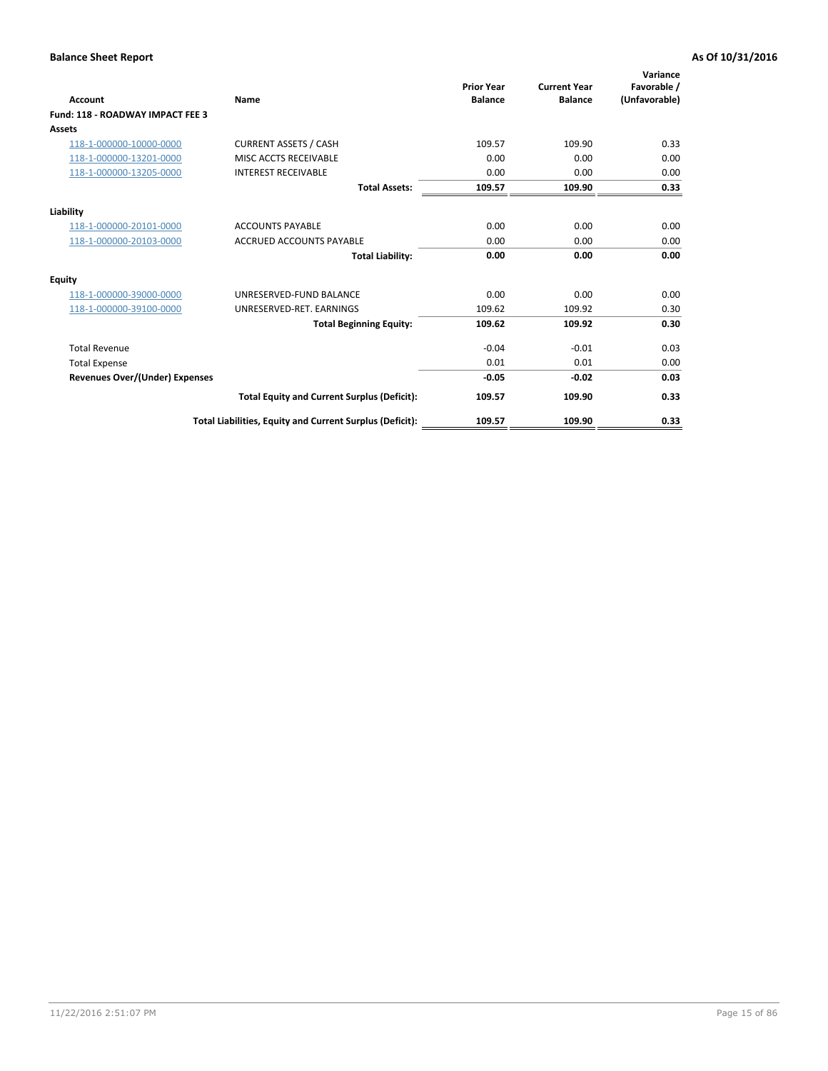| <b>Account</b>                        | Name                                                     | <b>Prior Year</b><br><b>Balance</b> | <b>Current Year</b><br><b>Balance</b> | Variance<br>Favorable /<br>(Unfavorable) |
|---------------------------------------|----------------------------------------------------------|-------------------------------------|---------------------------------------|------------------------------------------|
| Fund: 118 - ROADWAY IMPACT FEE 3      |                                                          |                                     |                                       |                                          |
| Assets                                |                                                          |                                     |                                       |                                          |
| 118-1-000000-10000-0000               | <b>CURRENT ASSETS / CASH</b>                             | 109.57                              | 109.90                                | 0.33                                     |
| 118-1-000000-13201-0000               | MISC ACCTS RECEIVABLE                                    | 0.00                                | 0.00                                  | 0.00                                     |
| 118-1-000000-13205-0000               | <b>INTEREST RECEIVABLE</b>                               | 0.00                                | 0.00                                  | 0.00                                     |
|                                       | <b>Total Assets:</b>                                     | 109.57                              | 109.90                                | 0.33                                     |
| Liability                             |                                                          |                                     |                                       |                                          |
| 118-1-000000-20101-0000               | <b>ACCOUNTS PAYABLE</b>                                  | 0.00                                | 0.00                                  | 0.00                                     |
| 118-1-000000-20103-0000               | <b>ACCRUED ACCOUNTS PAYABLE</b>                          | 0.00                                | 0.00                                  | 0.00                                     |
|                                       | <b>Total Liability:</b>                                  | 0.00                                | 0.00                                  | 0.00                                     |
| Equity                                |                                                          |                                     |                                       |                                          |
| 118-1-000000-39000-0000               | UNRESERVED-FUND BALANCE                                  | 0.00                                | 0.00                                  | 0.00                                     |
| 118-1-000000-39100-0000               | UNRESERVED-RET. EARNINGS                                 | 109.62                              | 109.92                                | 0.30                                     |
|                                       | <b>Total Beginning Equity:</b>                           | 109.62                              | 109.92                                | 0.30                                     |
| <b>Total Revenue</b>                  |                                                          | $-0.04$                             | $-0.01$                               | 0.03                                     |
| <b>Total Expense</b>                  |                                                          | 0.01                                | 0.01                                  | 0.00                                     |
| <b>Revenues Over/(Under) Expenses</b> |                                                          | $-0.05$                             | $-0.02$                               | 0.03                                     |
|                                       | <b>Total Equity and Current Surplus (Deficit):</b>       | 109.57                              | 109.90                                | 0.33                                     |
|                                       | Total Liabilities, Equity and Current Surplus (Deficit): | 109.57                              | 109.90                                | 0.33                                     |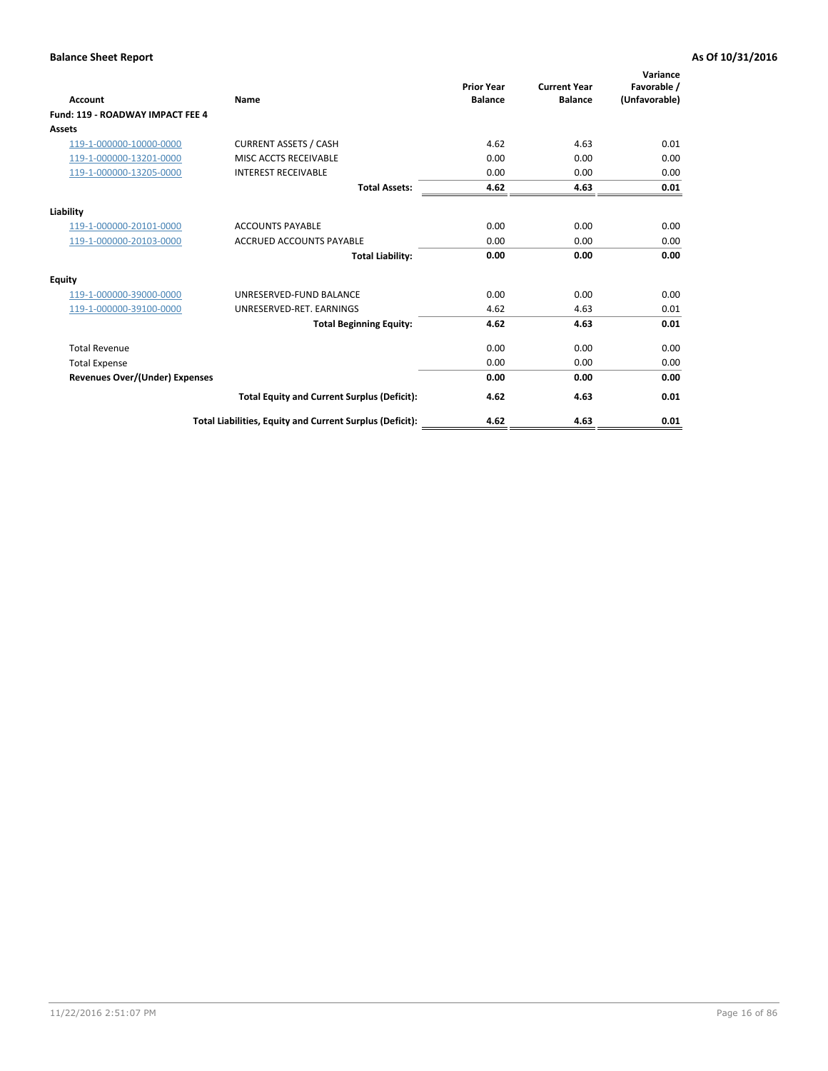| Account                                 | Name                                                     | <b>Prior Year</b><br><b>Balance</b> | <b>Current Year</b><br><b>Balance</b> | Variance<br>Favorable /<br>(Unfavorable) |
|-----------------------------------------|----------------------------------------------------------|-------------------------------------|---------------------------------------|------------------------------------------|
| <b>Fund: 119 - ROADWAY IMPACT FEE 4</b> |                                                          |                                     |                                       |                                          |
| Assets                                  |                                                          |                                     |                                       |                                          |
| 119-1-000000-10000-0000                 | <b>CURRENT ASSETS / CASH</b>                             | 4.62                                | 4.63                                  | 0.01                                     |
| 119-1-000000-13201-0000                 | MISC ACCTS RECEIVABLE                                    | 0.00                                | 0.00                                  | 0.00                                     |
| 119-1-000000-13205-0000                 | <b>INTEREST RECEIVABLE</b>                               | 0.00                                | 0.00                                  | 0.00                                     |
|                                         | <b>Total Assets:</b>                                     | 4.62                                | 4.63                                  | 0.01                                     |
| Liability                               |                                                          |                                     |                                       |                                          |
| 119-1-000000-20101-0000                 | <b>ACCOUNTS PAYABLE</b>                                  | 0.00                                | 0.00                                  | 0.00                                     |
| 119-1-000000-20103-0000                 | <b>ACCRUED ACCOUNTS PAYABLE</b>                          | 0.00                                | 0.00                                  | 0.00                                     |
|                                         | <b>Total Liability:</b>                                  | 0.00                                | 0.00                                  | 0.00                                     |
| Equity                                  |                                                          |                                     |                                       |                                          |
| 119-1-000000-39000-0000                 | UNRESERVED-FUND BALANCE                                  | 0.00                                | 0.00                                  | 0.00                                     |
| 119-1-000000-39100-0000                 | UNRESERVED-RET. EARNINGS                                 | 4.62                                | 4.63                                  | 0.01                                     |
|                                         | <b>Total Beginning Equity:</b>                           | 4.62                                | 4.63                                  | 0.01                                     |
| <b>Total Revenue</b>                    |                                                          | 0.00                                | 0.00                                  | 0.00                                     |
| <b>Total Expense</b>                    |                                                          | 0.00                                | 0.00                                  | 0.00                                     |
| <b>Revenues Over/(Under) Expenses</b>   |                                                          | 0.00                                | 0.00                                  | 0.00                                     |
|                                         | <b>Total Equity and Current Surplus (Deficit):</b>       | 4.62                                | 4.63                                  | 0.01                                     |
|                                         | Total Liabilities, Equity and Current Surplus (Deficit): | 4.62                                | 4.63                                  | 0.01                                     |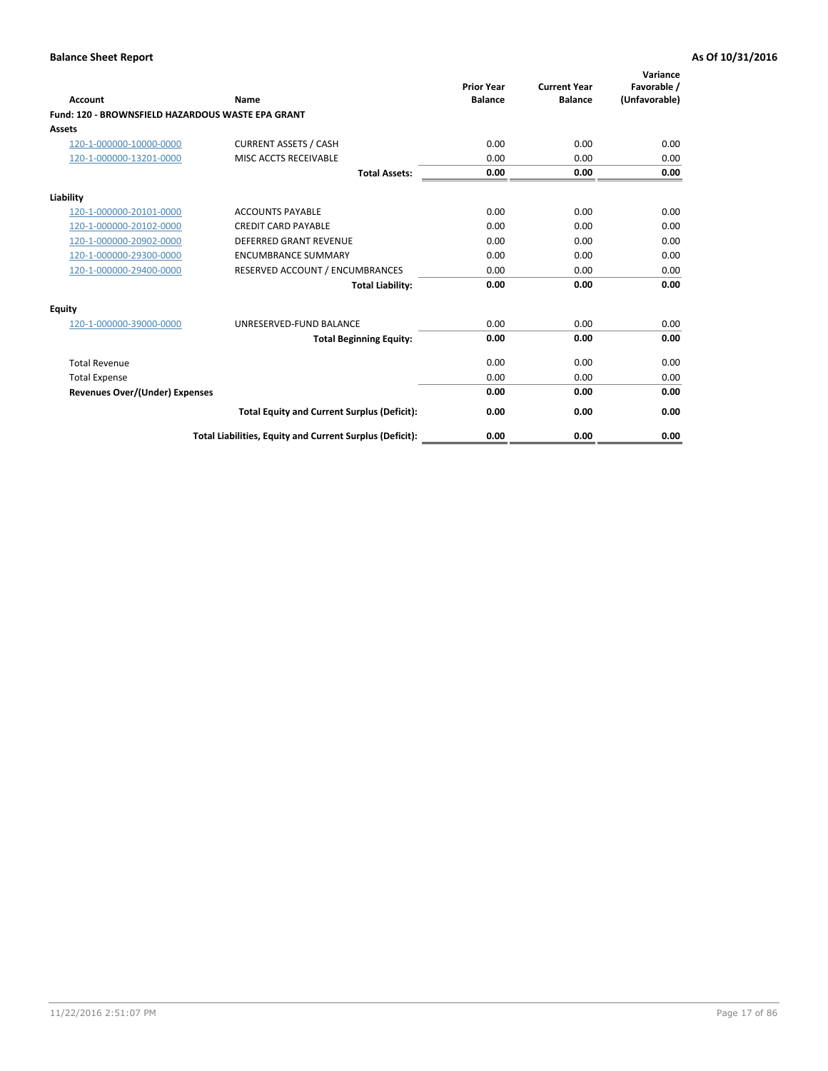| <b>Account</b>                                    | Name                                                     | <b>Prior Year</b><br><b>Balance</b> | <b>Current Year</b><br><b>Balance</b> | Variance<br>Favorable /<br>(Unfavorable) |
|---------------------------------------------------|----------------------------------------------------------|-------------------------------------|---------------------------------------|------------------------------------------|
| Fund: 120 - BROWNSFIELD HAZARDOUS WASTE EPA GRANT |                                                          |                                     |                                       |                                          |
| <b>Assets</b>                                     |                                                          |                                     |                                       |                                          |
| 120-1-000000-10000-0000                           | <b>CURRENT ASSETS / CASH</b>                             | 0.00                                | 0.00                                  | 0.00                                     |
| 120-1-000000-13201-0000                           | MISC ACCTS RECEIVABLE                                    | 0.00                                | 0.00                                  | 0.00                                     |
|                                                   | <b>Total Assets:</b>                                     | 0.00                                | 0.00                                  | 0.00                                     |
| Liability                                         |                                                          |                                     |                                       |                                          |
| 120-1-000000-20101-0000                           | <b>ACCOUNTS PAYABLE</b>                                  | 0.00                                | 0.00                                  | 0.00                                     |
| 120-1-000000-20102-0000                           | <b>CREDIT CARD PAYABLE</b>                               | 0.00                                | 0.00                                  | 0.00                                     |
| 120-1-000000-20902-0000                           | <b>DEFERRED GRANT REVENUE</b>                            | 0.00                                | 0.00                                  | 0.00                                     |
| 120-1-000000-29300-0000                           | <b>ENCUMBRANCE SUMMARY</b>                               | 0.00                                | 0.00                                  | 0.00                                     |
| 120-1-000000-29400-0000                           | RESERVED ACCOUNT / ENCUMBRANCES                          | 0.00                                | 0.00                                  | 0.00                                     |
|                                                   | <b>Total Liability:</b>                                  | 0.00                                | 0.00                                  | 0.00                                     |
| Equity                                            |                                                          |                                     |                                       |                                          |
| 120-1-000000-39000-0000                           | UNRESERVED-FUND BALANCE                                  | 0.00                                | 0.00                                  | 0.00                                     |
|                                                   | <b>Total Beginning Equity:</b>                           | 0.00                                | 0.00                                  | 0.00                                     |
| <b>Total Revenue</b>                              |                                                          | 0.00                                | 0.00                                  | 0.00                                     |
| <b>Total Expense</b>                              |                                                          | 0.00                                | 0.00                                  | 0.00                                     |
| <b>Revenues Over/(Under) Expenses</b>             |                                                          | 0.00                                | 0.00                                  | 0.00                                     |
|                                                   | <b>Total Equity and Current Surplus (Deficit):</b>       | 0.00                                | 0.00                                  | 0.00                                     |
|                                                   | Total Liabilities, Equity and Current Surplus (Deficit): | 0.00                                | 0.00                                  | 0.00                                     |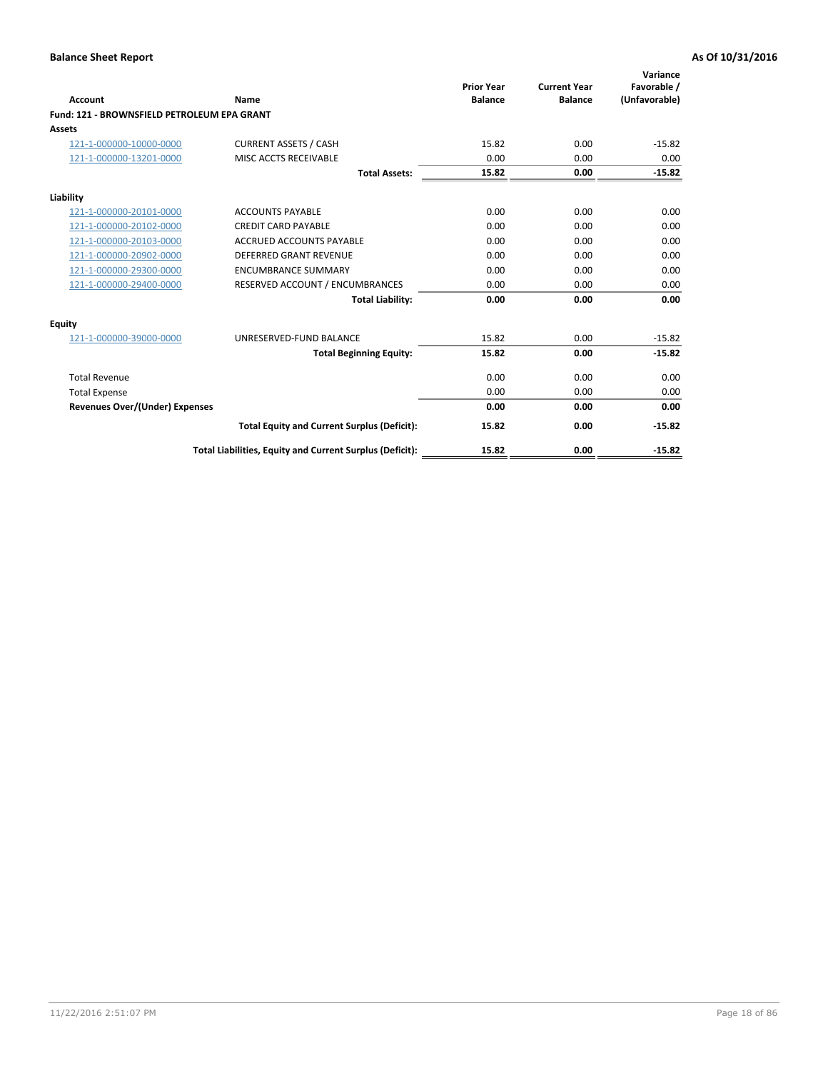| Account                                     | Name                                                     | <b>Prior Year</b><br><b>Balance</b> | <b>Current Year</b><br><b>Balance</b> | Variance<br>Favorable /<br>(Unfavorable) |
|---------------------------------------------|----------------------------------------------------------|-------------------------------------|---------------------------------------|------------------------------------------|
| Fund: 121 - BROWNSFIELD PETROLEUM EPA GRANT |                                                          |                                     |                                       |                                          |
| <b>Assets</b>                               |                                                          |                                     |                                       |                                          |
| 121-1-000000-10000-0000                     | <b>CURRENT ASSETS / CASH</b>                             | 15.82                               | 0.00                                  | $-15.82$                                 |
| 121-1-000000-13201-0000                     | MISC ACCTS RECEIVABLE                                    | 0.00                                | 0.00                                  | 0.00                                     |
|                                             | <b>Total Assets:</b>                                     | 15.82                               | 0.00                                  | $-15.82$                                 |
| Liability                                   |                                                          |                                     |                                       |                                          |
| 121-1-000000-20101-0000                     | <b>ACCOUNTS PAYABLE</b>                                  | 0.00                                | 0.00                                  | 0.00                                     |
| 121-1-000000-20102-0000                     | <b>CREDIT CARD PAYABLE</b>                               | 0.00                                | 0.00                                  | 0.00                                     |
| 121-1-000000-20103-0000                     | <b>ACCRUED ACCOUNTS PAYABLE</b>                          | 0.00                                | 0.00                                  | 0.00                                     |
| 121-1-000000-20902-0000                     | DEFERRED GRANT REVENUE                                   | 0.00                                | 0.00                                  | 0.00                                     |
| 121-1-000000-29300-0000                     | <b>ENCUMBRANCE SUMMARY</b>                               | 0.00                                | 0.00                                  | 0.00                                     |
| 121-1-000000-29400-0000                     | RESERVED ACCOUNT / ENCUMBRANCES                          | 0.00                                | 0.00                                  | 0.00                                     |
|                                             | <b>Total Liability:</b>                                  | 0.00                                | 0.00                                  | 0.00                                     |
| <b>Equity</b>                               |                                                          |                                     |                                       |                                          |
| 121-1-000000-39000-0000                     | UNRESERVED-FUND BALANCE                                  | 15.82                               | 0.00                                  | $-15.82$                                 |
|                                             | <b>Total Beginning Equity:</b>                           | 15.82                               | 0.00                                  | $-15.82$                                 |
| <b>Total Revenue</b>                        |                                                          | 0.00                                | 0.00                                  | 0.00                                     |
| <b>Total Expense</b>                        |                                                          | 0.00                                | 0.00                                  | 0.00                                     |
| <b>Revenues Over/(Under) Expenses</b>       |                                                          | 0.00                                | 0.00                                  | 0.00                                     |
|                                             | <b>Total Equity and Current Surplus (Deficit):</b>       | 15.82                               | 0.00                                  | $-15.82$                                 |
|                                             | Total Liabilities, Equity and Current Surplus (Deficit): | 15.82                               | 0.00                                  | $-15.82$                                 |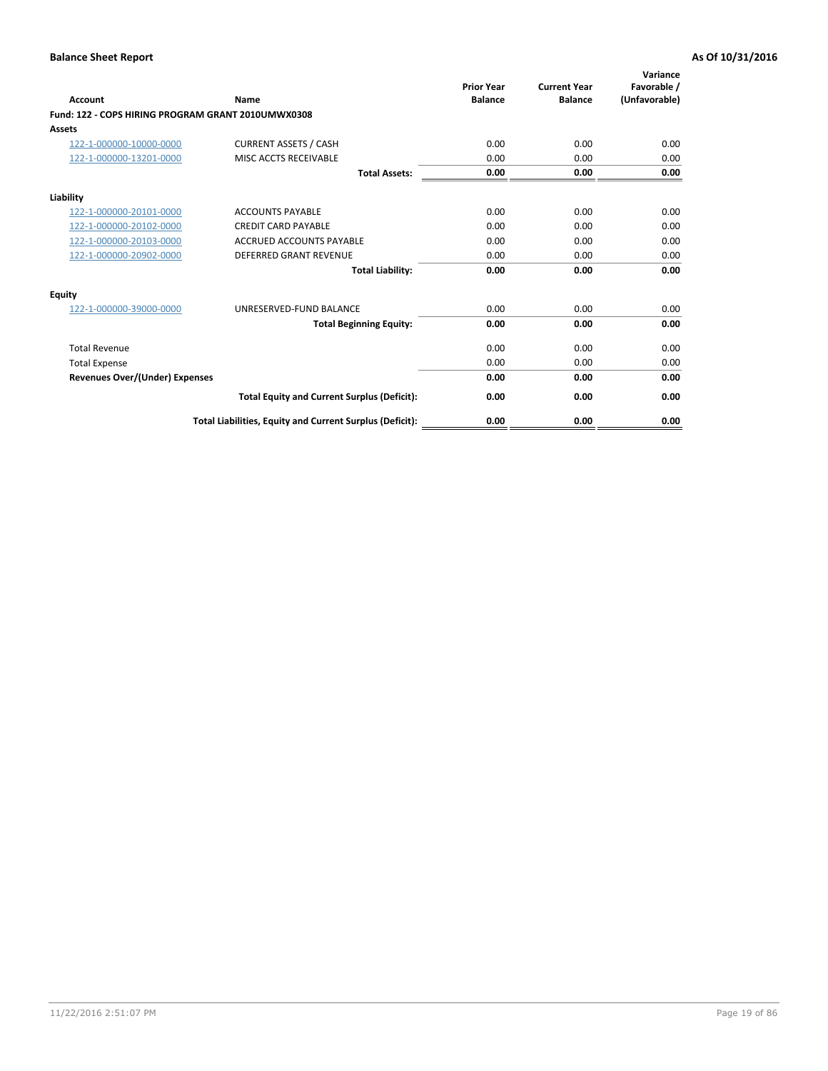| <b>Account</b>                                     | Name                                                     | <b>Prior Year</b><br><b>Balance</b> | <b>Current Year</b><br><b>Balance</b> | Variance<br>Favorable /<br>(Unfavorable) |
|----------------------------------------------------|----------------------------------------------------------|-------------------------------------|---------------------------------------|------------------------------------------|
| Fund: 122 - COPS HIRING PROGRAM GRANT 2010UMWX0308 |                                                          |                                     |                                       |                                          |
| Assets                                             |                                                          |                                     |                                       |                                          |
| 122-1-000000-10000-0000                            | <b>CURRENT ASSETS / CASH</b>                             | 0.00                                | 0.00                                  | 0.00                                     |
| 122-1-000000-13201-0000                            | MISC ACCTS RECEIVABLE                                    | 0.00                                | 0.00                                  | 0.00                                     |
|                                                    | <b>Total Assets:</b>                                     | 0.00                                | 0.00                                  | 0.00                                     |
| Liability                                          |                                                          |                                     |                                       |                                          |
| 122-1-000000-20101-0000                            | <b>ACCOUNTS PAYABLE</b>                                  | 0.00                                | 0.00                                  | 0.00                                     |
| 122-1-000000-20102-0000                            | <b>CREDIT CARD PAYABLE</b>                               | 0.00                                | 0.00                                  | 0.00                                     |
| 122-1-000000-20103-0000                            | <b>ACCRUED ACCOUNTS PAYABLE</b>                          | 0.00                                | 0.00                                  | 0.00                                     |
| 122-1-000000-20902-0000                            | <b>DEFERRED GRANT REVENUE</b>                            | 0.00                                | 0.00                                  | 0.00                                     |
|                                                    | <b>Total Liability:</b>                                  | 0.00                                | 0.00                                  | 0.00                                     |
| Equity                                             |                                                          |                                     |                                       |                                          |
| 122-1-000000-39000-0000                            | UNRESERVED-FUND BALANCE                                  | 0.00                                | 0.00                                  | 0.00                                     |
|                                                    | <b>Total Beginning Equity:</b>                           | 0.00                                | 0.00                                  | 0.00                                     |
| <b>Total Revenue</b>                               |                                                          | 0.00                                | 0.00                                  | 0.00                                     |
| <b>Total Expense</b>                               |                                                          | 0.00                                | 0.00                                  | 0.00                                     |
| <b>Revenues Over/(Under) Expenses</b>              |                                                          | 0.00                                | 0.00                                  | 0.00                                     |
|                                                    | <b>Total Equity and Current Surplus (Deficit):</b>       | 0.00                                | 0.00                                  | 0.00                                     |
|                                                    | Total Liabilities, Equity and Current Surplus (Deficit): | 0.00                                | 0.00                                  | 0.00                                     |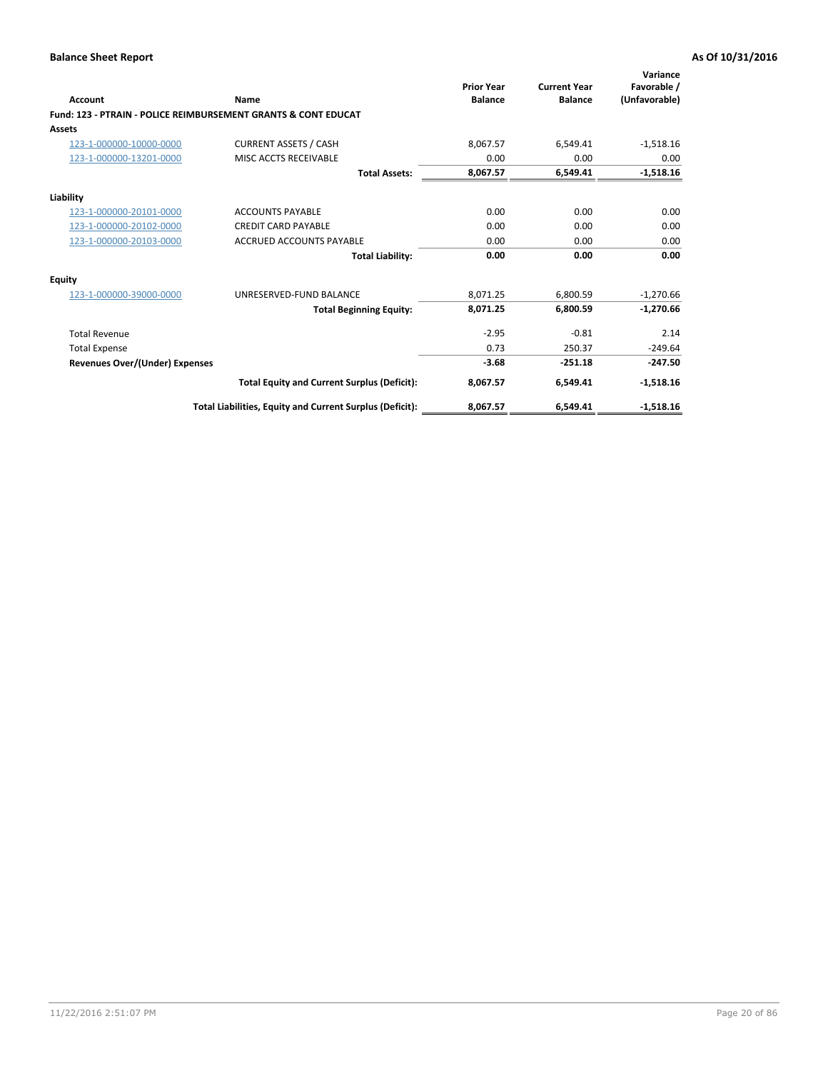| Account                        | Name                                                           | <b>Prior Year</b><br><b>Balance</b> | <b>Current Year</b><br><b>Balance</b> | Variance<br>Favorable /<br>(Unfavorable) |
|--------------------------------|----------------------------------------------------------------|-------------------------------------|---------------------------------------|------------------------------------------|
|                                | Fund: 123 - PTRAIN - POLICE REIMBURSEMENT GRANTS & CONT EDUCAT |                                     |                                       |                                          |
| Assets                         |                                                                |                                     |                                       |                                          |
| 123-1-000000-10000-0000        | <b>CURRENT ASSETS / CASH</b>                                   | 8,067.57                            | 6,549.41                              | $-1,518.16$                              |
| 123-1-000000-13201-0000        | MISC ACCTS RECEIVABLE                                          | 0.00                                | 0.00                                  | 0.00                                     |
|                                | <b>Total Assets:</b>                                           | 8,067.57                            | 6,549.41                              | $-1,518.16$                              |
| Liability                      |                                                                |                                     |                                       |                                          |
| 123-1-000000-20101-0000        | <b>ACCOUNTS PAYABLE</b>                                        | 0.00                                | 0.00                                  | 0.00                                     |
| 123-1-000000-20102-0000        | <b>CREDIT CARD PAYABLE</b>                                     | 0.00                                | 0.00                                  | 0.00                                     |
| 123-1-000000-20103-0000        | <b>ACCRUED ACCOUNTS PAYABLE</b>                                | 0.00                                | 0.00                                  | 0.00                                     |
|                                | <b>Total Liability:</b>                                        | 0.00                                | 0.00                                  | 0.00                                     |
| Equity                         |                                                                |                                     |                                       |                                          |
| 123-1-000000-39000-0000        | UNRESERVED-FUND BALANCE                                        | 8,071.25                            | 6,800.59                              | $-1,270.66$                              |
|                                | <b>Total Beginning Equity:</b>                                 | 8,071.25                            | 6.800.59                              | $-1,270.66$                              |
| <b>Total Revenue</b>           |                                                                | $-2.95$                             | $-0.81$                               | 2.14                                     |
| <b>Total Expense</b>           |                                                                | 0.73                                | 250.37                                | $-249.64$                                |
| Revenues Over/(Under) Expenses |                                                                | $-3.68$                             | $-251.18$                             | $-247.50$                                |
|                                | <b>Total Equity and Current Surplus (Deficit):</b>             | 8,067.57                            | 6,549.41                              | $-1,518.16$                              |
|                                | Total Liabilities, Equity and Current Surplus (Deficit):       | 8,067.57                            | 6,549.41                              | $-1,518.16$                              |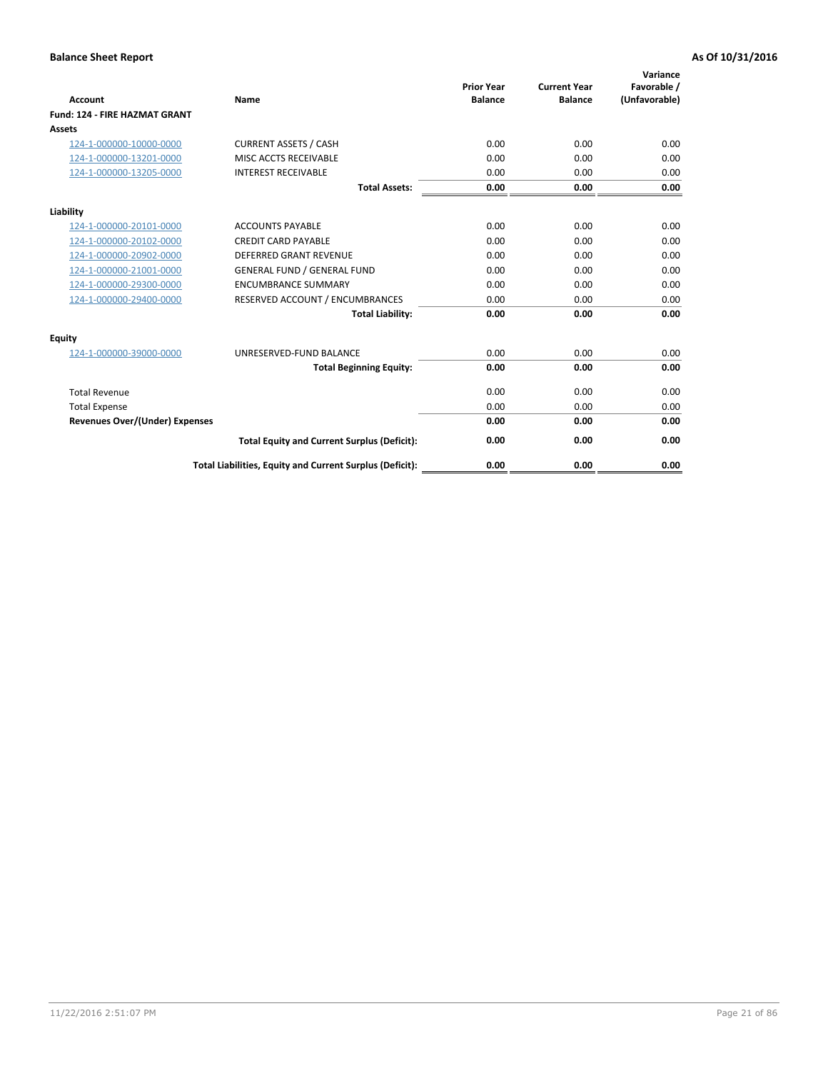| <b>Account</b>                        | Name                                                     | <b>Prior Year</b><br><b>Balance</b> | <b>Current Year</b><br><b>Balance</b> | Variance<br>Favorable /<br>(Unfavorable) |
|---------------------------------------|----------------------------------------------------------|-------------------------------------|---------------------------------------|------------------------------------------|
| <b>Fund: 124 - FIRE HAZMAT GRANT</b>  |                                                          |                                     |                                       |                                          |
| Assets                                |                                                          |                                     |                                       |                                          |
| 124-1-000000-10000-0000               | <b>CURRENT ASSETS / CASH</b>                             | 0.00                                | 0.00                                  | 0.00                                     |
| 124-1-000000-13201-0000               | MISC ACCTS RECEIVABLE                                    | 0.00                                | 0.00                                  | 0.00                                     |
| 124-1-000000-13205-0000               | <b>INTEREST RECEIVABLE</b>                               | 0.00                                | 0.00                                  | 0.00                                     |
|                                       | <b>Total Assets:</b>                                     | 0.00                                | 0.00                                  | 0.00                                     |
| Liability                             |                                                          |                                     |                                       |                                          |
| 124-1-000000-20101-0000               | <b>ACCOUNTS PAYABLE</b>                                  | 0.00                                | 0.00                                  | 0.00                                     |
| 124-1-000000-20102-0000               | <b>CREDIT CARD PAYABLE</b>                               | 0.00                                | 0.00                                  | 0.00                                     |
| 124-1-000000-20902-0000               | <b>DEFERRED GRANT REVENUE</b>                            | 0.00                                | 0.00                                  | 0.00                                     |
| 124-1-000000-21001-0000               | <b>GENERAL FUND / GENERAL FUND</b>                       | 0.00                                | 0.00                                  | 0.00                                     |
| 124-1-000000-29300-0000               | <b>ENCUMBRANCE SUMMARY</b>                               | 0.00                                | 0.00                                  | 0.00                                     |
| 124-1-000000-29400-0000               | RESERVED ACCOUNT / ENCUMBRANCES                          | 0.00                                | 0.00                                  | 0.00                                     |
|                                       | <b>Total Liability:</b>                                  | 0.00                                | 0.00                                  | 0.00                                     |
| Equity                                |                                                          |                                     |                                       |                                          |
| 124-1-000000-39000-0000               | UNRESERVED-FUND BALANCE                                  | 0.00                                | 0.00                                  | 0.00                                     |
|                                       | <b>Total Beginning Equity:</b>                           | 0.00                                | 0.00                                  | 0.00                                     |
| <b>Total Revenue</b>                  |                                                          | 0.00                                | 0.00                                  | 0.00                                     |
| <b>Total Expense</b>                  |                                                          | 0.00                                | 0.00                                  | 0.00                                     |
| <b>Revenues Over/(Under) Expenses</b> |                                                          | 0.00                                | 0.00                                  | 0.00                                     |
|                                       | <b>Total Equity and Current Surplus (Deficit):</b>       | 0.00                                | 0.00                                  | 0.00                                     |
|                                       | Total Liabilities, Equity and Current Surplus (Deficit): | 0.00                                | 0.00                                  | 0.00                                     |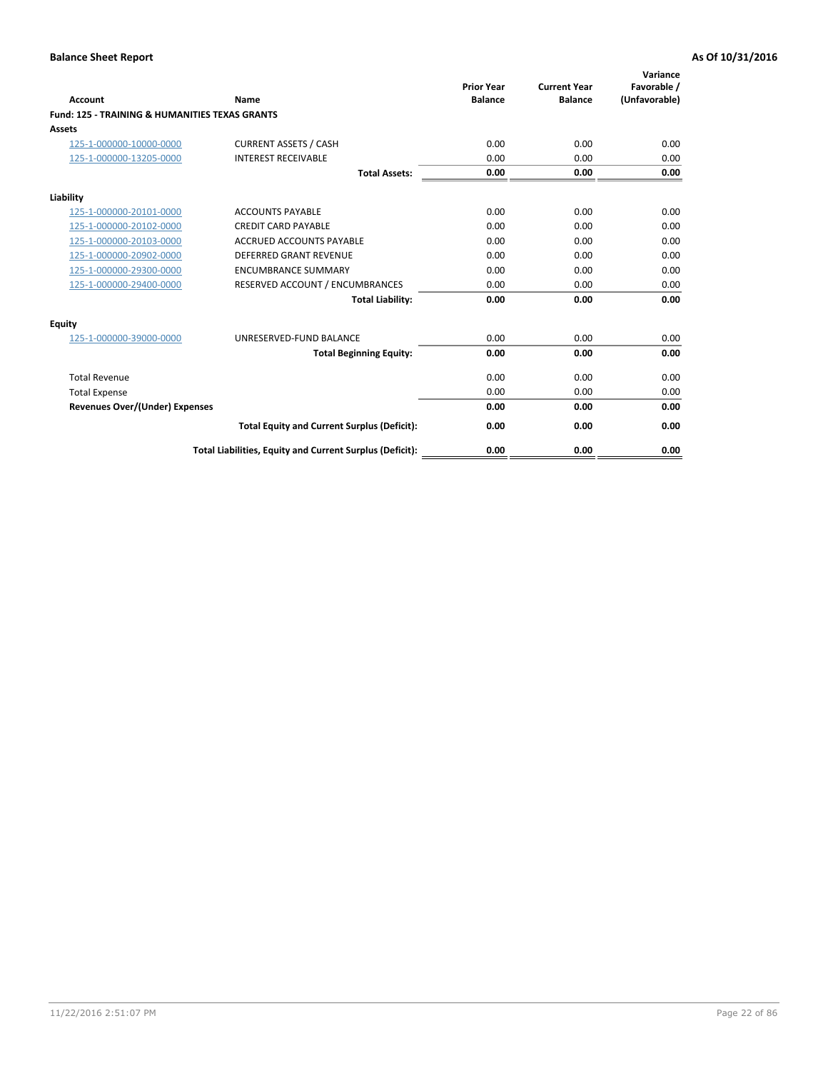| Account                                                   | Name                                                     | <b>Prior Year</b><br><b>Balance</b> | <b>Current Year</b><br><b>Balance</b> | Variance<br>Favorable /<br>(Unfavorable) |
|-----------------------------------------------------------|----------------------------------------------------------|-------------------------------------|---------------------------------------|------------------------------------------|
| <b>Fund: 125 - TRAINING &amp; HUMANITIES TEXAS GRANTS</b> |                                                          |                                     |                                       |                                          |
| <b>Assets</b>                                             |                                                          |                                     |                                       |                                          |
| 125-1-000000-10000-0000                                   | <b>CURRENT ASSETS / CASH</b>                             | 0.00                                | 0.00                                  | 0.00                                     |
| 125-1-000000-13205-0000                                   | <b>INTEREST RECEIVABLE</b>                               | 0.00                                | 0.00                                  | 0.00                                     |
|                                                           | <b>Total Assets:</b>                                     | 0.00                                | 0.00                                  | 0.00                                     |
| Liability                                                 |                                                          |                                     |                                       |                                          |
| 125-1-000000-20101-0000                                   | <b>ACCOUNTS PAYABLE</b>                                  | 0.00                                | 0.00                                  | 0.00                                     |
| 125-1-000000-20102-0000                                   | <b>CREDIT CARD PAYABLE</b>                               | 0.00                                | 0.00                                  | 0.00                                     |
| 125-1-000000-20103-0000                                   | <b>ACCRUED ACCOUNTS PAYABLE</b>                          | 0.00                                | 0.00                                  | 0.00                                     |
| 125-1-000000-20902-0000                                   | <b>DEFERRED GRANT REVENUE</b>                            | 0.00                                | 0.00                                  | 0.00                                     |
| 125-1-000000-29300-0000                                   | <b>ENCUMBRANCE SUMMARY</b>                               | 0.00                                | 0.00                                  | 0.00                                     |
| 125-1-000000-29400-0000                                   | RESERVED ACCOUNT / ENCUMBRANCES                          | 0.00                                | 0.00                                  | 0.00                                     |
|                                                           | <b>Total Liability:</b>                                  | 0.00                                | 0.00                                  | 0.00                                     |
| <b>Equity</b>                                             |                                                          |                                     |                                       |                                          |
| 125-1-000000-39000-0000                                   | UNRESERVED-FUND BALANCE                                  | 0.00                                | 0.00                                  | 0.00                                     |
|                                                           | <b>Total Beginning Equity:</b>                           | 0.00                                | 0.00                                  | 0.00                                     |
| <b>Total Revenue</b>                                      |                                                          | 0.00                                | 0.00                                  | 0.00                                     |
| <b>Total Expense</b>                                      |                                                          | 0.00                                | 0.00                                  | 0.00                                     |
| <b>Revenues Over/(Under) Expenses</b>                     |                                                          | 0.00                                | 0.00                                  | 0.00                                     |
|                                                           | <b>Total Equity and Current Surplus (Deficit):</b>       | 0.00                                | 0.00                                  | 0.00                                     |
|                                                           | Total Liabilities, Equity and Current Surplus (Deficit): | 0.00                                | 0.00                                  | 0.00                                     |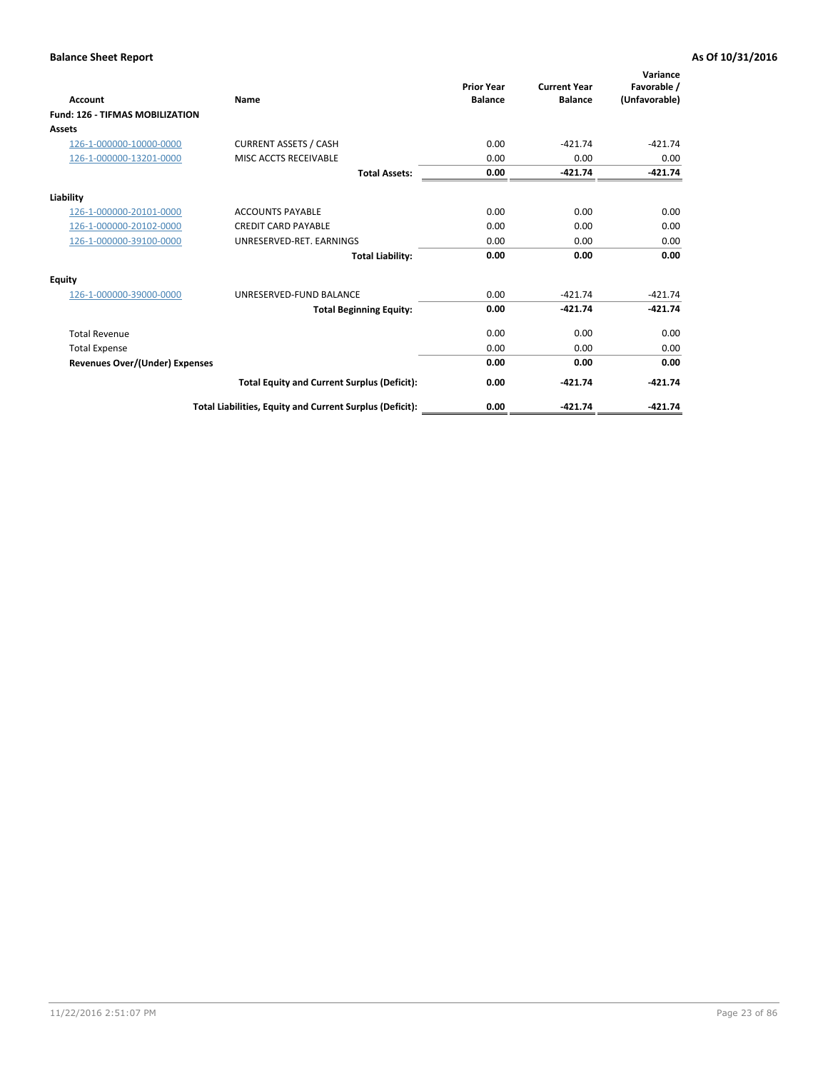| <b>Account</b>                         | Name                                                     | <b>Prior Year</b><br><b>Balance</b> | <b>Current Year</b><br><b>Balance</b> | Variance<br>Favorable /<br>(Unfavorable) |
|----------------------------------------|----------------------------------------------------------|-------------------------------------|---------------------------------------|------------------------------------------|
| <b>Fund: 126 - TIFMAS MOBILIZATION</b> |                                                          |                                     |                                       |                                          |
| Assets                                 |                                                          |                                     |                                       |                                          |
| 126-1-000000-10000-0000                | <b>CURRENT ASSETS / CASH</b>                             | 0.00                                | $-421.74$                             | $-421.74$                                |
| 126-1-000000-13201-0000                | MISC ACCTS RECEIVABLE                                    | 0.00                                | 0.00                                  | 0.00                                     |
|                                        | <b>Total Assets:</b>                                     | 0.00                                | $-421.74$                             | $-421.74$                                |
| Liability                              |                                                          |                                     |                                       |                                          |
| 126-1-000000-20101-0000                | <b>ACCOUNTS PAYABLE</b>                                  | 0.00                                | 0.00                                  | 0.00                                     |
| 126-1-000000-20102-0000                | <b>CREDIT CARD PAYABLE</b>                               | 0.00                                | 0.00                                  | 0.00                                     |
| 126-1-000000-39100-0000                | UNRESERVED-RET. EARNINGS                                 | 0.00                                | 0.00                                  | 0.00                                     |
|                                        | <b>Total Liability:</b>                                  | 0.00                                | 0.00                                  | 0.00                                     |
| Equity                                 |                                                          |                                     |                                       |                                          |
| 126-1-000000-39000-0000                | UNRESERVED-FUND BALANCE                                  | 0.00                                | $-421.74$                             | $-421.74$                                |
|                                        | <b>Total Beginning Equity:</b>                           | 0.00                                | $-421.74$                             | $-421.74$                                |
| <b>Total Revenue</b>                   |                                                          | 0.00                                | 0.00                                  | 0.00                                     |
| <b>Total Expense</b>                   |                                                          | 0.00                                | 0.00                                  | 0.00                                     |
| Revenues Over/(Under) Expenses         |                                                          | 0.00                                | 0.00                                  | 0.00                                     |
|                                        | <b>Total Equity and Current Surplus (Deficit):</b>       | 0.00                                | $-421.74$                             | $-421.74$                                |
|                                        | Total Liabilities, Equity and Current Surplus (Deficit): | 0.00                                | $-421.74$                             | $-421.74$                                |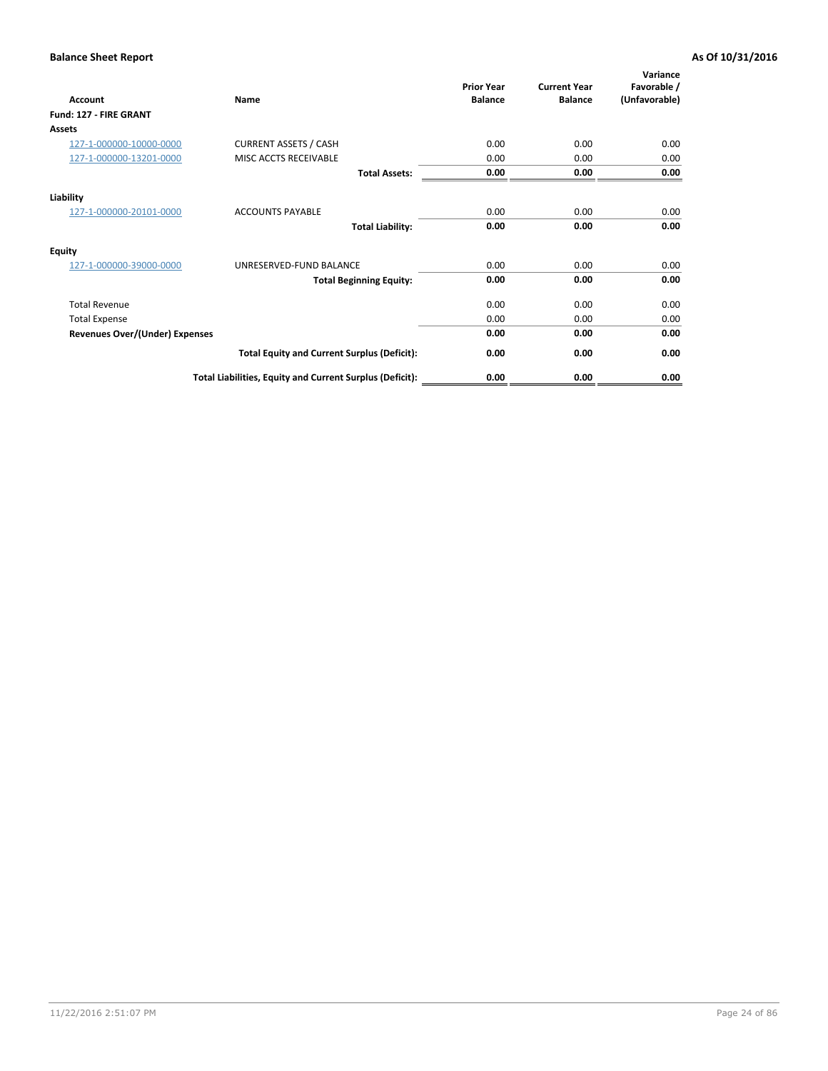| Account                               | Name                                                     | <b>Prior Year</b><br><b>Balance</b> | <b>Current Year</b><br><b>Balance</b> | Variance<br>Favorable /<br>(Unfavorable) |
|---------------------------------------|----------------------------------------------------------|-------------------------------------|---------------------------------------|------------------------------------------|
| Fund: 127 - FIRE GRANT                |                                                          |                                     |                                       |                                          |
| Assets                                |                                                          |                                     |                                       |                                          |
| 127-1-000000-10000-0000               | <b>CURRENT ASSETS / CASH</b>                             | 0.00                                | 0.00                                  | 0.00                                     |
| 127-1-000000-13201-0000               | MISC ACCTS RECEIVABLE                                    | 0.00                                | 0.00                                  | 0.00                                     |
|                                       | <b>Total Assets:</b>                                     | 0.00                                | 0.00                                  | 0.00                                     |
| Liability                             |                                                          |                                     |                                       |                                          |
| 127-1-000000-20101-0000               | <b>ACCOUNTS PAYABLE</b>                                  | 0.00                                | 0.00                                  | 0.00                                     |
|                                       | <b>Total Liability:</b>                                  | 0.00                                | 0.00                                  | 0.00                                     |
| <b>Equity</b>                         |                                                          |                                     |                                       |                                          |
| 127-1-000000-39000-0000               | UNRESERVED-FUND BALANCE                                  | 0.00                                | 0.00                                  | 0.00                                     |
|                                       | <b>Total Beginning Equity:</b>                           | 0.00                                | 0.00                                  | 0.00                                     |
| <b>Total Revenue</b>                  |                                                          | 0.00                                | 0.00                                  | 0.00                                     |
| <b>Total Expense</b>                  |                                                          | 0.00                                | 0.00                                  | 0.00                                     |
| <b>Revenues Over/(Under) Expenses</b> |                                                          | 0.00                                | 0.00                                  | 0.00                                     |
|                                       | <b>Total Equity and Current Surplus (Deficit):</b>       | 0.00                                | 0.00                                  | 0.00                                     |
|                                       | Total Liabilities, Equity and Current Surplus (Deficit): | 0.00                                | 0.00                                  | 0.00                                     |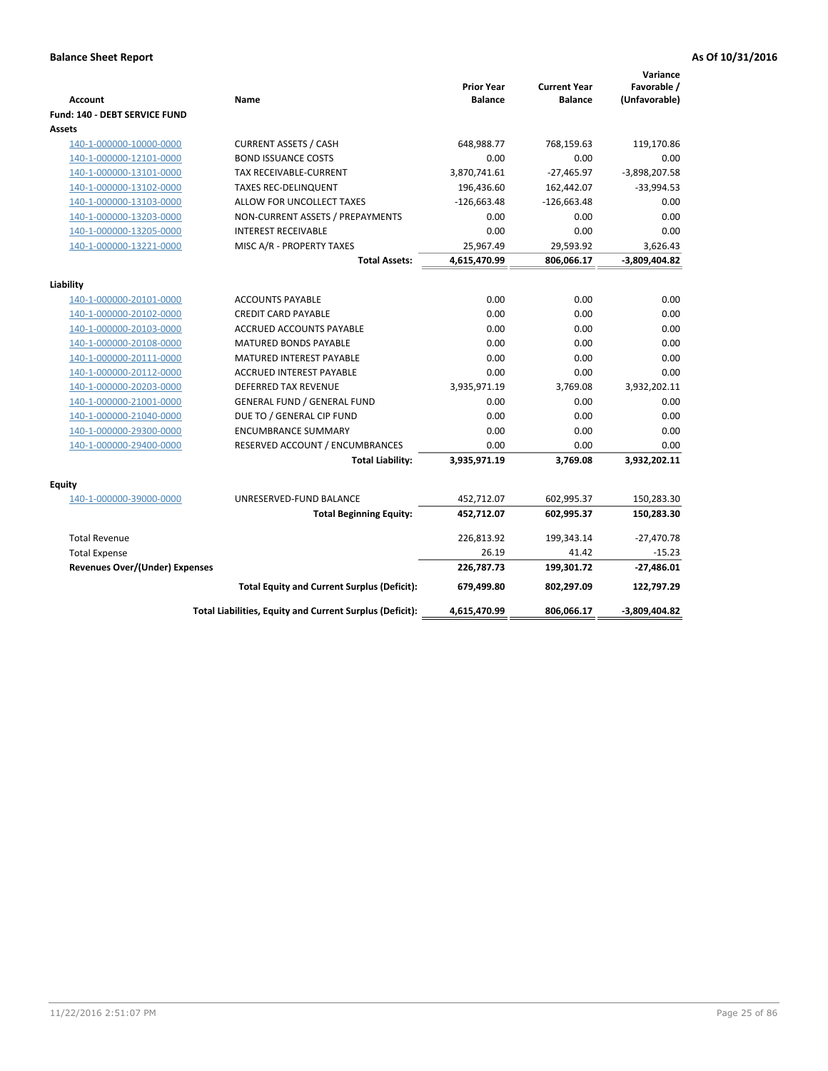| <b>Account</b>                        | Name                                                     | <b>Prior Year</b><br><b>Balance</b> | <b>Current Year</b><br><b>Balance</b> | Variance<br>Favorable /<br>(Unfavorable) |
|---------------------------------------|----------------------------------------------------------|-------------------------------------|---------------------------------------|------------------------------------------|
| Fund: 140 - DEBT SERVICE FUND         |                                                          |                                     |                                       |                                          |
| <b>Assets</b>                         |                                                          |                                     |                                       |                                          |
| 140-1-000000-10000-0000               | <b>CURRENT ASSETS / CASH</b>                             | 648,988.77                          | 768,159.63                            | 119,170.86                               |
| 140-1-000000-12101-0000               | <b>BOND ISSUANCE COSTS</b>                               | 0.00                                | 0.00                                  | 0.00                                     |
| 140-1-000000-13101-0000               | <b>TAX RECEIVABLE-CURRENT</b>                            | 3,870,741.61                        | $-27,465.97$                          | $-3,898,207.58$                          |
| 140-1-000000-13102-0000               | <b>TAXES REC-DELINQUENT</b>                              | 196,436.60                          | 162,442.07                            | $-33,994.53$                             |
| 140-1-000000-13103-0000               | ALLOW FOR UNCOLLECT TAXES                                | $-126,663.48$                       | $-126,663.48$                         | 0.00                                     |
| 140-1-000000-13203-0000               | NON-CURRENT ASSETS / PREPAYMENTS                         | 0.00                                | 0.00                                  | 0.00                                     |
| 140-1-000000-13205-0000               | <b>INTEREST RECEIVABLE</b>                               | 0.00                                | 0.00                                  | 0.00                                     |
| 140-1-000000-13221-0000               | MISC A/R - PROPERTY TAXES                                | 25,967.49                           | 29,593.92                             | 3,626.43                                 |
|                                       | <b>Total Assets:</b>                                     | 4,615,470.99                        | 806,066.17                            | -3,809,404.82                            |
| Liability                             |                                                          |                                     |                                       |                                          |
| 140-1-000000-20101-0000               | <b>ACCOUNTS PAYABLE</b>                                  | 0.00                                | 0.00                                  | 0.00                                     |
| 140-1-000000-20102-0000               | <b>CREDIT CARD PAYABLE</b>                               | 0.00                                | 0.00                                  | 0.00                                     |
| 140-1-000000-20103-0000               | ACCRUED ACCOUNTS PAYABLE                                 | 0.00                                | 0.00                                  | 0.00                                     |
| 140-1-000000-20108-0000               | <b>MATURED BONDS PAYABLE</b>                             | 0.00                                | 0.00                                  | 0.00                                     |
| 140-1-000000-20111-0000               | MATURED INTEREST PAYABLE                                 | 0.00                                | 0.00                                  | 0.00                                     |
| 140-1-000000-20112-0000               | <b>ACCRUED INTEREST PAYABLE</b>                          | 0.00                                | 0.00                                  | 0.00                                     |
| 140-1-000000-20203-0000               | <b>DEFERRED TAX REVENUE</b>                              | 3,935,971.19                        | 3,769.08                              | 3,932,202.11                             |
| 140-1-000000-21001-0000               | <b>GENERAL FUND / GENERAL FUND</b>                       | 0.00                                | 0.00                                  | 0.00                                     |
| 140-1-000000-21040-0000               | DUE TO / GENERAL CIP FUND                                | 0.00                                | 0.00                                  | 0.00                                     |
| 140-1-000000-29300-0000               | <b>ENCUMBRANCE SUMMARY</b>                               | 0.00                                | 0.00                                  | 0.00                                     |
| 140-1-000000-29400-0000               | RESERVED ACCOUNT / ENCUMBRANCES                          | 0.00                                | 0.00                                  | 0.00                                     |
|                                       | <b>Total Liability:</b>                                  | 3,935,971.19                        | 3,769.08                              | 3,932,202.11                             |
| <b>Equity</b>                         |                                                          |                                     |                                       |                                          |
| 140-1-000000-39000-0000               | UNRESERVED-FUND BALANCE                                  | 452,712.07                          | 602,995.37                            | 150,283.30                               |
|                                       | <b>Total Beginning Equity:</b>                           | 452,712.07                          | 602,995.37                            | 150,283.30                               |
|                                       |                                                          |                                     |                                       |                                          |
| <b>Total Revenue</b>                  |                                                          | 226,813.92                          | 199,343.14                            | $-27,470.78$                             |
| <b>Total Expense</b>                  |                                                          | 26.19                               | 41.42                                 | $-15.23$                                 |
| <b>Revenues Over/(Under) Expenses</b> |                                                          | 226,787.73                          | 199,301.72                            | $-27,486.01$                             |
|                                       | <b>Total Equity and Current Surplus (Deficit):</b>       | 679,499.80                          | 802,297.09                            | 122,797.29                               |
|                                       | Total Liabilities, Equity and Current Surplus (Deficit): | 4,615,470.99                        | 806,066.17                            | -3,809,404.82                            |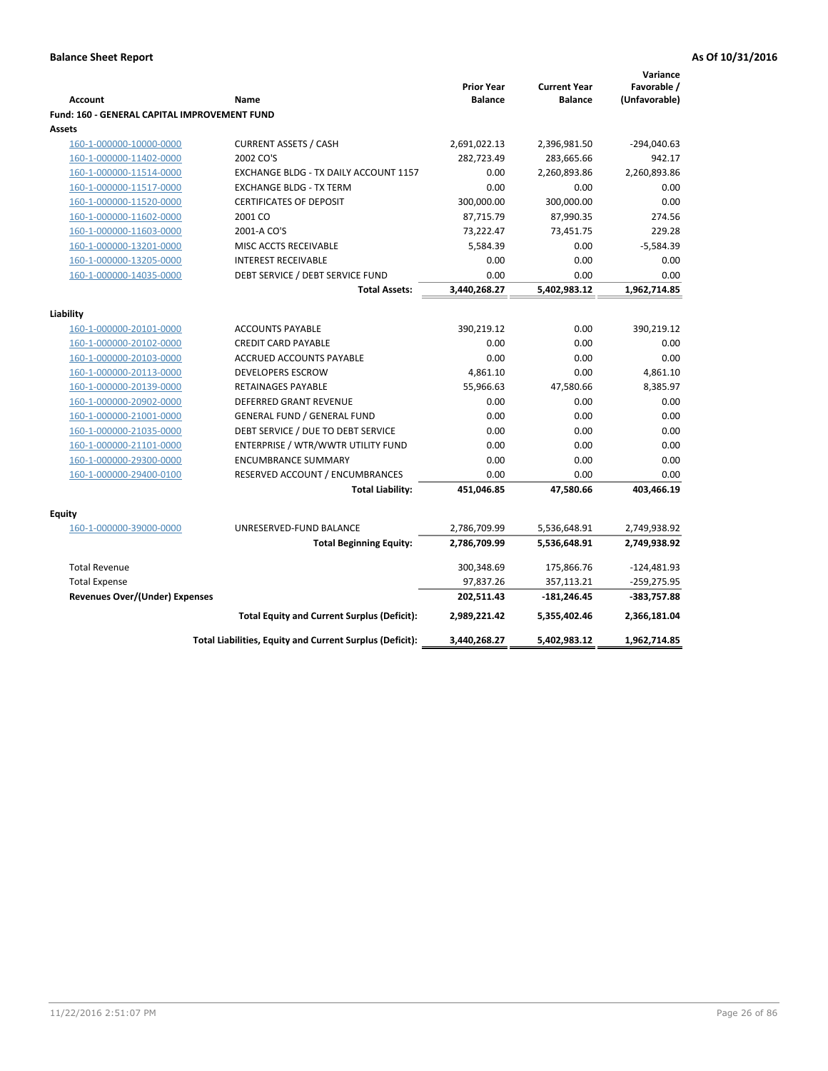|                                                               |                                                                |                                     |                                       | Variance      |
|---------------------------------------------------------------|----------------------------------------------------------------|-------------------------------------|---------------------------------------|---------------|
| <b>Account</b>                                                |                                                                | <b>Prior Year</b><br><b>Balance</b> | <b>Current Year</b><br><b>Balance</b> | Favorable /   |
|                                                               | Name                                                           |                                     |                                       | (Unfavorable) |
| <b>Fund: 160 - GENERAL CAPITAL IMPROVEMENT FUND</b><br>Assets |                                                                |                                     |                                       |               |
| 160-1-000000-10000-0000                                       | <b>CURRENT ASSETS / CASH</b>                                   | 2,691,022.13                        | 2,396,981.50                          | $-294,040.63$ |
| 160-1-000000-11402-0000                                       | 2002 CO'S                                                      | 282,723.49                          | 283,665.66                            | 942.17        |
| 160-1-000000-11514-0000                                       | EXCHANGE BLDG - TX DAILY ACCOUNT 1157                          | 0.00                                | 2,260,893.86                          | 2,260,893.86  |
| 160-1-000000-11517-0000                                       | <b>EXCHANGE BLDG - TX TERM</b>                                 | 0.00                                | 0.00                                  | 0.00          |
| 160-1-000000-11520-0000                                       | <b>CERTIFICATES OF DEPOSIT</b>                                 | 300,000.00                          | 300,000.00                            | 0.00          |
|                                                               | 2001 CO                                                        | 87,715.79                           |                                       | 274.56        |
| 160-1-000000-11602-0000                                       |                                                                |                                     | 87,990.35                             | 229.28        |
| 160-1-000000-11603-0000                                       | 2001-A CO'S                                                    | 73,222.47<br>5,584.39               | 73,451.75<br>0.00                     | $-5,584.39$   |
| 160-1-000000-13201-0000                                       | MISC ACCTS RECEIVABLE                                          |                                     |                                       |               |
| 160-1-000000-13205-0000<br>160-1-000000-14035-0000            | <b>INTEREST RECEIVABLE</b><br>DEBT SERVICE / DEBT SERVICE FUND | 0.00<br>0.00                        | 0.00<br>0.00                          | 0.00<br>0.00  |
|                                                               | <b>Total Assets:</b>                                           | 3,440,268.27                        | 5,402,983.12                          | 1,962,714.85  |
|                                                               |                                                                |                                     |                                       |               |
| Liability                                                     |                                                                |                                     |                                       |               |
| 160-1-000000-20101-0000                                       | <b>ACCOUNTS PAYABLE</b>                                        | 390,219.12                          | 0.00                                  | 390,219.12    |
| 160-1-000000-20102-0000                                       | <b>CREDIT CARD PAYABLE</b>                                     | 0.00                                | 0.00                                  | 0.00          |
| 160-1-000000-20103-0000                                       | ACCRUED ACCOUNTS PAYABLE                                       | 0.00                                | 0.00                                  | 0.00          |
| 160-1-000000-20113-0000                                       | <b>DEVELOPERS ESCROW</b>                                       | 4,861.10                            | 0.00                                  | 4,861.10      |
| 160-1-000000-20139-0000                                       | <b>RETAINAGES PAYABLE</b>                                      | 55,966.63                           | 47,580.66                             | 8,385.97      |
| 160-1-000000-20902-0000                                       | <b>DEFERRED GRANT REVENUE</b>                                  | 0.00                                | 0.00                                  | 0.00          |
| 160-1-000000-21001-0000                                       | <b>GENERAL FUND / GENERAL FUND</b>                             | 0.00                                | 0.00                                  | 0.00          |
| 160-1-000000-21035-0000                                       | DEBT SERVICE / DUE TO DEBT SERVICE                             | 0.00                                | 0.00                                  | 0.00          |
| 160-1-000000-21101-0000                                       | ENTERPRISE / WTR/WWTR UTILITY FUND                             | 0.00                                | 0.00                                  | 0.00          |
| 160-1-000000-29300-0000                                       | <b>ENCUMBRANCE SUMMARY</b>                                     | 0.00                                | 0.00                                  | 0.00          |
| 160-1-000000-29400-0100                                       | RESERVED ACCOUNT / ENCUMBRANCES                                | 0.00                                | 0.00                                  | 0.00          |
|                                                               | <b>Total Liability:</b>                                        | 451,046.85                          | 47,580.66                             | 403,466.19    |
|                                                               |                                                                |                                     |                                       |               |
| <b>Equity</b>                                                 |                                                                |                                     |                                       |               |
| 160-1-000000-39000-0000                                       | UNRESERVED-FUND BALANCE                                        | 2,786,709.99                        | 5,536,648.91                          | 2,749,938.92  |
|                                                               | <b>Total Beginning Equity:</b>                                 | 2,786,709.99                        | 5,536,648.91                          | 2,749,938.92  |
| <b>Total Revenue</b>                                          |                                                                | 300,348.69                          | 175,866.76                            | $-124,481.93$ |
| <b>Total Expense</b>                                          |                                                                | 97,837.26                           | 357,113.21                            | $-259,275.95$ |
| <b>Revenues Over/(Under) Expenses</b>                         |                                                                | 202,511.43                          | $-181,246.45$                         | -383,757.88   |
|                                                               | <b>Total Equity and Current Surplus (Deficit):</b>             | 2,989,221.42                        | 5,355,402.46                          | 2,366,181.04  |
|                                                               | Total Liabilities, Equity and Current Surplus (Deficit):       | 3,440,268.27                        | 5,402,983.12                          | 1,962,714.85  |
|                                                               |                                                                |                                     |                                       |               |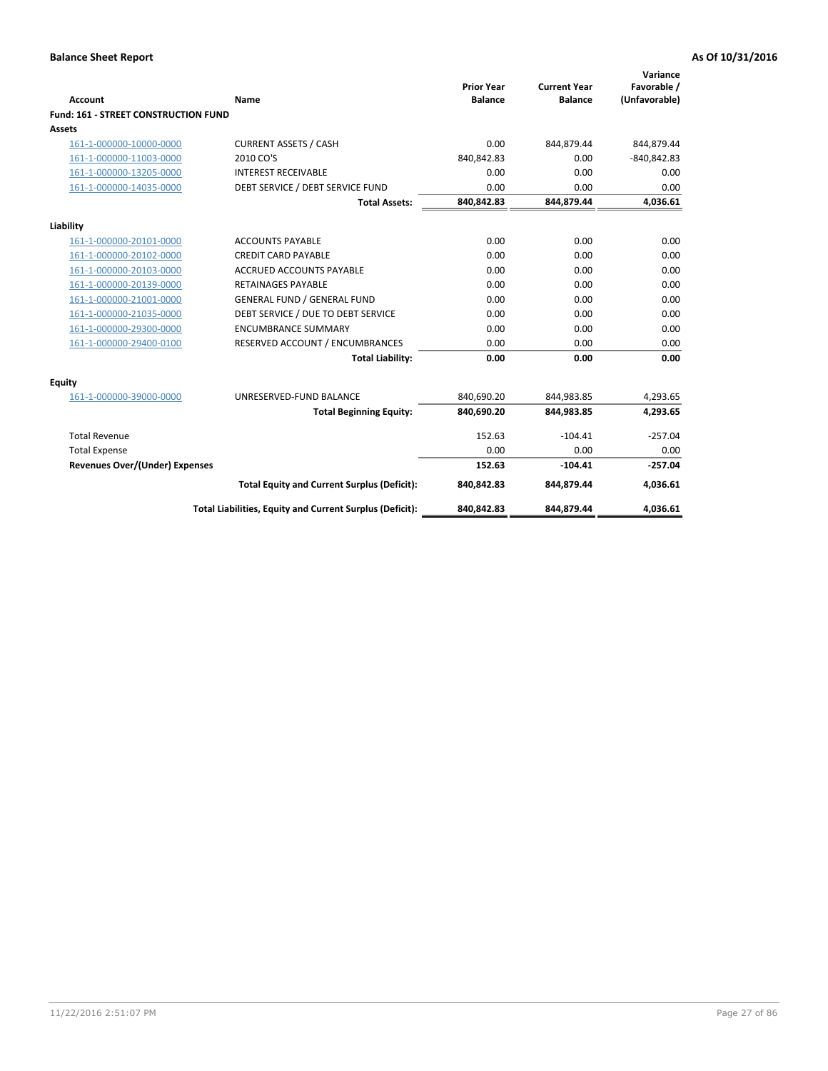| <b>Account</b>                        | <b>Name</b>                                              | <b>Prior Year</b><br><b>Balance</b> | <b>Current Year</b><br><b>Balance</b> | Variance<br>Favorable /<br>(Unfavorable) |
|---------------------------------------|----------------------------------------------------------|-------------------------------------|---------------------------------------|------------------------------------------|
| Fund: 161 - STREET CONSTRUCTION FUND  |                                                          |                                     |                                       |                                          |
| <b>Assets</b>                         |                                                          |                                     |                                       |                                          |
| 161-1-000000-10000-0000               | <b>CURRENT ASSETS / CASH</b>                             | 0.00                                | 844,879.44                            | 844,879.44                               |
| 161-1-000000-11003-0000               | 2010 CO'S                                                | 840,842.83                          | 0.00                                  | $-840,842.83$                            |
| 161-1-000000-13205-0000               | <b>INTEREST RECEIVABLE</b>                               | 0.00                                | 0.00                                  | 0.00                                     |
| 161-1-000000-14035-0000               | DEBT SERVICE / DEBT SERVICE FUND                         | 0.00                                | 0.00                                  | 0.00                                     |
|                                       | <b>Total Assets:</b>                                     | 840,842.83                          | 844,879.44                            | 4,036.61                                 |
| Liability                             |                                                          |                                     |                                       |                                          |
| 161-1-000000-20101-0000               | <b>ACCOUNTS PAYABLE</b>                                  | 0.00                                | 0.00                                  | 0.00                                     |
| 161-1-000000-20102-0000               | <b>CREDIT CARD PAYABLE</b>                               | 0.00                                | 0.00                                  | 0.00                                     |
| 161-1-000000-20103-0000               | <b>ACCRUED ACCOUNTS PAYABLE</b>                          | 0.00                                | 0.00                                  | 0.00                                     |
| 161-1-000000-20139-0000               | <b>RETAINAGES PAYABLE</b>                                | 0.00                                | 0.00                                  | 0.00                                     |
| 161-1-000000-21001-0000               | <b>GENERAL FUND / GENERAL FUND</b>                       | 0.00                                | 0.00                                  | 0.00                                     |
| 161-1-000000-21035-0000               | DEBT SERVICE / DUE TO DEBT SERVICE                       | 0.00                                | 0.00                                  | 0.00                                     |
| 161-1-000000-29300-0000               | <b>ENCUMBRANCE SUMMARY</b>                               | 0.00                                | 0.00                                  | 0.00                                     |
| 161-1-000000-29400-0100               | RESERVED ACCOUNT / ENCUMBRANCES                          | 0.00                                | 0.00                                  | 0.00                                     |
|                                       | <b>Total Liability:</b>                                  | 0.00                                | 0.00                                  | 0.00                                     |
| <b>Equity</b>                         |                                                          |                                     |                                       |                                          |
| 161-1-000000-39000-0000               | UNRESERVED-FUND BALANCE                                  | 840,690.20                          | 844,983.85                            | 4,293.65                                 |
|                                       | <b>Total Beginning Equity:</b>                           | 840,690.20                          | 844,983.85                            | 4,293.65                                 |
| <b>Total Revenue</b>                  |                                                          | 152.63                              | $-104.41$                             | $-257.04$                                |
| <b>Total Expense</b>                  |                                                          | 0.00                                | 0.00                                  | 0.00                                     |
| <b>Revenues Over/(Under) Expenses</b> |                                                          | 152.63                              | $-104.41$                             | $-257.04$                                |
|                                       | <b>Total Equity and Current Surplus (Deficit):</b>       | 840,842.83                          | 844,879.44                            | 4,036.61                                 |
|                                       | Total Liabilities, Equity and Current Surplus (Deficit): | 840,842.83                          | 844,879.44                            | 4,036.61                                 |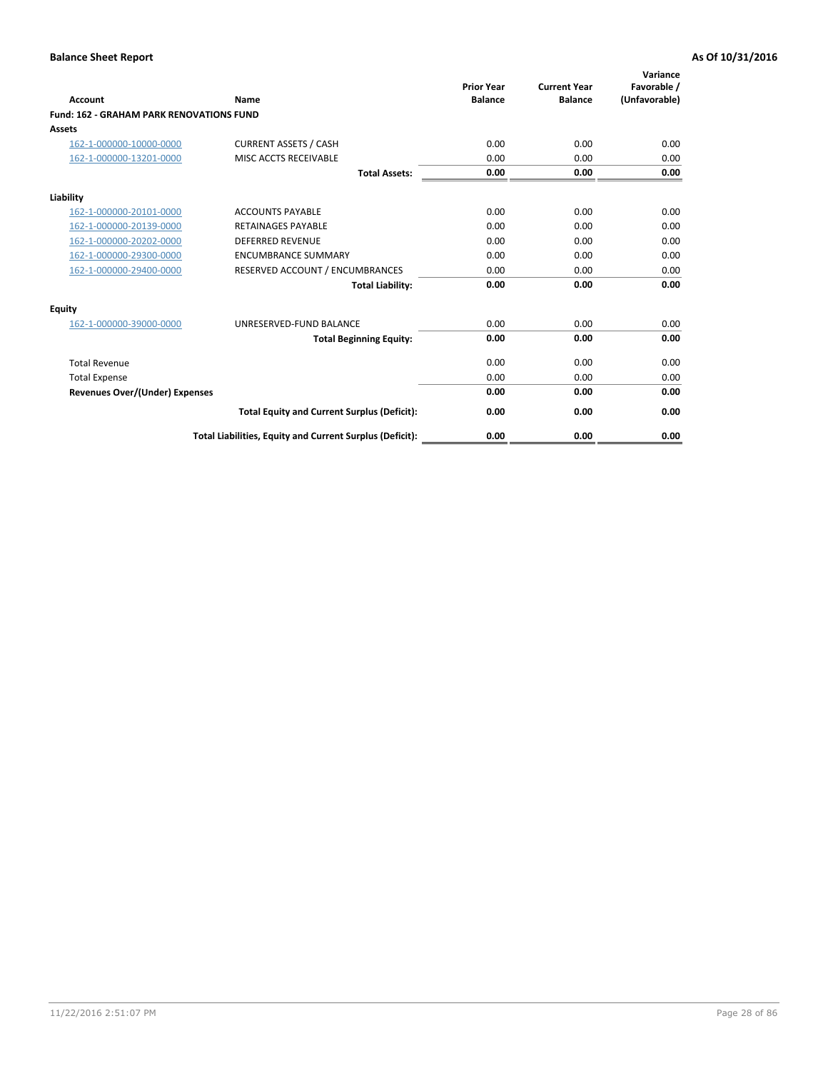| Account                                         | Name                                                     | <b>Prior Year</b><br><b>Balance</b> | <b>Current Year</b><br><b>Balance</b> | Variance<br>Favorable /<br>(Unfavorable) |
|-------------------------------------------------|----------------------------------------------------------|-------------------------------------|---------------------------------------|------------------------------------------|
| <b>Fund: 162 - GRAHAM PARK RENOVATIONS FUND</b> |                                                          |                                     |                                       |                                          |
| <b>Assets</b>                                   |                                                          |                                     |                                       |                                          |
| 162-1-000000-10000-0000                         | <b>CURRENT ASSETS / CASH</b>                             | 0.00                                | 0.00                                  | 0.00                                     |
| 162-1-000000-13201-0000                         | MISC ACCTS RECEIVABLE                                    | 0.00                                | 0.00                                  | 0.00                                     |
|                                                 | <b>Total Assets:</b>                                     | 0.00                                | 0.00                                  | 0.00                                     |
| Liability                                       |                                                          |                                     |                                       |                                          |
| 162-1-000000-20101-0000                         | <b>ACCOUNTS PAYABLE</b>                                  | 0.00                                | 0.00                                  | 0.00                                     |
| 162-1-000000-20139-0000                         | <b>RETAINAGES PAYABLE</b>                                | 0.00                                | 0.00                                  | 0.00                                     |
| 162-1-000000-20202-0000                         | <b>DEFERRED REVENUE</b>                                  | 0.00                                | 0.00                                  | 0.00                                     |
| 162-1-000000-29300-0000                         | <b>ENCUMBRANCE SUMMARY</b>                               | 0.00                                | 0.00                                  | 0.00                                     |
| 162-1-000000-29400-0000                         | RESERVED ACCOUNT / ENCUMBRANCES                          | 0.00                                | 0.00                                  | 0.00                                     |
|                                                 | <b>Total Liability:</b>                                  | 0.00                                | 0.00                                  | 0.00                                     |
| Equity                                          |                                                          |                                     |                                       |                                          |
| 162-1-000000-39000-0000                         | UNRESERVED-FUND BALANCE                                  | 0.00                                | 0.00                                  | 0.00                                     |
|                                                 | <b>Total Beginning Equity:</b>                           | 0.00                                | 0.00                                  | 0.00                                     |
| <b>Total Revenue</b>                            |                                                          | 0.00                                | 0.00                                  | 0.00                                     |
| <b>Total Expense</b>                            |                                                          | 0.00                                | 0.00                                  | 0.00                                     |
| <b>Revenues Over/(Under) Expenses</b>           |                                                          | 0.00                                | 0.00                                  | 0.00                                     |
|                                                 | <b>Total Equity and Current Surplus (Deficit):</b>       | 0.00                                | 0.00                                  | 0.00                                     |
|                                                 | Total Liabilities, Equity and Current Surplus (Deficit): | 0.00                                | 0.00                                  | 0.00                                     |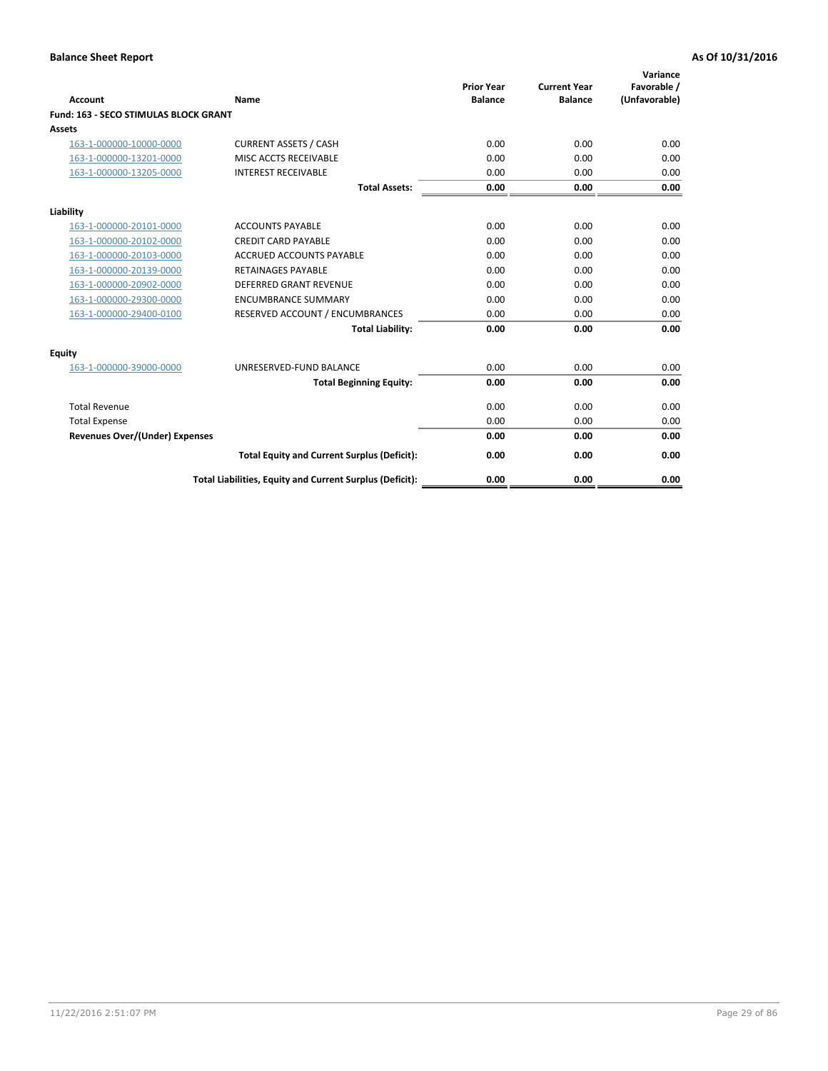| Account                                      | Name                                                     | <b>Prior Year</b><br><b>Balance</b> | <b>Current Year</b><br><b>Balance</b> | Variance<br>Favorable /<br>(Unfavorable) |
|----------------------------------------------|----------------------------------------------------------|-------------------------------------|---------------------------------------|------------------------------------------|
| <b>Fund: 163 - SECO STIMULAS BLOCK GRANT</b> |                                                          |                                     |                                       |                                          |
| <b>Assets</b>                                |                                                          |                                     |                                       |                                          |
| 163-1-000000-10000-0000                      | <b>CURRENT ASSETS / CASH</b>                             | 0.00                                | 0.00                                  | 0.00                                     |
| 163-1-000000-13201-0000                      | MISC ACCTS RECEIVABLE                                    | 0.00                                | 0.00                                  | 0.00                                     |
| 163-1-000000-13205-0000                      | <b>INTEREST RECEIVABLE</b>                               | 0.00                                | 0.00                                  | 0.00                                     |
|                                              | <b>Total Assets:</b>                                     | 0.00                                | 0.00                                  | 0.00                                     |
| Liability                                    |                                                          |                                     |                                       |                                          |
| 163-1-000000-20101-0000                      | <b>ACCOUNTS PAYABLE</b>                                  | 0.00                                | 0.00                                  | 0.00                                     |
| 163-1-000000-20102-0000                      | <b>CREDIT CARD PAYABLE</b>                               | 0.00                                | 0.00                                  | 0.00                                     |
| 163-1-000000-20103-0000                      | <b>ACCRUED ACCOUNTS PAYABLE</b>                          | 0.00                                | 0.00                                  | 0.00                                     |
| 163-1-000000-20139-0000                      | <b>RETAINAGES PAYABLE</b>                                | 0.00                                | 0.00                                  | 0.00                                     |
| 163-1-000000-20902-0000                      | <b>DEFERRED GRANT REVENUE</b>                            | 0.00                                | 0.00                                  | 0.00                                     |
| 163-1-000000-29300-0000                      | <b>ENCUMBRANCE SUMMARY</b>                               | 0.00                                | 0.00                                  | 0.00                                     |
| 163-1-000000-29400-0100                      | RESERVED ACCOUNT / ENCUMBRANCES                          | 0.00                                | 0.00                                  | 0.00                                     |
|                                              | <b>Total Liability:</b>                                  | 0.00                                | 0.00                                  | 0.00                                     |
| <b>Equity</b>                                |                                                          |                                     |                                       |                                          |
| 163-1-000000-39000-0000                      | UNRESERVED-FUND BALANCE                                  | 0.00                                | 0.00                                  | 0.00                                     |
|                                              | <b>Total Beginning Equity:</b>                           | 0.00                                | 0.00                                  | 0.00                                     |
| <b>Total Revenue</b>                         |                                                          | 0.00                                | 0.00                                  | 0.00                                     |
| <b>Total Expense</b>                         |                                                          | 0.00                                | 0.00                                  | 0.00                                     |
| Revenues Over/(Under) Expenses               |                                                          | 0.00                                | 0.00                                  | 0.00                                     |
|                                              | <b>Total Equity and Current Surplus (Deficit):</b>       | 0.00                                | 0.00                                  | 0.00                                     |
|                                              | Total Liabilities, Equity and Current Surplus (Deficit): | 0.00                                | 0.00                                  | 0.00                                     |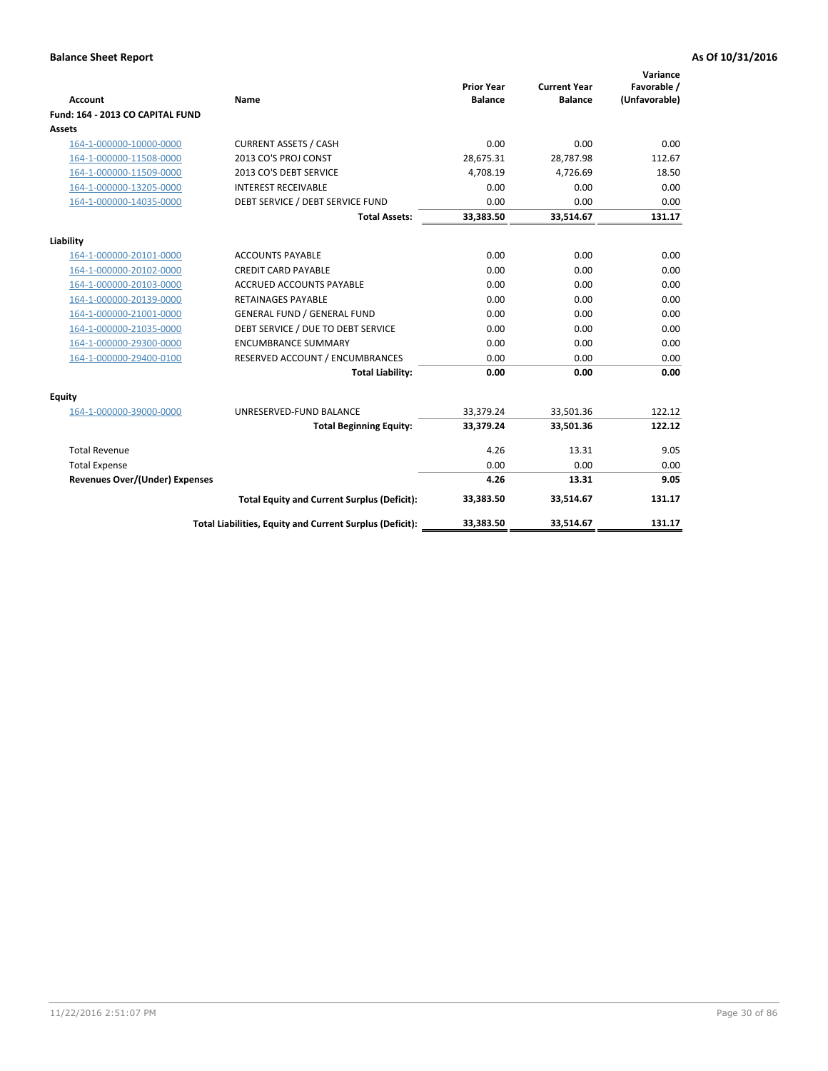| <b>Account</b>                        | <b>Name</b>                                              | <b>Prior Year</b><br><b>Balance</b> | <b>Current Year</b><br><b>Balance</b> | Variance<br>Favorable /<br>(Unfavorable) |
|---------------------------------------|----------------------------------------------------------|-------------------------------------|---------------------------------------|------------------------------------------|
| Fund: 164 - 2013 CO CAPITAL FUND      |                                                          |                                     |                                       |                                          |
| Assets                                |                                                          |                                     |                                       |                                          |
| 164-1-000000-10000-0000               | <b>CURRENT ASSETS / CASH</b>                             | 0.00                                | 0.00                                  | 0.00                                     |
| 164-1-000000-11508-0000               | 2013 CO'S PROJ CONST                                     | 28,675.31                           | 28,787.98                             | 112.67                                   |
| 164-1-000000-11509-0000               | 2013 CO'S DEBT SERVICE                                   | 4,708.19                            | 4,726.69                              | 18.50                                    |
| 164-1-000000-13205-0000               | <b>INTEREST RECEIVABLE</b>                               | 0.00                                | 0.00                                  | 0.00                                     |
| 164-1-000000-14035-0000               | DEBT SERVICE / DEBT SERVICE FUND                         | 0.00                                | 0.00                                  | 0.00                                     |
|                                       | <b>Total Assets:</b>                                     | 33,383.50                           | 33,514.67                             | 131.17                                   |
| Liability                             |                                                          |                                     |                                       |                                          |
| 164-1-000000-20101-0000               | <b>ACCOUNTS PAYABLE</b>                                  | 0.00                                | 0.00                                  | 0.00                                     |
| 164-1-000000-20102-0000               | <b>CREDIT CARD PAYABLE</b>                               | 0.00                                | 0.00                                  | 0.00                                     |
| 164-1-000000-20103-0000               | <b>ACCRUED ACCOUNTS PAYABLE</b>                          | 0.00                                | 0.00                                  | 0.00                                     |
| 164-1-000000-20139-0000               | <b>RETAINAGES PAYABLE</b>                                | 0.00                                | 0.00                                  | 0.00                                     |
| 164-1-000000-21001-0000               | <b>GENERAL FUND / GENERAL FUND</b>                       | 0.00                                | 0.00                                  | 0.00                                     |
| 164-1-000000-21035-0000               | DEBT SERVICE / DUE TO DEBT SERVICE                       | 0.00                                | 0.00                                  | 0.00                                     |
| 164-1-000000-29300-0000               | <b>ENCUMBRANCE SUMMARY</b>                               | 0.00                                | 0.00                                  | 0.00                                     |
| 164-1-000000-29400-0100               | RESERVED ACCOUNT / ENCUMBRANCES                          | 0.00                                | 0.00                                  | 0.00                                     |
|                                       | <b>Total Liability:</b>                                  | 0.00                                | 0.00                                  | 0.00                                     |
| Equity                                |                                                          |                                     |                                       |                                          |
| 164-1-000000-39000-0000               | UNRESERVED-FUND BALANCE                                  | 33,379.24                           | 33,501.36                             | 122.12                                   |
|                                       | <b>Total Beginning Equity:</b>                           | 33,379.24                           | 33,501.36                             | 122.12                                   |
| <b>Total Revenue</b>                  |                                                          | 4.26                                | 13.31                                 | 9.05                                     |
| <b>Total Expense</b>                  |                                                          | 0.00                                | 0.00                                  | 0.00                                     |
| <b>Revenues Over/(Under) Expenses</b> |                                                          | 4.26                                | 13.31                                 | 9.05                                     |
|                                       | <b>Total Equity and Current Surplus (Deficit):</b>       | 33,383.50                           | 33,514.67                             | 131.17                                   |
|                                       | Total Liabilities, Equity and Current Surplus (Deficit): | 33,383.50                           | 33,514.67                             | 131.17                                   |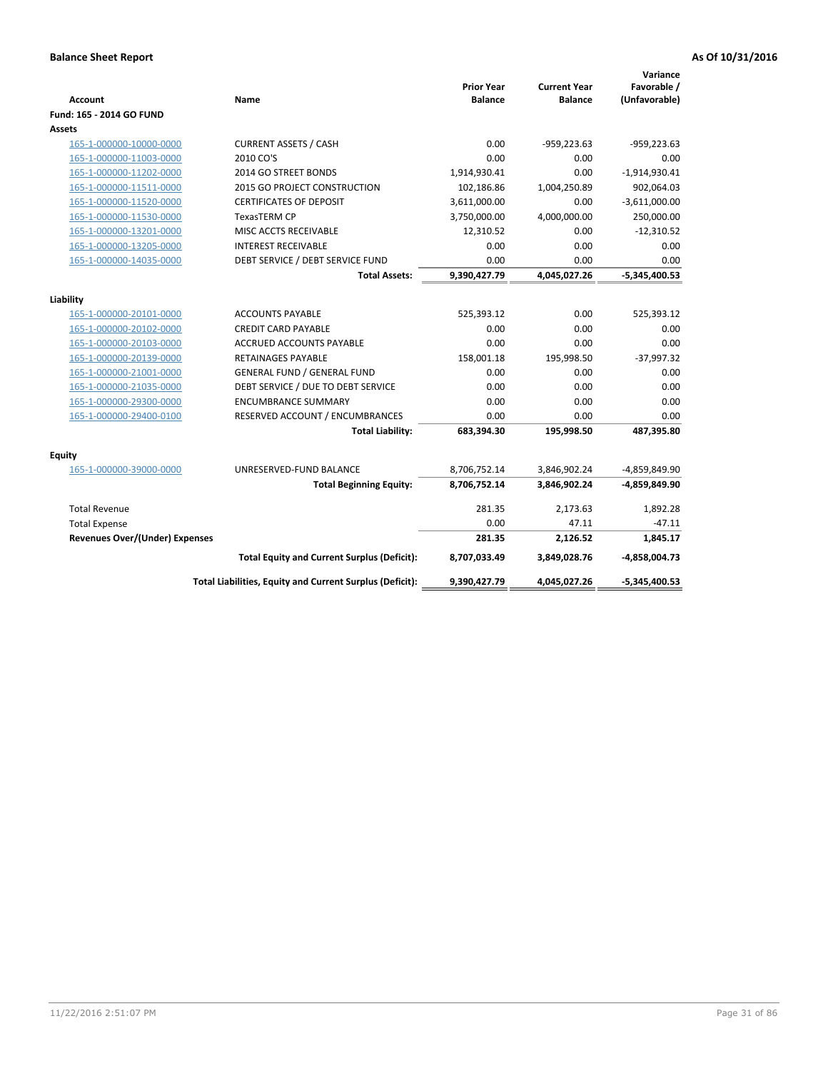| Account                               | Name                                                     | <b>Prior Year</b><br><b>Balance</b> | <b>Current Year</b><br><b>Balance</b> | Variance<br>Favorable /<br>(Unfavorable) |
|---------------------------------------|----------------------------------------------------------|-------------------------------------|---------------------------------------|------------------------------------------|
| Fund: 165 - 2014 GO FUND              |                                                          |                                     |                                       |                                          |
| Assets                                |                                                          |                                     |                                       |                                          |
| 165-1-000000-10000-0000               | <b>CURRENT ASSETS / CASH</b>                             | 0.00                                | $-959,223.63$                         | $-959,223.63$                            |
| 165-1-000000-11003-0000               | 2010 CO'S                                                | 0.00                                | 0.00                                  | 0.00                                     |
| 165-1-000000-11202-0000               | 2014 GO STREET BONDS                                     | 1,914,930.41                        | 0.00                                  | $-1,914,930.41$                          |
| 165-1-000000-11511-0000               | 2015 GO PROJECT CONSTRUCTION                             | 102,186.86                          | 1,004,250.89                          | 902,064.03                               |
| 165-1-000000-11520-0000               | <b>CERTIFICATES OF DEPOSIT</b>                           | 3,611,000.00                        | 0.00                                  | $-3,611,000.00$                          |
| 165-1-000000-11530-0000               | <b>TexasTERM CP</b>                                      | 3,750,000.00                        | 4,000,000.00                          | 250,000.00                               |
| 165-1-000000-13201-0000               | MISC ACCTS RECEIVABLE                                    | 12,310.52                           | 0.00                                  | $-12,310.52$                             |
| 165-1-000000-13205-0000               | <b>INTEREST RECEIVABLE</b>                               | 0.00                                | 0.00                                  | 0.00                                     |
| 165-1-000000-14035-0000               | DEBT SERVICE / DEBT SERVICE FUND                         | 0.00                                | 0.00                                  | 0.00                                     |
|                                       | <b>Total Assets:</b>                                     | 9,390,427.79                        | 4,045,027.26                          | $-5,345,400.53$                          |
|                                       |                                                          |                                     |                                       |                                          |
| Liability                             |                                                          |                                     |                                       |                                          |
| 165-1-000000-20101-0000               | <b>ACCOUNTS PAYABLE</b>                                  | 525,393.12                          | 0.00                                  | 525,393.12                               |
| 165-1-000000-20102-0000               | <b>CREDIT CARD PAYABLE</b>                               | 0.00                                | 0.00                                  | 0.00                                     |
| 165-1-000000-20103-0000               | <b>ACCRUED ACCOUNTS PAYABLE</b>                          | 0.00                                | 0.00                                  | 0.00                                     |
| 165-1-000000-20139-0000               | <b>RETAINAGES PAYABLE</b>                                | 158,001.18                          | 195,998.50                            | $-37,997.32$                             |
| 165-1-000000-21001-0000               | <b>GENERAL FUND / GENERAL FUND</b>                       | 0.00                                | 0.00<br>0.00                          | 0.00<br>0.00                             |
| 165-1-000000-21035-0000               | DEBT SERVICE / DUE TO DEBT SERVICE                       | 0.00                                |                                       |                                          |
| 165-1-000000-29300-0000               | <b>ENCUMBRANCE SUMMARY</b>                               | 0.00                                | 0.00<br>0.00                          | 0.00                                     |
| 165-1-000000-29400-0100               | RESERVED ACCOUNT / ENCUMBRANCES                          | 0.00                                |                                       | 0.00                                     |
|                                       | <b>Total Liability:</b>                                  | 683,394.30                          | 195,998.50                            | 487,395.80                               |
| <b>Equity</b>                         |                                                          |                                     |                                       |                                          |
| 165-1-000000-39000-0000               | UNRESERVED-FUND BALANCE                                  | 8,706,752.14                        | 3,846,902.24                          | -4,859,849.90                            |
|                                       | <b>Total Beginning Equity:</b>                           | 8,706,752.14                        | 3,846,902.24                          | -4,859,849.90                            |
| <b>Total Revenue</b>                  |                                                          | 281.35                              | 2,173.63                              | 1,892.28                                 |
| <b>Total Expense</b>                  |                                                          | 0.00                                | 47.11                                 | $-47.11$                                 |
| <b>Revenues Over/(Under) Expenses</b> |                                                          | 281.35                              | 2,126.52                              | 1,845.17                                 |
|                                       | <b>Total Equity and Current Surplus (Deficit):</b>       | 8,707,033.49                        | 3,849,028.76                          | $-4,858,004.73$                          |
|                                       | Total Liabilities, Equity and Current Surplus (Deficit): | 9,390,427.79                        | 4,045,027.26                          | $-5,345,400.53$                          |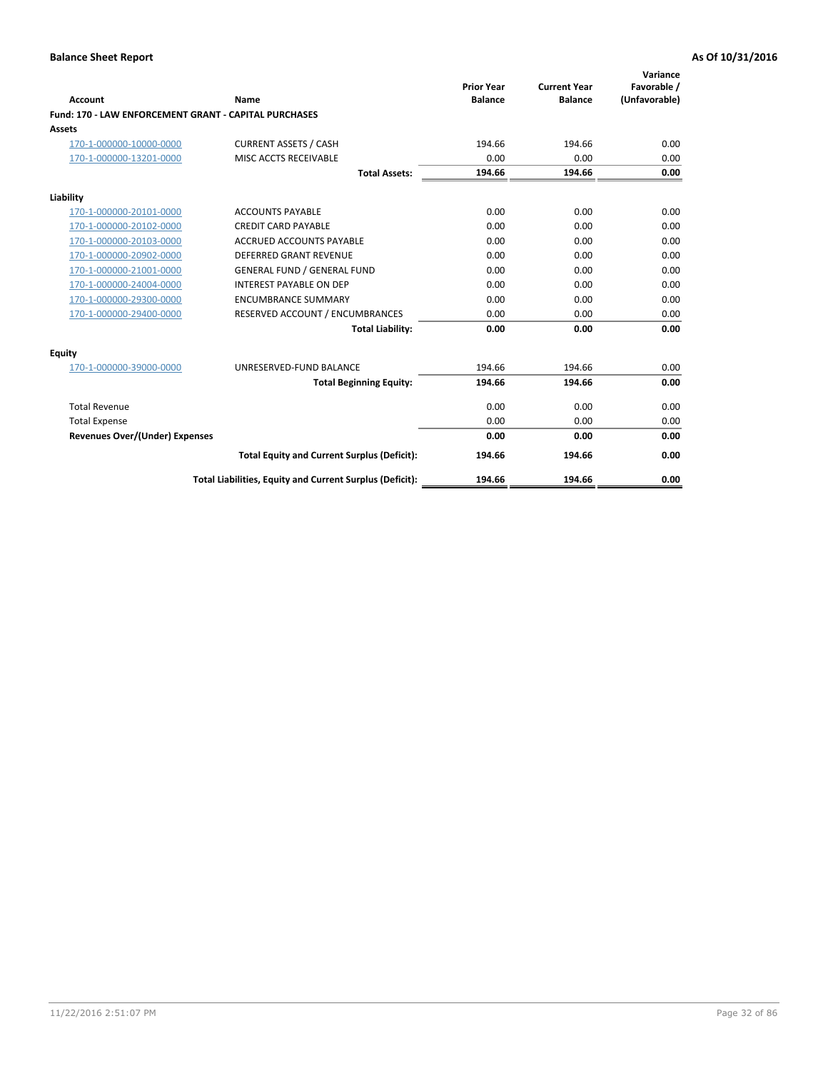| Account                                               | Name                                                     | <b>Prior Year</b><br><b>Balance</b> | <b>Current Year</b><br><b>Balance</b> | Variance<br>Favorable /<br>(Unfavorable) |
|-------------------------------------------------------|----------------------------------------------------------|-------------------------------------|---------------------------------------|------------------------------------------|
| Fund: 170 - LAW ENFORCEMENT GRANT - CAPITAL PURCHASES |                                                          |                                     |                                       |                                          |
| <b>Assets</b>                                         |                                                          |                                     |                                       |                                          |
| 170-1-000000-10000-0000                               | <b>CURRENT ASSETS / CASH</b>                             | 194.66                              | 194.66                                | 0.00                                     |
| 170-1-000000-13201-0000                               | MISC ACCTS RECEIVABLE                                    | 0.00                                | 0.00                                  | 0.00                                     |
|                                                       | <b>Total Assets:</b>                                     | 194.66                              | 194.66                                | 0.00                                     |
| Liability                                             |                                                          |                                     |                                       |                                          |
| 170-1-000000-20101-0000                               | <b>ACCOUNTS PAYABLE</b>                                  | 0.00                                | 0.00                                  | 0.00                                     |
| 170-1-000000-20102-0000                               | <b>CREDIT CARD PAYABLE</b>                               | 0.00                                | 0.00                                  | 0.00                                     |
| 170-1-000000-20103-0000                               | <b>ACCRUED ACCOUNTS PAYABLE</b>                          | 0.00                                | 0.00                                  | 0.00                                     |
| 170-1-000000-20902-0000                               | <b>DEFERRED GRANT REVENUE</b>                            | 0.00                                | 0.00                                  | 0.00                                     |
| 170-1-000000-21001-0000                               | <b>GENERAL FUND / GENERAL FUND</b>                       | 0.00                                | 0.00                                  | 0.00                                     |
| 170-1-000000-24004-0000                               | <b>INTEREST PAYABLE ON DEP</b>                           | 0.00                                | 0.00                                  | 0.00                                     |
| 170-1-000000-29300-0000                               | <b>ENCUMBRANCE SUMMARY</b>                               | 0.00                                | 0.00                                  | 0.00                                     |
| 170-1-000000-29400-0000                               | RESERVED ACCOUNT / ENCUMBRANCES                          | 0.00                                | 0.00                                  | 0.00                                     |
|                                                       | <b>Total Liability:</b>                                  | 0.00                                | 0.00                                  | 0.00                                     |
| <b>Equity</b>                                         |                                                          |                                     |                                       |                                          |
| 170-1-000000-39000-0000                               | UNRESERVED-FUND BALANCE                                  | 194.66                              | 194.66                                | 0.00                                     |
|                                                       | <b>Total Beginning Equity:</b>                           | 194.66                              | 194.66                                | 0.00                                     |
| <b>Total Revenue</b>                                  |                                                          | 0.00                                | 0.00                                  | 0.00                                     |
| <b>Total Expense</b>                                  |                                                          | 0.00                                | 0.00                                  | 0.00                                     |
| <b>Revenues Over/(Under) Expenses</b>                 |                                                          | 0.00                                | 0.00                                  | 0.00                                     |
|                                                       | <b>Total Equity and Current Surplus (Deficit):</b>       | 194.66                              | 194.66                                | 0.00                                     |
|                                                       | Total Liabilities, Equity and Current Surplus (Deficit): | 194.66                              | 194.66                                | 0.00                                     |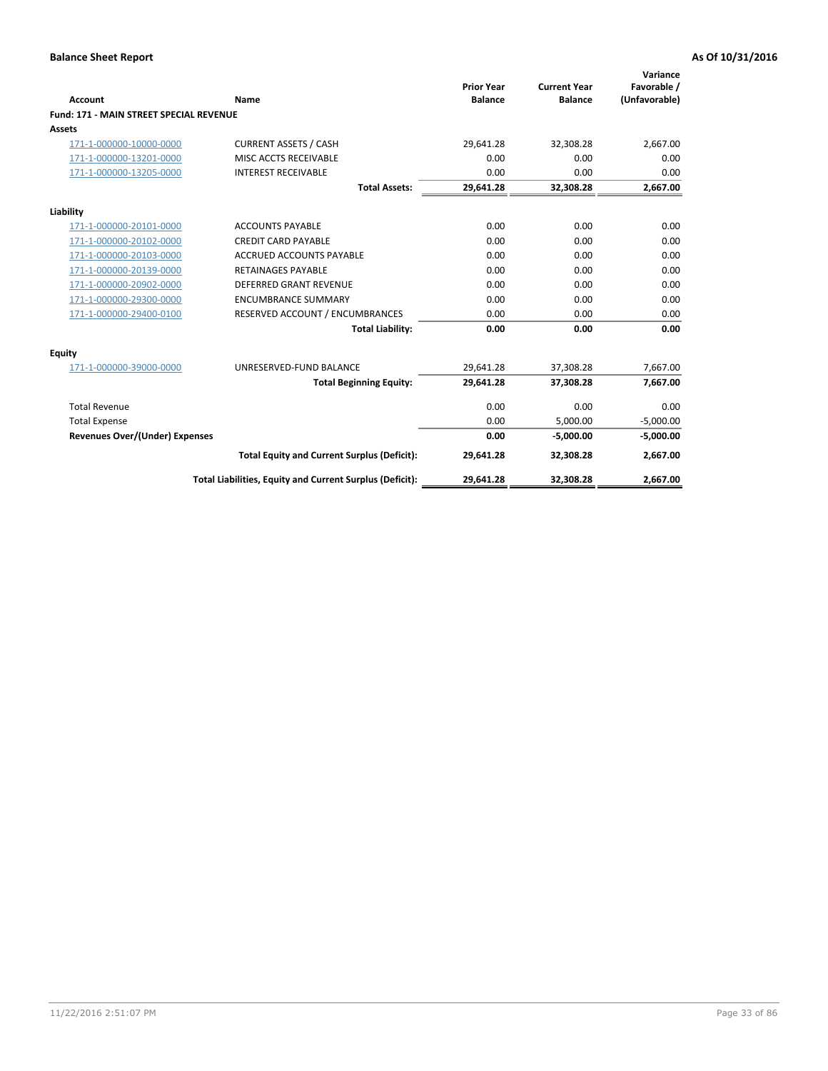|                                                           |                                                          | <b>Prior Year</b> | <b>Current Year</b> | Variance<br>Favorable / |
|-----------------------------------------------------------|----------------------------------------------------------|-------------------|---------------------|-------------------------|
| Account<br><b>Fund: 171 - MAIN STREET SPECIAL REVENUE</b> | Name                                                     | <b>Balance</b>    | <b>Balance</b>      | (Unfavorable)           |
| Assets                                                    |                                                          |                   |                     |                         |
| 171-1-000000-10000-0000                                   | <b>CURRENT ASSETS / CASH</b>                             | 29,641.28         | 32,308.28           | 2,667.00                |
| 171-1-000000-13201-0000                                   | MISC ACCTS RECEIVABLE                                    | 0.00              | 0.00                | 0.00                    |
| 171-1-000000-13205-0000                                   | <b>INTEREST RECEIVABLE</b>                               | 0.00              | 0.00                | 0.00                    |
|                                                           | <b>Total Assets:</b>                                     | 29,641.28         | 32,308.28           | 2,667.00                |
|                                                           |                                                          |                   |                     |                         |
| Liability                                                 |                                                          |                   |                     |                         |
| 171-1-000000-20101-0000                                   | <b>ACCOUNTS PAYABLE</b>                                  | 0.00              | 0.00                | 0.00                    |
| 171-1-000000-20102-0000                                   | <b>CREDIT CARD PAYABLE</b>                               | 0.00              | 0.00                | 0.00                    |
| 171-1-000000-20103-0000                                   | <b>ACCRUED ACCOUNTS PAYABLE</b>                          | 0.00              | 0.00                | 0.00                    |
| 171-1-000000-20139-0000                                   | <b>RETAINAGES PAYABLE</b>                                | 0.00              | 0.00                | 0.00                    |
| 171-1-000000-20902-0000                                   | <b>DEFERRED GRANT REVENUE</b>                            | 0.00              | 0.00                | 0.00                    |
| 171-1-000000-29300-0000                                   | <b>ENCUMBRANCE SUMMARY</b>                               | 0.00              | 0.00                | 0.00                    |
| 171-1-000000-29400-0100                                   | RESERVED ACCOUNT / ENCUMBRANCES                          | 0.00              | 0.00                | 0.00                    |
|                                                           | <b>Total Liability:</b>                                  | 0.00              | 0.00                | 0.00                    |
| <b>Equity</b>                                             |                                                          |                   |                     |                         |
| 171-1-000000-39000-0000                                   | UNRESERVED-FUND BALANCE                                  | 29,641.28         | 37,308.28           | 7,667.00                |
|                                                           | <b>Total Beginning Equity:</b>                           | 29,641.28         | 37,308.28           | 7,667.00                |
| <b>Total Revenue</b>                                      |                                                          | 0.00              | 0.00                | 0.00                    |
| <b>Total Expense</b>                                      |                                                          | 0.00              | 5,000.00            | $-5,000.00$             |
| Revenues Over/(Under) Expenses                            |                                                          | 0.00              | $-5,000.00$         | $-5,000.00$             |
|                                                           | <b>Total Equity and Current Surplus (Deficit):</b>       | 29,641.28         | 32,308.28           | 2,667.00                |
|                                                           | Total Liabilities, Equity and Current Surplus (Deficit): | 29,641.28         | 32,308.28           | 2,667.00                |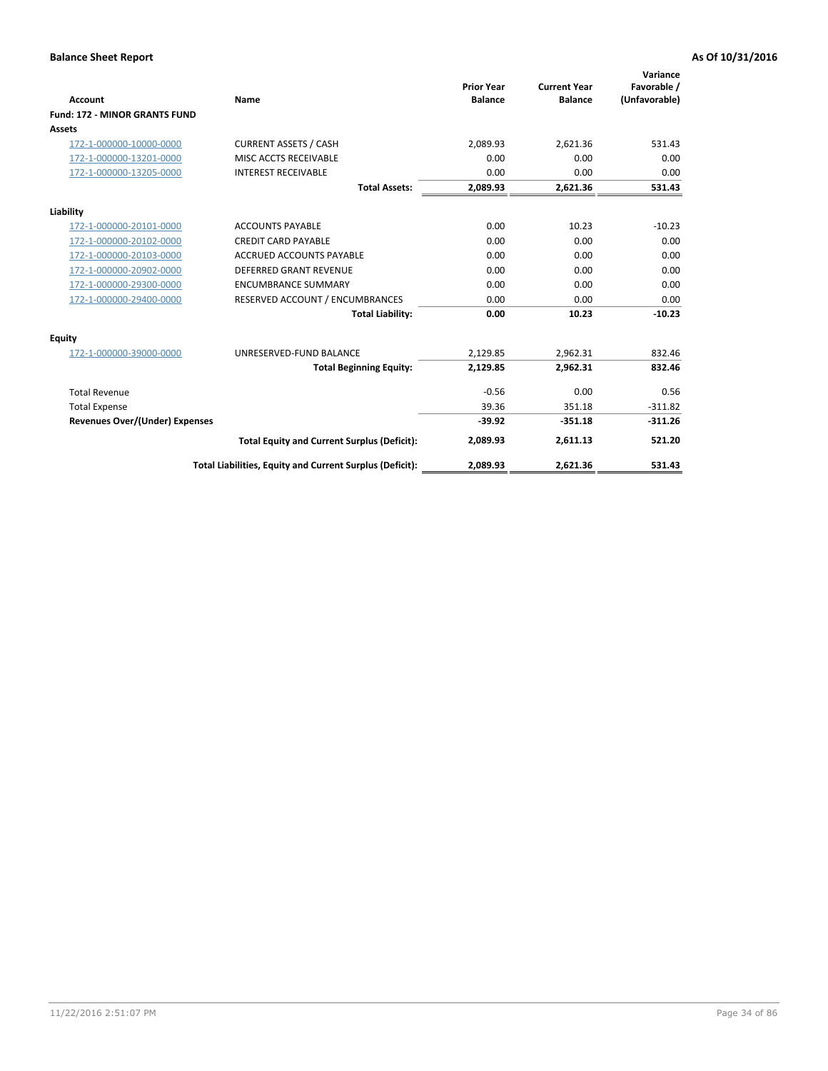|                                      |                                                          | <b>Prior Year</b> | <b>Current Year</b> | Variance<br>Favorable / |
|--------------------------------------|----------------------------------------------------------|-------------------|---------------------|-------------------------|
| <b>Account</b>                       | <b>Name</b>                                              | <b>Balance</b>    | <b>Balance</b>      | (Unfavorable)           |
| <b>Fund: 172 - MINOR GRANTS FUND</b> |                                                          |                   |                     |                         |
| <b>Assets</b>                        |                                                          |                   |                     |                         |
| 172-1-000000-10000-0000              | <b>CURRENT ASSETS / CASH</b>                             | 2,089.93          | 2,621.36            | 531.43                  |
| 172-1-000000-13201-0000              | MISC ACCTS RECEIVABLE                                    | 0.00              | 0.00                | 0.00                    |
| 172-1-000000-13205-0000              | <b>INTEREST RECEIVABLE</b>                               | 0.00              | 0.00                | 0.00                    |
|                                      | <b>Total Assets:</b>                                     | 2,089.93          | 2,621.36            | 531.43                  |
| Liability                            |                                                          |                   |                     |                         |
| 172-1-000000-20101-0000              | <b>ACCOUNTS PAYABLE</b>                                  | 0.00              | 10.23               | $-10.23$                |
| 172-1-000000-20102-0000              | <b>CREDIT CARD PAYABLE</b>                               | 0.00              | 0.00                | 0.00                    |
| 172-1-000000-20103-0000              | <b>ACCRUED ACCOUNTS PAYABLE</b>                          | 0.00              | 0.00                | 0.00                    |
| 172-1-000000-20902-0000              | DEFERRED GRANT REVENUE                                   | 0.00              | 0.00                | 0.00                    |
| 172-1-000000-29300-0000              | <b>ENCUMBRANCE SUMMARY</b>                               | 0.00              | 0.00                | 0.00                    |
| 172-1-000000-29400-0000              | RESERVED ACCOUNT / ENCUMBRANCES                          | 0.00              | 0.00                | 0.00                    |
|                                      | <b>Total Liability:</b>                                  | 0.00              | 10.23               | $-10.23$                |
| Equity                               |                                                          |                   |                     |                         |
| 172-1-000000-39000-0000              | UNRESERVED-FUND BALANCE                                  | 2,129.85          | 2,962.31            | 832.46                  |
|                                      | <b>Total Beginning Equity:</b>                           | 2,129.85          | 2,962.31            | 832.46                  |
| <b>Total Revenue</b>                 |                                                          | $-0.56$           | 0.00                | 0.56                    |
| <b>Total Expense</b>                 |                                                          | 39.36             | 351.18              | $-311.82$               |
| Revenues Over/(Under) Expenses       |                                                          | $-39.92$          | $-351.18$           | $-311.26$               |
|                                      | <b>Total Equity and Current Surplus (Deficit):</b>       | 2,089.93          | 2,611.13            | 521.20                  |
|                                      | Total Liabilities, Equity and Current Surplus (Deficit): | 2,089.93          | 2,621.36            | 531.43                  |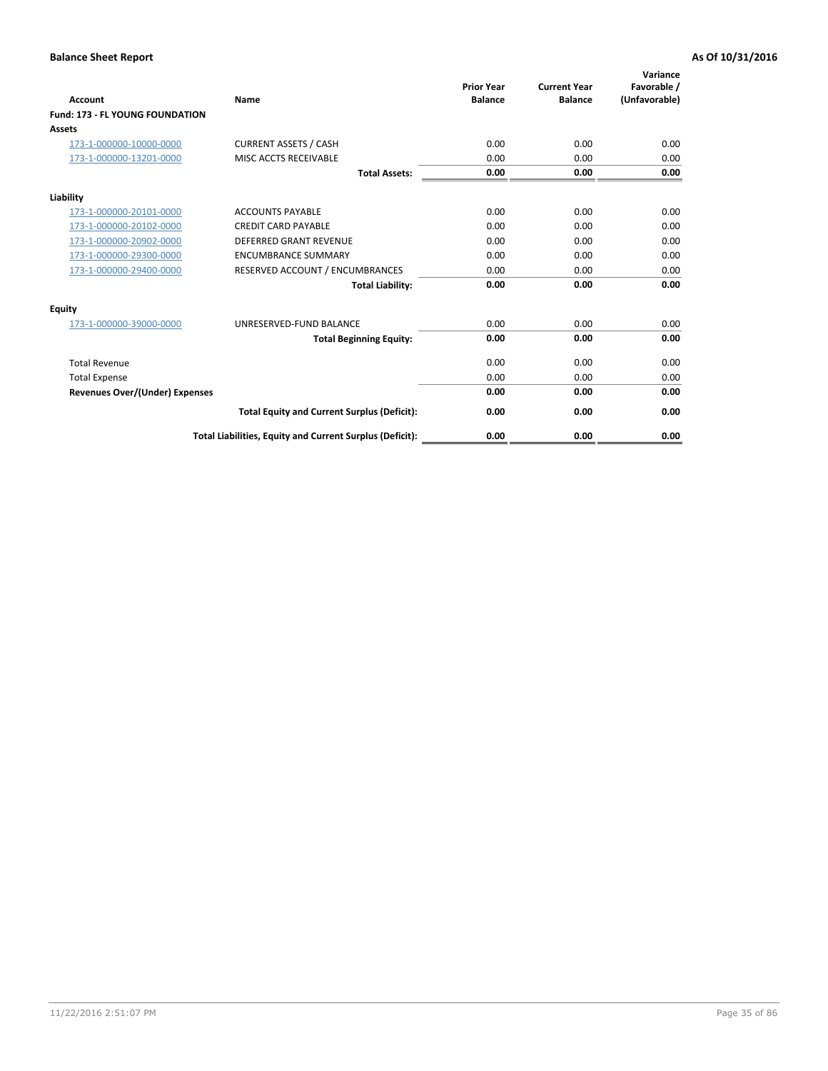| <b>Account</b>                         | Name                                                     | <b>Prior Year</b><br><b>Balance</b> | <b>Current Year</b><br><b>Balance</b> | Variance<br>Favorable /<br>(Unfavorable) |
|----------------------------------------|----------------------------------------------------------|-------------------------------------|---------------------------------------|------------------------------------------|
| <b>Fund: 173 - FL YOUNG FOUNDATION</b> |                                                          |                                     |                                       |                                          |
| Assets                                 |                                                          |                                     |                                       |                                          |
| 173-1-000000-10000-0000                | <b>CURRENT ASSETS / CASH</b>                             | 0.00                                | 0.00                                  | 0.00                                     |
| 173-1-000000-13201-0000                | MISC ACCTS RECEIVABLE                                    | 0.00                                | 0.00                                  | 0.00                                     |
|                                        | <b>Total Assets:</b>                                     | 0.00                                | 0.00                                  | 0.00                                     |
| Liability                              |                                                          |                                     |                                       |                                          |
| 173-1-000000-20101-0000                | <b>ACCOUNTS PAYABLE</b>                                  | 0.00                                | 0.00                                  | 0.00                                     |
| 173-1-000000-20102-0000                | <b>CREDIT CARD PAYABLE</b>                               | 0.00                                | 0.00                                  | 0.00                                     |
| 173-1-000000-20902-0000                | <b>DEFERRED GRANT REVENUE</b>                            | 0.00                                | 0.00                                  | 0.00                                     |
| 173-1-000000-29300-0000                | <b>ENCUMBRANCE SUMMARY</b>                               | 0.00                                | 0.00                                  | 0.00                                     |
| 173-1-000000-29400-0000                | RESERVED ACCOUNT / ENCUMBRANCES                          | 0.00                                | 0.00                                  | 0.00                                     |
|                                        | <b>Total Liability:</b>                                  | 0.00                                | 0.00                                  | 0.00                                     |
| Equity                                 |                                                          |                                     |                                       |                                          |
| 173-1-000000-39000-0000                | UNRESERVED-FUND BALANCE                                  | 0.00                                | 0.00                                  | 0.00                                     |
|                                        | <b>Total Beginning Equity:</b>                           | 0.00                                | 0.00                                  | 0.00                                     |
| <b>Total Revenue</b>                   |                                                          | 0.00                                | 0.00                                  | 0.00                                     |
| <b>Total Expense</b>                   |                                                          | 0.00                                | 0.00                                  | 0.00                                     |
| <b>Revenues Over/(Under) Expenses</b>  |                                                          | 0.00                                | 0.00                                  | 0.00                                     |
|                                        | <b>Total Equity and Current Surplus (Deficit):</b>       | 0.00                                | 0.00                                  | 0.00                                     |
|                                        | Total Liabilities, Equity and Current Surplus (Deficit): | 0.00                                | 0.00                                  | 0.00                                     |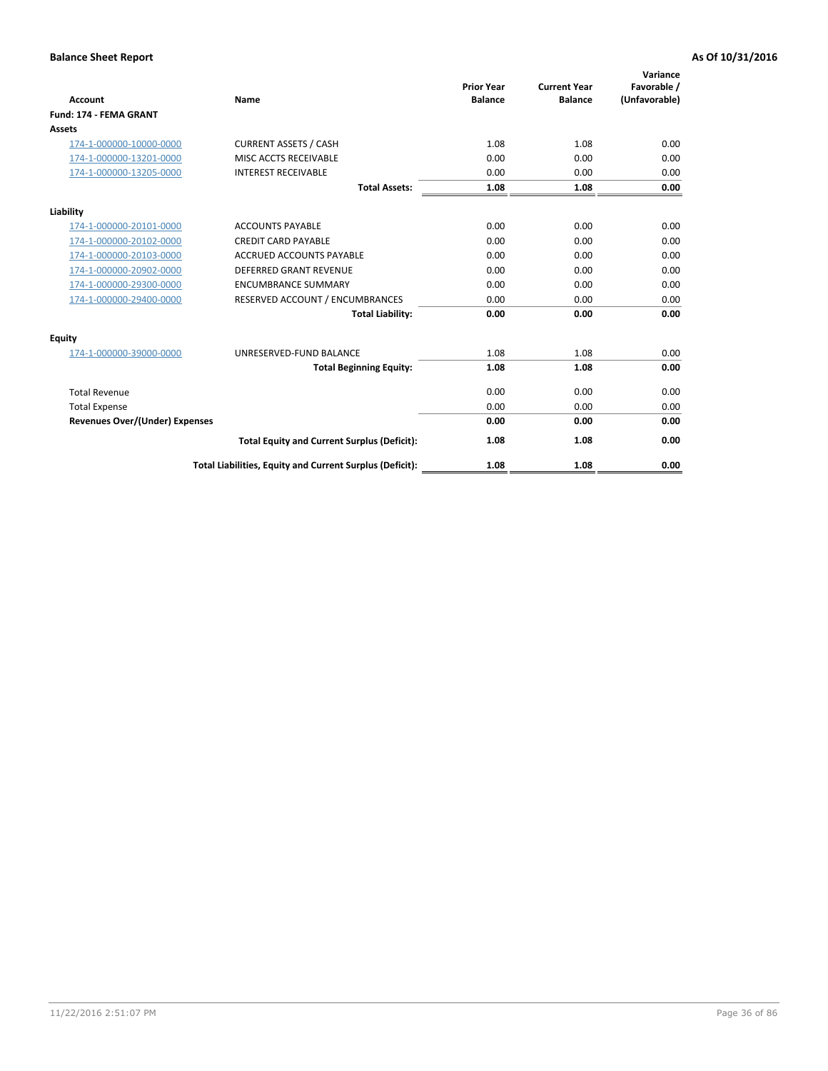| <b>Account</b>                        | Name                                                     | <b>Prior Year</b><br><b>Balance</b> | <b>Current Year</b><br><b>Balance</b> | Variance<br>Favorable /<br>(Unfavorable) |
|---------------------------------------|----------------------------------------------------------|-------------------------------------|---------------------------------------|------------------------------------------|
| <b>Fund: 174 - FEMA GRANT</b>         |                                                          |                                     |                                       |                                          |
| Assets                                |                                                          |                                     |                                       |                                          |
| 174-1-000000-10000-0000               | <b>CURRENT ASSETS / CASH</b>                             | 1.08                                | 1.08                                  | 0.00                                     |
| 174-1-000000-13201-0000               | MISC ACCTS RECEIVABLE                                    | 0.00                                | 0.00                                  | 0.00                                     |
| 174-1-000000-13205-0000               | <b>INTEREST RECEIVABLE</b>                               | 0.00                                | 0.00                                  | 0.00                                     |
|                                       | <b>Total Assets:</b>                                     | 1.08                                | 1.08                                  | 0.00                                     |
| Liability                             |                                                          |                                     |                                       |                                          |
| 174-1-000000-20101-0000               | <b>ACCOUNTS PAYABLE</b>                                  | 0.00                                | 0.00                                  | 0.00                                     |
| 174-1-000000-20102-0000               | <b>CREDIT CARD PAYABLE</b>                               | 0.00                                | 0.00                                  | 0.00                                     |
| 174-1-000000-20103-0000               | <b>ACCRUED ACCOUNTS PAYABLE</b>                          | 0.00                                | 0.00                                  | 0.00                                     |
| 174-1-000000-20902-0000               | <b>DEFERRED GRANT REVENUE</b>                            | 0.00                                | 0.00                                  | 0.00                                     |
| 174-1-000000-29300-0000               | <b>ENCUMBRANCE SUMMARY</b>                               | 0.00                                | 0.00                                  | 0.00                                     |
| 174-1-000000-29400-0000               | RESERVED ACCOUNT / ENCUMBRANCES                          | 0.00                                | 0.00                                  | 0.00                                     |
|                                       | <b>Total Liability:</b>                                  | 0.00                                | 0.00                                  | 0.00                                     |
| Equity                                |                                                          |                                     |                                       |                                          |
| 174-1-000000-39000-0000               | UNRESERVED-FUND BALANCE                                  | 1.08                                | 1.08                                  | 0.00                                     |
|                                       | <b>Total Beginning Equity:</b>                           | 1.08                                | 1.08                                  | 0.00                                     |
| <b>Total Revenue</b>                  |                                                          | 0.00                                | 0.00                                  | 0.00                                     |
| <b>Total Expense</b>                  |                                                          | 0.00                                | 0.00                                  | 0.00                                     |
| <b>Revenues Over/(Under) Expenses</b> |                                                          | 0.00                                | 0.00                                  | 0.00                                     |
|                                       | <b>Total Equity and Current Surplus (Deficit):</b>       | 1.08                                | 1.08                                  | 0.00                                     |
|                                       | Total Liabilities, Equity and Current Surplus (Deficit): | 1.08                                | 1.08                                  | 0.00                                     |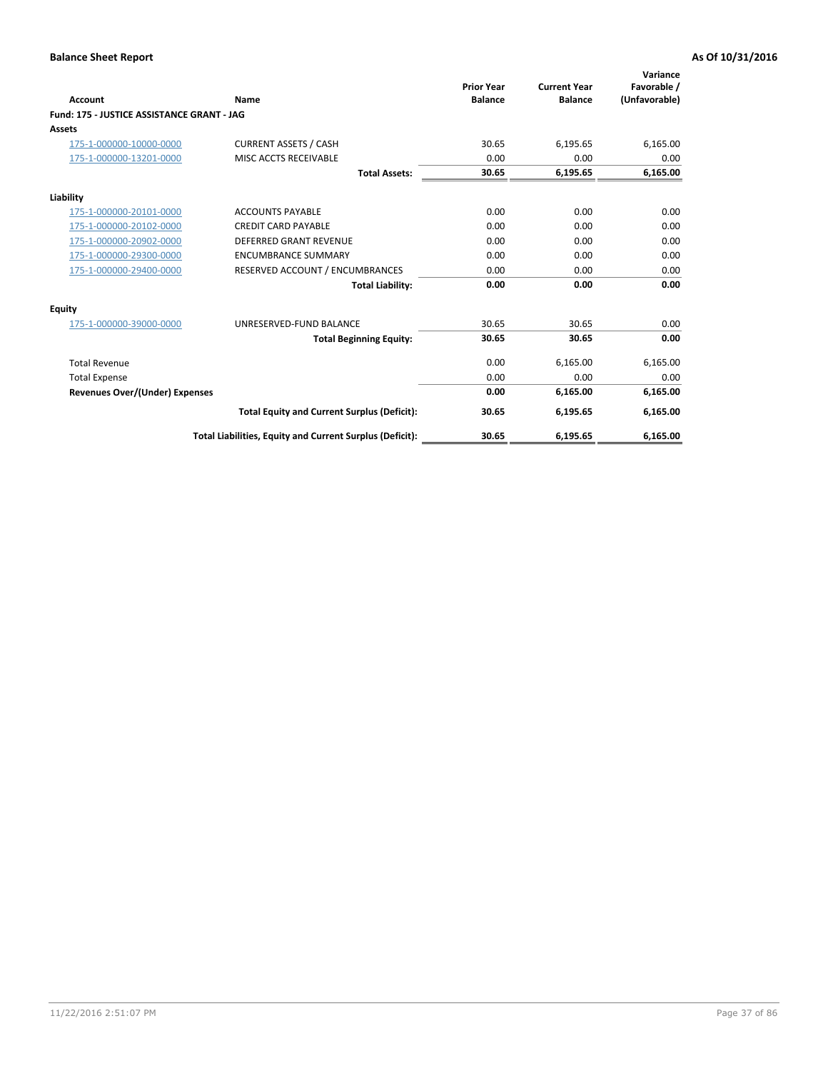| <b>Account</b>                             | Name                                                     | <b>Prior Year</b><br><b>Balance</b> | <b>Current Year</b><br><b>Balance</b> | Variance<br>Favorable /<br>(Unfavorable) |
|--------------------------------------------|----------------------------------------------------------|-------------------------------------|---------------------------------------|------------------------------------------|
| Fund: 175 - JUSTICE ASSISTANCE GRANT - JAG |                                                          |                                     |                                       |                                          |
| <b>Assets</b>                              |                                                          |                                     |                                       |                                          |
| 175-1-000000-10000-0000                    | <b>CURRENT ASSETS / CASH</b>                             | 30.65                               | 6,195.65                              | 6,165.00                                 |
| 175-1-000000-13201-0000                    | MISC ACCTS RECEIVABLE                                    | 0.00                                | 0.00                                  | 0.00                                     |
|                                            | <b>Total Assets:</b>                                     | 30.65                               | 6,195.65                              | 6,165.00                                 |
| Liability                                  |                                                          |                                     |                                       |                                          |
| 175-1-000000-20101-0000                    | <b>ACCOUNTS PAYABLE</b>                                  | 0.00                                | 0.00                                  | 0.00                                     |
| 175-1-000000-20102-0000                    | <b>CREDIT CARD PAYABLE</b>                               | 0.00                                | 0.00                                  | 0.00                                     |
| 175-1-000000-20902-0000                    | <b>DEFERRED GRANT REVENUE</b>                            | 0.00                                | 0.00                                  | 0.00                                     |
| 175-1-000000-29300-0000                    | <b>ENCUMBRANCE SUMMARY</b>                               | 0.00                                | 0.00                                  | 0.00                                     |
| 175-1-000000-29400-0000                    | RESERVED ACCOUNT / ENCUMBRANCES                          | 0.00                                | 0.00                                  | 0.00                                     |
|                                            | <b>Total Liability:</b>                                  | 0.00                                | 0.00                                  | 0.00                                     |
| Equity                                     |                                                          |                                     |                                       |                                          |
| 175-1-000000-39000-0000                    | UNRESERVED-FUND BALANCE                                  | 30.65                               | 30.65                                 | 0.00                                     |
|                                            | <b>Total Beginning Equity:</b>                           | 30.65                               | 30.65                                 | 0.00                                     |
| <b>Total Revenue</b>                       |                                                          | 0.00                                | 6,165.00                              | 6,165.00                                 |
| <b>Total Expense</b>                       |                                                          | 0.00                                | 0.00                                  | 0.00                                     |
| <b>Revenues Over/(Under) Expenses</b>      |                                                          | 0.00                                | 6,165.00                              | 6,165.00                                 |
|                                            | <b>Total Equity and Current Surplus (Deficit):</b>       | 30.65                               | 6,195.65                              | 6,165.00                                 |
|                                            | Total Liabilities, Equity and Current Surplus (Deficit): | 30.65                               | 6,195.65                              | 6.165.00                                 |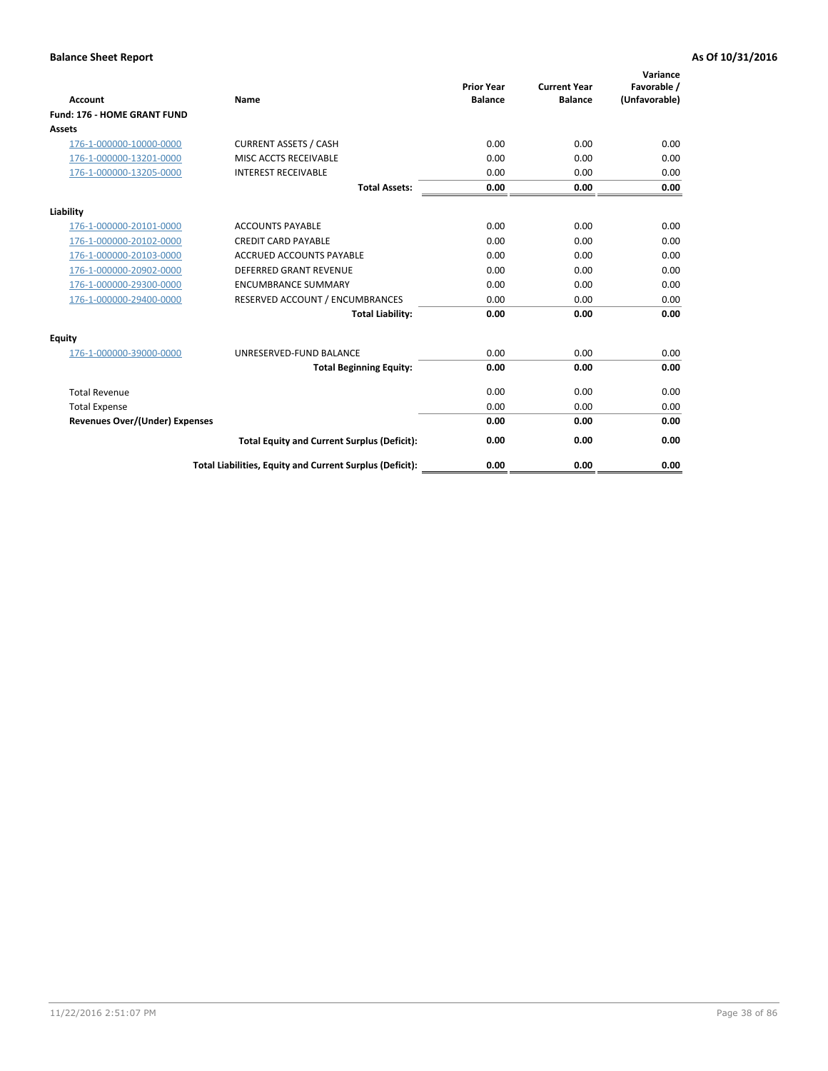| <b>Account</b>                        | <b>Name</b>                                              | <b>Prior Year</b><br><b>Balance</b> | <b>Current Year</b><br><b>Balance</b> | Variance<br>Favorable /<br>(Unfavorable) |
|---------------------------------------|----------------------------------------------------------|-------------------------------------|---------------------------------------|------------------------------------------|
| <b>Fund: 176 - HOME GRANT FUND</b>    |                                                          |                                     |                                       |                                          |
| Assets                                |                                                          |                                     |                                       |                                          |
| 176-1-000000-10000-0000               | <b>CURRENT ASSETS / CASH</b>                             | 0.00                                | 0.00                                  | 0.00                                     |
| 176-1-000000-13201-0000               | MISC ACCTS RECEIVABLE                                    | 0.00                                | 0.00                                  | 0.00                                     |
| 176-1-000000-13205-0000               | <b>INTEREST RECEIVABLE</b>                               | 0.00                                | 0.00                                  | 0.00                                     |
|                                       | <b>Total Assets:</b>                                     | 0.00                                | 0.00                                  | 0.00                                     |
| Liability                             |                                                          |                                     |                                       |                                          |
| 176-1-000000-20101-0000               | <b>ACCOUNTS PAYABLE</b>                                  | 0.00                                | 0.00                                  | 0.00                                     |
| 176-1-000000-20102-0000               | <b>CREDIT CARD PAYABLE</b>                               | 0.00                                | 0.00                                  | 0.00                                     |
| 176-1-000000-20103-0000               | <b>ACCRUED ACCOUNTS PAYABLE</b>                          | 0.00                                | 0.00                                  | 0.00                                     |
| 176-1-000000-20902-0000               | DEFERRED GRANT REVENUE                                   | 0.00                                | 0.00                                  | 0.00                                     |
| 176-1-000000-29300-0000               | <b>ENCUMBRANCE SUMMARY</b>                               | 0.00                                | 0.00                                  | 0.00                                     |
| 176-1-000000-29400-0000               | RESERVED ACCOUNT / ENCUMBRANCES                          | 0.00                                | 0.00                                  | 0.00                                     |
|                                       | <b>Total Liability:</b>                                  | 0.00                                | 0.00                                  | 0.00                                     |
| Equity                                |                                                          |                                     |                                       |                                          |
| 176-1-000000-39000-0000               | UNRESERVED-FUND BALANCE                                  | 0.00                                | 0.00                                  | 0.00                                     |
|                                       | <b>Total Beginning Equity:</b>                           | 0.00                                | 0.00                                  | 0.00                                     |
| <b>Total Revenue</b>                  |                                                          | 0.00                                | 0.00                                  | 0.00                                     |
| <b>Total Expense</b>                  |                                                          | 0.00                                | 0.00                                  | 0.00                                     |
| <b>Revenues Over/(Under) Expenses</b> |                                                          | 0.00                                | 0.00                                  | 0.00                                     |
|                                       | <b>Total Equity and Current Surplus (Deficit):</b>       | 0.00                                | 0.00                                  | 0.00                                     |
|                                       | Total Liabilities, Equity and Current Surplus (Deficit): | 0.00                                | 0.00                                  | 0.00                                     |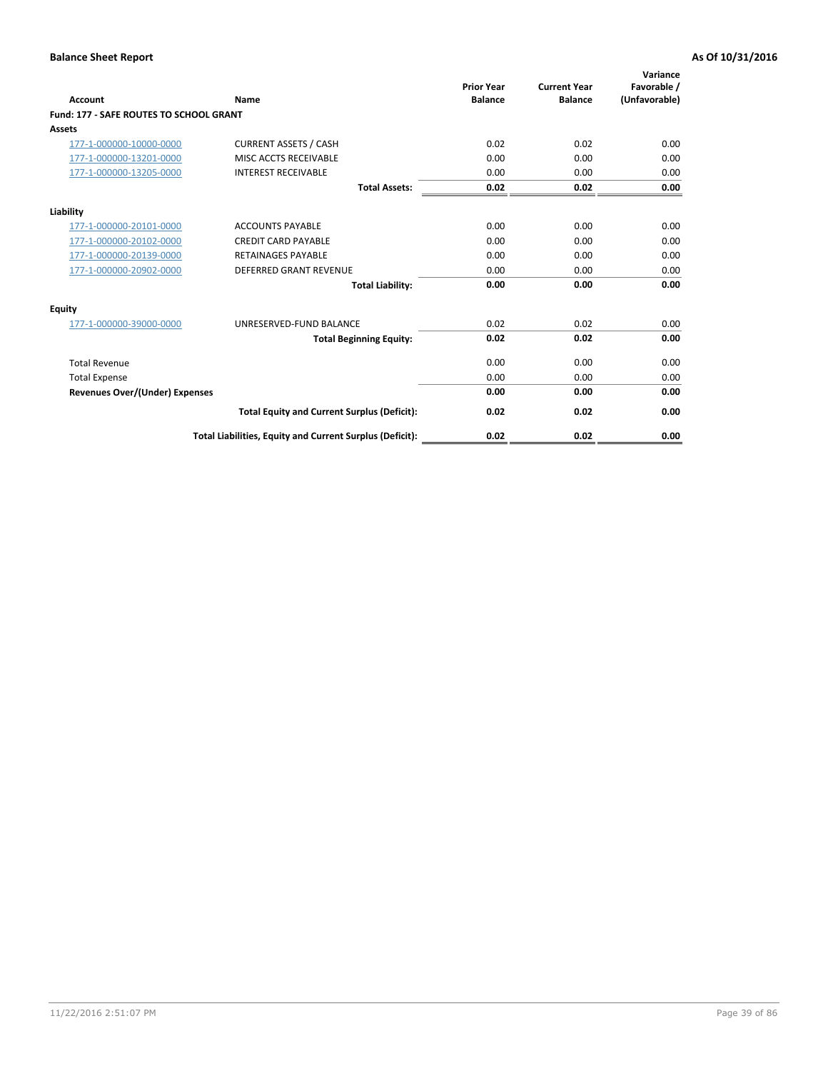| Account                                        | Name                                                     | <b>Prior Year</b><br><b>Balance</b> | <b>Current Year</b><br><b>Balance</b> | Variance<br>Favorable /<br>(Unfavorable) |
|------------------------------------------------|----------------------------------------------------------|-------------------------------------|---------------------------------------|------------------------------------------|
| <b>Fund: 177 - SAFE ROUTES TO SCHOOL GRANT</b> |                                                          |                                     |                                       |                                          |
| <b>Assets</b>                                  |                                                          |                                     |                                       |                                          |
| 177-1-000000-10000-0000                        | <b>CURRENT ASSETS / CASH</b>                             | 0.02                                | 0.02                                  | 0.00                                     |
| 177-1-000000-13201-0000                        | MISC ACCTS RECEIVABLE                                    | 0.00                                | 0.00                                  | 0.00                                     |
| 177-1-000000-13205-0000                        | <b>INTEREST RECEIVABLE</b>                               | 0.00                                | 0.00                                  | 0.00                                     |
|                                                | <b>Total Assets:</b>                                     | 0.02                                | 0.02                                  | 0.00                                     |
| Liability                                      |                                                          |                                     |                                       |                                          |
| 177-1-000000-20101-0000                        | <b>ACCOUNTS PAYABLE</b>                                  | 0.00                                | 0.00                                  | 0.00                                     |
| 177-1-000000-20102-0000                        | <b>CREDIT CARD PAYABLE</b>                               | 0.00                                | 0.00                                  | 0.00                                     |
| 177-1-000000-20139-0000                        | <b>RETAINAGES PAYABLE</b>                                | 0.00                                | 0.00                                  | 0.00                                     |
| 177-1-000000-20902-0000                        | <b>DEFERRED GRANT REVENUE</b>                            | 0.00                                | 0.00                                  | 0.00                                     |
|                                                | <b>Total Liability:</b>                                  | 0.00                                | 0.00                                  | 0.00                                     |
| Equity                                         |                                                          |                                     |                                       |                                          |
| 177-1-000000-39000-0000                        | UNRESERVED-FUND BALANCE                                  | 0.02                                | 0.02                                  | 0.00                                     |
|                                                | <b>Total Beginning Equity:</b>                           | 0.02                                | 0.02                                  | 0.00                                     |
| <b>Total Revenue</b>                           |                                                          | 0.00                                | 0.00                                  | 0.00                                     |
| <b>Total Expense</b>                           |                                                          | 0.00                                | 0.00                                  | 0.00                                     |
| Revenues Over/(Under) Expenses                 |                                                          | 0.00                                | 0.00                                  | 0.00                                     |
|                                                | <b>Total Equity and Current Surplus (Deficit):</b>       | 0.02                                | 0.02                                  | 0.00                                     |
|                                                | Total Liabilities, Equity and Current Surplus (Deficit): | 0.02                                | 0.02                                  | 0.00                                     |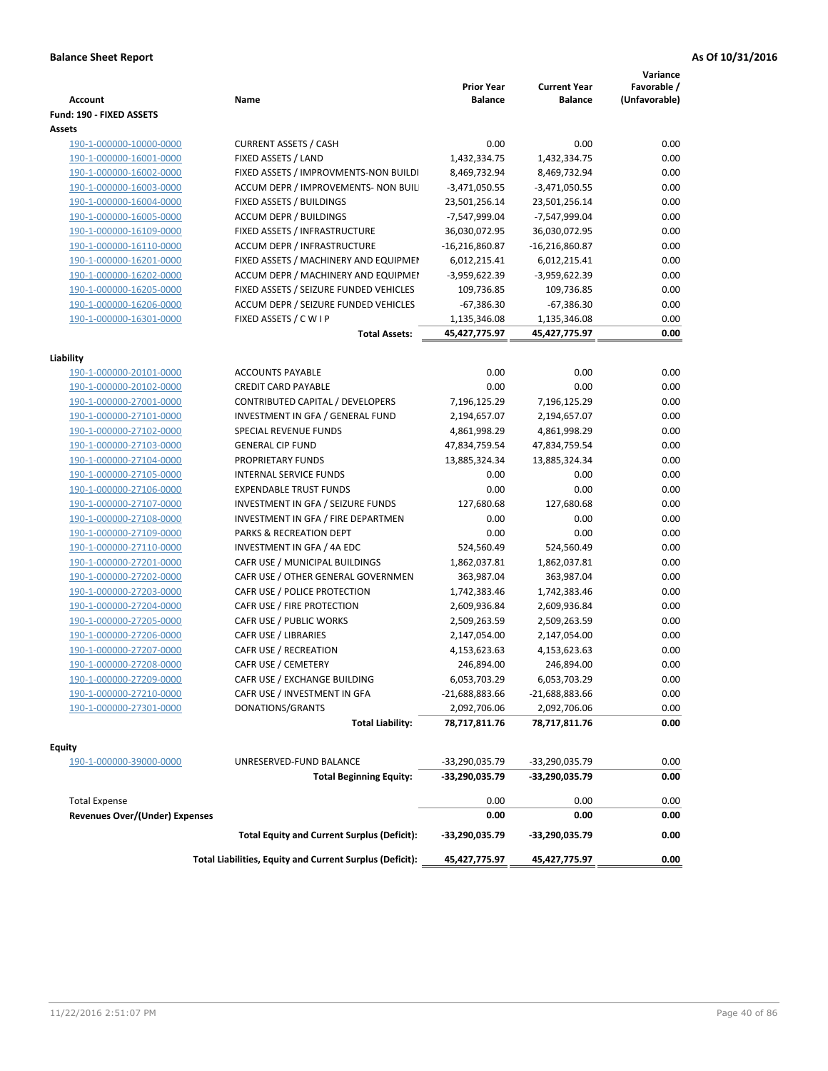| <b>Account</b>                        | Name                                                     | <b>Prior Year</b><br><b>Balance</b> | <b>Current Year</b><br><b>Balance</b> | Variance<br>Favorable /<br>(Unfavorable) |
|---------------------------------------|----------------------------------------------------------|-------------------------------------|---------------------------------------|------------------------------------------|
| Fund: 190 - FIXED ASSETS<br>Assets    |                                                          |                                     |                                       |                                          |
| 190-1-000000-10000-0000               | <b>CURRENT ASSETS / CASH</b>                             | 0.00                                | 0.00                                  | 0.00                                     |
| 190-1-000000-16001-0000               | FIXED ASSETS / LAND                                      | 1,432,334.75                        | 1,432,334.75                          | 0.00                                     |
| 190-1-000000-16002-0000               | FIXED ASSETS / IMPROVMENTS-NON BUILDI                    | 8,469,732.94                        | 8,469,732.94                          | 0.00                                     |
| 190-1-000000-16003-0000               | ACCUM DEPR / IMPROVEMENTS- NON BUIL                      | $-3,471,050.55$                     | $-3,471,050.55$                       | 0.00                                     |
| 190-1-000000-16004-0000               | FIXED ASSETS / BUILDINGS                                 | 23,501,256.14                       | 23,501,256.14                         | 0.00                                     |
| 190-1-000000-16005-0000               | <b>ACCUM DEPR / BUILDINGS</b>                            | -7,547,999.04                       | -7,547,999.04                         | 0.00                                     |
| 190-1-000000-16109-0000               | FIXED ASSETS / INFRASTRUCTURE                            | 36,030,072.95                       | 36,030,072.95                         | 0.00                                     |
| 190-1-000000-16110-0000               | <b>ACCUM DEPR / INFRASTRUCTURE</b>                       | $-16,216,860.87$                    | $-16,216,860.87$                      | 0.00                                     |
| 190-1-000000-16201-0000               | FIXED ASSETS / MACHINERY AND EQUIPMEN                    | 6,012,215.41                        | 6,012,215.41                          | 0.00                                     |
| 190-1-000000-16202-0000               | ACCUM DEPR / MACHINERY AND EQUIPMEI                      | -3,959,622.39                       | -3,959,622.39                         | 0.00                                     |
| 190-1-000000-16205-0000               | FIXED ASSETS / SEIZURE FUNDED VEHICLES                   | 109,736.85                          | 109,736.85                            | 0.00                                     |
| 190-1-000000-16206-0000               | ACCUM DEPR / SEIZURE FUNDED VEHICLES                     | $-67,386.30$                        | $-67,386.30$                          | 0.00                                     |
| 190-1-000000-16301-0000               | FIXED ASSETS / C W I P                                   | 1,135,346.08                        | 1,135,346.08                          | 0.00                                     |
|                                       | <b>Total Assets:</b>                                     | 45,427,775.97                       | 45,427,775.97                         | 0.00                                     |
|                                       |                                                          |                                     |                                       |                                          |
| Liability                             |                                                          |                                     |                                       |                                          |
| 190-1-000000-20101-0000               | <b>ACCOUNTS PAYABLE</b>                                  | 0.00                                | 0.00                                  | 0.00                                     |
| 190-1-000000-20102-0000               | <b>CREDIT CARD PAYABLE</b>                               | 0.00                                | 0.00                                  | 0.00                                     |
| 190-1-000000-27001-0000               | CONTRIBUTED CAPITAL / DEVELOPERS                         | 7,196,125.29                        | 7,196,125.29                          | 0.00                                     |
| 190-1-000000-27101-0000               | INVESTMENT IN GFA / GENERAL FUND                         | 2,194,657.07                        | 2,194,657.07                          | 0.00                                     |
| 190-1-000000-27102-0000               | SPECIAL REVENUE FUNDS                                    | 4,861,998.29                        | 4,861,998.29                          | 0.00                                     |
| 190-1-000000-27103-0000               | <b>GENERAL CIP FUND</b>                                  | 47,834,759.54                       | 47,834,759.54                         | 0.00                                     |
| 190-1-000000-27104-0000               | PROPRIETARY FUNDS                                        | 13,885,324.34                       | 13,885,324.34                         | 0.00                                     |
| 190-1-000000-27105-0000               | <b>INTERNAL SERVICE FUNDS</b>                            | 0.00                                | 0.00                                  | 0.00                                     |
| 190-1-000000-27106-0000               | <b>EXPENDABLE TRUST FUNDS</b>                            | 0.00                                | 0.00                                  | 0.00                                     |
| 190-1-000000-27107-0000               | INVESTMENT IN GFA / SEIZURE FUNDS                        | 127,680.68                          | 127,680.68                            | 0.00                                     |
| 190-1-000000-27108-0000               | INVESTMENT IN GFA / FIRE DEPARTMEN                       | 0.00                                | 0.00                                  | 0.00                                     |
| 190-1-000000-27109-0000               | PARKS & RECREATION DEPT                                  | 0.00                                | 0.00                                  | 0.00                                     |
| 190-1-000000-27110-0000               | INVESTMENT IN GFA / 4A EDC                               | 524,560.49                          | 524,560.49                            | 0.00                                     |
| 190-1-000000-27201-0000               | CAFR USE / MUNICIPAL BUILDINGS                           | 1,862,037.81                        | 1,862,037.81                          | 0.00                                     |
| 190-1-000000-27202-0000               | CAFR USE / OTHER GENERAL GOVERNMEN                       | 363,987.04                          | 363,987.04                            | 0.00                                     |
| 190-1-000000-27203-0000               | CAFR USE / POLICE PROTECTION                             | 1,742,383.46                        | 1,742,383.46                          | 0.00                                     |
| 190-1-000000-27204-0000               | CAFR USE / FIRE PROTECTION                               | 2,609,936.84                        | 2,609,936.84                          | 0.00                                     |
| 190-1-000000-27205-0000               | CAFR USE / PUBLIC WORKS                                  | 2,509,263.59                        | 2,509,263.59                          | 0.00                                     |
| 190-1-000000-27206-0000               | CAFR USE / LIBRARIES                                     | 2,147,054.00                        | 2,147,054.00                          | 0.00                                     |
| 190-1-000000-27207-0000               | CAFR USE / RECREATION                                    | 4,153,623.63                        | 4,153,623.63                          | 0.00                                     |
| 190-1-000000-27208-0000               | CAFR USE / CEMETERY                                      | 246,894.00                          | 246,894.00                            | 0.00                                     |
| 190-1-000000-27209-0000               | CAFR USE / EXCHANGE BUILDING                             | 6,053,703.29                        | 6,053,703.29                          | 0.00                                     |
| 190-1-000000-27210-0000               | CAFR USE / INVESTMENT IN GFA                             | $-21,688,883.66$                    | -21,688,883.66                        | 0.00                                     |
| 190-1-000000-27301-0000               | DONATIONS/GRANTS                                         | 2,092,706.06                        | 2,092,706.06                          | 0.00                                     |
|                                       | <b>Total Liability:</b>                                  | 78,717,811.76                       | 78,717,811.76                         | 0.00                                     |
| <b>Equity</b>                         |                                                          |                                     |                                       |                                          |
| 190-1-000000-39000-0000               | UNRESERVED-FUND BALANCE                                  | -33,290,035.79                      | -33,290,035.79                        | 0.00                                     |
|                                       | <b>Total Beginning Equity:</b>                           | -33,290,035.79                      | -33,290,035.79                        | 0.00                                     |
| <b>Total Expense</b>                  |                                                          | 0.00                                | 0.00                                  | 0.00                                     |
| <b>Revenues Over/(Under) Expenses</b> |                                                          | 0.00                                | 0.00                                  | 0.00                                     |
|                                       | <b>Total Equity and Current Surplus (Deficit):</b>       | -33,290,035.79                      | -33,290,035.79                        | 0.00                                     |
|                                       | Total Liabilities, Equity and Current Surplus (Deficit): | 45,427,775.97                       | 45,427,775.97                         | 0.00                                     |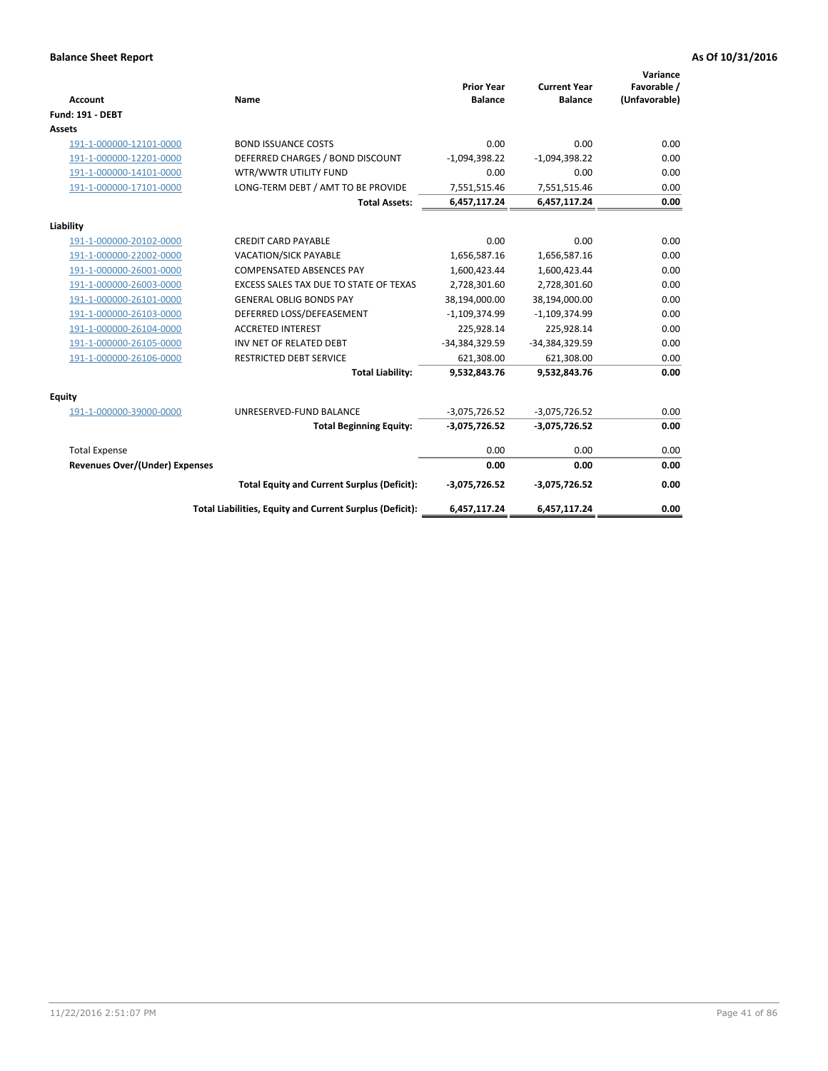| <b>Account</b>                 | Name                                                     | <b>Prior Year</b><br><b>Balance</b> | <b>Current Year</b><br><b>Balance</b> | Variance<br>Favorable /<br>(Unfavorable) |
|--------------------------------|----------------------------------------------------------|-------------------------------------|---------------------------------------|------------------------------------------|
| <b>Fund: 191 - DEBT</b>        |                                                          |                                     |                                       |                                          |
| <b>Assets</b>                  |                                                          |                                     |                                       |                                          |
| 191-1-000000-12101-0000        | <b>BOND ISSUANCE COSTS</b>                               | 0.00                                | 0.00                                  | 0.00                                     |
| 191-1-000000-12201-0000        | DEFERRED CHARGES / BOND DISCOUNT                         | $-1,094,398.22$                     | $-1,094,398.22$                       | 0.00                                     |
| 191-1-000000-14101-0000        | WTR/WWTR UTILITY FUND                                    | 0.00                                | 0.00                                  | 0.00                                     |
| 191-1-000000-17101-0000        | LONG-TERM DEBT / AMT TO BE PROVIDE                       | 7,551,515.46                        | 7,551,515.46                          | 0.00                                     |
|                                | <b>Total Assets:</b>                                     | 6,457,117.24                        | 6,457,117.24                          | 0.00                                     |
| Liability                      |                                                          |                                     |                                       |                                          |
| 191-1-000000-20102-0000        | <b>CREDIT CARD PAYABLE</b>                               | 0.00                                | 0.00                                  | 0.00                                     |
| 191-1-000000-22002-0000        | <b>VACATION/SICK PAYABLE</b>                             | 1,656,587.16                        | 1,656,587.16                          | 0.00                                     |
| 191-1-000000-26001-0000        | <b>COMPENSATED ABSENCES PAY</b>                          | 1,600,423.44                        | 1,600,423.44                          | 0.00                                     |
| 191-1-000000-26003-0000        | <b>EXCESS SALES TAX DUE TO STATE OF TEXAS</b>            | 2,728,301.60                        | 2,728,301.60                          | 0.00                                     |
| 191-1-000000-26101-0000        | <b>GENERAL OBLIG BONDS PAY</b>                           | 38,194,000.00                       | 38,194,000.00                         | 0.00                                     |
| 191-1-000000-26103-0000        | DEFERRED LOSS/DEFEASEMENT                                | $-1,109,374.99$                     | $-1,109,374.99$                       | 0.00                                     |
| 191-1-000000-26104-0000        | <b>ACCRETED INTEREST</b>                                 | 225,928.14                          | 225,928.14                            | 0.00                                     |
| 191-1-000000-26105-0000        | INV NET OF RELATED DEBT                                  | -34,384,329.59                      | -34,384,329.59                        | 0.00                                     |
| 191-1-000000-26106-0000        | <b>RESTRICTED DEBT SERVICE</b>                           | 621,308.00                          | 621,308.00                            | 0.00                                     |
|                                | <b>Total Liability:</b>                                  | 9,532,843.76                        | 9,532,843.76                          | 0.00                                     |
| Equity                         |                                                          |                                     |                                       |                                          |
| 191-1-000000-39000-0000        | UNRESERVED-FUND BALANCE                                  | $-3,075,726.52$                     | $-3,075,726.52$                       | 0.00                                     |
|                                | <b>Total Beginning Equity:</b>                           | $-3,075,726.52$                     | $-3,075,726.52$                       | 0.00                                     |
| <b>Total Expense</b>           |                                                          | 0.00                                | 0.00                                  | 0.00                                     |
| Revenues Over/(Under) Expenses |                                                          | 0.00                                | 0.00                                  | 0.00                                     |
|                                | <b>Total Equity and Current Surplus (Deficit):</b>       | $-3,075,726.52$                     | $-3,075,726.52$                       | 0.00                                     |
|                                | Total Liabilities, Equity and Current Surplus (Deficit): | 6,457,117.24                        | 6,457,117.24                          | 0.00                                     |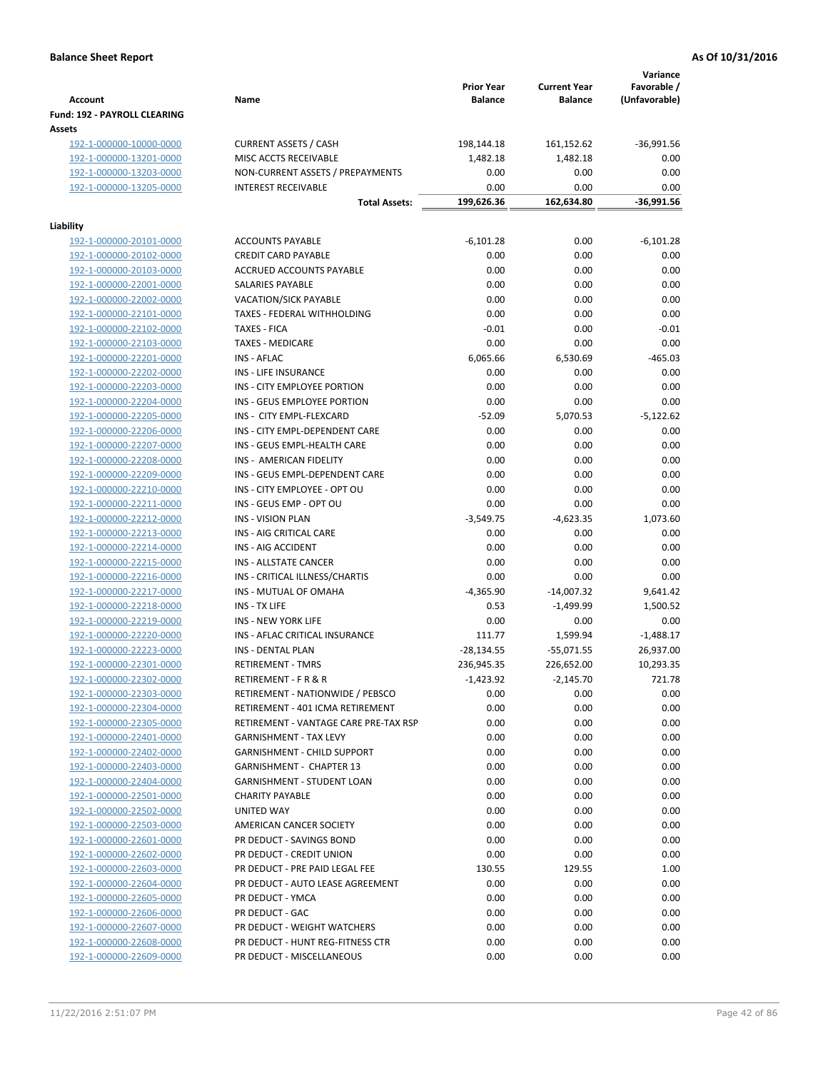| <b>Account</b>                                | Name                                  | <b>Prior Year</b><br><b>Balance</b> | <b>Current Year</b><br><b>Balance</b> | Variance<br>Favorable /<br>(Unfavorable) |
|-----------------------------------------------|---------------------------------------|-------------------------------------|---------------------------------------|------------------------------------------|
| <b>Fund: 192 - PAYROLL CLEARING</b><br>Assets |                                       |                                     |                                       |                                          |
| 192-1-000000-10000-0000                       | <b>CURRENT ASSETS / CASH</b>          | 198,144.18                          | 161,152.62                            | $-36,991.56$                             |
| 192-1-000000-13201-0000                       | MISC ACCTS RECEIVABLE                 | 1,482.18                            | 1,482.18                              | 0.00                                     |
| 192-1-000000-13203-0000                       | NON-CURRENT ASSETS / PREPAYMENTS      | 0.00                                | 0.00                                  | 0.00                                     |
| 192-1-000000-13205-0000                       | <b>INTEREST RECEIVABLE</b>            | 0.00                                | 0.00                                  | 0.00                                     |
|                                               | <b>Total Assets:</b>                  | 199,626.36                          | 162,634.80                            | $-36,991.56$                             |
| Liability                                     |                                       |                                     |                                       |                                          |
| 192-1-000000-20101-0000                       | <b>ACCOUNTS PAYABLE</b>               | $-6,101.28$                         | 0.00                                  | $-6,101.28$                              |
| 192-1-000000-20102-0000                       | <b>CREDIT CARD PAYABLE</b>            | 0.00                                | 0.00                                  | 0.00                                     |
| 192-1-000000-20103-0000                       | ACCRUED ACCOUNTS PAYABLE              | 0.00                                | 0.00                                  | 0.00                                     |
| 192-1-000000-22001-0000                       | SALARIES PAYABLE                      | 0.00                                | 0.00                                  | 0.00                                     |
| 192-1-000000-22002-0000                       | <b>VACATION/SICK PAYABLE</b>          | 0.00                                | 0.00                                  | 0.00                                     |
| 192-1-000000-22101-0000                       | TAXES - FEDERAL WITHHOLDING           | 0.00                                | 0.00                                  | 0.00                                     |
| 192-1-000000-22102-0000                       | <b>TAXES - FICA</b>                   | $-0.01$                             | 0.00                                  | $-0.01$                                  |
| 192-1-000000-22103-0000                       | <b>TAXES - MEDICARE</b>               | 0.00                                | 0.00                                  | 0.00                                     |
| 192-1-000000-22201-0000                       | <b>INS - AFLAC</b>                    | 6,065.66                            | 6,530.69                              | $-465.03$                                |
| 192-1-000000-22202-0000                       | INS - LIFE INSURANCE                  | 0.00                                | 0.00                                  | 0.00                                     |
| 192-1-000000-22203-0000                       | INS - CITY EMPLOYEE PORTION           | 0.00                                | 0.00                                  | 0.00                                     |
| 192-1-000000-22204-0000                       | INS - GEUS EMPLOYEE PORTION           | 0.00                                | 0.00                                  | 0.00                                     |
| 192-1-000000-22205-0000                       | INS - CITY EMPL-FLEXCARD              | $-52.09$                            | 5,070.53                              | $-5,122.62$                              |
| 192-1-000000-22206-0000                       | INS - CITY EMPL-DEPENDENT CARE        | 0.00                                | 0.00                                  | 0.00                                     |
| 192-1-000000-22207-0000                       | INS - GEUS EMPL-HEALTH CARE           | 0.00                                | 0.00                                  | 0.00                                     |
| 192-1-000000-22208-0000                       | INS - AMERICAN FIDELITY               | 0.00                                | 0.00                                  | 0.00                                     |
| 192-1-000000-22209-0000                       | INS - GEUS EMPL-DEPENDENT CARE        | 0.00                                | 0.00                                  | 0.00                                     |
|                                               | INS - CITY EMPLOYEE - OPT OU          | 0.00                                | 0.00                                  |                                          |
| 192-1-000000-22210-0000                       |                                       |                                     |                                       | 0.00                                     |
| 192-1-000000-22211-0000                       | INS - GEUS EMP - OPT OU               | 0.00                                | 0.00                                  | 0.00                                     |
| 192-1-000000-22212-0000                       | <b>INS - VISION PLAN</b>              | $-3,549.75$                         | $-4,623.35$                           | 1,073.60                                 |
| 192-1-000000-22213-0000                       | INS - AIG CRITICAL CARE               | 0.00                                | 0.00                                  | 0.00                                     |
| 192-1-000000-22214-0000                       | INS - AIG ACCIDENT                    | 0.00                                | 0.00                                  | 0.00                                     |
| 192-1-000000-22215-0000                       | INS - ALLSTATE CANCER                 | 0.00                                | 0.00                                  | 0.00                                     |
| 192-1-000000-22216-0000                       | INS - CRITICAL ILLNESS/CHARTIS        | 0.00                                | 0.00                                  | 0.00                                     |
| 192-1-000000-22217-0000                       | INS - MUTUAL OF OMAHA                 | $-4,365.90$                         | $-14,007.32$                          | 9,641.42                                 |
| 192-1-000000-22218-0000                       | INS - TX LIFE                         | 0.53                                | $-1,499.99$                           | 1,500.52                                 |
| 192-1-000000-22219-0000                       | <b>INS - NEW YORK LIFE</b>            | 0.00                                | 0.00                                  | 0.00                                     |
| 192-1-000000-22220-0000                       | INS - AFLAC CRITICAL INSURANCE        | 111.77                              | 1,599.94                              | $-1,488.17$                              |
| 192-1-000000-22223-0000                       | INS - DENTAL PLAN                     | $-28,134.55$                        | $-55,071.55$                          | 26,937.00                                |
| 192-1-000000-22301-0000                       | <b>RETIREMENT - TMRS</b>              | 236,945.35                          | 226,652.00                            | 10,293.35                                |
| 192-1-000000-22302-0000                       | RETIREMENT - F R & R                  | $-1,423.92$                         | $-2,145.70$                           | 721.78                                   |
| 192-1-000000-22303-0000                       | RETIREMENT - NATIONWIDE / PEBSCO      | 0.00                                | 0.00                                  | 0.00                                     |
| 192-1-000000-22304-0000                       | RETIREMENT - 401 ICMA RETIREMENT      | 0.00                                | 0.00                                  | 0.00                                     |
| 192-1-000000-22305-0000                       | RETIREMENT - VANTAGE CARE PRE-TAX RSP | 0.00                                | 0.00                                  | 0.00                                     |
| 192-1-000000-22401-0000                       | <b>GARNISHMENT - TAX LEVY</b>         | 0.00                                | 0.00                                  | 0.00                                     |
| 192-1-000000-22402-0000                       | GARNISHMENT - CHILD SUPPORT           | 0.00                                | 0.00                                  | 0.00                                     |
| 192-1-000000-22403-0000                       | <b>GARNISHMENT - CHAPTER 13</b>       | 0.00                                | 0.00                                  | 0.00                                     |
| 192-1-000000-22404-0000                       | <b>GARNISHMENT - STUDENT LOAN</b>     | 0.00                                | 0.00                                  | 0.00                                     |
| 192-1-000000-22501-0000                       | <b>CHARITY PAYABLE</b>                | 0.00                                | 0.00                                  | 0.00                                     |
| 192-1-000000-22502-0000                       | UNITED WAY                            | 0.00                                | 0.00                                  | 0.00                                     |
| 192-1-000000-22503-0000                       | AMERICAN CANCER SOCIETY               | 0.00                                | 0.00                                  | 0.00                                     |
| 192-1-000000-22601-0000                       | PR DEDUCT - SAVINGS BOND              | 0.00                                | 0.00                                  | 0.00                                     |
| 192-1-000000-22602-0000                       | PR DEDUCT - CREDIT UNION              | 0.00                                | 0.00                                  | 0.00                                     |
| 192-1-000000-22603-0000                       | PR DEDUCT - PRE PAID LEGAL FEE        | 130.55                              | 129.55                                | 1.00                                     |
| 192-1-000000-22604-0000                       | PR DEDUCT - AUTO LEASE AGREEMENT      | 0.00                                | 0.00                                  | 0.00                                     |
| 192-1-000000-22605-0000                       | PR DEDUCT - YMCA                      | 0.00                                | 0.00                                  | 0.00                                     |
| 192-1-000000-22606-0000                       | PR DEDUCT - GAC                       | 0.00                                | 0.00                                  | 0.00                                     |
| 192-1-000000-22607-0000                       | PR DEDUCT - WEIGHT WATCHERS           | 0.00                                | 0.00                                  | 0.00                                     |
| 192-1-000000-22608-0000                       | PR DEDUCT - HUNT REG-FITNESS CTR      | 0.00                                | 0.00                                  | 0.00                                     |
| 192-1-000000-22609-0000                       | PR DEDUCT - MISCELLANEOUS             | 0.00                                | 0.00                                  | 0.00                                     |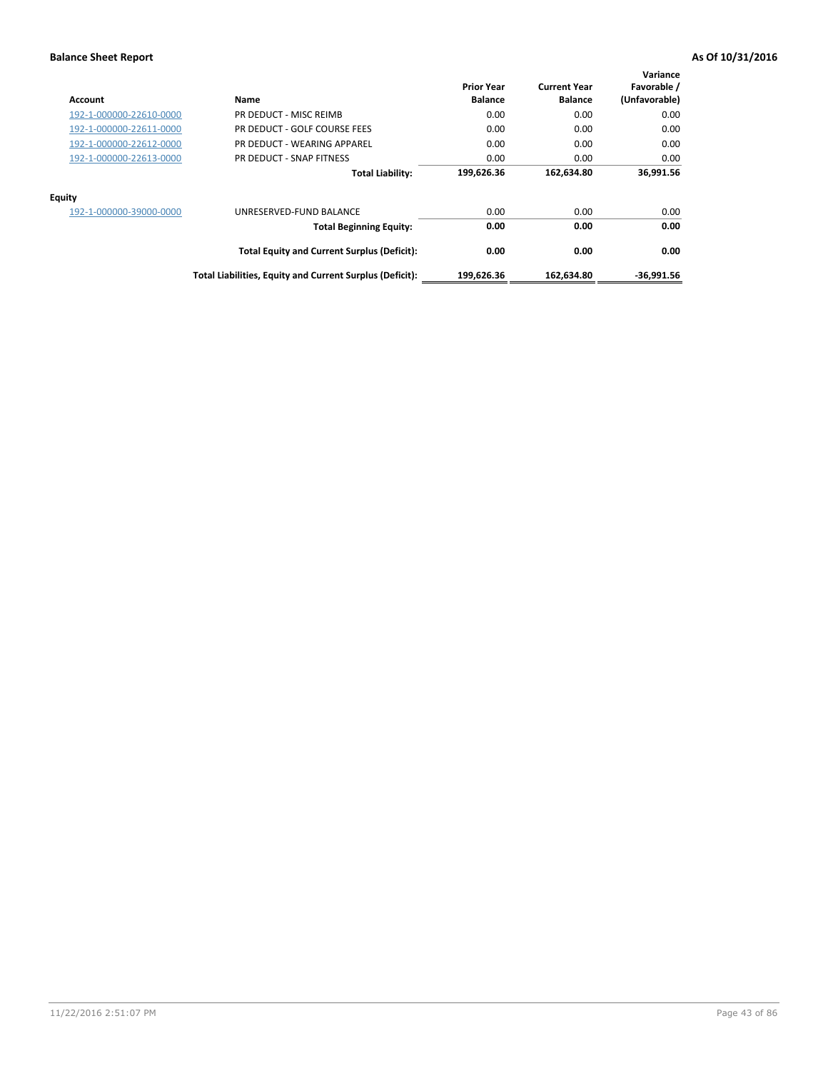| Account                 | Name                                                     | <b>Prior Year</b><br><b>Balance</b> | <b>Current Year</b><br><b>Balance</b> | Variance<br>Favorable /<br>(Unfavorable) |
|-------------------------|----------------------------------------------------------|-------------------------------------|---------------------------------------|------------------------------------------|
| 192-1-000000-22610-0000 | PR DEDUCT - MISC REIMB                                   | 0.00                                | 0.00                                  | 0.00                                     |
| 192-1-000000-22611-0000 | PR DEDUCT - GOLF COURSE FEES                             | 0.00                                | 0.00                                  | 0.00                                     |
| 192-1-000000-22612-0000 | PR DEDUCT - WEARING APPAREL                              | 0.00                                | 0.00                                  | 0.00                                     |
| 192-1-000000-22613-0000 | PR DEDUCT - SNAP FITNESS                                 | 0.00                                | 0.00                                  | 0.00                                     |
|                         | <b>Total Liability:</b>                                  | 199,626.36                          | 162,634.80                            | 36,991.56                                |
| Equity                  |                                                          |                                     |                                       |                                          |
| 192-1-000000-39000-0000 | UNRESERVED-FUND BALANCE                                  | 0.00                                | 0.00                                  | 0.00                                     |
|                         | <b>Total Beginning Equity:</b>                           | 0.00                                | 0.00                                  | 0.00                                     |
|                         | <b>Total Equity and Current Surplus (Deficit):</b>       | 0.00                                | 0.00                                  | 0.00                                     |
|                         | Total Liabilities, Equity and Current Surplus (Deficit): | 199,626.36                          | 162,634.80                            | $-36.991.56$                             |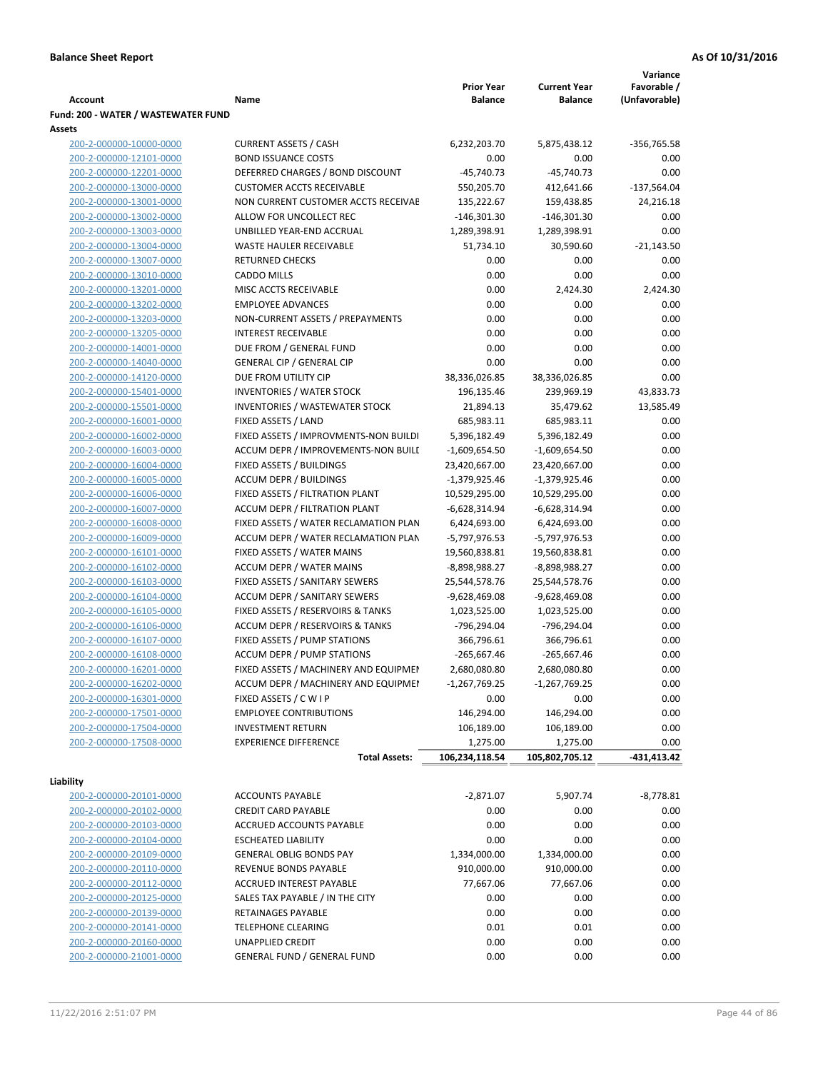|                                     |                                       |                   |                     | Variance      |
|-------------------------------------|---------------------------------------|-------------------|---------------------|---------------|
|                                     |                                       | <b>Prior Year</b> | <b>Current Year</b> | Favorable /   |
| <b>Account</b>                      | Name                                  | <b>Balance</b>    | <b>Balance</b>      | (Unfavorable) |
| Fund: 200 - WATER / WASTEWATER FUND |                                       |                   |                     |               |
| Assets                              |                                       |                   |                     |               |
| 200-2-000000-10000-0000             | <b>CURRENT ASSETS / CASH</b>          | 6,232,203.70      | 5,875,438.12        | -356,765.58   |
| 200-2-000000-12101-0000             | <b>BOND ISSUANCE COSTS</b>            | 0.00              | 0.00                | 0.00          |
| 200-2-000000-12201-0000             | DEFERRED CHARGES / BOND DISCOUNT      | $-45,740.73$      | $-45,740.73$        | 0.00          |
| 200-2-000000-13000-0000             | <b>CUSTOMER ACCTS RECEIVABLE</b>      | 550,205.70        | 412,641.66          | $-137,564.04$ |
| 200-2-000000-13001-0000             | NON CURRENT CUSTOMER ACCTS RECEIVAE   | 135,222.67        | 159,438.85          | 24,216.18     |
| 200-2-000000-13002-0000             | ALLOW FOR UNCOLLECT REC               | $-146,301.30$     | -146,301.30         | 0.00          |
| 200-2-000000-13003-0000             | UNBILLED YEAR-END ACCRUAL             | 1,289,398.91      | 1,289,398.91        | 0.00          |
| 200-2-000000-13004-0000             | WASTE HAULER RECEIVABLE               | 51,734.10         | 30,590.60           | $-21,143.50$  |
| 200-2-000000-13007-0000             | <b>RETURNED CHECKS</b>                | 0.00              | 0.00                | 0.00          |
| 200-2-000000-13010-0000             | <b>CADDO MILLS</b>                    | 0.00              | 0.00                | 0.00          |
| 200-2-000000-13201-0000             | MISC ACCTS RECEIVABLE                 | 0.00              | 2,424.30            | 2,424.30      |
| 200-2-000000-13202-0000             | <b>EMPLOYEE ADVANCES</b>              | 0.00              | 0.00                | 0.00          |
| 200-2-000000-13203-0000             | NON-CURRENT ASSETS / PREPAYMENTS      | 0.00              | 0.00                | 0.00          |
| 200-2-000000-13205-0000             | <b>INTEREST RECEIVABLE</b>            | 0.00              | 0.00                | 0.00          |
| 200-2-000000-14001-0000             | DUE FROM / GENERAL FUND               | 0.00              | 0.00                | 0.00          |
| 200-2-000000-14040-0000             | <b>GENERAL CIP / GENERAL CIP</b>      | 0.00              | 0.00                | 0.00          |
| 200-2-000000-14120-0000             | DUE FROM UTILITY CIP                  | 38,336,026.85     | 38,336,026.85       | 0.00          |
| 200-2-000000-15401-0000             | <b>INVENTORIES / WATER STOCK</b>      | 196,135.46        | 239,969.19          | 43,833.73     |
| 200-2-000000-15501-0000             | <b>INVENTORIES / WASTEWATER STOCK</b> | 21,894.13         | 35,479.62           | 13,585.49     |
| 200-2-000000-16001-0000             | FIXED ASSETS / LAND                   | 685,983.11        | 685,983.11          | 0.00          |
| 200-2-000000-16002-0000             | FIXED ASSETS / IMPROVMENTS-NON BUILDI | 5,396,182.49      | 5,396,182.49        | 0.00          |
| 200-2-000000-16003-0000             | ACCUM DEPR / IMPROVEMENTS-NON BUILI   | $-1,609,654.50$   | $-1,609,654.50$     | 0.00          |
| 200-2-000000-16004-0000             | FIXED ASSETS / BUILDINGS              | 23,420,667.00     | 23,420,667.00       | 0.00          |
| 200-2-000000-16005-0000             | <b>ACCUM DEPR / BUILDINGS</b>         | $-1,379,925.46$   | $-1,379,925.46$     | 0.00          |
| 200-2-000000-16006-0000             | FIXED ASSETS / FILTRATION PLANT       | 10,529,295.00     | 10,529,295.00       | 0.00          |
| 200-2-000000-16007-0000             | ACCUM DEPR / FILTRATION PLANT         |                   |                     | 0.00          |
|                                     |                                       | -6,628,314.94     | -6,628,314.94       |               |
| 200-2-000000-16008-0000             | FIXED ASSETS / WATER RECLAMATION PLAN | 6,424,693.00      | 6,424,693.00        | 0.00          |
| 200-2-000000-16009-0000             | ACCUM DEPR / WATER RECLAMATION PLAN   | -5,797,976.53     | -5,797,976.53       | 0.00          |
| 200-2-000000-16101-0000             | FIXED ASSETS / WATER MAINS            | 19,560,838.81     | 19,560,838.81       | 0.00          |
| 200-2-000000-16102-0000             | <b>ACCUM DEPR / WATER MAINS</b>       | -8,898,988.27     | -8,898,988.27       | 0.00          |
| 200-2-000000-16103-0000             | FIXED ASSETS / SANITARY SEWERS        | 25,544,578.76     | 25,544,578.76       | 0.00          |
| 200-2-000000-16104-0000             | <b>ACCUM DEPR / SANITARY SEWERS</b>   | -9,628,469.08     | -9,628,469.08       | 0.00          |
| 200-2-000000-16105-0000             | FIXED ASSETS / RESERVOIRS & TANKS     | 1,023,525.00      | 1,023,525.00        | 0.00          |
| 200-2-000000-16106-0000             | ACCUM DEPR / RESERVOIRS & TANKS       | -796,294.04       | -796,294.04         | 0.00          |
| 200-2-000000-16107-0000             | FIXED ASSETS / PUMP STATIONS          | 366,796.61        | 366,796.61          | 0.00          |
| 200-2-000000-16108-0000             | <b>ACCUM DEPR / PUMP STATIONS</b>     | $-265,667.46$     | -265,667.46         | 0.00          |
| 200-2-000000-16201-0000             | FIXED ASSETS / MACHINERY AND EQUIPMEN | 2,680,080.80      | 2,680,080.80        | 0.00          |
| 200-2-000000-16202-0000             | ACCUM DEPR / MACHINERY AND EQUIPMEI   | -1,267,769.25     | $-1,267,769.25$     | 0.00          |
| 200-2-000000-16301-0000             | FIXED ASSETS / C W I P                | 0.00              | 0.00                | 0.00          |
| 200-2-000000-17501-0000             | <b>EMPLOYEE CONTRIBUTIONS</b>         | 146,294.00        | 146,294.00          | 0.00          |
| 200-2-000000-17504-0000             | <b>INVESTMENT RETURN</b>              | 106,189.00        | 106,189.00          | 0.00          |
| 200-2-000000-17508-0000             | <b>EXPERIENCE DIFFERENCE</b>          | 1,275.00          | 1,275.00            | 0.00          |
|                                     | <b>Total Assets:</b>                  | 106,234,118.54    | 105,802,705.12      | -431,413.42   |
|                                     |                                       |                   |                     |               |
| Liability                           |                                       |                   |                     |               |
| 200-2-000000-20101-0000             | <b>ACCOUNTS PAYABLE</b>               | $-2,871.07$       | 5,907.74            | $-8,778.81$   |
| 200-2-000000-20102-0000             | <b>CREDIT CARD PAYABLE</b>            | 0.00              | 0.00                | 0.00          |
| 200-2-000000-20103-0000             | ACCRUED ACCOUNTS PAYABLE              | 0.00              | 0.00                | 0.00          |
| 200-2-000000-20104-0000             | <b>ESCHEATED LIABILITY</b>            | 0.00              | 0.00                | 0.00          |
| 200-2-000000-20109-0000             | <b>GENERAL OBLIG BONDS PAY</b>        | 1,334,000.00      | 1,334,000.00        | 0.00          |
| 200-2-000000-20110-0000             | REVENUE BONDS PAYABLE                 | 910,000.00        | 910,000.00          | 0.00          |
| 200-2-000000-20112-0000             | ACCRUED INTEREST PAYABLE              | 77,667.06         | 77,667.06           | 0.00          |
| 200-2-000000-20125-0000             | SALES TAX PAYABLE / IN THE CITY       | 0.00              | 0.00                | 0.00          |
| 200-2-000000-20139-0000             | RETAINAGES PAYABLE                    | 0.00              | 0.00                | 0.00          |
| 200-2-000000-20141-0000             | <b>TELEPHONE CLEARING</b>             | 0.01              | 0.01                | 0.00          |
| 200-2-000000-20160-0000             | <b>UNAPPLIED CREDIT</b>               | 0.00              | 0.00                | 0.00          |
| 200-2-000000-21001-0000             | <b>GENERAL FUND / GENERAL FUND</b>    | 0.00              | 0.00                | 0.00          |
|                                     |                                       |                   |                     |               |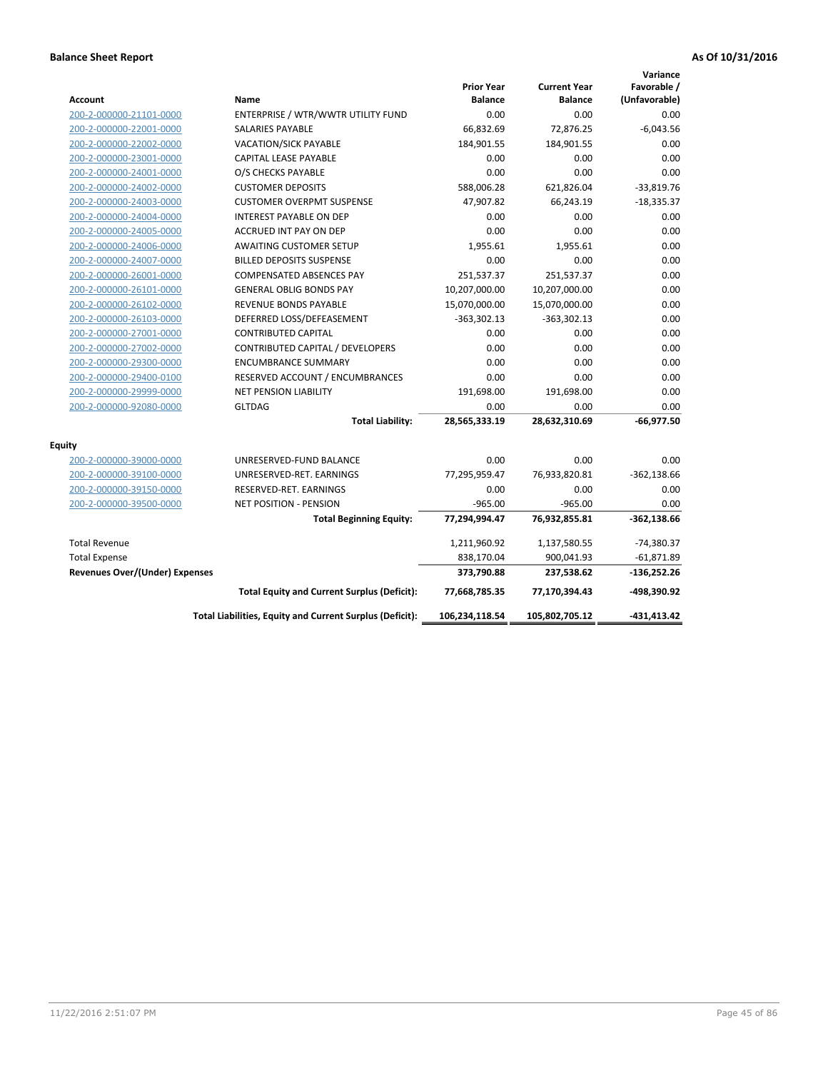| <b>Account</b>                        | Name                                                     | <b>Prior Year</b><br><b>Balance</b> | <b>Current Year</b><br><b>Balance</b> | Variance<br>Favorable /<br>(Unfavorable) |
|---------------------------------------|----------------------------------------------------------|-------------------------------------|---------------------------------------|------------------------------------------|
| 200-2-000000-21101-0000               | ENTERPRISE / WTR/WWTR UTILITY FUND                       | 0.00                                | 0.00                                  | 0.00                                     |
| 200-2-000000-22001-0000               | SALARIES PAYABLE                                         | 66,832.69                           | 72,876.25                             | $-6,043.56$                              |
| 200-2-000000-22002-0000               | <b>VACATION/SICK PAYABLE</b>                             | 184,901.55                          | 184,901.55                            | 0.00                                     |
| 200-2-000000-23001-0000               | CAPITAL LEASE PAYABLE                                    | 0.00                                | 0.00                                  | 0.00                                     |
| 200-2-000000-24001-0000               | O/S CHECKS PAYABLE                                       | 0.00                                | 0.00                                  | 0.00                                     |
| 200-2-000000-24002-0000               | <b>CUSTOMER DEPOSITS</b>                                 | 588,006.28                          | 621,826.04                            | $-33,819.76$                             |
| 200-2-000000-24003-0000               | <b>CUSTOMER OVERPMT SUSPENSE</b>                         | 47,907.82                           | 66,243.19                             | $-18,335.37$                             |
| 200-2-000000-24004-0000               | <b>INTEREST PAYABLE ON DEP</b>                           | 0.00                                | 0.00                                  | 0.00                                     |
| 200-2-000000-24005-0000               | ACCRUED INT PAY ON DEP                                   | 0.00                                | 0.00                                  | 0.00                                     |
| 200-2-000000-24006-0000               | <b>AWAITING CUSTOMER SETUP</b>                           | 1,955.61                            | 1,955.61                              | 0.00                                     |
| 200-2-000000-24007-0000               | <b>BILLED DEPOSITS SUSPENSE</b>                          | 0.00                                | 0.00                                  | 0.00                                     |
| 200-2-000000-26001-0000               | <b>COMPENSATED ABSENCES PAY</b>                          | 251,537.37                          | 251,537.37                            | 0.00                                     |
| 200-2-000000-26101-0000               | <b>GENERAL OBLIG BONDS PAY</b>                           | 10,207,000.00                       | 10,207,000.00                         | 0.00                                     |
| 200-2-000000-26102-0000               | <b>REVENUE BONDS PAYABLE</b>                             | 15,070,000.00                       | 15,070,000.00                         | 0.00                                     |
| 200-2-000000-26103-0000               | DEFERRED LOSS/DEFEASEMENT                                | $-363,302.13$                       | $-363,302.13$                         | 0.00                                     |
| 200-2-000000-27001-0000               | <b>CONTRIBUTED CAPITAL</b>                               | 0.00                                | 0.00                                  | 0.00                                     |
| 200-2-000000-27002-0000               | CONTRIBUTED CAPITAL / DEVELOPERS                         | 0.00                                | 0.00                                  | 0.00                                     |
| 200-2-000000-29300-0000               | <b>ENCUMBRANCE SUMMARY</b>                               | 0.00                                | 0.00                                  | 0.00                                     |
| 200-2-000000-29400-0100               | RESERVED ACCOUNT / ENCUMBRANCES                          | 0.00                                | 0.00                                  | 0.00                                     |
| 200-2-000000-29999-0000               | <b>NET PENSION LIABILITY</b>                             | 191,698.00                          | 191,698.00                            | 0.00                                     |
| 200-2-000000-92080-0000               | <b>GLTDAG</b>                                            | 0.00                                | 0.00                                  | 0.00                                     |
|                                       | <b>Total Liability:</b>                                  | 28,565,333.19                       | 28,632,310.69                         | $-66,977.50$                             |
| <b>Equity</b>                         |                                                          |                                     |                                       |                                          |
| 200-2-000000-39000-0000               | UNRESERVED-FUND BALANCE                                  | 0.00                                | 0.00                                  | 0.00                                     |
| 200-2-000000-39100-0000               | UNRESERVED-RET. EARNINGS                                 | 77,295,959.47                       | 76,933,820.81                         | $-362,138.66$                            |
| 200-2-000000-39150-0000               | RESERVED-RET. EARNINGS                                   | 0.00                                | 0.00                                  | 0.00                                     |
| 200-2-000000-39500-0000               | <b>NET POSITION - PENSION</b>                            | $-965.00$                           | $-965.00$                             | 0.00                                     |
|                                       | <b>Total Beginning Equity:</b>                           | 77,294,994.47                       | 76,932,855.81                         | $-362,138.66$                            |
| <b>Total Revenue</b>                  |                                                          | 1,211,960.92                        | 1,137,580.55                          | $-74,380.37$                             |
| <b>Total Expense</b>                  |                                                          | 838,170.04                          | 900,041.93                            | $-61,871.89$                             |
| <b>Revenues Over/(Under) Expenses</b> |                                                          | 373,790.88                          | 237,538.62                            | $-136,252.26$                            |
|                                       | <b>Total Equity and Current Surplus (Deficit):</b>       | 77,668,785.35                       | 77,170,394.43                         | -498,390.92                              |
|                                       | Total Liabilities, Equity and Current Surplus (Deficit): | 106,234,118.54                      | 105,802,705.12                        | -431,413.42                              |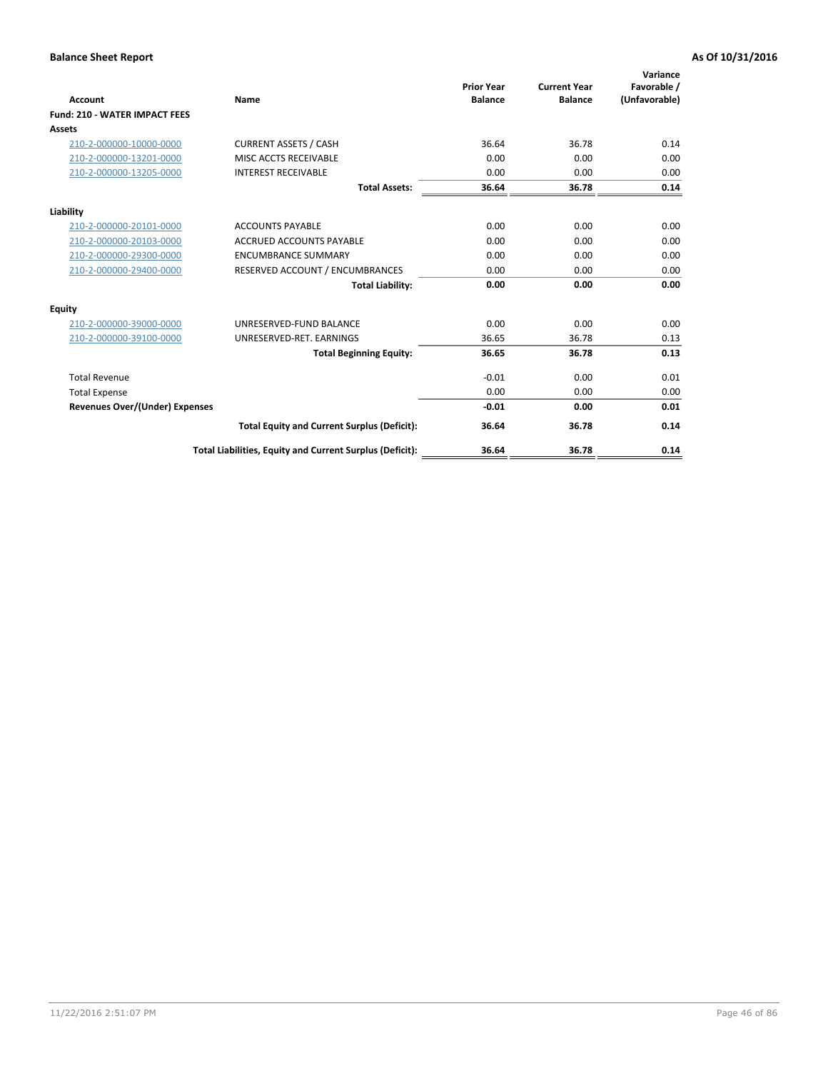| Account                               | Name                                                     | <b>Prior Year</b><br><b>Balance</b> | <b>Current Year</b><br><b>Balance</b> | Variance<br>Favorable /<br>(Unfavorable) |
|---------------------------------------|----------------------------------------------------------|-------------------------------------|---------------------------------------|------------------------------------------|
| <b>Fund: 210 - WATER IMPACT FEES</b>  |                                                          |                                     |                                       |                                          |
| <b>Assets</b>                         |                                                          |                                     |                                       |                                          |
| 210-2-000000-10000-0000               | <b>CURRENT ASSETS / CASH</b>                             | 36.64                               | 36.78                                 | 0.14                                     |
| 210-2-000000-13201-0000               | MISC ACCTS RECEIVABLE                                    | 0.00                                | 0.00                                  | 0.00                                     |
| 210-2-000000-13205-0000               | <b>INTEREST RECEIVABLE</b>                               | 0.00                                | 0.00                                  | 0.00                                     |
|                                       | <b>Total Assets:</b>                                     | 36.64                               | 36.78                                 | 0.14                                     |
| Liability                             |                                                          |                                     |                                       |                                          |
| 210-2-000000-20101-0000               | <b>ACCOUNTS PAYABLE</b>                                  | 0.00                                | 0.00                                  | 0.00                                     |
| 210-2-000000-20103-0000               | <b>ACCRUED ACCOUNTS PAYABLE</b>                          | 0.00                                | 0.00                                  | 0.00                                     |
| 210-2-000000-29300-0000               | <b>ENCUMBRANCE SUMMARY</b>                               | 0.00                                | 0.00                                  | 0.00                                     |
| 210-2-000000-29400-0000               | RESERVED ACCOUNT / ENCUMBRANCES                          | 0.00                                | 0.00                                  | 0.00                                     |
|                                       | <b>Total Liability:</b>                                  | 0.00                                | 0.00                                  | 0.00                                     |
| <b>Equity</b>                         |                                                          |                                     |                                       |                                          |
| 210-2-000000-39000-0000               | UNRESERVED-FUND BALANCE                                  | 0.00                                | 0.00                                  | 0.00                                     |
| 210-2-000000-39100-0000               | UNRESERVED-RET. EARNINGS                                 | 36.65                               | 36.78                                 | 0.13                                     |
|                                       | <b>Total Beginning Equity:</b>                           | 36.65                               | 36.78                                 | 0.13                                     |
| <b>Total Revenue</b>                  |                                                          | $-0.01$                             | 0.00                                  | 0.01                                     |
| <b>Total Expense</b>                  |                                                          | 0.00                                | 0.00                                  | 0.00                                     |
| <b>Revenues Over/(Under) Expenses</b> |                                                          | $-0.01$                             | 0.00                                  | 0.01                                     |
|                                       | <b>Total Equity and Current Surplus (Deficit):</b>       | 36.64                               | 36.78                                 | 0.14                                     |
|                                       | Total Liabilities, Equity and Current Surplus (Deficit): | 36.64                               | 36.78                                 | 0.14                                     |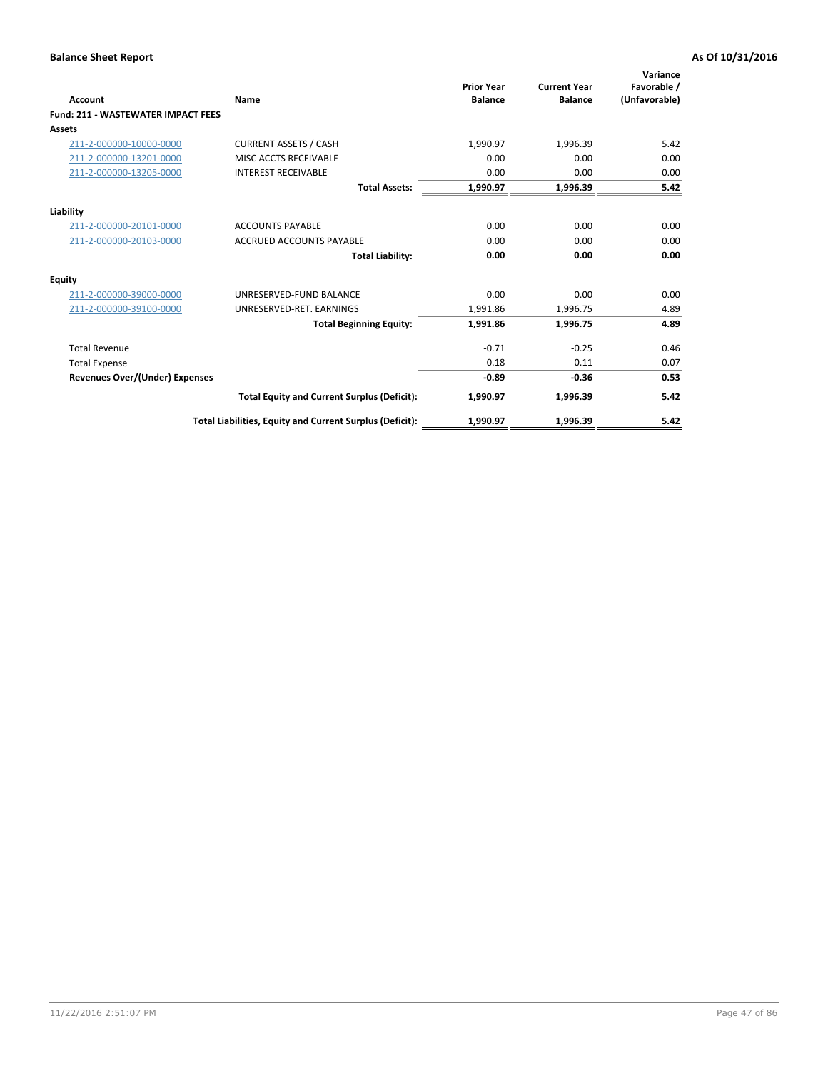| <b>Account</b>                            | Name                                                     | <b>Prior Year</b><br><b>Balance</b> | <b>Current Year</b><br><b>Balance</b> | Variance<br>Favorable /<br>(Unfavorable) |
|-------------------------------------------|----------------------------------------------------------|-------------------------------------|---------------------------------------|------------------------------------------|
| <b>Fund: 211 - WASTEWATER IMPACT FEES</b> |                                                          |                                     |                                       |                                          |
| <b>Assets</b>                             |                                                          |                                     |                                       |                                          |
| 211-2-000000-10000-0000                   | <b>CURRENT ASSETS / CASH</b>                             | 1,990.97                            | 1,996.39                              | 5.42                                     |
| 211-2-000000-13201-0000                   | MISC ACCTS RECEIVABLE                                    | 0.00                                | 0.00                                  | 0.00                                     |
| 211-2-000000-13205-0000                   | <b>INTEREST RECEIVABLE</b>                               | 0.00                                | 0.00                                  | 0.00                                     |
|                                           | <b>Total Assets:</b>                                     | 1,990.97                            | 1,996.39                              | 5.42                                     |
| Liability                                 |                                                          |                                     |                                       |                                          |
| 211-2-000000-20101-0000                   | <b>ACCOUNTS PAYABLE</b>                                  | 0.00                                | 0.00                                  | 0.00                                     |
| 211-2-000000-20103-0000                   | <b>ACCRUED ACCOUNTS PAYABLE</b>                          | 0.00                                | 0.00                                  | 0.00                                     |
|                                           | <b>Total Liability:</b>                                  | 0.00                                | 0.00                                  | 0.00                                     |
| <b>Equity</b>                             |                                                          |                                     |                                       |                                          |
| 211-2-000000-39000-0000                   | UNRESERVED-FUND BALANCE                                  | 0.00                                | 0.00                                  | 0.00                                     |
| 211-2-000000-39100-0000                   | UNRESERVED-RET. EARNINGS                                 | 1,991.86                            | 1,996.75                              | 4.89                                     |
|                                           | <b>Total Beginning Equity:</b>                           | 1,991.86                            | 1,996.75                              | 4.89                                     |
| <b>Total Revenue</b>                      |                                                          | $-0.71$                             | $-0.25$                               | 0.46                                     |
| <b>Total Expense</b>                      |                                                          | 0.18                                | 0.11                                  | 0.07                                     |
| <b>Revenues Over/(Under) Expenses</b>     |                                                          | $-0.89$                             | $-0.36$                               | 0.53                                     |
|                                           | <b>Total Equity and Current Surplus (Deficit):</b>       | 1,990.97                            | 1,996.39                              | 5.42                                     |
|                                           | Total Liabilities, Equity and Current Surplus (Deficit): | 1,990.97                            | 1,996.39                              | 5.42                                     |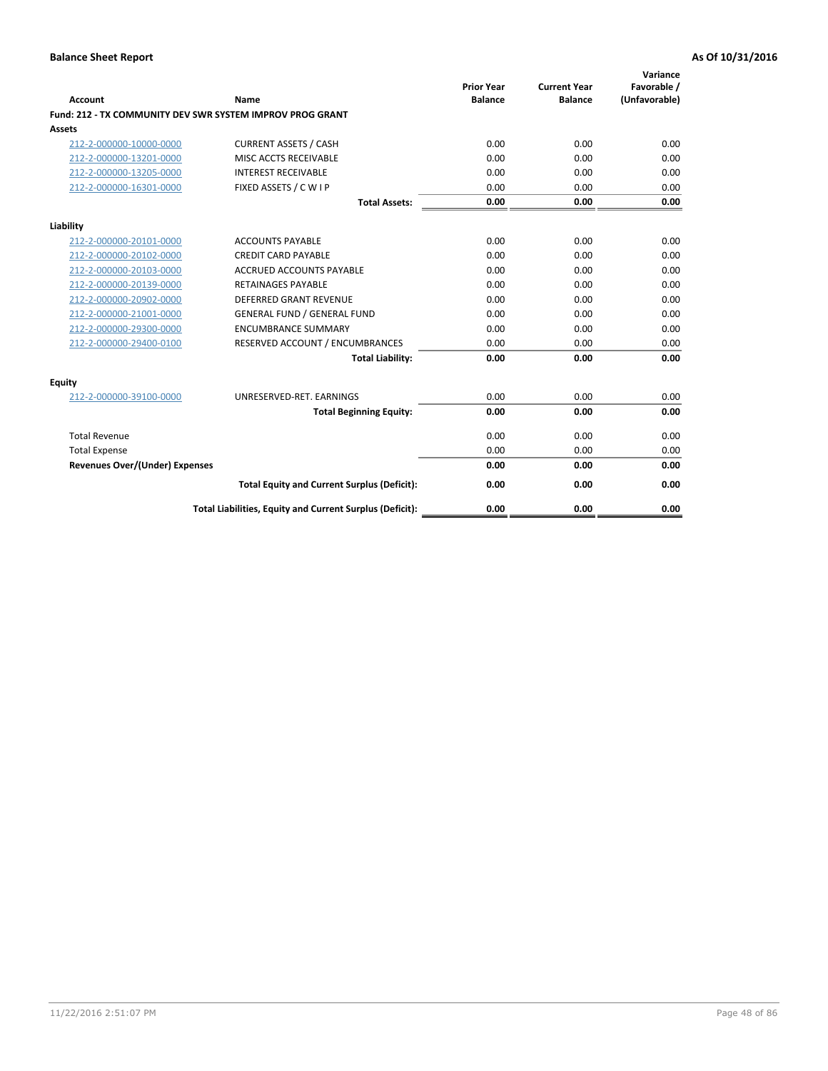| <b>Account</b>                        | Name                                                      | <b>Prior Year</b><br><b>Balance</b> | <b>Current Year</b><br><b>Balance</b> | Variance<br>Favorable /<br>(Unfavorable) |
|---------------------------------------|-----------------------------------------------------------|-------------------------------------|---------------------------------------|------------------------------------------|
|                                       | Fund: 212 - TX COMMUNITY DEV SWR SYSTEM IMPROV PROG GRANT |                                     |                                       |                                          |
| <b>Assets</b>                         |                                                           |                                     |                                       |                                          |
| 212-2-000000-10000-0000               | <b>CURRENT ASSETS / CASH</b>                              | 0.00                                | 0.00                                  | 0.00                                     |
| 212-2-000000-13201-0000               | MISC ACCTS RECEIVABLE                                     | 0.00                                | 0.00                                  | 0.00                                     |
| 212-2-000000-13205-0000               | <b>INTEREST RECEIVABLE</b>                                | 0.00                                | 0.00                                  | 0.00                                     |
| 212-2-000000-16301-0000               | FIXED ASSETS / C W I P                                    | 0.00                                | 0.00                                  | 0.00                                     |
|                                       | <b>Total Assets:</b>                                      | 0.00                                | 0.00                                  | 0.00                                     |
| Liability                             |                                                           |                                     |                                       |                                          |
| 212-2-000000-20101-0000               | <b>ACCOUNTS PAYABLE</b>                                   | 0.00                                | 0.00                                  | 0.00                                     |
| 212-2-000000-20102-0000               | <b>CREDIT CARD PAYABLE</b>                                | 0.00                                | 0.00                                  | 0.00                                     |
| 212-2-000000-20103-0000               | <b>ACCRUED ACCOUNTS PAYABLE</b>                           | 0.00                                | 0.00                                  | 0.00                                     |
| 212-2-000000-20139-0000               | <b>RETAINAGES PAYABLE</b>                                 | 0.00                                | 0.00                                  | 0.00                                     |
| 212-2-000000-20902-0000               | <b>DEFERRED GRANT REVENUE</b>                             | 0.00                                | 0.00                                  | 0.00                                     |
| 212-2-000000-21001-0000               | <b>GENERAL FUND / GENERAL FUND</b>                        | 0.00                                | 0.00                                  | 0.00                                     |
| 212-2-000000-29300-0000               | <b>ENCUMBRANCE SUMMARY</b>                                | 0.00                                | 0.00                                  | 0.00                                     |
| 212-2-000000-29400-0100               | RESERVED ACCOUNT / ENCUMBRANCES                           | 0.00                                | 0.00                                  | 0.00                                     |
|                                       | <b>Total Liability:</b>                                   | 0.00                                | 0.00                                  | 0.00                                     |
| <b>Equity</b>                         |                                                           |                                     |                                       |                                          |
| 212-2-000000-39100-0000               | UNRESERVED-RET. EARNINGS                                  | 0.00                                | 0.00                                  | 0.00                                     |
|                                       | <b>Total Beginning Equity:</b>                            | 0.00                                | 0.00                                  | 0.00                                     |
| <b>Total Revenue</b>                  |                                                           | 0.00                                | 0.00                                  | 0.00                                     |
| <b>Total Expense</b>                  |                                                           | 0.00                                | 0.00                                  | 0.00                                     |
| <b>Revenues Over/(Under) Expenses</b> |                                                           | 0.00                                | 0.00                                  | 0.00                                     |
|                                       | <b>Total Equity and Current Surplus (Deficit):</b>        | 0.00                                | 0.00                                  | 0.00                                     |
|                                       | Total Liabilities, Equity and Current Surplus (Deficit):  | 0.00                                | 0.00                                  | 0.00                                     |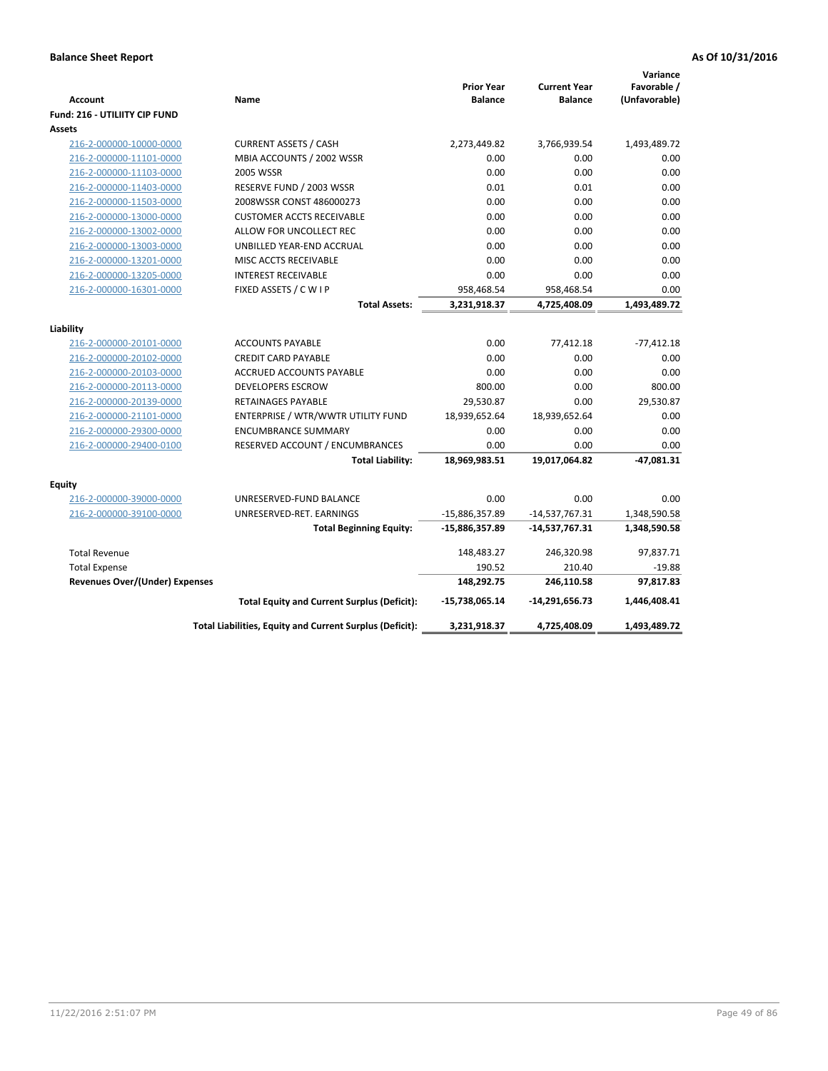|                                       |                                                          |                   |                     | Variance      |
|---------------------------------------|----------------------------------------------------------|-------------------|---------------------|---------------|
|                                       |                                                          | <b>Prior Year</b> | <b>Current Year</b> | Favorable /   |
| <b>Account</b>                        | Name                                                     | <b>Balance</b>    | <b>Balance</b>      | (Unfavorable) |
| <b>Fund: 216 - UTILIITY CIP FUND</b>  |                                                          |                   |                     |               |
| <b>Assets</b>                         |                                                          |                   |                     |               |
| 216-2-000000-10000-0000               | <b>CURRENT ASSETS / CASH</b>                             | 2,273,449.82      | 3,766,939.54        | 1,493,489.72  |
| 216-2-000000-11101-0000               | MBIA ACCOUNTS / 2002 WSSR                                | 0.00              | 0.00                | 0.00          |
| 216-2-000000-11103-0000               | <b>2005 WSSR</b>                                         | 0.00              | 0.00                | 0.00          |
| 216-2-000000-11403-0000               | RESERVE FUND / 2003 WSSR                                 | 0.01              | 0.01                | 0.00          |
| 216-2-000000-11503-0000               | 2008WSSR CONST 486000273                                 | 0.00              | 0.00                | 0.00          |
| 216-2-000000-13000-0000               | <b>CUSTOMER ACCTS RECEIVABLE</b>                         | 0.00              | 0.00                | 0.00          |
| 216-2-000000-13002-0000               | ALLOW FOR UNCOLLECT REC                                  | 0.00              | 0.00                | 0.00          |
| 216-2-000000-13003-0000               | UNBILLED YEAR-END ACCRUAL                                | 0.00              | 0.00                | 0.00          |
| 216-2-000000-13201-0000               | MISC ACCTS RECEIVABLE                                    | 0.00              | 0.00                | 0.00          |
| 216-2-000000-13205-0000               | <b>INTEREST RECEIVABLE</b>                               | 0.00              | 0.00                | 0.00          |
| 216-2-000000-16301-0000               | FIXED ASSETS / C W I P                                   | 958,468.54        | 958,468.54          | 0.00          |
|                                       | <b>Total Assets:</b>                                     | 3,231,918.37      | 4,725,408.09        | 1,493,489.72  |
| Liability                             |                                                          |                   |                     |               |
| 216-2-000000-20101-0000               | <b>ACCOUNTS PAYABLE</b>                                  | 0.00              | 77,412.18           | $-77,412.18$  |
| 216-2-000000-20102-0000               | <b>CREDIT CARD PAYABLE</b>                               | 0.00              | 0.00                | 0.00          |
| 216-2-000000-20103-0000               | ACCRUED ACCOUNTS PAYABLE                                 | 0.00              | 0.00                | 0.00          |
| 216-2-000000-20113-0000               | <b>DEVELOPERS ESCROW</b>                                 | 800.00            | 0.00                | 800.00        |
| 216-2-000000-20139-0000               | RETAINAGES PAYABLE                                       | 29,530.87         | 0.00                | 29,530.87     |
| 216-2-000000-21101-0000               | ENTERPRISE / WTR/WWTR UTILITY FUND                       | 18,939,652.64     | 18,939,652.64       | 0.00          |
| 216-2-000000-29300-0000               | <b>ENCUMBRANCE SUMMARY</b>                               | 0.00              | 0.00                | 0.00          |
| 216-2-000000-29400-0100               | RESERVED ACCOUNT / ENCUMBRANCES                          | 0.00              | 0.00                | 0.00          |
|                                       | <b>Total Liability:</b>                                  | 18,969,983.51     | 19,017,064.82       | $-47,081.31$  |
| <b>Equity</b>                         |                                                          |                   |                     |               |
| 216-2-000000-39000-0000               | UNRESERVED-FUND BALANCE                                  | 0.00              | 0.00                | 0.00          |
| 216-2-000000-39100-0000               | UNRESERVED-RET. EARNINGS                                 | -15,886,357.89    | $-14,537,767.31$    | 1,348,590.58  |
|                                       | <b>Total Beginning Equity:</b>                           | $-15,886,357.89$  | $-14,537,767.31$    | 1,348,590.58  |
| <b>Total Revenue</b>                  |                                                          | 148,483.27        | 246,320.98          | 97,837.71     |
| <b>Total Expense</b>                  |                                                          | 190.52            | 210.40              | $-19.88$      |
| <b>Revenues Over/(Under) Expenses</b> |                                                          | 148,292.75        | 246,110.58          | 97,817.83     |
|                                       | <b>Total Equity and Current Surplus (Deficit):</b>       | -15,738,065.14    | -14,291,656.73      | 1,446,408.41  |
|                                       | Total Liabilities, Equity and Current Surplus (Deficit): | 3,231,918.37      | 4,725,408.09        | 1,493,489.72  |
|                                       |                                                          |                   |                     |               |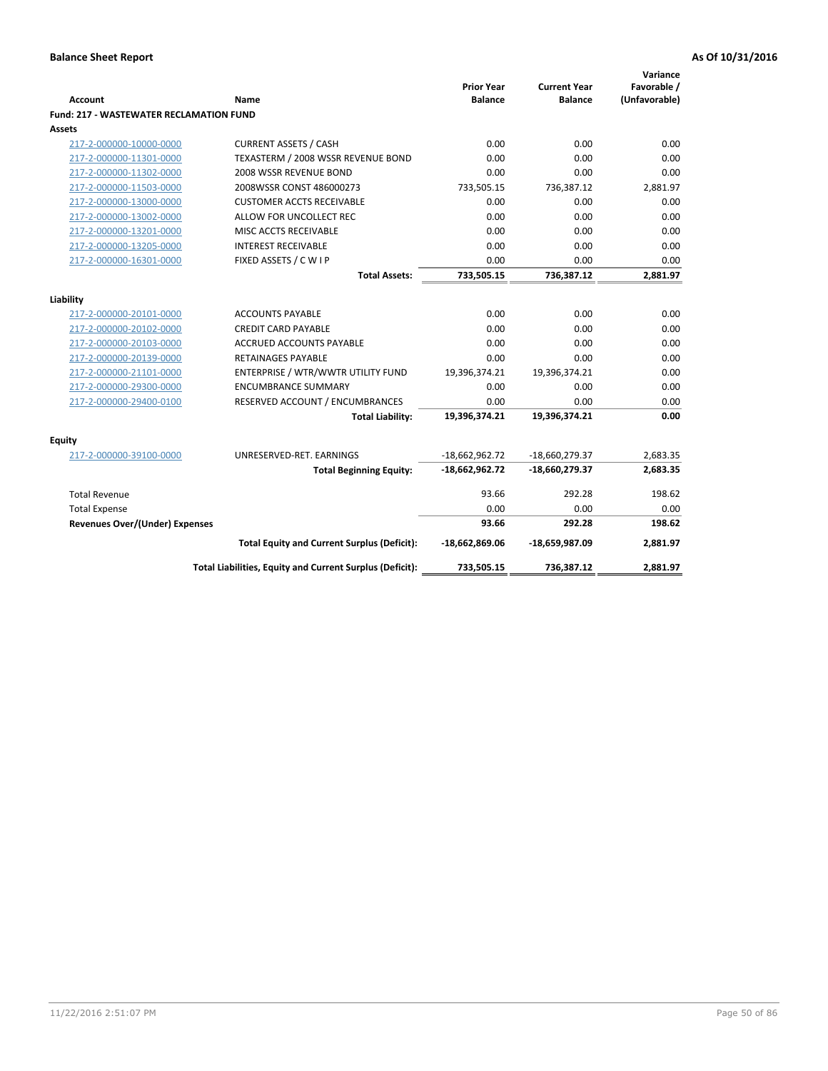|                                                |                                                          | <b>Prior Year</b> | <b>Current Year</b> | Variance<br>Favorable / |
|------------------------------------------------|----------------------------------------------------------|-------------------|---------------------|-------------------------|
| <b>Account</b>                                 | Name                                                     | <b>Balance</b>    | <b>Balance</b>      | (Unfavorable)           |
| <b>Fund: 217 - WASTEWATER RECLAMATION FUND</b> |                                                          |                   |                     |                         |
| <b>Assets</b>                                  |                                                          |                   |                     |                         |
| 217-2-000000-10000-0000                        | <b>CURRENT ASSETS / CASH</b>                             | 0.00              | 0.00                | 0.00                    |
| 217-2-000000-11301-0000                        | TEXASTERM / 2008 WSSR REVENUE BOND                       | 0.00              | 0.00                | 0.00                    |
| 217-2-000000-11302-0000                        | 2008 WSSR REVENUE BOND                                   | 0.00              | 0.00                | 0.00                    |
| 217-2-000000-11503-0000                        | 2008WSSR CONST 486000273                                 | 733,505.15        | 736,387.12          | 2,881.97                |
| 217-2-000000-13000-0000                        | <b>CUSTOMER ACCTS RECEIVABLE</b>                         | 0.00              | 0.00                | 0.00                    |
| 217-2-000000-13002-0000                        | ALLOW FOR UNCOLLECT REC                                  | 0.00              | 0.00                | 0.00                    |
| 217-2-000000-13201-0000                        | MISC ACCTS RECEIVABLE                                    | 0.00              | 0.00                | 0.00                    |
| 217-2-000000-13205-0000                        | <b>INTEREST RECEIVABLE</b>                               | 0.00              | 0.00                | 0.00                    |
| 217-2-000000-16301-0000                        | FIXED ASSETS / C W I P                                   | 0.00              | 0.00                | 0.00                    |
|                                                | <b>Total Assets:</b>                                     | 733,505.15        | 736,387.12          | 2,881.97                |
|                                                |                                                          |                   |                     |                         |
| Liability                                      |                                                          |                   |                     |                         |
| 217-2-000000-20101-0000                        | <b>ACCOUNTS PAYABLE</b>                                  | 0.00              | 0.00                | 0.00                    |
| 217-2-000000-20102-0000                        | <b>CREDIT CARD PAYABLE</b>                               | 0.00              | 0.00                | 0.00                    |
| 217-2-000000-20103-0000                        | ACCRUED ACCOUNTS PAYABLE                                 | 0.00              | 0.00                | 0.00                    |
| 217-2-000000-20139-0000                        | <b>RETAINAGES PAYABLE</b>                                | 0.00              | 0.00                | 0.00<br>0.00            |
| 217-2-000000-21101-0000                        | ENTERPRISE / WTR/WWTR UTILITY FUND                       | 19,396,374.21     | 19,396,374.21       |                         |
| 217-2-000000-29300-0000                        | <b>ENCUMBRANCE SUMMARY</b>                               | 0.00              | 0.00                | 0.00<br>0.00            |
| 217-2-000000-29400-0100                        | RESERVED ACCOUNT / ENCUMBRANCES                          | 0.00              | 0.00                |                         |
|                                                | <b>Total Liability:</b>                                  | 19,396,374.21     | 19,396,374.21       | 0.00                    |
| <b>Equity</b>                                  |                                                          |                   |                     |                         |
| 217-2-000000-39100-0000                        | UNRESERVED-RET. EARNINGS                                 | $-18,662,962.72$  | $-18,660,279.37$    | 2.683.35                |
|                                                | <b>Total Beginning Equity:</b>                           | $-18,662,962.72$  | -18,660,279.37      | 2,683.35                |
| <b>Total Revenue</b>                           |                                                          | 93.66             | 292.28              | 198.62                  |
| <b>Total Expense</b>                           |                                                          | 0.00              | 0.00                | 0.00                    |
| <b>Revenues Over/(Under) Expenses</b>          |                                                          | 93.66             | 292.28              | 198.62                  |
|                                                | <b>Total Equity and Current Surplus (Deficit):</b>       | -18,662,869.06    | -18,659,987.09      | 2,881.97                |
|                                                | Total Liabilities, Equity and Current Surplus (Deficit): | 733,505.15        | 736,387.12          | 2.881.97                |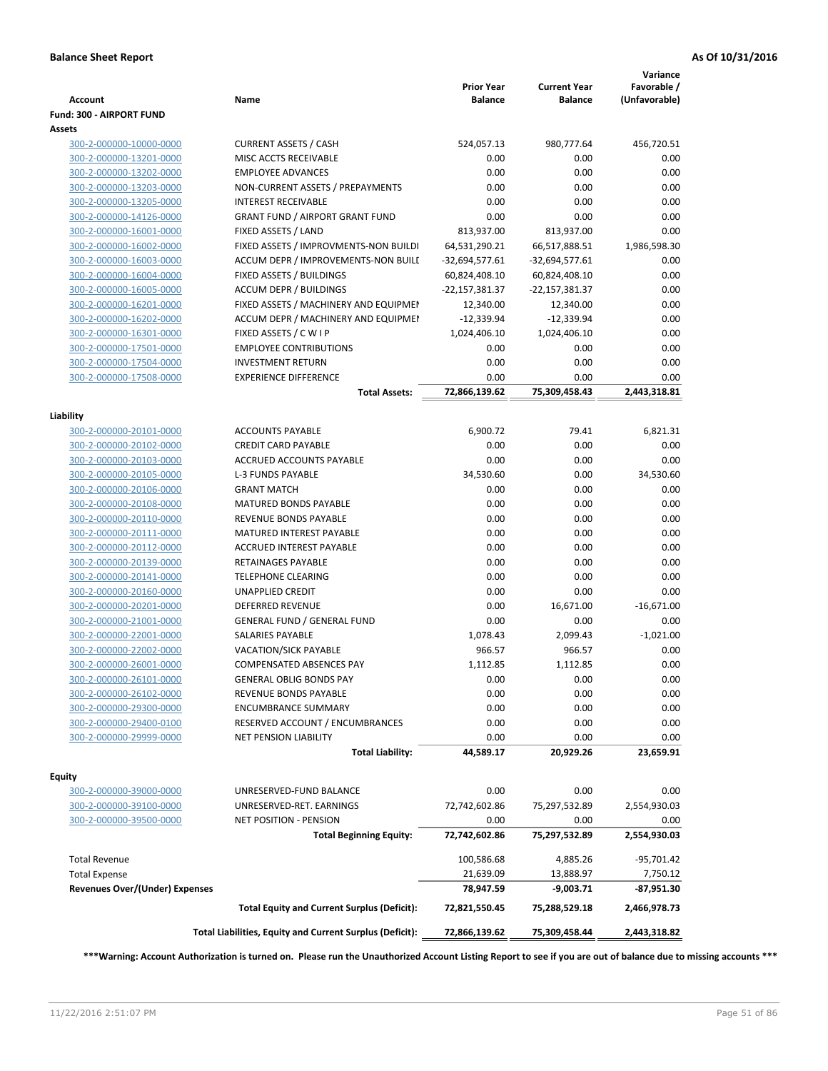| <b>Account</b>                        | Name                                                     | <b>Prior Year</b><br><b>Balance</b> | <b>Current Year</b><br><b>Balance</b> | Variance<br>Favorable /<br>(Unfavorable) |
|---------------------------------------|----------------------------------------------------------|-------------------------------------|---------------------------------------|------------------------------------------|
| Fund: 300 - AIRPORT FUND              |                                                          |                                     |                                       |                                          |
| Assets                                |                                                          |                                     |                                       |                                          |
| 300-2-000000-10000-0000               | <b>CURRENT ASSETS / CASH</b>                             | 524,057.13                          | 980,777.64                            | 456,720.51                               |
| 300-2-000000-13201-0000               | MISC ACCTS RECEIVABLE                                    | 0.00                                | 0.00                                  | 0.00                                     |
| 300-2-000000-13202-0000               | <b>EMPLOYEE ADVANCES</b>                                 | 0.00                                | 0.00                                  | 0.00                                     |
| 300-2-000000-13203-0000               | NON-CURRENT ASSETS / PREPAYMENTS                         | 0.00                                | 0.00                                  | 0.00                                     |
| 300-2-000000-13205-0000               | <b>INTEREST RECEIVABLE</b>                               | 0.00                                | 0.00                                  | 0.00                                     |
| 300-2-000000-14126-0000               | <b>GRANT FUND / AIRPORT GRANT FUND</b>                   | 0.00                                | 0.00                                  | 0.00                                     |
| 300-2-000000-16001-0000               | FIXED ASSETS / LAND                                      | 813,937.00                          | 813,937.00                            | 0.00                                     |
| 300-2-000000-16002-0000               | FIXED ASSETS / IMPROVMENTS-NON BUILDI                    | 64,531,290.21                       | 66,517,888.51                         | 1,986,598.30                             |
| 300-2-000000-16003-0000               | ACCUM DEPR / IMPROVEMENTS-NON BUILI                      | $-32,694,577.61$                    | $-32,694,577.61$                      | 0.00                                     |
| 300-2-000000-16004-0000               | FIXED ASSETS / BUILDINGS                                 | 60,824,408.10                       | 60,824,408.10                         | 0.00                                     |
| 300-2-000000-16005-0000               | <b>ACCUM DEPR / BUILDINGS</b>                            | -22,157,381.37                      | $-22,157,381.37$                      | 0.00                                     |
| 300-2-000000-16201-0000               | FIXED ASSETS / MACHINERY AND EQUIPMEN                    | 12,340.00                           | 12,340.00                             | 0.00                                     |
| 300-2-000000-16202-0000               | ACCUM DEPR / MACHINERY AND EQUIPMEI                      | $-12,339.94$                        | $-12,339.94$                          | 0.00                                     |
| 300-2-000000-16301-0000               | FIXED ASSETS / C W I P                                   | 1,024,406.10                        | 1,024,406.10                          | 0.00                                     |
| 300-2-000000-17501-0000               | <b>EMPLOYEE CONTRIBUTIONS</b>                            | 0.00                                | 0.00                                  | 0.00                                     |
| 300-2-000000-17504-0000               | <b>INVESTMENT RETURN</b>                                 | 0.00                                | 0.00                                  | 0.00                                     |
| 300-2-000000-17508-0000               | <b>EXPERIENCE DIFFERENCE</b>                             | 0.00                                | 0.00                                  | 0.00                                     |
|                                       | <b>Total Assets:</b>                                     | 72,866,139.62                       | 75,309,458.43                         | 2,443,318.81                             |
|                                       |                                                          |                                     |                                       |                                          |
| Liability                             |                                                          |                                     |                                       |                                          |
| 300-2-000000-20101-0000               | <b>ACCOUNTS PAYABLE</b>                                  | 6,900.72                            | 79.41                                 | 6,821.31                                 |
| 300-2-000000-20102-0000               | <b>CREDIT CARD PAYABLE</b>                               | 0.00                                | 0.00                                  | 0.00                                     |
| 300-2-000000-20103-0000               | ACCRUED ACCOUNTS PAYABLE                                 | 0.00                                | 0.00                                  | 0.00                                     |
| 300-2-000000-20105-0000               | <b>L-3 FUNDS PAYABLE</b>                                 | 34,530.60                           | 0.00                                  | 34,530.60                                |
| 300-2-000000-20106-0000               | <b>GRANT MATCH</b>                                       | 0.00                                | 0.00                                  | 0.00                                     |
| 300-2-000000-20108-0000               | <b>MATURED BONDS PAYABLE</b>                             | 0.00                                | 0.00                                  | 0.00                                     |
| 300-2-000000-20110-0000               | REVENUE BONDS PAYABLE                                    | 0.00                                | 0.00                                  | 0.00                                     |
| 300-2-000000-20111-0000               | MATURED INTEREST PAYABLE                                 | 0.00                                | 0.00                                  | 0.00                                     |
| 300-2-000000-20112-0000               | <b>ACCRUED INTEREST PAYABLE</b>                          | 0.00                                | 0.00                                  | 0.00                                     |
| 300-2-000000-20139-0000               | RETAINAGES PAYABLE                                       | 0.00                                | 0.00                                  | 0.00                                     |
| 300-2-000000-20141-0000               | <b>TELEPHONE CLEARING</b>                                | 0.00                                | 0.00                                  | 0.00                                     |
| 300-2-000000-20160-0000               | <b>UNAPPLIED CREDIT</b>                                  | 0.00                                | 0.00                                  | 0.00                                     |
| 300-2-000000-20201-0000               | <b>DEFERRED REVENUE</b>                                  | 0.00                                | 16,671.00                             | $-16,671.00$                             |
| 300-2-000000-21001-0000               | <b>GENERAL FUND / GENERAL FUND</b>                       | 0.00                                | 0.00                                  | 0.00                                     |
| 300-2-000000-22001-0000               | <b>SALARIES PAYABLE</b>                                  | 1,078.43                            | 2,099.43                              | $-1,021.00$                              |
| 300-2-000000-22002-0000               | <b>VACATION/SICK PAYABLE</b>                             | 966.57                              | 966.57                                | 0.00                                     |
| 300-2-000000-26001-0000               | <b>COMPENSATED ABSENCES PAY</b>                          | 1,112.85                            | 1,112.85                              | 0.00                                     |
| 300-2-000000-26101-0000               | <b>GENERAL OBLIG BONDS PAY</b>                           | 0.00                                | 0.00                                  | 0.00                                     |
| 300-2-000000-26102-0000               | REVENUE BONDS PAYABLE                                    | 0.00                                | 0.00                                  | 0.00                                     |
| 300-2-000000-29300-0000               | <b>ENCUMBRANCE SUMMARY</b>                               | 0.00                                | 0.00                                  | 0.00                                     |
| 300-2-000000-29400-0100               | RESERVED ACCOUNT / ENCUMBRANCES                          | 0.00                                | 0.00                                  | 0.00                                     |
| 300-2-000000-29999-0000               | <b>NET PENSION LIABILITY</b>                             | 0.00                                | 0.00                                  | 0.00                                     |
|                                       | <b>Total Liability:</b>                                  | 44,589.17                           | 20,929.26                             | 23,659.91                                |
|                                       |                                                          |                                     |                                       |                                          |
| Equity                                |                                                          |                                     |                                       |                                          |
| 300-2-000000-39000-0000               | UNRESERVED-FUND BALANCE                                  | 0.00                                | 0.00                                  | 0.00                                     |
| 300-2-000000-39100-0000               | UNRESERVED-RET. EARNINGS                                 | 72,742,602.86                       | 75,297,532.89                         | 2,554,930.03                             |
| 300-2-000000-39500-0000               | NET POSITION - PENSION                                   | 0.00                                | 0.00                                  | 0.00                                     |
|                                       | <b>Total Beginning Equity:</b>                           | 72,742,602.86                       | 75,297,532.89                         | 2,554,930.03                             |
|                                       |                                                          |                                     |                                       |                                          |
| <b>Total Revenue</b>                  |                                                          | 100,586.68                          | 4,885.26                              | -95,701.42                               |
| <b>Total Expense</b>                  |                                                          | 21,639.09                           | 13,888.97                             | 7,750.12                                 |
| <b>Revenues Over/(Under) Expenses</b> |                                                          | 78,947.59                           | $-9,003.71$                           | -87,951.30                               |
|                                       | <b>Total Equity and Current Surplus (Deficit):</b>       | 72,821,550.45                       | 75,288,529.18                         | 2,466,978.73                             |
|                                       | Total Liabilities, Equity and Current Surplus (Deficit): | 72,866,139.62                       | 75,309,458.44                         | 2,443,318.82                             |
|                                       |                                                          |                                     |                                       |                                          |

**\*\*\*Warning: Account Authorization is turned on. Please run the Unauthorized Account Listing Report to see if you are out of balance due to missing accounts \*\*\***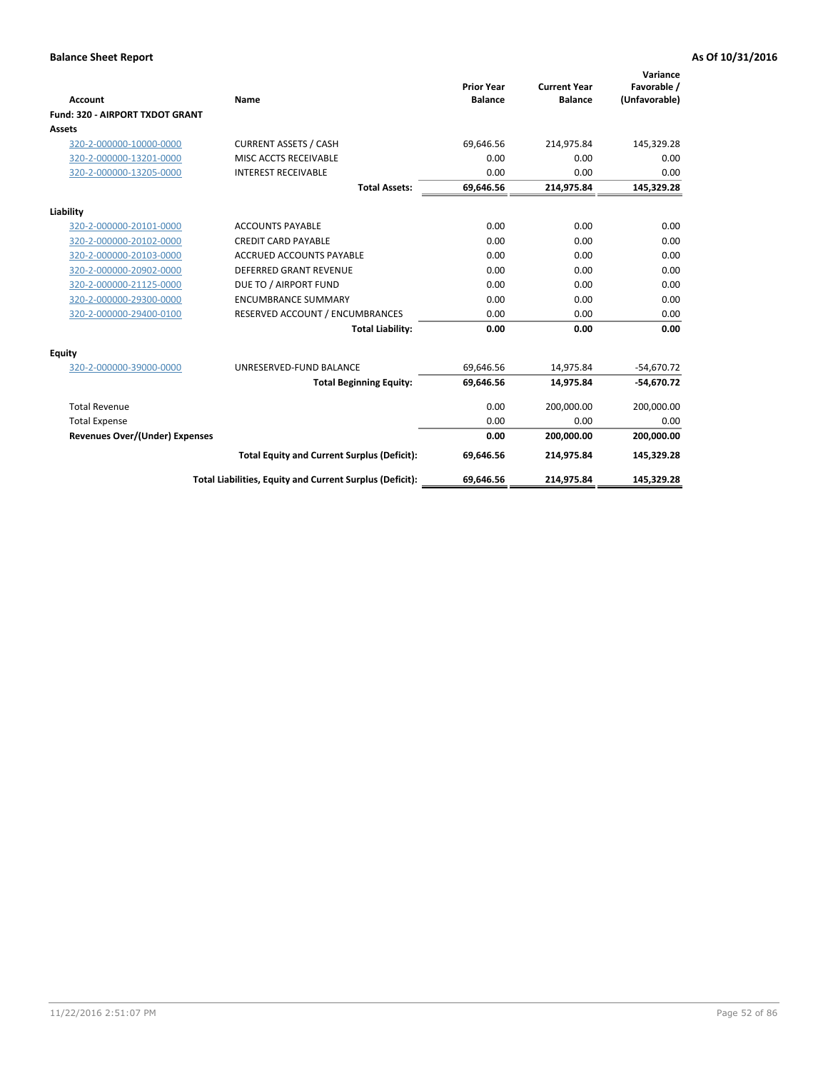|                                 |                                                          |                                     |                                       | Variance                     |
|---------------------------------|----------------------------------------------------------|-------------------------------------|---------------------------------------|------------------------------|
| <b>Account</b>                  | Name                                                     | <b>Prior Year</b><br><b>Balance</b> | <b>Current Year</b><br><b>Balance</b> | Favorable /<br>(Unfavorable) |
| Fund: 320 - AIRPORT TXDOT GRANT |                                                          |                                     |                                       |                              |
| Assets                          |                                                          |                                     |                                       |                              |
| 320-2-000000-10000-0000         | <b>CURRENT ASSETS / CASH</b>                             | 69,646.56                           | 214,975.84                            | 145,329.28                   |
| 320-2-000000-13201-0000         | MISC ACCTS RECEIVABLE                                    | 0.00                                | 0.00                                  | 0.00                         |
| 320-2-000000-13205-0000         | <b>INTEREST RECEIVABLE</b>                               | 0.00                                | 0.00                                  | 0.00                         |
|                                 | <b>Total Assets:</b>                                     | 69,646.56                           | 214,975.84                            | 145,329.28                   |
| Liability                       |                                                          |                                     |                                       |                              |
| 320-2-000000-20101-0000         | <b>ACCOUNTS PAYABLE</b>                                  | 0.00                                | 0.00                                  | 0.00                         |
| 320-2-000000-20102-0000         | <b>CREDIT CARD PAYABLE</b>                               | 0.00                                | 0.00                                  | 0.00                         |
| 320-2-000000-20103-0000         | <b>ACCRUED ACCOUNTS PAYABLE</b>                          | 0.00                                | 0.00                                  | 0.00                         |
| 320-2-000000-20902-0000         | <b>DEFERRED GRANT REVENUE</b>                            | 0.00                                | 0.00                                  | 0.00                         |
| 320-2-000000-21125-0000         | DUE TO / AIRPORT FUND                                    | 0.00                                | 0.00                                  | 0.00                         |
| 320-2-000000-29300-0000         | <b>ENCUMBRANCE SUMMARY</b>                               | 0.00                                | 0.00                                  | 0.00                         |
| 320-2-000000-29400-0100         | RESERVED ACCOUNT / ENCUMBRANCES                          | 0.00                                | 0.00                                  | 0.00                         |
|                                 | <b>Total Liability:</b>                                  | 0.00                                | 0.00                                  | 0.00                         |
| <b>Equity</b>                   |                                                          |                                     |                                       |                              |
| 320-2-000000-39000-0000         | UNRESERVED-FUND BALANCE                                  | 69,646.56                           | 14,975.84                             | $-54,670.72$                 |
|                                 | <b>Total Beginning Equity:</b>                           | 69,646.56                           | 14,975.84                             | $-54,670.72$                 |
| <b>Total Revenue</b>            |                                                          | 0.00                                | 200,000.00                            | 200,000.00                   |
| <b>Total Expense</b>            |                                                          | 0.00                                | 0.00                                  | 0.00                         |
| Revenues Over/(Under) Expenses  |                                                          | 0.00                                | 200,000.00                            | 200,000.00                   |
|                                 | <b>Total Equity and Current Surplus (Deficit):</b>       | 69,646.56                           | 214,975.84                            | 145,329.28                   |
|                                 | Total Liabilities, Equity and Current Surplus (Deficit): | 69,646.56                           | 214,975.84                            | 145,329.28                   |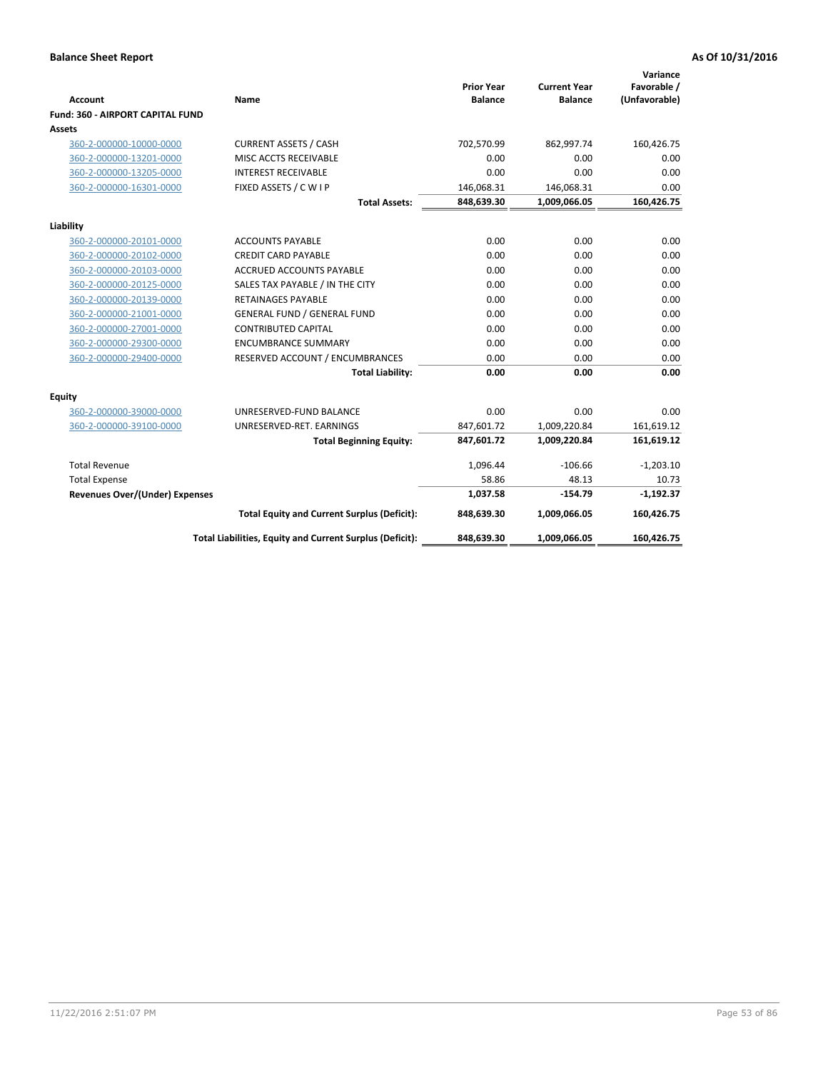|                                         |                                                          |                                     |                                       | Variance                     |
|-----------------------------------------|----------------------------------------------------------|-------------------------------------|---------------------------------------|------------------------------|
| <b>Account</b>                          | Name                                                     | <b>Prior Year</b><br><b>Balance</b> | <b>Current Year</b><br><b>Balance</b> | Favorable /<br>(Unfavorable) |
| <b>Fund: 360 - AIRPORT CAPITAL FUND</b> |                                                          |                                     |                                       |                              |
| Assets                                  |                                                          |                                     |                                       |                              |
| 360-2-000000-10000-0000                 | <b>CURRENT ASSETS / CASH</b>                             | 702,570.99                          | 862,997.74                            | 160,426.75                   |
| 360-2-000000-13201-0000                 | MISC ACCTS RECEIVABLE                                    | 0.00                                | 0.00                                  | 0.00                         |
| 360-2-000000-13205-0000                 | <b>INTEREST RECEIVABLE</b>                               | 0.00                                | 0.00                                  | 0.00                         |
| 360-2-000000-16301-0000                 | FIXED ASSETS / C W I P                                   | 146,068.31                          | 146,068.31                            | 0.00                         |
|                                         | <b>Total Assets:</b>                                     | 848,639.30                          | 1,009,066.05                          | 160,426.75                   |
|                                         |                                                          |                                     |                                       |                              |
| Liability                               |                                                          |                                     |                                       |                              |
| 360-2-000000-20101-0000                 | <b>ACCOUNTS PAYABLE</b>                                  | 0.00                                | 0.00                                  | 0.00                         |
| 360-2-000000-20102-0000                 | <b>CREDIT CARD PAYABLE</b>                               | 0.00                                | 0.00                                  | 0.00                         |
| 360-2-000000-20103-0000                 | <b>ACCRUED ACCOUNTS PAYABLE</b>                          | 0.00                                | 0.00                                  | 0.00                         |
| 360-2-000000-20125-0000                 | SALES TAX PAYABLE / IN THE CITY                          | 0.00                                | 0.00                                  | 0.00                         |
| 360-2-000000-20139-0000                 | <b>RETAINAGES PAYABLE</b>                                | 0.00                                | 0.00                                  | 0.00                         |
| 360-2-000000-21001-0000                 | <b>GENERAL FUND / GENERAL FUND</b>                       | 0.00                                | 0.00                                  | 0.00                         |
| 360-2-000000-27001-0000                 | <b>CONTRIBUTED CAPITAL</b>                               | 0.00                                | 0.00                                  | 0.00                         |
| 360-2-000000-29300-0000                 | <b>ENCUMBRANCE SUMMARY</b>                               | 0.00                                | 0.00                                  | 0.00                         |
| 360-2-000000-29400-0000                 | RESERVED ACCOUNT / ENCUMBRANCES                          | 0.00                                | 0.00                                  | 0.00                         |
|                                         | <b>Total Liability:</b>                                  | 0.00                                | 0.00                                  | 0.00                         |
| <b>Equity</b>                           |                                                          |                                     |                                       |                              |
| 360-2-000000-39000-0000                 | UNRESERVED-FUND BALANCE                                  | 0.00                                | 0.00                                  | 0.00                         |
| 360-2-000000-39100-0000                 | UNRESERVED-RET. EARNINGS                                 | 847,601.72                          | 1,009,220.84                          | 161,619.12                   |
|                                         | <b>Total Beginning Equity:</b>                           | 847,601.72                          | 1,009,220.84                          | 161,619.12                   |
| <b>Total Revenue</b>                    |                                                          | 1,096.44                            | $-106.66$                             | $-1,203.10$                  |
| <b>Total Expense</b>                    |                                                          | 58.86                               | 48.13                                 | 10.73                        |
| <b>Revenues Over/(Under) Expenses</b>   |                                                          | 1,037.58                            | $-154.79$                             | $-1,192.37$                  |
|                                         | <b>Total Equity and Current Surplus (Deficit):</b>       | 848,639.30                          | 1,009,066.05                          | 160,426.75                   |
|                                         | Total Liabilities, Equity and Current Surplus (Deficit): | 848,639.30                          | 1,009,066.05                          | 160.426.75                   |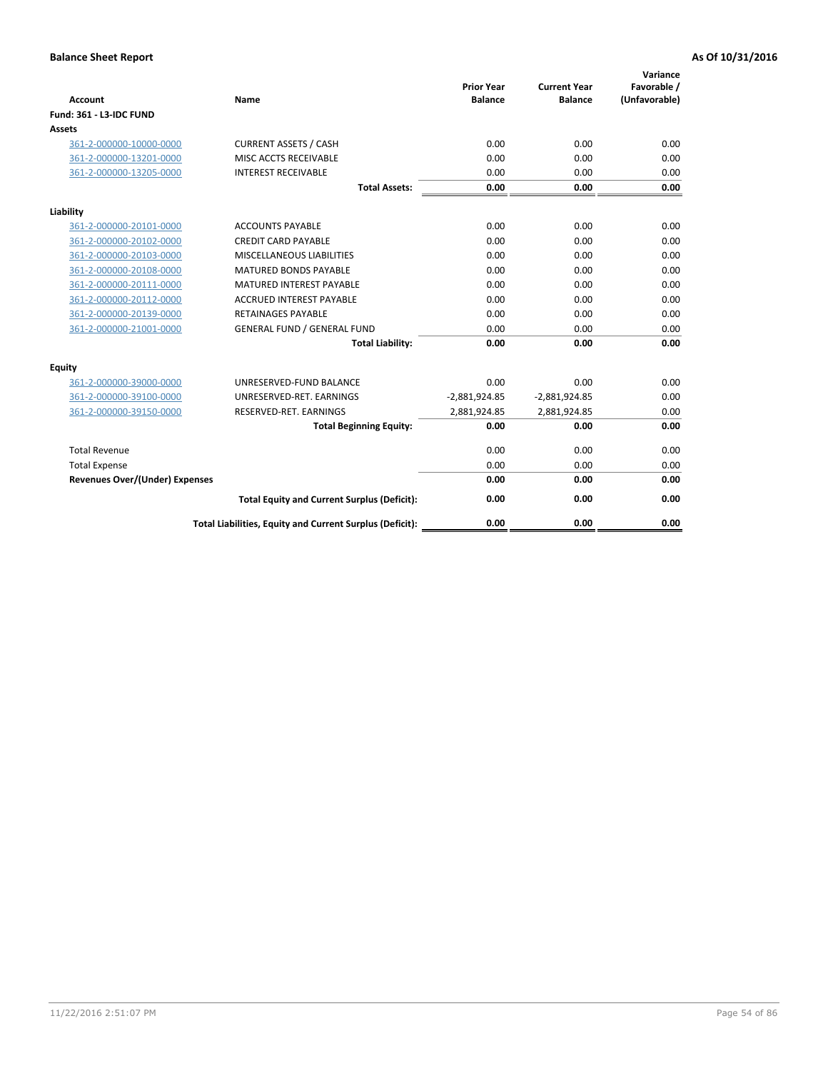| <b>Account</b>                        | <b>Name</b>                                              | <b>Prior Year</b><br><b>Balance</b> | <b>Current Year</b><br><b>Balance</b> | Variance<br>Favorable /<br>(Unfavorable) |
|---------------------------------------|----------------------------------------------------------|-------------------------------------|---------------------------------------|------------------------------------------|
| <b>Fund: 361 - L3-IDC FUND</b>        |                                                          |                                     |                                       |                                          |
| Assets                                |                                                          |                                     |                                       |                                          |
| 361-2-000000-10000-0000               | <b>CURRENT ASSETS / CASH</b>                             | 0.00                                | 0.00                                  | 0.00                                     |
| 361-2-000000-13201-0000               | MISC ACCTS RECEIVABLE                                    | 0.00                                | 0.00                                  | 0.00                                     |
| 361-2-000000-13205-0000               | <b>INTEREST RECEIVABLE</b>                               | 0.00                                | 0.00                                  | 0.00                                     |
|                                       | <b>Total Assets:</b>                                     | 0.00                                | 0.00                                  | 0.00                                     |
| Liability                             |                                                          |                                     |                                       |                                          |
| 361-2-000000-20101-0000               | <b>ACCOUNTS PAYABLE</b>                                  | 0.00                                | 0.00                                  | 0.00                                     |
| 361-2-000000-20102-0000               | <b>CREDIT CARD PAYABLE</b>                               | 0.00                                | 0.00                                  | 0.00                                     |
| 361-2-000000-20103-0000               | MISCELLANEOUS LIABILITIES                                | 0.00                                | 0.00                                  | 0.00                                     |
| 361-2-000000-20108-0000               | <b>MATURED BONDS PAYABLE</b>                             | 0.00                                | 0.00                                  | 0.00                                     |
| 361-2-000000-20111-0000               | <b>MATURED INTEREST PAYABLE</b>                          | 0.00                                | 0.00                                  | 0.00                                     |
| 361-2-000000-20112-0000               | <b>ACCRUED INTEREST PAYABLE</b>                          | 0.00                                | 0.00                                  | 0.00                                     |
| 361-2-000000-20139-0000               | <b>RETAINAGES PAYABLE</b>                                | 0.00                                | 0.00                                  | 0.00                                     |
| 361-2-000000-21001-0000               | <b>GENERAL FUND / GENERAL FUND</b>                       | 0.00                                | 0.00                                  | 0.00                                     |
|                                       | <b>Total Liability:</b>                                  | 0.00                                | 0.00                                  | 0.00                                     |
| Equity                                |                                                          |                                     |                                       |                                          |
| 361-2-000000-39000-0000               | UNRESERVED-FUND BALANCE                                  | 0.00                                | 0.00                                  | 0.00                                     |
| 361-2-000000-39100-0000               | UNRESERVED-RET. EARNINGS                                 | $-2,881,924.85$                     | $-2,881,924.85$                       | 0.00                                     |
| 361-2-000000-39150-0000               | RESERVED-RET. EARNINGS                                   | 2,881,924.85                        | 2,881,924.85                          | 0.00                                     |
|                                       | <b>Total Beginning Equity:</b>                           | 0.00                                | 0.00                                  | 0.00                                     |
| <b>Total Revenue</b>                  |                                                          | 0.00                                | 0.00                                  | 0.00                                     |
| <b>Total Expense</b>                  |                                                          | 0.00                                | 0.00                                  | 0.00                                     |
| <b>Revenues Over/(Under) Expenses</b> |                                                          | 0.00                                | 0.00                                  | 0.00                                     |
|                                       | <b>Total Equity and Current Surplus (Deficit):</b>       | 0.00                                | 0.00                                  | 0.00                                     |
|                                       | Total Liabilities, Equity and Current Surplus (Deficit): | 0.00                                | 0.00                                  | 0.00                                     |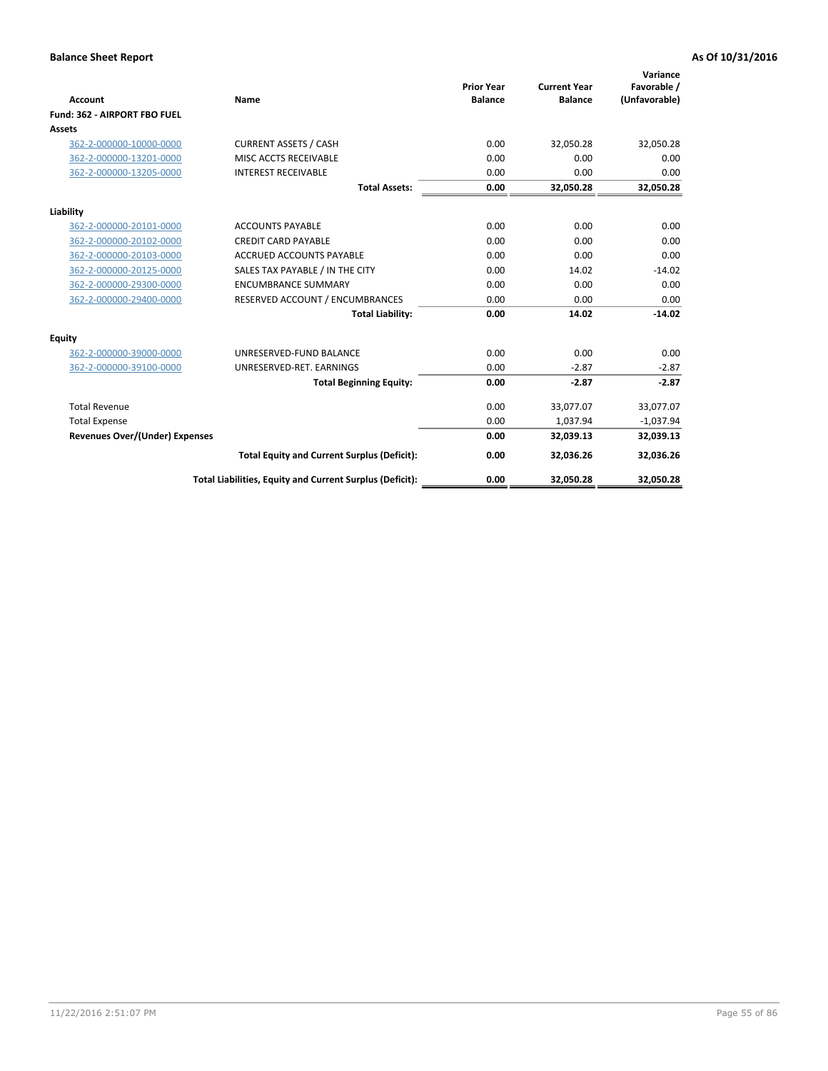|                                       |                                                          |                                     |                                       | Variance                     |
|---------------------------------------|----------------------------------------------------------|-------------------------------------|---------------------------------------|------------------------------|
| <b>Account</b>                        | Name                                                     | <b>Prior Year</b><br><b>Balance</b> | <b>Current Year</b><br><b>Balance</b> | Favorable /<br>(Unfavorable) |
| Fund: 362 - AIRPORT FBO FUEL          |                                                          |                                     |                                       |                              |
| Assets                                |                                                          |                                     |                                       |                              |
| 362-2-000000-10000-0000               | <b>CURRENT ASSETS / CASH</b>                             | 0.00                                | 32,050.28                             | 32,050.28                    |
| 362-2-000000-13201-0000               | MISC ACCTS RECEIVABLE                                    | 0.00                                | 0.00                                  | 0.00                         |
| 362-2-000000-13205-0000               | <b>INTEREST RECEIVABLE</b>                               | 0.00                                | 0.00                                  | 0.00                         |
|                                       | <b>Total Assets:</b>                                     | 0.00                                | 32,050.28                             | 32,050.28                    |
| Liability                             |                                                          |                                     |                                       |                              |
| 362-2-000000-20101-0000               | <b>ACCOUNTS PAYABLE</b>                                  | 0.00                                | 0.00                                  | 0.00                         |
| 362-2-000000-20102-0000               | <b>CREDIT CARD PAYABLE</b>                               | 0.00                                | 0.00                                  | 0.00                         |
| 362-2-000000-20103-0000               | <b>ACCRUED ACCOUNTS PAYABLE</b>                          | 0.00                                | 0.00                                  | 0.00                         |
| 362-2-000000-20125-0000               | SALES TAX PAYABLE / IN THE CITY                          | 0.00                                | 14.02                                 | $-14.02$                     |
| 362-2-000000-29300-0000               | <b>ENCUMBRANCE SUMMARY</b>                               | 0.00                                | 0.00                                  | 0.00                         |
| 362-2-000000-29400-0000               | RESERVED ACCOUNT / ENCUMBRANCES                          | 0.00                                | 0.00                                  | 0.00                         |
|                                       | <b>Total Liability:</b>                                  | 0.00                                | 14.02                                 | $-14.02$                     |
| <b>Equity</b>                         |                                                          |                                     |                                       |                              |
| 362-2-000000-39000-0000               | UNRESERVED-FUND BALANCE                                  | 0.00                                | 0.00                                  | 0.00                         |
| 362-2-000000-39100-0000               | UNRESERVED-RET. EARNINGS                                 | 0.00                                | $-2.87$                               | $-2.87$                      |
|                                       | <b>Total Beginning Equity:</b>                           | 0.00                                | $-2.87$                               | $-2.87$                      |
| <b>Total Revenue</b>                  |                                                          | 0.00                                | 33,077.07                             | 33,077.07                    |
| <b>Total Expense</b>                  |                                                          | 0.00                                | 1,037.94                              | $-1,037.94$                  |
| <b>Revenues Over/(Under) Expenses</b> |                                                          | 0.00                                | 32,039.13                             | 32,039.13                    |
|                                       | <b>Total Equity and Current Surplus (Deficit):</b>       | 0.00                                | 32,036.26                             | 32,036.26                    |
|                                       | Total Liabilities, Equity and Current Surplus (Deficit): | 0.00                                | 32,050.28                             | 32,050.28                    |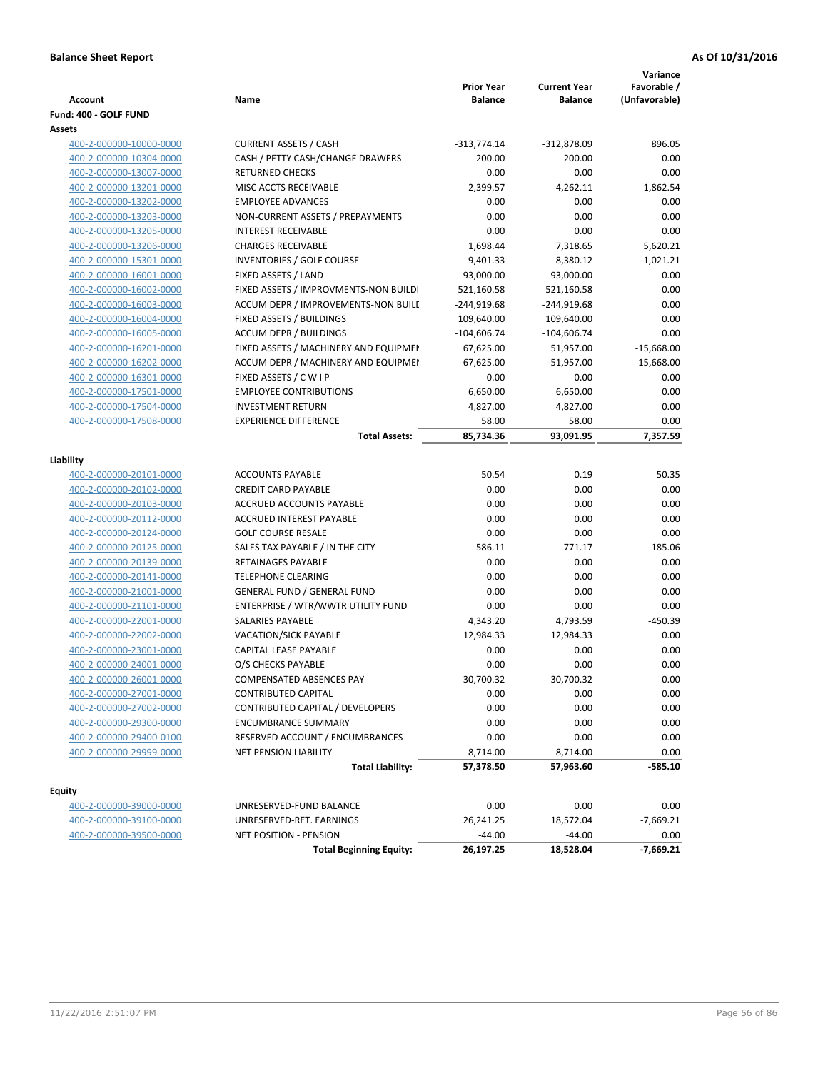| <b>Account</b>          | Name                                  | <b>Prior Year</b><br><b>Balance</b> | <b>Current Year</b><br><b>Balance</b> | Variance<br>Favorable /<br>(Unfavorable) |
|-------------------------|---------------------------------------|-------------------------------------|---------------------------------------|------------------------------------------|
| Fund: 400 - GOLF FUND   |                                       |                                     |                                       |                                          |
| Assets                  |                                       |                                     |                                       |                                          |
| 400-2-000000-10000-0000 | <b>CURRENT ASSETS / CASH</b>          | $-313,774.14$                       | $-312,878.09$                         | 896.05                                   |
| 400-2-000000-10304-0000 | CASH / PETTY CASH/CHANGE DRAWERS      | 200.00                              | 200.00                                | 0.00                                     |
| 400-2-000000-13007-0000 | <b>RETURNED CHECKS</b>                | 0.00                                | 0.00                                  | 0.00                                     |
| 400-2-000000-13201-0000 | MISC ACCTS RECEIVABLE                 | 2,399.57                            | 4,262.11                              | 1,862.54                                 |
| 400-2-000000-13202-0000 | <b>EMPLOYEE ADVANCES</b>              | 0.00                                | 0.00                                  | 0.00                                     |
| 400-2-000000-13203-0000 | NON-CURRENT ASSETS / PREPAYMENTS      | 0.00                                | 0.00                                  | 0.00                                     |
| 400-2-000000-13205-0000 | <b>INTEREST RECEIVABLE</b>            | 0.00                                | 0.00                                  | 0.00                                     |
| 400-2-000000-13206-0000 | <b>CHARGES RECEIVABLE</b>             | 1,698.44                            | 7,318.65                              | 5,620.21                                 |
| 400-2-000000-15301-0000 | <b>INVENTORIES / GOLF COURSE</b>      | 9,401.33                            | 8,380.12                              | $-1,021.21$                              |
| 400-2-000000-16001-0000 | FIXED ASSETS / LAND                   | 93,000.00                           | 93,000.00                             | 0.00                                     |
| 400-2-000000-16002-0000 | FIXED ASSETS / IMPROVMENTS-NON BUILDI | 521,160.58                          | 521,160.58                            | 0.00                                     |
| 400-2-000000-16003-0000 | ACCUM DEPR / IMPROVEMENTS-NON BUILL   | $-244,919.68$                       | $-244,919.68$                         | 0.00                                     |
| 400-2-000000-16004-0000 | FIXED ASSETS / BUILDINGS              | 109,640.00                          | 109,640.00                            | 0.00                                     |
| 400-2-000000-16005-0000 | <b>ACCUM DEPR / BUILDINGS</b>         | $-104,606.74$                       | $-104,606.74$                         | 0.00                                     |
| 400-2-000000-16201-0000 | FIXED ASSETS / MACHINERY AND EQUIPMEN | 67,625.00                           | 51,957.00                             | $-15,668.00$                             |
| 400-2-000000-16202-0000 | ACCUM DEPR / MACHINERY AND EQUIPMEI   | $-67,625.00$                        | $-51,957.00$                          | 15,668.00                                |
| 400-2-000000-16301-0000 | FIXED ASSETS / C W I P                | 0.00                                | 0.00                                  | 0.00                                     |
| 400-2-000000-17501-0000 | <b>EMPLOYEE CONTRIBUTIONS</b>         | 6,650.00                            | 6,650.00                              | 0.00                                     |
| 400-2-000000-17504-0000 | <b>INVESTMENT RETURN</b>              | 4,827.00                            | 4,827.00                              | 0.00                                     |
| 400-2-000000-17508-0000 | <b>EXPERIENCE DIFFERENCE</b>          | 58.00                               | 58.00                                 | 0.00                                     |
|                         | <b>Total Assets:</b>                  | 85,734.36                           | 93,091.95                             | 7,357.59                                 |
|                         |                                       |                                     |                                       |                                          |
| Liability               |                                       |                                     |                                       |                                          |
| 400-2-000000-20101-0000 | <b>ACCOUNTS PAYABLE</b>               | 50.54                               | 0.19                                  | 50.35                                    |
| 400-2-000000-20102-0000 | <b>CREDIT CARD PAYABLE</b>            | 0.00                                | 0.00                                  | 0.00                                     |
| 400-2-000000-20103-0000 | ACCRUED ACCOUNTS PAYABLE              | 0.00                                | 0.00                                  | 0.00                                     |
| 400-2-000000-20112-0000 | ACCRUED INTEREST PAYABLE              | 0.00                                | 0.00                                  | 0.00                                     |
| 400-2-000000-20124-0000 | <b>GOLF COURSE RESALE</b>             | 0.00                                | 0.00                                  | 0.00                                     |
| 400-2-000000-20125-0000 | SALES TAX PAYABLE / IN THE CITY       | 586.11                              | 771.17                                | $-185.06$                                |
| 400-2-000000-20139-0000 | RETAINAGES PAYABLE                    | 0.00                                | 0.00                                  | 0.00                                     |
| 400-2-000000-20141-0000 | <b>TELEPHONE CLEARING</b>             | 0.00                                | 0.00                                  | 0.00                                     |
| 400-2-000000-21001-0000 | <b>GENERAL FUND / GENERAL FUND</b>    | 0.00                                | 0.00                                  | 0.00                                     |
| 400-2-000000-21101-0000 | ENTERPRISE / WTR/WWTR UTILITY FUND    | 0.00                                | 0.00                                  | 0.00                                     |
| 400-2-000000-22001-0000 | <b>SALARIES PAYABLE</b>               | 4,343.20                            | 4,793.59                              | $-450.39$                                |
| 400-2-000000-22002-0000 | VACATION/SICK PAYABLE                 | 12,984.33                           | 12,984.33                             | 0.00                                     |
| 400-2-000000-23001-0000 | CAPITAL LEASE PAYABLE                 | 0.00                                | 0.00                                  | 0.00                                     |
| 400-2-000000-24001-0000 | O/S CHECKS PAYABLE                    | 0.00                                | 0.00                                  | 0.00                                     |
| 400-2-000000-26001-0000 | COMPENSATED ABSENCES PAY              | 30,700.32                           | 30,700.32                             | 0.00                                     |
| 400-2-000000-27001-0000 | <b>CONTRIBUTED CAPITAL</b>            | 0.00                                | 0.00                                  | 0.00                                     |
| 400-2-000000-27002-0000 | CONTRIBUTED CAPITAL / DEVELOPERS      | 0.00                                | 0.00                                  | 0.00                                     |
| 400-2-000000-29300-0000 | ENCUMBRANCE SUMMARY                   | 0.00                                | 0.00                                  | 0.00                                     |
| 400-2-000000-29400-0100 | RESERVED ACCOUNT / ENCUMBRANCES       | 0.00                                | 0.00                                  | 0.00                                     |
| 400-2-000000-29999-0000 | <b>NET PENSION LIABILITY</b>          | 8,714.00                            | 8,714.00                              | 0.00                                     |
|                         | <b>Total Liability:</b>               | 57,378.50                           | 57,963.60                             | $-585.10$                                |
| Equity                  |                                       |                                     |                                       |                                          |
| 400-2-000000-39000-0000 | UNRESERVED-FUND BALANCE               | 0.00                                | 0.00                                  | 0.00                                     |
| 400-2-000000-39100-0000 | UNRESERVED-RET. EARNINGS              | 26,241.25                           | 18,572.04                             | $-7,669.21$                              |
| 400-2-000000-39500-0000 | NET POSITION - PENSION                | $-44.00$                            | $-44.00$                              | 0.00                                     |
|                         | <b>Total Beginning Equity:</b>        | 26,197.25                           | 18,528.04                             | -7,669.21                                |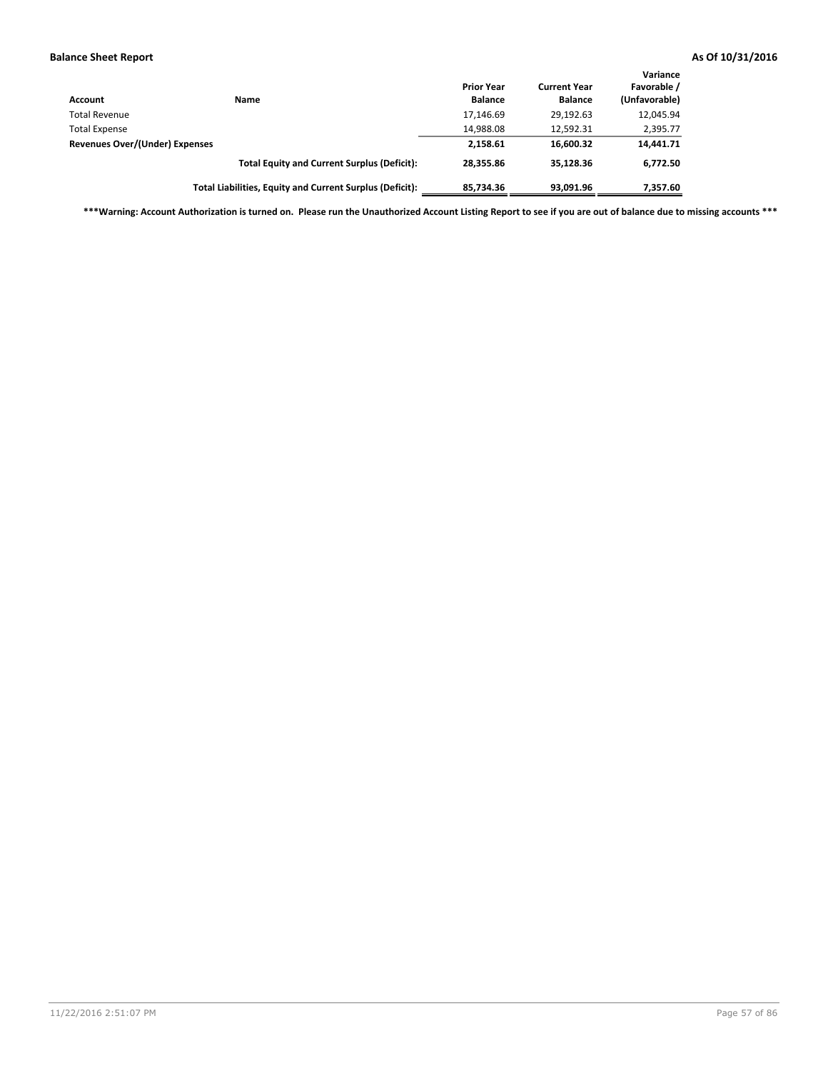| Account                               | Name                                                     | <b>Prior Year</b><br><b>Balance</b> | <b>Current Year</b><br><b>Balance</b> | Variance<br>Favorable /<br>(Unfavorable) |
|---------------------------------------|----------------------------------------------------------|-------------------------------------|---------------------------------------|------------------------------------------|
| <b>Total Revenue</b>                  |                                                          | 17,146.69                           | 29.192.63                             | 12,045.94                                |
| <b>Total Expense</b>                  |                                                          | 14,988.08                           | 12,592.31                             | 2,395.77                                 |
| <b>Revenues Over/(Under) Expenses</b> |                                                          | 2,158.61                            | 16,600.32                             | 14,441.71                                |
|                                       | <b>Total Equity and Current Surplus (Deficit):</b>       | 28,355.86                           | 35.128.36                             | 6,772.50                                 |
|                                       | Total Liabilities, Equity and Current Surplus (Deficit): | 85,734.36                           | 93.091.96                             | 7,357.60                                 |

**\*\*\*Warning: Account Authorization is turned on. Please run the Unauthorized Account Listing Report to see if you are out of balance due to missing accounts \*\*\***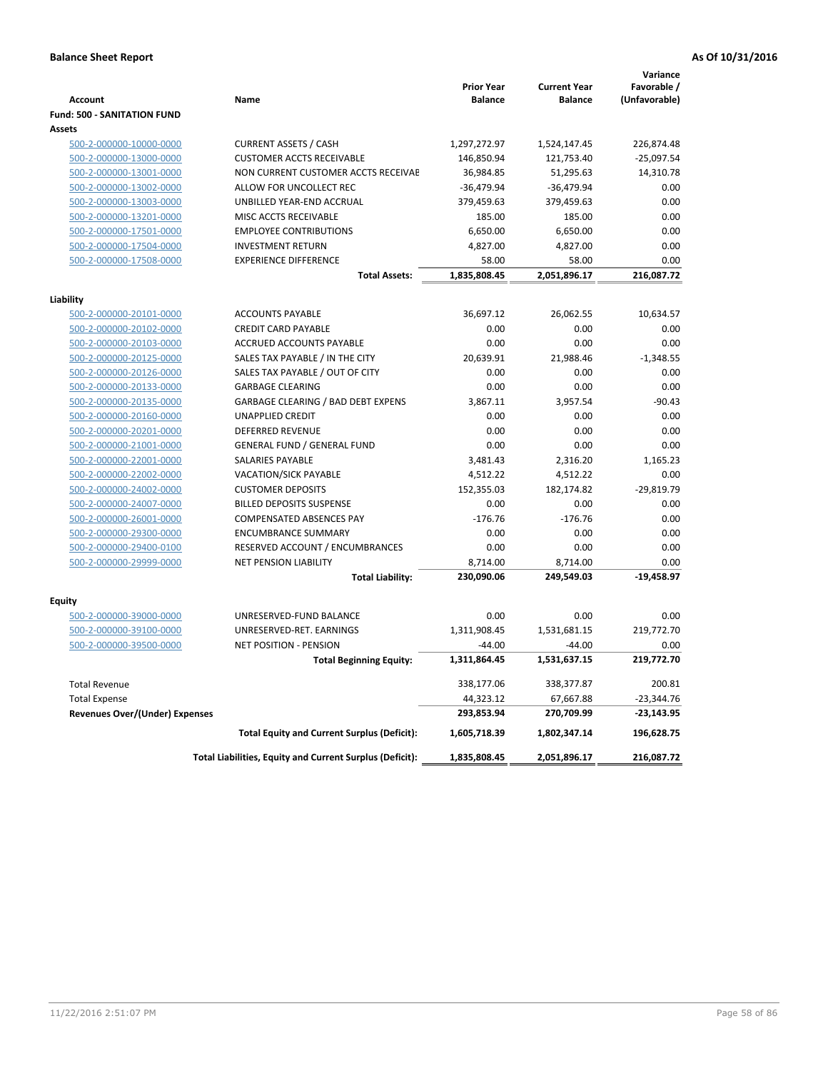|                                       |                                                          | <b>Prior Year</b> | <b>Current Year</b> | Variance<br>Favorable / |
|---------------------------------------|----------------------------------------------------------|-------------------|---------------------|-------------------------|
| <b>Account</b>                        | Name                                                     | <b>Balance</b>    | <b>Balance</b>      | (Unfavorable)           |
| <b>Fund: 500 - SANITATION FUND</b>    |                                                          |                   |                     |                         |
| Assets                                |                                                          |                   |                     |                         |
| 500-2-000000-10000-0000               | <b>CURRENT ASSETS / CASH</b>                             | 1,297,272.97      | 1,524,147.45        | 226,874.48              |
| 500-2-000000-13000-0000               | <b>CUSTOMER ACCTS RECEIVABLE</b>                         | 146,850.94        | 121,753.40          | $-25,097.54$            |
| 500-2-000000-13001-0000               | NON CURRENT CUSTOMER ACCTS RECEIVAE                      | 36,984.85         | 51,295.63           | 14,310.78               |
| 500-2-000000-13002-0000               | ALLOW FOR UNCOLLECT REC                                  | $-36,479.94$      | $-36,479.94$        | 0.00                    |
| 500-2-000000-13003-0000               | UNBILLED YEAR-END ACCRUAL                                | 379,459.63        | 379,459.63          | 0.00                    |
| 500-2-000000-13201-0000               | MISC ACCTS RECEIVABLE                                    | 185.00            | 185.00              | 0.00                    |
| 500-2-000000-17501-0000               | <b>EMPLOYEE CONTRIBUTIONS</b>                            | 6,650.00          | 6,650.00            | 0.00                    |
| 500-2-000000-17504-0000               | <b>INVESTMENT RETURN</b>                                 | 4,827.00          | 4,827.00            | 0.00                    |
| 500-2-000000-17508-0000               | <b>EXPERIENCE DIFFERENCE</b>                             | 58.00             | 58.00               | 0.00                    |
|                                       | <b>Total Assets:</b>                                     | 1,835,808.45      | 2,051,896.17        | 216,087.72              |
| Liability                             |                                                          |                   |                     |                         |
| 500-2-000000-20101-0000               | <b>ACCOUNTS PAYABLE</b>                                  | 36,697.12         | 26,062.55           | 10,634.57               |
| 500-2-000000-20102-0000               | <b>CREDIT CARD PAYABLE</b>                               | 0.00              | 0.00                | 0.00                    |
| 500-2-000000-20103-0000               | ACCRUED ACCOUNTS PAYABLE                                 | 0.00              | 0.00                | 0.00                    |
| 500-2-000000-20125-0000               | SALES TAX PAYABLE / IN THE CITY                          | 20,639.91         | 21,988.46           | $-1,348.55$             |
| 500-2-000000-20126-0000               | SALES TAX PAYABLE / OUT OF CITY                          | 0.00              | 0.00                | 0.00                    |
| 500-2-000000-20133-0000               | <b>GARBAGE CLEARING</b>                                  | 0.00              | 0.00                | 0.00                    |
| 500-2-000000-20135-0000               | <b>GARBAGE CLEARING / BAD DEBT EXPENS</b>                | 3,867.11          | 3,957.54            | $-90.43$                |
| 500-2-000000-20160-0000               | <b>UNAPPLIED CREDIT</b>                                  | 0.00              | 0.00                | 0.00                    |
| 500-2-000000-20201-0000               | <b>DEFERRED REVENUE</b>                                  | 0.00              | 0.00                | 0.00                    |
| 500-2-000000-21001-0000               | <b>GENERAL FUND / GENERAL FUND</b>                       | 0.00              | 0.00                | 0.00                    |
| 500-2-000000-22001-0000               | SALARIES PAYABLE                                         | 3,481.43          | 2,316.20            | 1,165.23                |
| 500-2-000000-22002-0000               | <b>VACATION/SICK PAYABLE</b>                             | 4,512.22          | 4,512.22            | 0.00                    |
| 500-2-000000-24002-0000               | <b>CUSTOMER DEPOSITS</b>                                 | 152,355.03        | 182,174.82          | $-29,819.79$            |
| 500-2-000000-24007-0000               | <b>BILLED DEPOSITS SUSPENSE</b>                          | 0.00              | 0.00                | 0.00                    |
| 500-2-000000-26001-0000               | <b>COMPENSATED ABSENCES PAY</b>                          | $-176.76$         | $-176.76$           | 0.00                    |
| 500-2-000000-29300-0000               | <b>ENCUMBRANCE SUMMARY</b>                               | 0.00              | 0.00                | 0.00                    |
| 500-2-000000-29400-0100               | RESERVED ACCOUNT / ENCUMBRANCES                          | 0.00              | 0.00                | 0.00                    |
| 500-2-000000-29999-0000               | <b>NET PENSION LIABILITY</b>                             | 8,714.00          | 8,714.00            | 0.00                    |
|                                       | <b>Total Liability:</b>                                  | 230,090.06        | 249,549.03          | $-19,458.97$            |
| Equity                                |                                                          |                   |                     |                         |
| 500-2-000000-39000-0000               | UNRESERVED-FUND BALANCE                                  | 0.00              | 0.00                | 0.00                    |
| 500-2-000000-39100-0000               | UNRESERVED-RET. EARNINGS                                 | 1,311,908.45      | 1,531,681.15        | 219,772.70              |
| 500-2-000000-39500-0000               | <b>NET POSITION - PENSION</b>                            | $-44.00$          | $-44.00$            | 0.00                    |
|                                       | <b>Total Beginning Equity:</b>                           | 1,311,864.45      | 1,531,637.15        | 219,772.70              |
| <b>Total Revenue</b>                  |                                                          | 338,177.06        | 338,377.87          | 200.81                  |
| <b>Total Expense</b>                  |                                                          | 44,323.12         | 67,667.88           | $-23,344.76$            |
| <b>Revenues Over/(Under) Expenses</b> |                                                          | 293,853.94        | 270,709.99          | $-23,143.95$            |
|                                       | <b>Total Equity and Current Surplus (Deficit):</b>       | 1,605,718.39      | 1,802,347.14        | 196,628.75              |
|                                       | Total Liabilities, Equity and Current Surplus (Deficit): | 1,835,808.45      | 2,051,896.17        | 216,087.72              |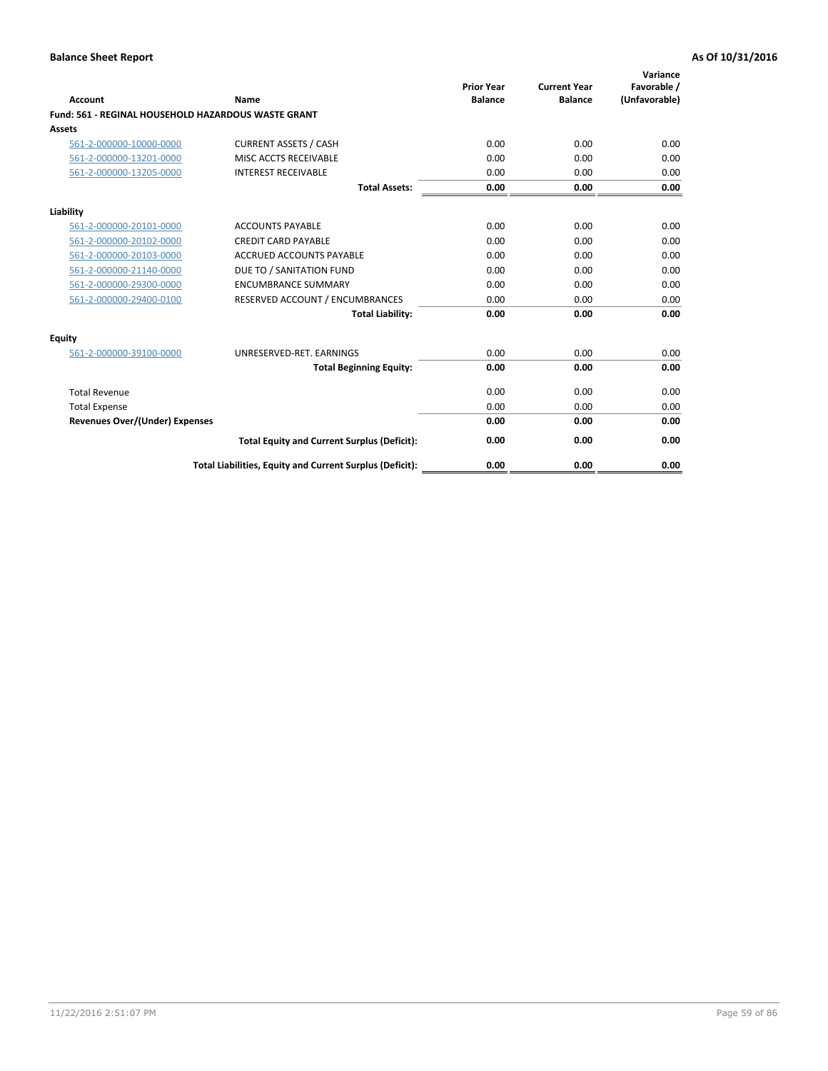| <b>Account</b>                        | Name                                                       | <b>Prior Year</b><br><b>Balance</b> | <b>Current Year</b><br><b>Balance</b> | Variance<br>Favorable /<br>(Unfavorable) |
|---------------------------------------|------------------------------------------------------------|-------------------------------------|---------------------------------------|------------------------------------------|
|                                       | <b>Fund: 561 - REGINAL HOUSEHOLD HAZARDOUS WASTE GRANT</b> |                                     |                                       |                                          |
| Assets                                |                                                            |                                     |                                       |                                          |
| 561-2-000000-10000-0000               | <b>CURRENT ASSETS / CASH</b>                               | 0.00                                | 0.00                                  | 0.00                                     |
| 561-2-000000-13201-0000               | MISC ACCTS RECEIVABLE                                      | 0.00                                | 0.00                                  | 0.00                                     |
| 561-2-000000-13205-0000               | <b>INTEREST RECEIVABLE</b>                                 | 0.00                                | 0.00                                  | 0.00                                     |
|                                       | <b>Total Assets:</b>                                       | 0.00                                | 0.00                                  | 0.00                                     |
| Liability                             |                                                            |                                     |                                       |                                          |
| 561-2-000000-20101-0000               | <b>ACCOUNTS PAYABLE</b>                                    | 0.00                                | 0.00                                  | 0.00                                     |
| 561-2-000000-20102-0000               | <b>CREDIT CARD PAYABLE</b>                                 | 0.00                                | 0.00                                  | 0.00                                     |
| 561-2-000000-20103-0000               | <b>ACCRUED ACCOUNTS PAYABLE</b>                            | 0.00                                | 0.00                                  | 0.00                                     |
| 561-2-000000-21140-0000               | DUE TO / SANITATION FUND                                   | 0.00                                | 0.00                                  | 0.00                                     |
| 561-2-000000-29300-0000               | <b>ENCUMBRANCE SUMMARY</b>                                 | 0.00                                | 0.00                                  | 0.00                                     |
| 561-2-000000-29400-0100               | RESERVED ACCOUNT / ENCUMBRANCES                            | 0.00                                | 0.00                                  | 0.00                                     |
|                                       | <b>Total Liability:</b>                                    | 0.00                                | 0.00                                  | 0.00                                     |
| <b>Equity</b>                         |                                                            |                                     |                                       |                                          |
| 561-2-000000-39100-0000               | UNRESERVED-RET. EARNINGS                                   | 0.00                                | 0.00                                  | 0.00                                     |
|                                       | <b>Total Beginning Equity:</b>                             | 0.00                                | 0.00                                  | 0.00                                     |
| <b>Total Revenue</b>                  |                                                            | 0.00                                | 0.00                                  | 0.00                                     |
| <b>Total Expense</b>                  |                                                            | 0.00                                | 0.00                                  | 0.00                                     |
| <b>Revenues Over/(Under) Expenses</b> |                                                            | 0.00                                | 0.00                                  | 0.00                                     |
|                                       | <b>Total Equity and Current Surplus (Deficit):</b>         | 0.00                                | 0.00                                  | 0.00                                     |
|                                       | Total Liabilities, Equity and Current Surplus (Deficit):   | 0.00                                | 0.00                                  | 0.00                                     |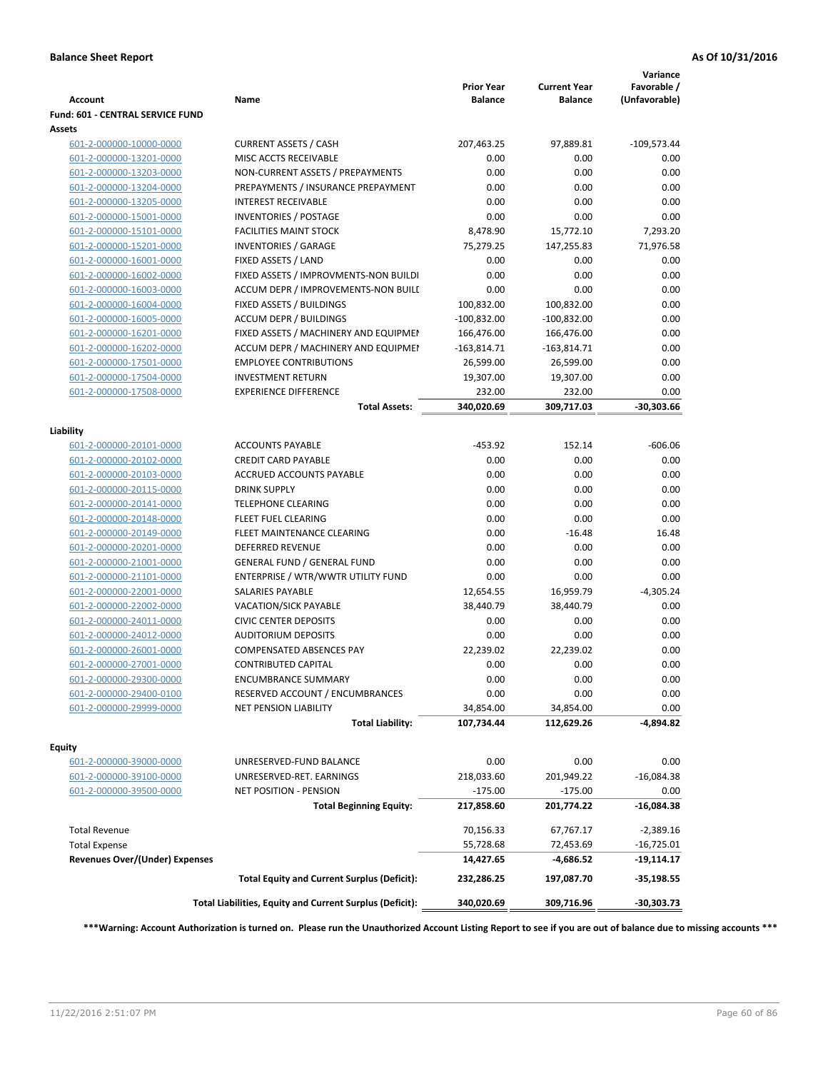| <b>Account</b>                        | Name                                                     | <b>Prior Year</b><br><b>Balance</b> | <b>Current Year</b><br><b>Balance</b> | Variance<br>Favorable /<br>(Unfavorable) |
|---------------------------------------|----------------------------------------------------------|-------------------------------------|---------------------------------------|------------------------------------------|
| Fund: 601 - CENTRAL SERVICE FUND      |                                                          |                                     |                                       |                                          |
| Assets                                |                                                          |                                     |                                       |                                          |
| 601-2-000000-10000-0000               | <b>CURRENT ASSETS / CASH</b>                             | 207,463.25                          | 97,889.81                             | $-109,573.44$                            |
| 601-2-000000-13201-0000               | MISC ACCTS RECEIVABLE                                    | 0.00                                | 0.00                                  | 0.00                                     |
| 601-2-000000-13203-0000               | NON-CURRENT ASSETS / PREPAYMENTS                         | 0.00                                | 0.00                                  | 0.00                                     |
| 601-2-000000-13204-0000               | PREPAYMENTS / INSURANCE PREPAYMENT                       | 0.00                                | 0.00                                  | 0.00                                     |
| 601-2-000000-13205-0000               | <b>INTEREST RECEIVABLE</b>                               | 0.00                                | 0.00                                  | 0.00                                     |
| 601-2-000000-15001-0000               | <b>INVENTORIES / POSTAGE</b>                             | 0.00                                | 0.00                                  | 0.00                                     |
| 601-2-000000-15101-0000               | <b>FACILITIES MAINT STOCK</b>                            | 8,478.90                            | 15,772.10                             | 7,293.20                                 |
| 601-2-000000-15201-0000               | <b>INVENTORIES / GARAGE</b>                              | 75,279.25                           | 147,255.83                            | 71,976.58                                |
| 601-2-000000-16001-0000               | FIXED ASSETS / LAND                                      | 0.00                                | 0.00                                  | 0.00                                     |
| 601-2-000000-16002-0000               | FIXED ASSETS / IMPROVMENTS-NON BUILDI                    | 0.00                                | 0.00                                  | 0.00                                     |
| 601-2-000000-16003-0000               | ACCUM DEPR / IMPROVEMENTS-NON BUILI                      | 0.00                                | 0.00                                  | 0.00                                     |
| 601-2-000000-16004-0000               | FIXED ASSETS / BUILDINGS                                 | 100,832.00                          | 100,832.00                            | 0.00                                     |
| 601-2-000000-16005-0000               | <b>ACCUM DEPR / BUILDINGS</b>                            | $-100,832.00$                       | $-100,832.00$                         | 0.00                                     |
| 601-2-000000-16201-0000               | FIXED ASSETS / MACHINERY AND EQUIPMEN                    | 166,476.00                          | 166,476.00                            | 0.00                                     |
| 601-2-000000-16202-0000               | ACCUM DEPR / MACHINERY AND EQUIPMEI                      | $-163,814.71$                       | $-163,814.71$                         | 0.00                                     |
| 601-2-000000-17501-0000               | <b>EMPLOYEE CONTRIBUTIONS</b>                            | 26,599.00                           | 26,599.00                             | 0.00                                     |
| 601-2-000000-17504-0000               | <b>INVESTMENT RETURN</b>                                 | 19,307.00                           | 19,307.00                             | 0.00                                     |
| 601-2-000000-17508-0000               | <b>EXPERIENCE DIFFERENCE</b>                             | 232.00                              | 232.00                                | 0.00                                     |
|                                       | <b>Total Assets:</b>                                     | 340,020.69                          | 309,717.03                            | $-30,303.66$                             |
| Liability                             |                                                          |                                     |                                       |                                          |
| 601-2-000000-20101-0000               | <b>ACCOUNTS PAYABLE</b>                                  | $-453.92$                           | 152.14                                | $-606.06$                                |
| 601-2-000000-20102-0000               | <b>CREDIT CARD PAYABLE</b>                               | 0.00                                | 0.00                                  | 0.00                                     |
| 601-2-000000-20103-0000               | ACCRUED ACCOUNTS PAYABLE                                 | 0.00                                | 0.00                                  | 0.00                                     |
| 601-2-000000-20115-0000               | <b>DRINK SUPPLY</b>                                      | 0.00                                | 0.00                                  | 0.00                                     |
| 601-2-000000-20141-0000               | <b>TELEPHONE CLEARING</b>                                | 0.00                                | 0.00                                  | 0.00                                     |
| 601-2-000000-20148-0000               | FLEET FUEL CLEARING                                      | 0.00                                | 0.00                                  | 0.00                                     |
| 601-2-000000-20149-0000               | FLEET MAINTENANCE CLEARING                               | 0.00                                | $-16.48$                              | 16.48                                    |
| 601-2-000000-20201-0000               | <b>DEFERRED REVENUE</b>                                  | 0.00                                | 0.00                                  | 0.00                                     |
| 601-2-000000-21001-0000               | <b>GENERAL FUND / GENERAL FUND</b>                       | 0.00                                | 0.00                                  | 0.00                                     |
| 601-2-000000-21101-0000               | ENTERPRISE / WTR/WWTR UTILITY FUND                       | 0.00                                | 0.00                                  | 0.00                                     |
| 601-2-000000-22001-0000               | SALARIES PAYABLE                                         | 12,654.55                           | 16,959.79                             | $-4,305.24$                              |
| 601-2-000000-22002-0000               | <b>VACATION/SICK PAYABLE</b>                             | 38,440.79                           | 38,440.79                             | 0.00                                     |
| 601-2-000000-24011-0000               | <b>CIVIC CENTER DEPOSITS</b>                             | 0.00                                | 0.00                                  | 0.00                                     |
| 601-2-000000-24012-0000               | <b>AUDITORIUM DEPOSITS</b>                               | 0.00                                | 0.00                                  | 0.00                                     |
| 601-2-000000-26001-0000               | <b>COMPENSATED ABSENCES PAY</b>                          | 22,239.02                           | 22,239.02                             | 0.00                                     |
| 601-2-000000-27001-0000               | <b>CONTRIBUTED CAPITAL</b>                               | 0.00                                | 0.00                                  | 0.00                                     |
| 601-2-000000-29300-0000               | <b>ENCUMBRANCE SUMMARY</b>                               | 0.00                                | 0.00                                  | 0.00                                     |
| 601-2-000000-29400-0100               | RESERVED ACCOUNT / ENCUMBRANCES                          | 0.00                                | 0.00                                  | 0.00                                     |
| 601-2-000000-29999-0000               | NET PENSION LIABILITY                                    | 34,854.00                           | 34,854.00                             | 0.00                                     |
|                                       | <b>Total Liability:</b>                                  | 107,734.44                          | 112,629.26                            | -4,894.82                                |
|                                       |                                                          |                                     |                                       |                                          |
| Equity                                |                                                          |                                     |                                       |                                          |
| 601-2-000000-39000-0000               | UNRESERVED-FUND BALANCE                                  | 0.00                                | 0.00                                  | 0.00                                     |
| 601-2-000000-39100-0000               | UNRESERVED-RET. EARNINGS                                 | 218,033.60                          | 201,949.22                            | $-16,084.38$                             |
| 601-2-000000-39500-0000               | NET POSITION - PENSION                                   | $-175.00$                           | $-175.00$                             | 0.00                                     |
|                                       | <b>Total Beginning Equity:</b>                           | 217,858.60                          | 201,774.22                            | $-16,084.38$                             |
| <b>Total Revenue</b>                  |                                                          | 70,156.33                           | 67,767.17                             | $-2,389.16$                              |
| <b>Total Expense</b>                  |                                                          | 55,728.68                           | 72,453.69                             | $-16,725.01$                             |
| <b>Revenues Over/(Under) Expenses</b> |                                                          | 14,427.65                           | -4,686.52                             | -19,114.17                               |
|                                       | <b>Total Equity and Current Surplus (Deficit):</b>       | 232,286.25                          | 197,087.70                            | $-35,198.55$                             |
|                                       | Total Liabilities, Equity and Current Surplus (Deficit): | 340,020.69                          | 309,716.96                            | -30,303.73                               |
|                                       |                                                          |                                     |                                       |                                          |

**\*\*\*Warning: Account Authorization is turned on. Please run the Unauthorized Account Listing Report to see if you are out of balance due to missing accounts \*\*\***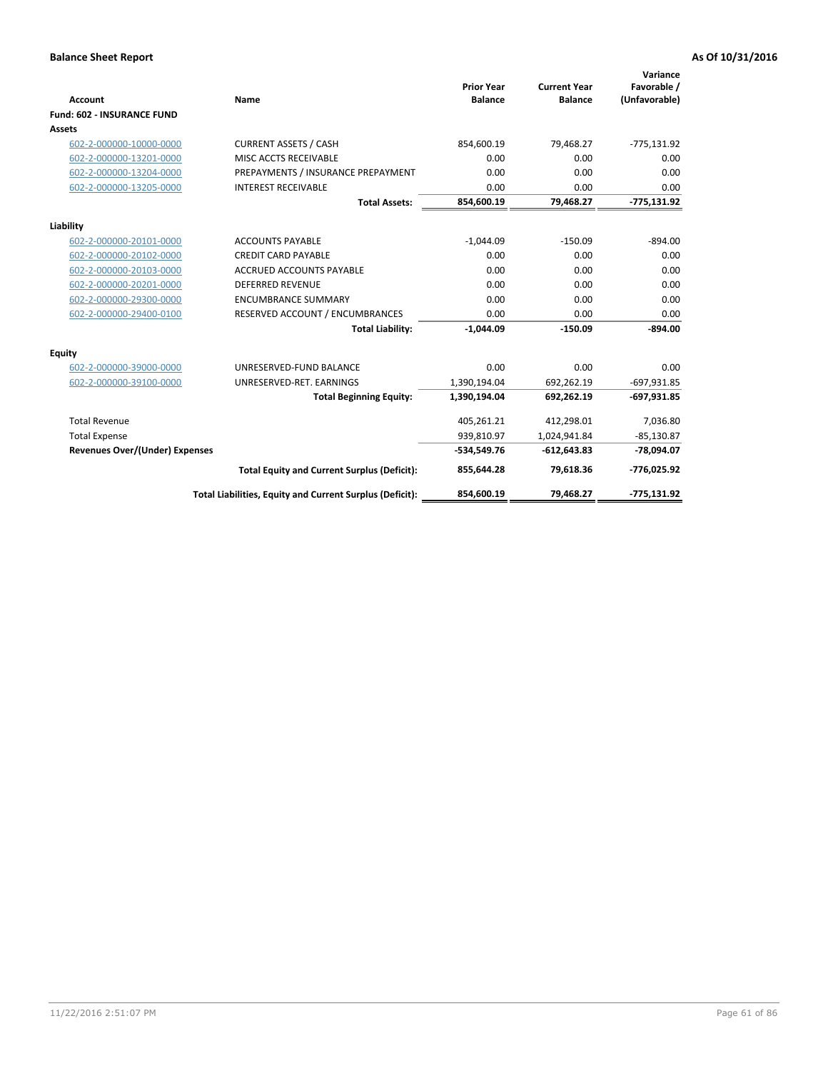|                                       |                                                          |                                     |                                       | Variance                     |
|---------------------------------------|----------------------------------------------------------|-------------------------------------|---------------------------------------|------------------------------|
| <b>Account</b>                        | <b>Name</b>                                              | <b>Prior Year</b><br><b>Balance</b> | <b>Current Year</b><br><b>Balance</b> | Favorable /<br>(Unfavorable) |
| <b>Fund: 602 - INSURANCE FUND</b>     |                                                          |                                     |                                       |                              |
| <b>Assets</b>                         |                                                          |                                     |                                       |                              |
| 602-2-000000-10000-0000               | <b>CURRENT ASSETS / CASH</b>                             | 854,600.19                          | 79,468.27                             | $-775,131.92$                |
| 602-2-000000-13201-0000               | MISC ACCTS RECEIVABLE                                    | 0.00                                | 0.00                                  | 0.00                         |
| 602-2-000000-13204-0000               | PREPAYMENTS / INSURANCE PREPAYMENT                       | 0.00                                | 0.00                                  | 0.00                         |
| 602-2-000000-13205-0000               | <b>INTEREST RECEIVABLE</b>                               | 0.00                                | 0.00                                  | 0.00                         |
|                                       | <b>Total Assets:</b>                                     | 854,600.19                          | 79,468.27                             | $-775,131.92$                |
| Liability                             |                                                          |                                     |                                       |                              |
| 602-2-000000-20101-0000               | <b>ACCOUNTS PAYABLE</b>                                  | $-1,044.09$                         | $-150.09$                             | $-894.00$                    |
| 602-2-000000-20102-0000               | <b>CREDIT CARD PAYABLE</b>                               | 0.00                                | 0.00                                  | 0.00                         |
| 602-2-000000-20103-0000               | <b>ACCRUED ACCOUNTS PAYABLE</b>                          | 0.00                                | 0.00                                  | 0.00                         |
| 602-2-000000-20201-0000               | <b>DEFERRED REVENUE</b>                                  | 0.00                                | 0.00                                  | 0.00                         |
| 602-2-000000-29300-0000               | <b>ENCUMBRANCE SUMMARY</b>                               | 0.00                                | 0.00                                  | 0.00                         |
| 602-2-000000-29400-0100               | RESERVED ACCOUNT / ENCUMBRANCES                          | 0.00                                | 0.00                                  | 0.00                         |
|                                       | <b>Total Liability:</b>                                  | $-1,044.09$                         | $-150.09$                             | $-894.00$                    |
| <b>Equity</b>                         |                                                          |                                     |                                       |                              |
| 602-2-000000-39000-0000               | UNRESERVED-FUND BALANCE                                  | 0.00                                | 0.00                                  | 0.00                         |
| 602-2-000000-39100-0000               | UNRESERVED-RET. EARNINGS                                 | 1,390,194.04                        | 692,262.19                            | $-697,931.85$                |
|                                       | <b>Total Beginning Equity:</b>                           | 1,390,194.04                        | 692,262.19                            | $-697,931.85$                |
| <b>Total Revenue</b>                  |                                                          | 405,261.21                          | 412,298.01                            | 7,036.80                     |
| <b>Total Expense</b>                  |                                                          | 939,810.97                          | 1,024,941.84                          | $-85,130.87$                 |
| <b>Revenues Over/(Under) Expenses</b> |                                                          | $-534,549.76$                       | $-612,643.83$                         | $-78,094.07$                 |
|                                       | <b>Total Equity and Current Surplus (Deficit):</b>       | 855,644.28                          | 79,618.36                             | -776,025.92                  |
|                                       | Total Liabilities, Equity and Current Surplus (Deficit): | 854,600.19                          | 79.468.27                             | $-775.131.92$                |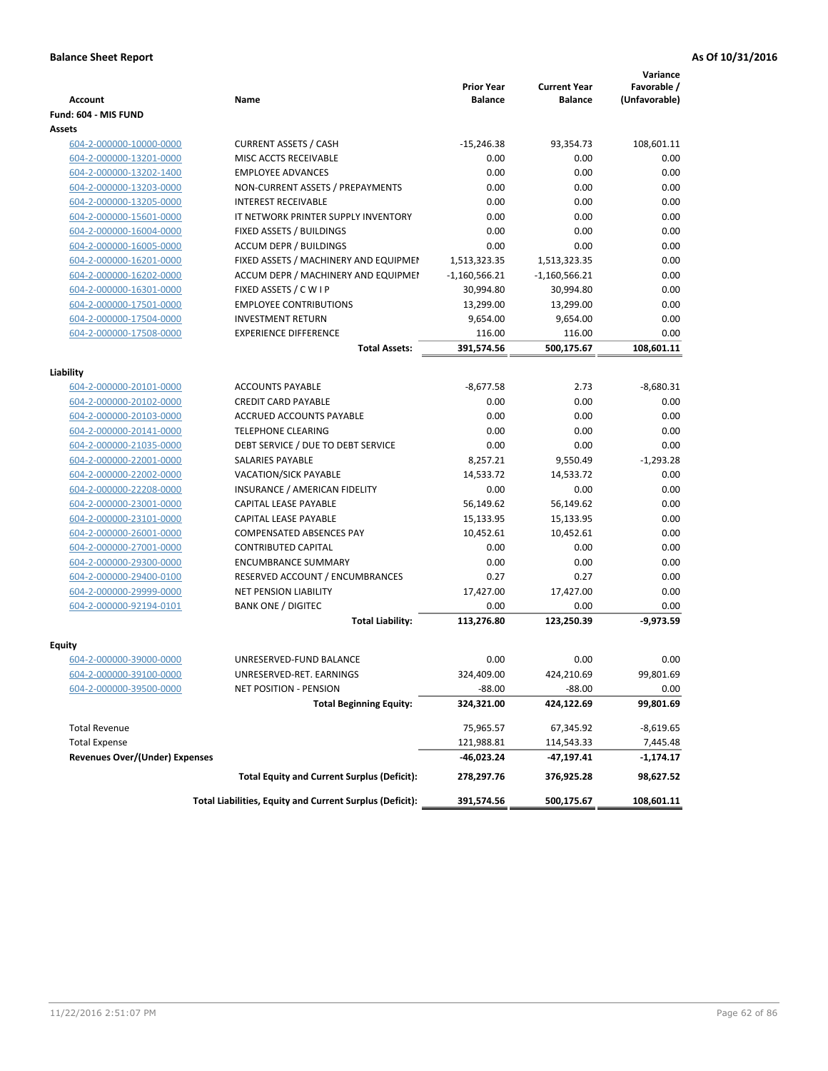|                                       |                                                          | <b>Prior Year</b> | <b>Current Year</b> | Variance<br>Favorable / |
|---------------------------------------|----------------------------------------------------------|-------------------|---------------------|-------------------------|
| <b>Account</b>                        | Name                                                     | <b>Balance</b>    | <b>Balance</b>      | (Unfavorable)           |
| Fund: 604 - MIS FUND                  |                                                          |                   |                     |                         |
| Assets                                |                                                          |                   |                     |                         |
| 604-2-000000-10000-0000               | <b>CURRENT ASSETS / CASH</b>                             | $-15,246.38$      | 93,354.73           | 108,601.11              |
| 604-2-000000-13201-0000               | MISC ACCTS RECEIVABLE                                    | 0.00              | 0.00                | 0.00                    |
| 604-2-000000-13202-1400               | <b>EMPLOYEE ADVANCES</b>                                 | 0.00              | 0.00                | 0.00                    |
| 604-2-000000-13203-0000               | NON-CURRENT ASSETS / PREPAYMENTS                         | 0.00              | 0.00                | 0.00                    |
| 604-2-000000-13205-0000               | <b>INTEREST RECEIVABLE</b>                               | 0.00              | 0.00                | 0.00                    |
| 604-2-000000-15601-0000               | IT NETWORK PRINTER SUPPLY INVENTORY                      | 0.00              | 0.00                | 0.00                    |
| 604-2-000000-16004-0000               | FIXED ASSETS / BUILDINGS                                 | 0.00              | 0.00                | 0.00                    |
| 604-2-000000-16005-0000               | <b>ACCUM DEPR / BUILDINGS</b>                            | 0.00              | 0.00                | 0.00                    |
| 604-2-000000-16201-0000               | FIXED ASSETS / MACHINERY AND EQUIPMEN                    | 1,513,323.35      | 1,513,323.35        | 0.00                    |
| 604-2-000000-16202-0000               | ACCUM DEPR / MACHINERY AND EQUIPMEI                      | $-1,160,566.21$   | $-1,160,566.21$     | 0.00                    |
| 604-2-000000-16301-0000               | FIXED ASSETS / C W I P                                   | 30,994.80         | 30,994.80           | 0.00                    |
| 604-2-000000-17501-0000               | <b>EMPLOYEE CONTRIBUTIONS</b>                            | 13,299.00         | 13,299.00           | 0.00                    |
| 604-2-000000-17504-0000               | <b>INVESTMENT RETURN</b>                                 | 9,654.00          | 9,654.00            | 0.00                    |
| 604-2-000000-17508-0000               | <b>EXPERIENCE DIFFERENCE</b>                             | 116.00            | 116.00              | 0.00                    |
|                                       | <b>Total Assets:</b>                                     | 391,574.56        | 500,175.67          | 108,601.11              |
|                                       |                                                          |                   |                     |                         |
| Liability                             |                                                          |                   |                     |                         |
| 604-2-000000-20101-0000               | <b>ACCOUNTS PAYABLE</b>                                  | $-8,677.58$       | 2.73                | $-8,680.31$             |
| 604-2-000000-20102-0000               | <b>CREDIT CARD PAYABLE</b>                               | 0.00              | 0.00                | 0.00                    |
| 604-2-000000-20103-0000               | ACCRUED ACCOUNTS PAYABLE                                 | 0.00              | 0.00                | 0.00                    |
| 604-2-000000-20141-0000               | <b>TELEPHONE CLEARING</b>                                | 0.00              | 0.00                | 0.00                    |
| 604-2-000000-21035-0000               | DEBT SERVICE / DUE TO DEBT SERVICE                       | 0.00              | 0.00                | 0.00                    |
| 604-2-000000-22001-0000               | SALARIES PAYABLE                                         | 8,257.21          | 9,550.49            | $-1,293.28$             |
| 604-2-000000-22002-0000               | <b>VACATION/SICK PAYABLE</b>                             | 14,533.72         | 14,533.72           | 0.00                    |
| 604-2-000000-22208-0000               | INSURANCE / AMERICAN FIDELITY                            | 0.00              | 0.00                | 0.00                    |
| 604-2-000000-23001-0000               | CAPITAL LEASE PAYABLE                                    | 56,149.62         | 56,149.62           | 0.00                    |
| 604-2-000000-23101-0000               | CAPITAL LEASE PAYABLE                                    | 15,133.95         | 15,133.95           | 0.00                    |
| 604-2-000000-26001-0000               | COMPENSATED ABSENCES PAY                                 | 10,452.61         | 10,452.61           | 0.00                    |
| 604-2-000000-27001-0000               | <b>CONTRIBUTED CAPITAL</b>                               | 0.00              | 0.00                | 0.00                    |
| 604-2-000000-29300-0000               | <b>ENCUMBRANCE SUMMARY</b>                               | 0.00              | 0.00                | 0.00                    |
| 604-2-000000-29400-0100               | RESERVED ACCOUNT / ENCUMBRANCES                          | 0.27              | 0.27                | 0.00                    |
| 604-2-000000-29999-0000               | <b>NET PENSION LIABILITY</b>                             | 17,427.00         | 17,427.00           | 0.00                    |
| 604-2-000000-92194-0101               | <b>BANK ONE / DIGITEC</b>                                | 0.00              | 0.00                | 0.00                    |
|                                       | <b>Total Liability:</b>                                  | 113,276.80        | 123,250.39          | $-9,973.59$             |
|                                       |                                                          |                   |                     |                         |
| Equity                                |                                                          |                   |                     |                         |
| 604-2-000000-39000-0000               | UNRESERVED-FUND BALANCE                                  | 0.00              | 0.00                | 0.00                    |
| 604-2-000000-39100-0000               | UNRESERVED-RET. EARNINGS                                 | 324,409.00        | 424,210.69          | 99,801.69               |
| 604-2-000000-39500-0000               | NET POSITION - PENSION                                   | $-88.00$          | $-88.00$            | 0.00                    |
|                                       | <b>Total Beginning Equity:</b>                           | 324,321.00        | 424,122.69          | 99,801.69               |
| <b>Total Revenue</b>                  |                                                          | 75,965.57         | 67,345.92           | -8,619.65               |
| <b>Total Expense</b>                  |                                                          | 121,988.81        | 114,543.33          | 7,445.48                |
| <b>Revenues Over/(Under) Expenses</b> |                                                          | -46,023.24        | -47,197.41          | -1,174.17               |
|                                       | <b>Total Equity and Current Surplus (Deficit):</b>       | 278,297.76        | 376,925.28          | 98,627.52               |
|                                       | Total Liabilities, Equity and Current Surplus (Deficit): | 391,574.56        | 500,175.67          | 108,601.11              |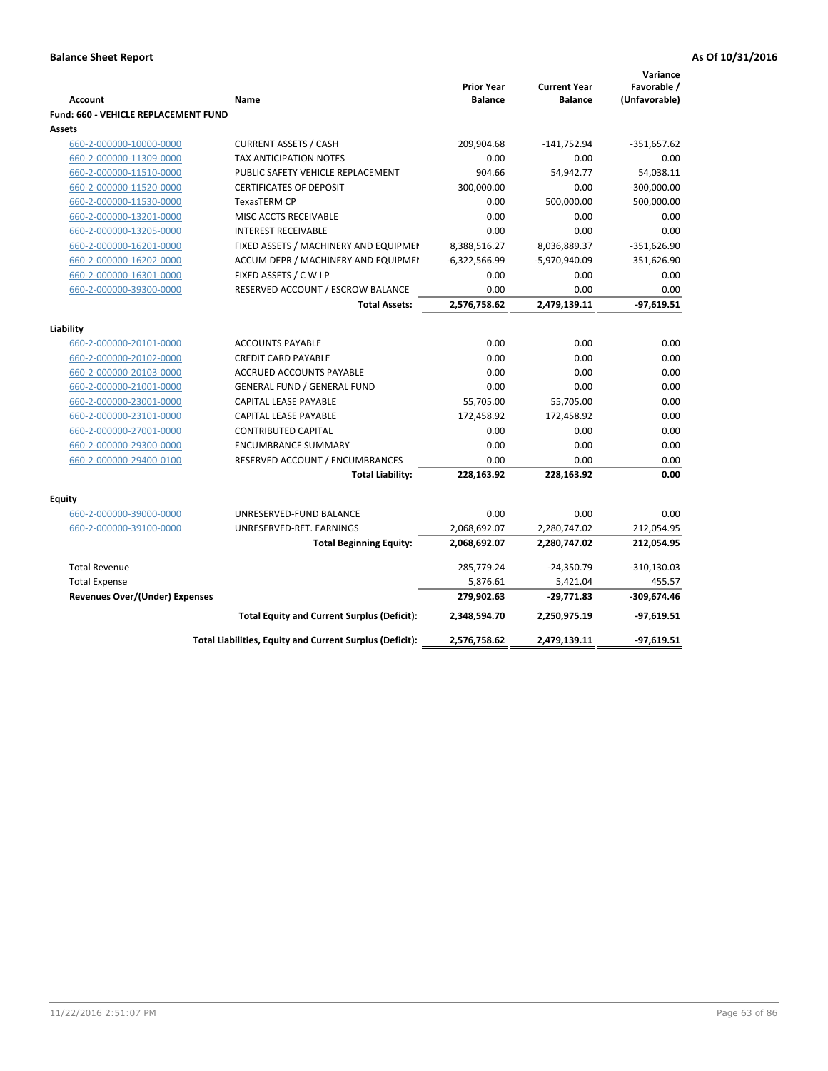| <b>Account</b>                        | Name                                                     | <b>Prior Year</b><br><b>Balance</b> | <b>Current Year</b><br><b>Balance</b> | Variance<br>Favorable /<br>(Unfavorable) |
|---------------------------------------|----------------------------------------------------------|-------------------------------------|---------------------------------------|------------------------------------------|
| Fund: 660 - VEHICLE REPLACEMENT FUND  |                                                          |                                     |                                       |                                          |
| <b>Assets</b>                         |                                                          |                                     |                                       |                                          |
| 660-2-000000-10000-0000               | <b>CURRENT ASSETS / CASH</b>                             | 209,904.68                          | $-141,752.94$                         | $-351,657.62$                            |
| 660-2-000000-11309-0000               | <b>TAX ANTICIPATION NOTES</b>                            | 0.00                                | 0.00                                  | 0.00                                     |
| 660-2-000000-11510-0000               | PUBLIC SAFETY VEHICLE REPLACEMENT                        | 904.66                              | 54,942.77                             | 54,038.11                                |
| 660-2-000000-11520-0000               | <b>CERTIFICATES OF DEPOSIT</b>                           | 300,000.00                          | 0.00                                  | $-300,000.00$                            |
| 660-2-000000-11530-0000               | <b>TexasTERM CP</b>                                      | 0.00                                | 500,000.00                            | 500,000.00                               |
| 660-2-000000-13201-0000               | MISC ACCTS RECEIVABLE                                    | 0.00                                | 0.00                                  | 0.00                                     |
| 660-2-000000-13205-0000               | <b>INTEREST RECEIVABLE</b>                               | 0.00                                | 0.00                                  | 0.00                                     |
| 660-2-000000-16201-0000               | FIXED ASSETS / MACHINERY AND EQUIPMEN                    | 8,388,516.27                        | 8,036,889.37                          | $-351,626.90$                            |
| 660-2-000000-16202-0000               | ACCUM DEPR / MACHINERY AND EQUIPMEI                      | $-6,322,566.99$                     | -5,970,940.09                         | 351,626.90                               |
| 660-2-000000-16301-0000               | FIXED ASSETS / C W I P                                   | 0.00                                | 0.00                                  | 0.00                                     |
| 660-2-000000-39300-0000               | RESERVED ACCOUNT / ESCROW BALANCE                        | 0.00                                | 0.00                                  | 0.00                                     |
|                                       | <b>Total Assets:</b>                                     | 2,576,758.62                        | 2,479,139.11                          | -97,619.51                               |
|                                       |                                                          |                                     |                                       |                                          |
| Liability                             |                                                          |                                     |                                       |                                          |
| 660-2-000000-20101-0000               | <b>ACCOUNTS PAYABLE</b>                                  | 0.00                                | 0.00                                  | 0.00                                     |
| 660-2-000000-20102-0000               | <b>CREDIT CARD PAYABLE</b>                               | 0.00                                | 0.00                                  | 0.00                                     |
| 660-2-000000-20103-0000               | ACCRUED ACCOUNTS PAYABLE                                 | 0.00                                | 0.00                                  | 0.00                                     |
| 660-2-000000-21001-0000               | <b>GENERAL FUND / GENERAL FUND</b>                       | 0.00                                | 0.00                                  | 0.00                                     |
| 660-2-000000-23001-0000               | CAPITAL LEASE PAYABLE                                    | 55,705.00                           | 55,705.00                             | 0.00                                     |
| 660-2-000000-23101-0000               | <b>CAPITAL LEASE PAYABLE</b>                             | 172,458.92                          | 172,458.92                            | 0.00                                     |
| 660-2-000000-27001-0000               | <b>CONTRIBUTED CAPITAL</b>                               | 0.00                                | 0.00                                  | 0.00                                     |
| 660-2-000000-29300-0000               | <b>ENCUMBRANCE SUMMARY</b>                               | 0.00                                | 0.00                                  | 0.00                                     |
| 660-2-000000-29400-0100               | RESERVED ACCOUNT / ENCUMBRANCES                          | 0.00                                | 0.00                                  | 0.00                                     |
|                                       | <b>Total Liability:</b>                                  | 228,163.92                          | 228,163.92                            | 0.00                                     |
| <b>Equity</b>                         |                                                          |                                     |                                       |                                          |
| 660-2-000000-39000-0000               | UNRESERVED-FUND BALANCE                                  | 0.00                                | 0.00                                  | 0.00                                     |
| 660-2-000000-39100-0000               | UNRESERVED-RET. EARNINGS                                 | 2,068,692.07                        | 2,280,747.02                          | 212,054.95                               |
|                                       | <b>Total Beginning Equity:</b>                           | 2,068,692.07                        | 2,280,747.02                          | 212,054.95                               |
|                                       |                                                          |                                     |                                       |                                          |
| <b>Total Revenue</b>                  |                                                          | 285,779.24                          | $-24,350.79$                          | $-310, 130.03$                           |
| <b>Total Expense</b>                  |                                                          | 5,876.61                            | 5,421.04                              | 455.57                                   |
| <b>Revenues Over/(Under) Expenses</b> |                                                          | 279,902.63                          | $-29,771.83$                          | -309,674.46                              |
|                                       | <b>Total Equity and Current Surplus (Deficit):</b>       | 2,348,594.70                        | 2,250,975.19                          | $-97,619.51$                             |
|                                       | Total Liabilities, Equity and Current Surplus (Deficit): | 2,576,758.62                        | 2,479,139.11                          | -97,619.51                               |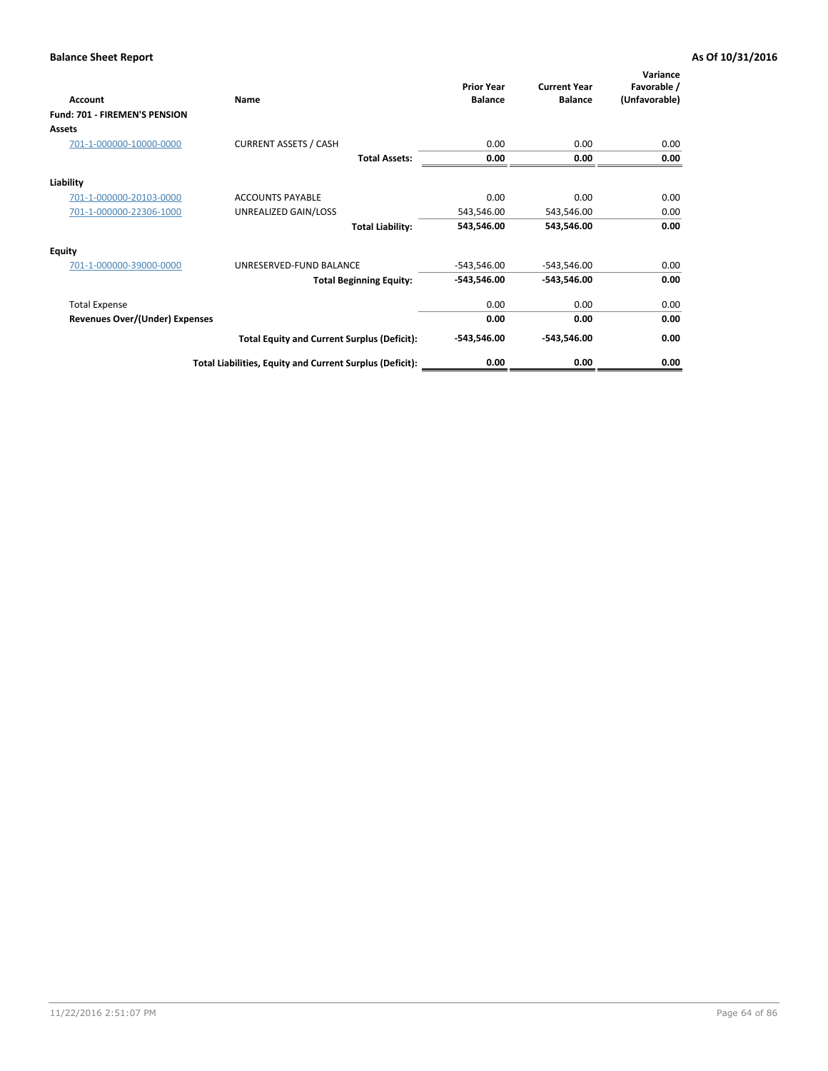| <b>Account</b>                 | Name                                                     | <b>Prior Year</b><br><b>Balance</b> | <b>Current Year</b><br><b>Balance</b> | Variance<br>Favorable /<br>(Unfavorable) |
|--------------------------------|----------------------------------------------------------|-------------------------------------|---------------------------------------|------------------------------------------|
| Fund: 701 - FIREMEN'S PENSION  |                                                          |                                     |                                       |                                          |
| <b>Assets</b>                  |                                                          |                                     |                                       |                                          |
| 701-1-000000-10000-0000        | <b>CURRENT ASSETS / CASH</b>                             | 0.00                                | 0.00                                  | 0.00                                     |
|                                | <b>Total Assets:</b>                                     | 0.00                                | 0.00                                  | 0.00                                     |
| Liability                      |                                                          |                                     |                                       |                                          |
| 701-1-000000-20103-0000        | <b>ACCOUNTS PAYABLE</b>                                  | 0.00                                | 0.00                                  | 0.00                                     |
| 701-1-000000-22306-1000        | UNREALIZED GAIN/LOSS                                     | 543,546.00                          | 543,546.00                            | 0.00                                     |
|                                | <b>Total Liability:</b>                                  | 543,546.00                          | 543,546.00                            | 0.00                                     |
| <b>Equity</b>                  |                                                          |                                     |                                       |                                          |
| 701-1-000000-39000-0000        | UNRESERVED-FUND BALANCE                                  | $-543,546.00$                       | $-543,546.00$                         | 0.00                                     |
|                                | <b>Total Beginning Equity:</b>                           | -543,546.00                         | -543,546.00                           | 0.00                                     |
| <b>Total Expense</b>           |                                                          | 0.00                                | 0.00                                  | 0.00                                     |
| Revenues Over/(Under) Expenses |                                                          | 0.00                                | 0.00                                  | 0.00                                     |
|                                | <b>Total Equity and Current Surplus (Deficit):</b>       | $-543,546.00$                       | -543,546.00                           | 0.00                                     |
|                                | Total Liabilities, Equity and Current Surplus (Deficit): | 0.00                                | 0.00                                  | 0.00                                     |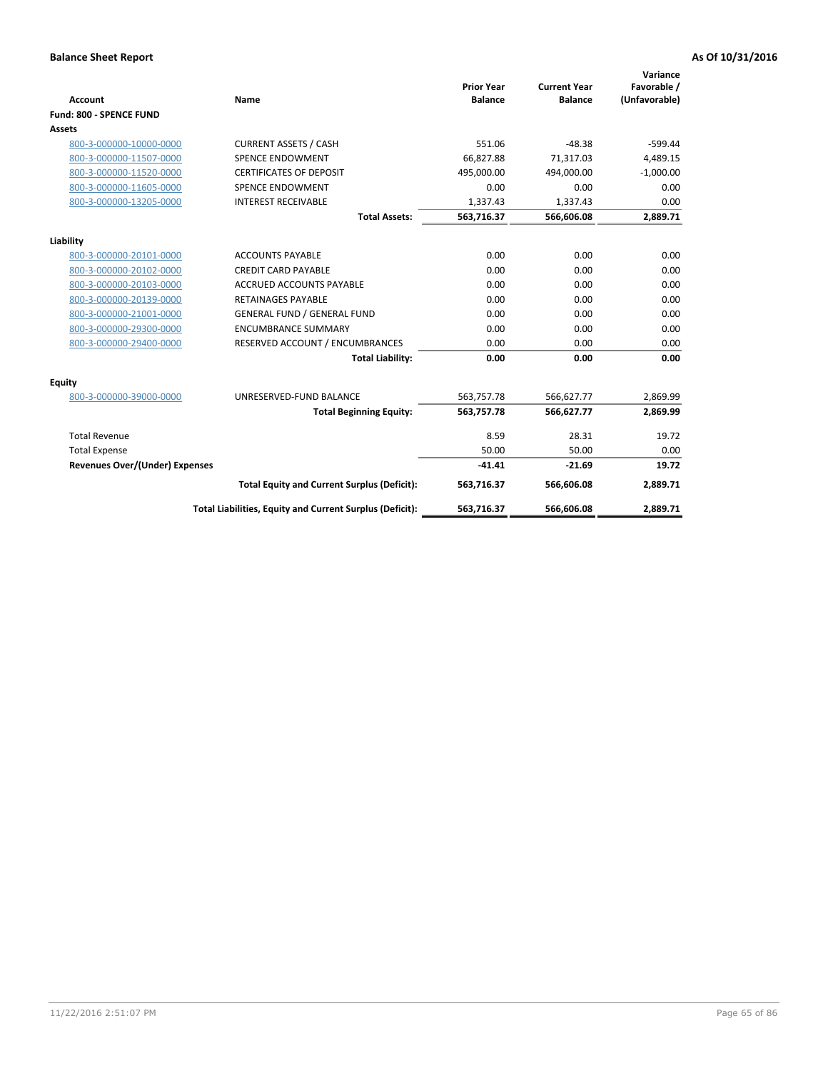|                                       |                                                          |                                     |                                       | Variance                     |
|---------------------------------------|----------------------------------------------------------|-------------------------------------|---------------------------------------|------------------------------|
| <b>Account</b>                        | <b>Name</b>                                              | <b>Prior Year</b><br><b>Balance</b> | <b>Current Year</b><br><b>Balance</b> | Favorable /<br>(Unfavorable) |
| Fund: 800 - SPENCE FUND               |                                                          |                                     |                                       |                              |
| Assets                                |                                                          |                                     |                                       |                              |
| 800-3-000000-10000-0000               | <b>CURRENT ASSETS / CASH</b>                             | 551.06                              | $-48.38$                              | $-599.44$                    |
| 800-3-000000-11507-0000               | <b>SPENCE ENDOWMENT</b>                                  | 66.827.88                           | 71,317.03                             | 4,489.15                     |
| 800-3-000000-11520-0000               | <b>CERTIFICATES OF DEPOSIT</b>                           | 495,000.00                          | 494,000.00                            | $-1,000.00$                  |
| 800-3-000000-11605-0000               | <b>SPENCE ENDOWMENT</b>                                  | 0.00                                | 0.00                                  | 0.00                         |
| 800-3-000000-13205-0000               | <b>INTEREST RECEIVABLE</b>                               | 1,337.43                            | 1,337.43                              | 0.00                         |
|                                       | <b>Total Assets:</b>                                     | 563,716.37                          | 566,606.08                            | 2,889.71                     |
| Liability                             |                                                          |                                     |                                       |                              |
| 800-3-000000-20101-0000               | <b>ACCOUNTS PAYABLE</b>                                  | 0.00                                | 0.00                                  | 0.00                         |
| 800-3-000000-20102-0000               | <b>CREDIT CARD PAYABLE</b>                               | 0.00                                | 0.00                                  | 0.00                         |
| 800-3-000000-20103-0000               | <b>ACCRUED ACCOUNTS PAYABLE</b>                          | 0.00                                | 0.00                                  | 0.00                         |
| 800-3-000000-20139-0000               | <b>RETAINAGES PAYABLE</b>                                | 0.00                                | 0.00                                  | 0.00                         |
| 800-3-000000-21001-0000               | <b>GENERAL FUND / GENERAL FUND</b>                       | 0.00                                | 0.00                                  | 0.00                         |
| 800-3-000000-29300-0000               | <b>ENCUMBRANCE SUMMARY</b>                               | 0.00                                | 0.00                                  | 0.00                         |
| 800-3-000000-29400-0000               | RESERVED ACCOUNT / ENCUMBRANCES                          | 0.00                                | 0.00                                  | 0.00                         |
|                                       | <b>Total Liability:</b>                                  | 0.00                                | 0.00                                  | 0.00                         |
| Equity                                |                                                          |                                     |                                       |                              |
| 800-3-000000-39000-0000               | UNRESERVED-FUND BALANCE                                  | 563,757.78                          | 566,627.77                            | 2,869.99                     |
|                                       | <b>Total Beginning Equity:</b>                           | 563,757.78                          | 566,627.77                            | 2,869.99                     |
| <b>Total Revenue</b>                  |                                                          | 8.59                                | 28.31                                 | 19.72                        |
| <b>Total Expense</b>                  |                                                          | 50.00                               | 50.00                                 | 0.00                         |
| <b>Revenues Over/(Under) Expenses</b> |                                                          | $-41.41$                            | $-21.69$                              | 19.72                        |
|                                       | <b>Total Equity and Current Surplus (Deficit):</b>       | 563,716.37                          | 566,606.08                            | 2,889.71                     |
|                                       | Total Liabilities, Equity and Current Surplus (Deficit): | 563,716.37                          | 566,606.08                            | 2,889.71                     |
|                                       |                                                          |                                     |                                       |                              |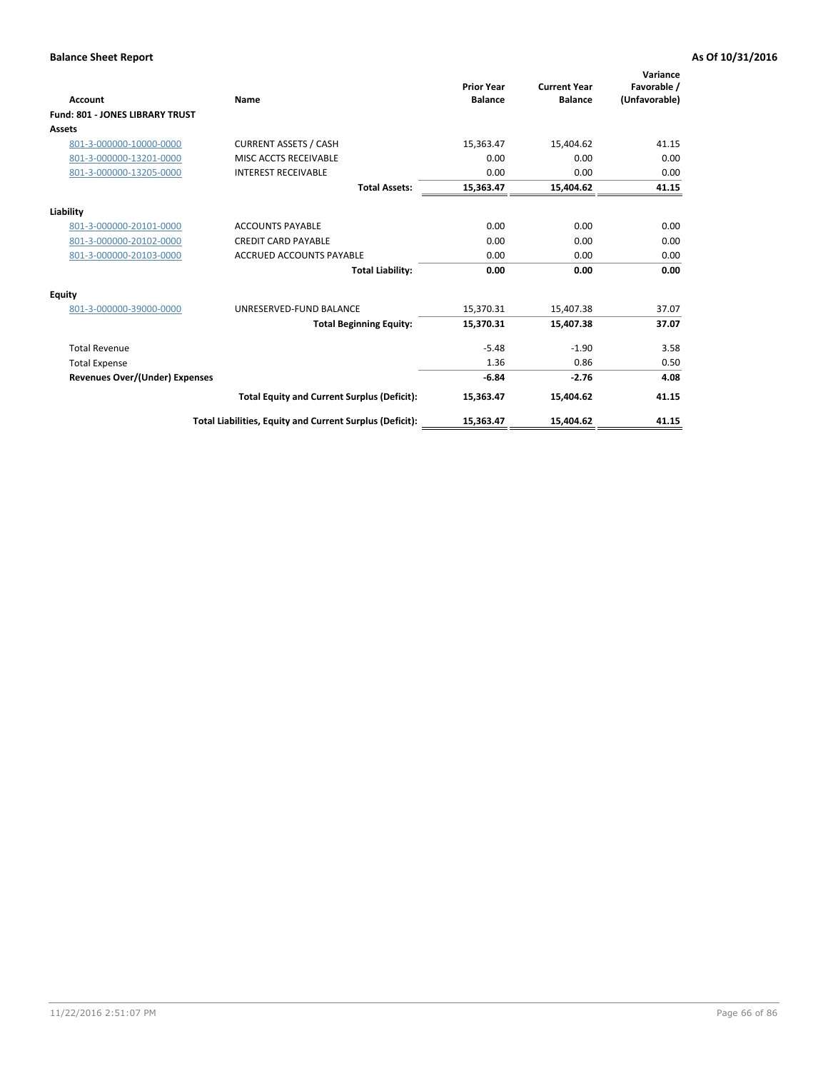| Account                                | Name                                                     | <b>Prior Year</b><br><b>Balance</b> | <b>Current Year</b><br><b>Balance</b> | Variance<br>Favorable /<br>(Unfavorable) |
|----------------------------------------|----------------------------------------------------------|-------------------------------------|---------------------------------------|------------------------------------------|
| <b>Fund: 801 - JONES LIBRARY TRUST</b> |                                                          |                                     |                                       |                                          |
| Assets                                 |                                                          |                                     |                                       |                                          |
| 801-3-000000-10000-0000                | <b>CURRENT ASSETS / CASH</b>                             | 15,363.47                           | 15,404.62                             | 41.15                                    |
| 801-3-000000-13201-0000                | MISC ACCTS RECEIVABLE                                    | 0.00                                | 0.00                                  | 0.00                                     |
| 801-3-000000-13205-0000                | <b>INTEREST RECEIVABLE</b>                               | 0.00                                | 0.00                                  | 0.00                                     |
|                                        |                                                          |                                     |                                       |                                          |
|                                        | <b>Total Assets:</b>                                     | 15,363.47                           | 15,404.62                             | 41.15                                    |
| Liability                              |                                                          |                                     |                                       |                                          |
| 801-3-000000-20101-0000                | <b>ACCOUNTS PAYABLE</b>                                  | 0.00                                | 0.00                                  | 0.00                                     |
| 801-3-000000-20102-0000                | <b>CREDIT CARD PAYABLE</b>                               | 0.00                                | 0.00                                  | 0.00                                     |
| 801-3-000000-20103-0000                | <b>ACCRUED ACCOUNTS PAYABLE</b>                          | 0.00                                | 0.00                                  | 0.00                                     |
|                                        | <b>Total Liability:</b>                                  | 0.00                                | 0.00                                  | 0.00                                     |
| Equity                                 |                                                          |                                     |                                       |                                          |
| 801-3-000000-39000-0000                | UNRESERVED-FUND BALANCE                                  | 15,370.31                           | 15,407.38                             | 37.07                                    |
|                                        | <b>Total Beginning Equity:</b>                           | 15,370.31                           | 15,407.38                             | 37.07                                    |
| <b>Total Revenue</b>                   |                                                          | $-5.48$                             | $-1.90$                               | 3.58                                     |
| <b>Total Expense</b>                   |                                                          | 1.36                                | 0.86                                  | 0.50                                     |
| <b>Revenues Over/(Under) Expenses</b>  |                                                          | $-6.84$                             | $-2.76$                               | 4.08                                     |
|                                        | <b>Total Equity and Current Surplus (Deficit):</b>       | 15,363.47                           | 15,404.62                             | 41.15                                    |
|                                        | Total Liabilities, Equity and Current Surplus (Deficit): | 15,363.47                           | 15,404.62                             | 41.15                                    |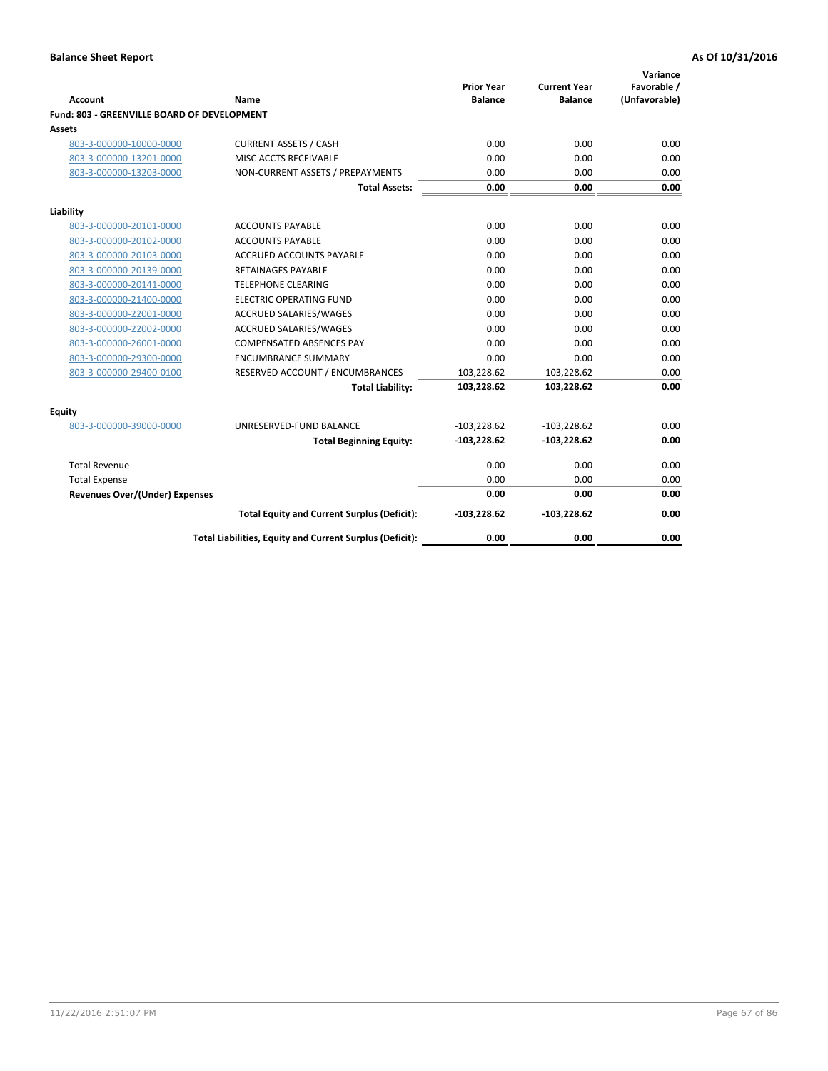| <b>Account</b>                              | Name                                                     | <b>Prior Year</b><br><b>Balance</b> | <b>Current Year</b><br><b>Balance</b> | Variance<br>Favorable /<br>(Unfavorable) |
|---------------------------------------------|----------------------------------------------------------|-------------------------------------|---------------------------------------|------------------------------------------|
| Fund: 803 - GREENVILLE BOARD OF DEVELOPMENT |                                                          |                                     |                                       |                                          |
| <b>Assets</b>                               |                                                          |                                     |                                       |                                          |
| 803-3-000000-10000-0000                     | <b>CURRENT ASSETS / CASH</b>                             | 0.00                                | 0.00                                  | 0.00                                     |
| 803-3-000000-13201-0000                     | MISC ACCTS RECEIVABLE                                    | 0.00                                | 0.00                                  | 0.00                                     |
| 803-3-000000-13203-0000                     | NON-CURRENT ASSETS / PREPAYMENTS                         | 0.00                                | 0.00                                  | 0.00                                     |
|                                             | <b>Total Assets:</b>                                     | 0.00                                | 0.00                                  | 0.00                                     |
| Liability                                   |                                                          |                                     |                                       |                                          |
| 803-3-000000-20101-0000                     | <b>ACCOUNTS PAYABLE</b>                                  | 0.00                                | 0.00                                  | 0.00                                     |
| 803-3-000000-20102-0000                     | <b>ACCOUNTS PAYABLE</b>                                  | 0.00                                | 0.00                                  | 0.00                                     |
| 803-3-000000-20103-0000                     | <b>ACCRUED ACCOUNTS PAYABLE</b>                          | 0.00                                | 0.00                                  | 0.00                                     |
| 803-3-000000-20139-0000                     | <b>RETAINAGES PAYABLE</b>                                | 0.00                                | 0.00                                  | 0.00                                     |
| 803-3-000000-20141-0000                     | <b>TELEPHONE CLEARING</b>                                | 0.00                                | 0.00                                  | 0.00                                     |
| 803-3-000000-21400-0000                     | <b>ELECTRIC OPERATING FUND</b>                           | 0.00                                | 0.00                                  | 0.00                                     |
| 803-3-000000-22001-0000                     | ACCRUED SALARIES/WAGES                                   | 0.00                                | 0.00                                  | 0.00                                     |
| 803-3-000000-22002-0000                     | <b>ACCRUED SALARIES/WAGES</b>                            | 0.00                                | 0.00                                  | 0.00                                     |
| 803-3-000000-26001-0000                     | <b>COMPENSATED ABSENCES PAY</b>                          | 0.00                                | 0.00                                  | 0.00                                     |
| 803-3-000000-29300-0000                     | <b>ENCUMBRANCE SUMMARY</b>                               | 0.00                                | 0.00                                  | 0.00                                     |
| 803-3-000000-29400-0100                     | RESERVED ACCOUNT / ENCUMBRANCES                          | 103,228.62                          | 103,228.62                            | 0.00                                     |
|                                             | <b>Total Liability:</b>                                  | 103,228.62                          | 103,228.62                            | 0.00                                     |
| Equity                                      |                                                          |                                     |                                       |                                          |
| 803-3-000000-39000-0000                     | UNRESERVED-FUND BALANCE                                  | $-103,228.62$                       | $-103,228.62$                         | 0.00                                     |
|                                             | <b>Total Beginning Equity:</b>                           | $-103,228.62$                       | $-103,228.62$                         | 0.00                                     |
| <b>Total Revenue</b>                        |                                                          | 0.00                                | 0.00                                  | 0.00                                     |
| <b>Total Expense</b>                        |                                                          | 0.00                                | 0.00                                  | 0.00                                     |
| <b>Revenues Over/(Under) Expenses</b>       |                                                          | 0.00                                | 0.00                                  | 0.00                                     |
|                                             | <b>Total Equity and Current Surplus (Deficit):</b>       | $-103,228.62$                       | $-103,228.62$                         | 0.00                                     |
|                                             | Total Liabilities, Equity and Current Surplus (Deficit): | 0.00                                | 0.00                                  | 0.00                                     |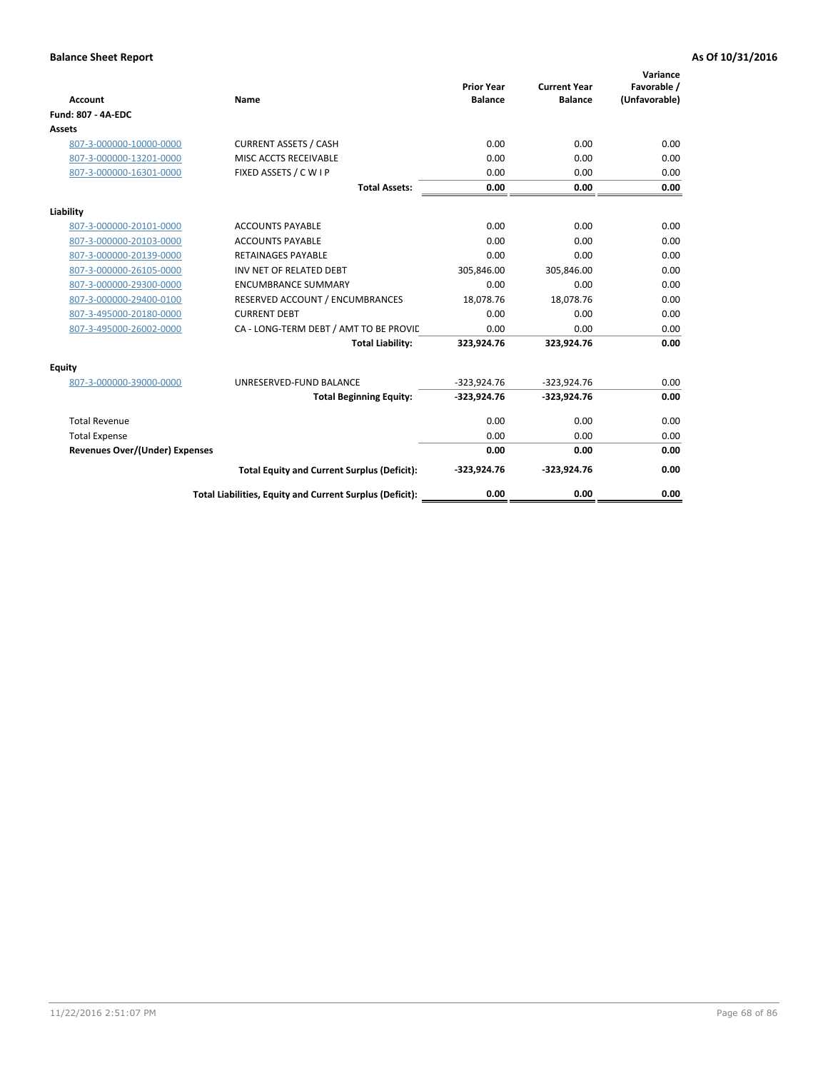| <b>Account</b>                        | Name                                                     | <b>Prior Year</b><br><b>Balance</b> | <b>Current Year</b><br><b>Balance</b> | Variance<br>Favorable /<br>(Unfavorable) |
|---------------------------------------|----------------------------------------------------------|-------------------------------------|---------------------------------------|------------------------------------------|
| <b>Fund: 807 - 4A-EDC</b>             |                                                          |                                     |                                       |                                          |
| <b>Assets</b>                         |                                                          |                                     |                                       |                                          |
| 807-3-000000-10000-0000               | <b>CURRENT ASSETS / CASH</b>                             | 0.00                                | 0.00                                  | 0.00                                     |
| 807-3-000000-13201-0000               | MISC ACCTS RECEIVABLE                                    | 0.00                                | 0.00                                  | 0.00                                     |
| 807-3-000000-16301-0000               | FIXED ASSETS / C W I P                                   | 0.00                                | 0.00                                  | 0.00                                     |
|                                       | <b>Total Assets:</b>                                     | 0.00                                | 0.00                                  | 0.00                                     |
| Liability                             |                                                          |                                     |                                       |                                          |
| 807-3-000000-20101-0000               | <b>ACCOUNTS PAYABLE</b>                                  | 0.00                                | 0.00                                  | 0.00                                     |
| 807-3-000000-20103-0000               | <b>ACCOUNTS PAYABLE</b>                                  | 0.00                                | 0.00                                  | 0.00                                     |
| 807-3-000000-20139-0000               | <b>RETAINAGES PAYABLE</b>                                | 0.00                                | 0.00                                  | 0.00                                     |
| 807-3-000000-26105-0000               | INV NET OF RELATED DEBT                                  | 305,846.00                          | 305,846.00                            | 0.00                                     |
| 807-3-000000-29300-0000               | <b>ENCUMBRANCE SUMMARY</b>                               | 0.00                                | 0.00                                  | 0.00                                     |
| 807-3-000000-29400-0100               | RESERVED ACCOUNT / ENCUMBRANCES                          | 18,078.76                           | 18,078.76                             | 0.00                                     |
| 807-3-495000-20180-0000               | <b>CURRENT DEBT</b>                                      | 0.00                                | 0.00                                  | 0.00                                     |
| 807-3-495000-26002-0000               | CA - LONG-TERM DEBT / AMT TO BE PROVIL                   | 0.00                                | 0.00                                  | 0.00                                     |
|                                       | <b>Total Liability:</b>                                  | 323,924.76                          | 323,924.76                            | 0.00                                     |
| Equity                                |                                                          |                                     |                                       |                                          |
| 807-3-000000-39000-0000               | UNRESERVED-FUND BALANCE                                  | $-323,924.76$                       | $-323,924.76$                         | 0.00                                     |
|                                       | <b>Total Beginning Equity:</b>                           | $-323,924.76$                       | $-323,924.76$                         | 0.00                                     |
| <b>Total Revenue</b>                  |                                                          | 0.00                                | 0.00                                  | 0.00                                     |
| <b>Total Expense</b>                  |                                                          | 0.00                                | 0.00                                  | 0.00                                     |
| <b>Revenues Over/(Under) Expenses</b> |                                                          | 0.00                                | 0.00                                  | 0.00                                     |
|                                       | <b>Total Equity and Current Surplus (Deficit):</b>       | $-323,924.76$                       | $-323,924.76$                         | 0.00                                     |
|                                       | Total Liabilities, Equity and Current Surplus (Deficit): | 0.00                                | 0.00                                  | 0.00                                     |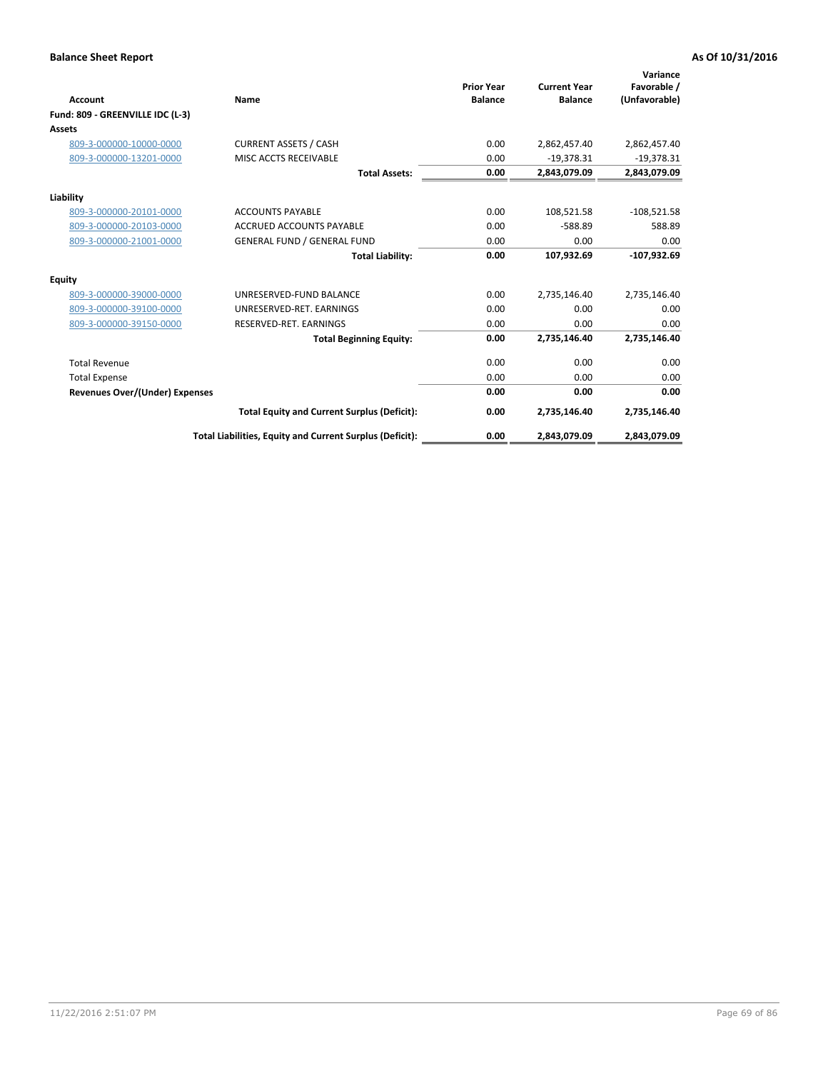| <b>Account</b>                        | Name                                                     | <b>Prior Year</b><br><b>Balance</b> | <b>Current Year</b><br><b>Balance</b> | Variance<br>Favorable /<br>(Unfavorable) |
|---------------------------------------|----------------------------------------------------------|-------------------------------------|---------------------------------------|------------------------------------------|
| Fund: 809 - GREENVILLE IDC (L-3)      |                                                          |                                     |                                       |                                          |
| Assets                                |                                                          |                                     |                                       |                                          |
| 809-3-000000-10000-0000               | <b>CURRENT ASSETS / CASH</b>                             | 0.00                                | 2,862,457.40                          | 2,862,457.40                             |
| 809-3-000000-13201-0000               | MISC ACCTS RECEIVABLE                                    | 0.00                                | $-19,378.31$                          | $-19,378.31$                             |
|                                       | <b>Total Assets:</b>                                     | 0.00                                | 2,843,079.09                          | 2,843,079.09                             |
| Liability                             |                                                          |                                     |                                       |                                          |
| 809-3-000000-20101-0000               | <b>ACCOUNTS PAYABLE</b>                                  | 0.00                                | 108,521.58                            | $-108,521.58$                            |
| 809-3-000000-20103-0000               | <b>ACCRUED ACCOUNTS PAYABLE</b>                          | 0.00                                | $-588.89$                             | 588.89                                   |
| 809-3-000000-21001-0000               | <b>GENERAL FUND / GENERAL FUND</b>                       | 0.00                                | 0.00                                  | 0.00                                     |
|                                       | <b>Total Liability:</b>                                  | 0.00                                | 107,932.69                            | $-107,932.69$                            |
| Equity                                |                                                          |                                     |                                       |                                          |
| 809-3-000000-39000-0000               | UNRESERVED-FUND BALANCE                                  | 0.00                                | 2,735,146.40                          | 2,735,146.40                             |
| 809-3-000000-39100-0000               | UNRESERVED-RET, EARNINGS                                 | 0.00                                | 0.00                                  | 0.00                                     |
| 809-3-000000-39150-0000               | RESERVED-RET. EARNINGS                                   | 0.00                                | 0.00                                  | 0.00                                     |
|                                       | <b>Total Beginning Equity:</b>                           | 0.00                                | 2,735,146.40                          | 2,735,146.40                             |
| <b>Total Revenue</b>                  |                                                          | 0.00                                | 0.00                                  | 0.00                                     |
| <b>Total Expense</b>                  |                                                          | 0.00                                | 0.00                                  | 0.00                                     |
| <b>Revenues Over/(Under) Expenses</b> |                                                          | 0.00                                | 0.00                                  | 0.00                                     |
|                                       | <b>Total Equity and Current Surplus (Deficit):</b>       | 0.00                                | 2,735,146.40                          | 2,735,146.40                             |
|                                       | Total Liabilities, Equity and Current Surplus (Deficit): | 0.00                                | 2,843,079.09                          | 2,843,079.09                             |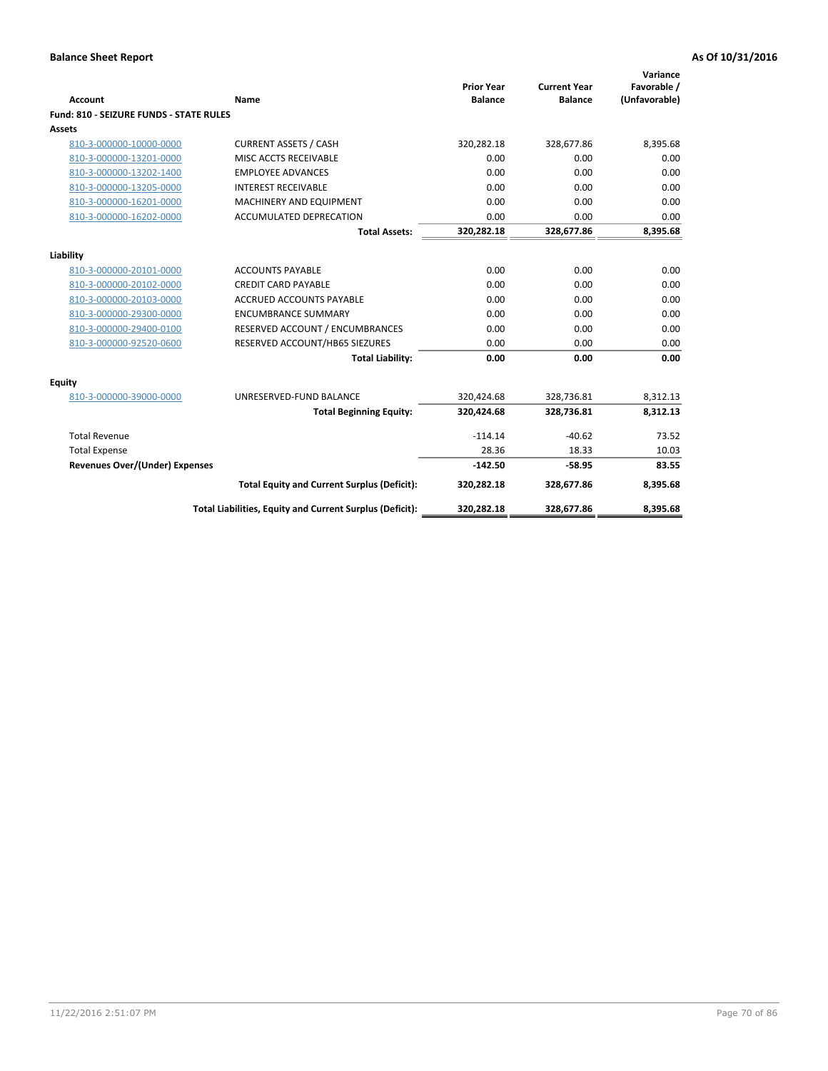| <b>Account</b>                          | Name                                                     | <b>Prior Year</b><br><b>Balance</b> | <b>Current Year</b><br><b>Balance</b> | Variance<br>Favorable /<br>(Unfavorable) |
|-----------------------------------------|----------------------------------------------------------|-------------------------------------|---------------------------------------|------------------------------------------|
| Fund: 810 - SEIZURE FUNDS - STATE RULES |                                                          |                                     |                                       |                                          |
| <b>Assets</b>                           |                                                          |                                     |                                       |                                          |
| 810-3-000000-10000-0000                 | <b>CURRENT ASSETS / CASH</b>                             | 320,282.18                          | 328,677.86                            | 8,395.68                                 |
| 810-3-000000-13201-0000                 | MISC ACCTS RECEIVABLE                                    | 0.00                                | 0.00                                  | 0.00                                     |
| 810-3-000000-13202-1400                 | <b>EMPLOYEE ADVANCES</b>                                 | 0.00                                | 0.00                                  | 0.00                                     |
| 810-3-000000-13205-0000                 | <b>INTEREST RECEIVABLE</b>                               | 0.00                                | 0.00                                  | 0.00                                     |
| 810-3-000000-16201-0000                 | MACHINERY AND EQUIPMENT                                  | 0.00                                | 0.00                                  | 0.00                                     |
| 810-3-000000-16202-0000                 | <b>ACCUMULATED DEPRECATION</b>                           | 0.00                                | 0.00                                  | 0.00                                     |
|                                         | <b>Total Assets:</b>                                     | 320,282.18                          | 328,677.86                            | 8,395.68                                 |
|                                         |                                                          |                                     |                                       |                                          |
| Liability                               |                                                          |                                     |                                       |                                          |
| 810-3-000000-20101-0000                 | <b>ACCOUNTS PAYABLE</b>                                  | 0.00                                | 0.00                                  | 0.00                                     |
| 810-3-000000-20102-0000                 | <b>CREDIT CARD PAYABLE</b>                               | 0.00                                | 0.00                                  | 0.00                                     |
| 810-3-000000-20103-0000                 | <b>ACCRUED ACCOUNTS PAYABLE</b>                          | 0.00                                | 0.00                                  | 0.00                                     |
| 810-3-000000-29300-0000                 | <b>ENCUMBRANCE SUMMARY</b>                               | 0.00                                | 0.00                                  | 0.00                                     |
| 810-3-000000-29400-0100                 | RESERVED ACCOUNT / ENCUMBRANCES                          | 0.00                                | 0.00                                  | 0.00                                     |
| 810-3-000000-92520-0600                 | RESERVED ACCOUNT/HB65 SIEZURES                           | 0.00                                | 0.00                                  | 0.00                                     |
|                                         | <b>Total Liability:</b>                                  | 0.00                                | 0.00                                  | 0.00                                     |
| Equity                                  |                                                          |                                     |                                       |                                          |
| 810-3-000000-39000-0000                 | UNRESERVED-FUND BALANCE                                  | 320,424.68                          | 328,736.81                            | 8,312.13                                 |
|                                         | <b>Total Beginning Equity:</b>                           | 320,424.68                          | 328,736.81                            | 8,312.13                                 |
| <b>Total Revenue</b>                    |                                                          | $-114.14$                           | $-40.62$                              | 73.52                                    |
| <b>Total Expense</b>                    |                                                          | 28.36                               | 18.33                                 | 10.03                                    |
| Revenues Over/(Under) Expenses          |                                                          | $-142.50$                           | $-58.95$                              | 83.55                                    |
|                                         | <b>Total Equity and Current Surplus (Deficit):</b>       | 320,282.18                          | 328,677.86                            | 8,395.68                                 |
|                                         | Total Liabilities, Equity and Current Surplus (Deficit): | 320,282.18                          | 328,677.86                            | 8,395.68                                 |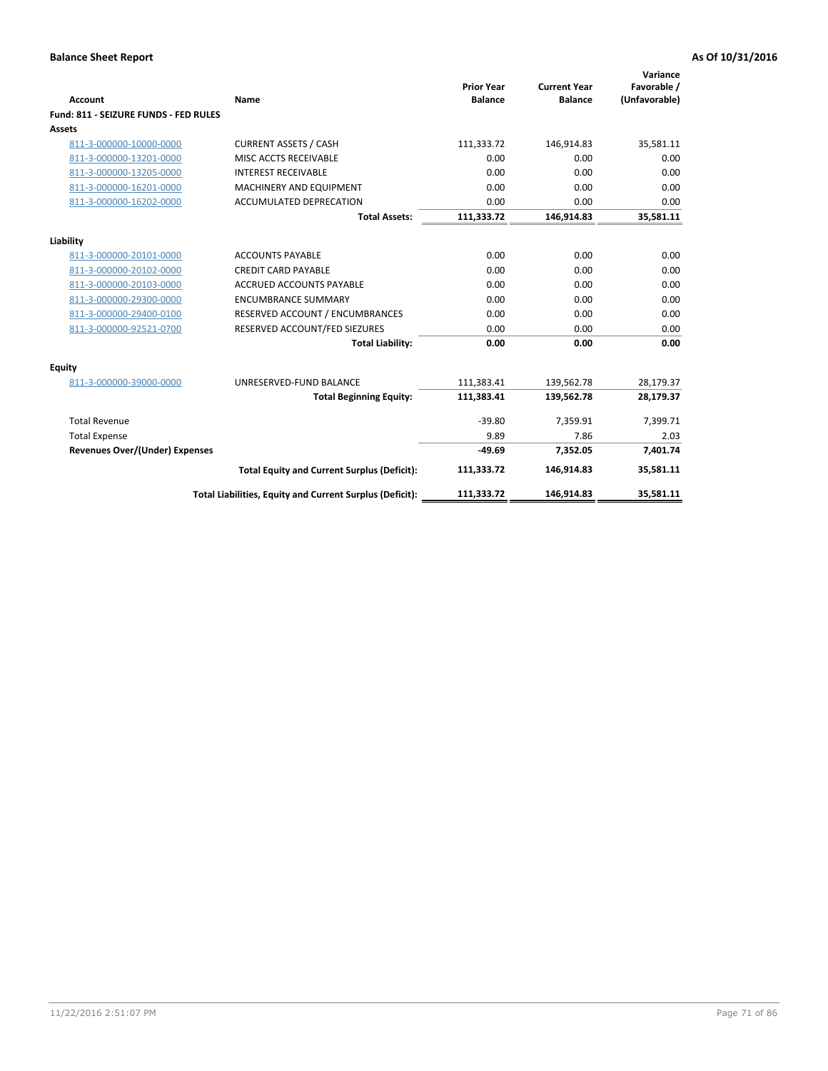| <b>Account</b>                        | <b>Name</b>                                              | <b>Prior Year</b><br><b>Balance</b> | <b>Current Year</b><br><b>Balance</b> | Variance<br>Favorable /<br>(Unfavorable) |
|---------------------------------------|----------------------------------------------------------|-------------------------------------|---------------------------------------|------------------------------------------|
| Fund: 811 - SEIZURE FUNDS - FED RULES |                                                          |                                     |                                       |                                          |
| <b>Assets</b>                         |                                                          |                                     |                                       |                                          |
| 811-3-000000-10000-0000               | <b>CURRENT ASSETS / CASH</b>                             | 111,333.72                          | 146,914.83                            | 35,581.11                                |
| 811-3-000000-13201-0000               | MISC ACCTS RECEIVABLE                                    | 0.00                                | 0.00                                  | 0.00                                     |
| 811-3-000000-13205-0000               | <b>INTEREST RECEIVABLE</b>                               | 0.00                                | 0.00                                  | 0.00                                     |
| 811-3-000000-16201-0000               | <b>MACHINERY AND EQUIPMENT</b>                           | 0.00                                | 0.00                                  | 0.00                                     |
| 811-3-000000-16202-0000               | ACCUMULATED DEPRECATION                                  | 0.00                                | 0.00                                  | 0.00                                     |
|                                       | <b>Total Assets:</b>                                     | 111,333.72                          | 146,914.83                            | 35,581.11                                |
| Liability                             |                                                          |                                     |                                       |                                          |
| 811-3-000000-20101-0000               | <b>ACCOUNTS PAYABLE</b>                                  | 0.00                                | 0.00                                  | 0.00                                     |
| 811-3-000000-20102-0000               | <b>CREDIT CARD PAYABLE</b>                               | 0.00                                | 0.00                                  | 0.00                                     |
| 811-3-000000-20103-0000               | <b>ACCRUED ACCOUNTS PAYABLE</b>                          | 0.00                                | 0.00                                  | 0.00                                     |
| 811-3-000000-29300-0000               | <b>ENCUMBRANCE SUMMARY</b>                               | 0.00                                | 0.00                                  | 0.00                                     |
| 811-3-000000-29400-0100               | RESERVED ACCOUNT / ENCUMBRANCES                          | 0.00                                | 0.00                                  | 0.00                                     |
| 811-3-000000-92521-0700               | RESERVED ACCOUNT/FED SIEZURES                            | 0.00                                | 0.00                                  | 0.00                                     |
|                                       | <b>Total Liability:</b>                                  | 0.00                                | 0.00                                  | 0.00                                     |
| <b>Equity</b>                         |                                                          |                                     |                                       |                                          |
| 811-3-000000-39000-0000               | UNRESERVED-FUND BALANCE                                  | 111,383.41                          | 139,562.78                            | 28,179.37                                |
|                                       | <b>Total Beginning Equity:</b>                           | 111,383.41                          | 139,562.78                            | 28,179.37                                |
| <b>Total Revenue</b>                  |                                                          | $-39.80$                            | 7,359.91                              | 7,399.71                                 |
| <b>Total Expense</b>                  |                                                          | 9.89                                | 7.86                                  | 2.03                                     |
| <b>Revenues Over/(Under) Expenses</b> |                                                          | $-49.69$                            | 7,352.05                              | 7,401.74                                 |
|                                       | <b>Total Equity and Current Surplus (Deficit):</b>       | 111,333.72                          | 146,914.83                            | 35,581.11                                |
|                                       | Total Liabilities, Equity and Current Surplus (Deficit): | 111,333.72                          | 146,914.83                            | 35,581.11                                |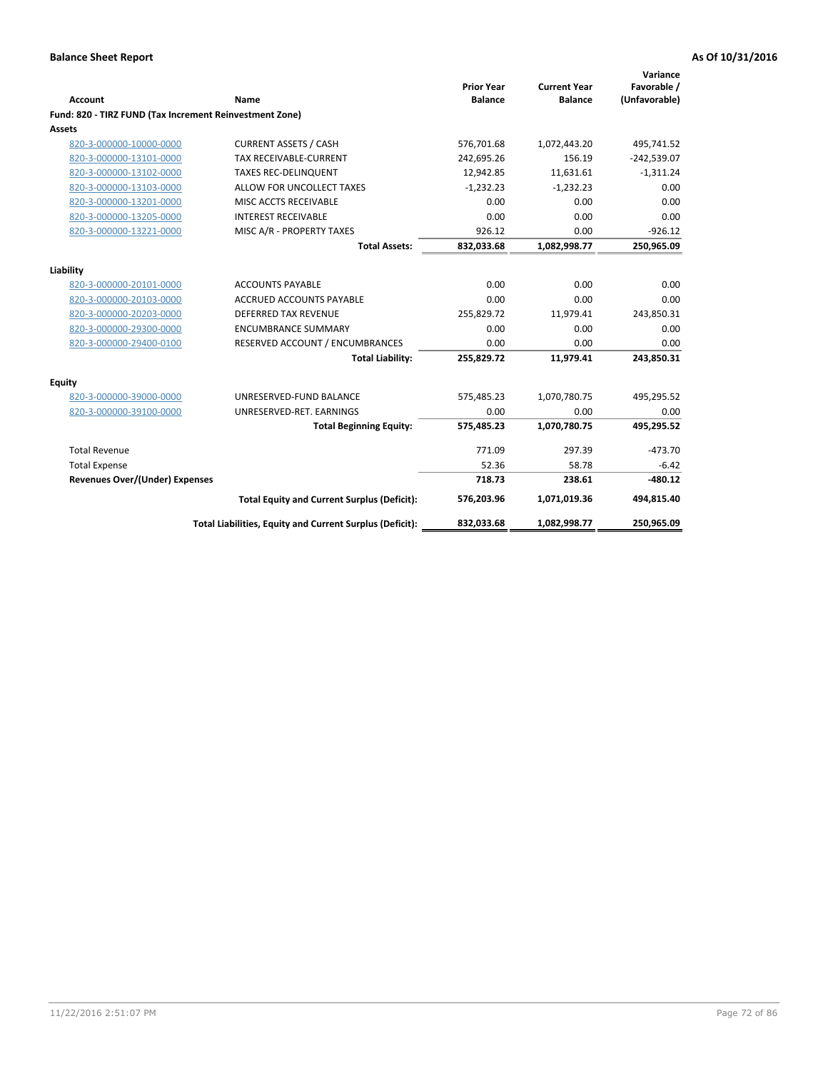| <b>Account</b>                                          | Name                                                     | <b>Prior Year</b><br><b>Balance</b> | <b>Current Year</b><br><b>Balance</b> | Variance<br>Favorable /<br>(Unfavorable) |
|---------------------------------------------------------|----------------------------------------------------------|-------------------------------------|---------------------------------------|------------------------------------------|
| Fund: 820 - TIRZ FUND (Tax Increment Reinvestment Zone) |                                                          |                                     |                                       |                                          |
| <b>Assets</b>                                           |                                                          |                                     |                                       |                                          |
| 820-3-000000-10000-0000                                 | <b>CURRENT ASSETS / CASH</b>                             | 576,701.68                          | 1,072,443.20                          | 495,741.52                               |
| 820-3-000000-13101-0000                                 | <b>TAX RECEIVABLE-CURRENT</b>                            | 242,695.26                          | 156.19                                | $-242,539.07$                            |
| 820-3-000000-13102-0000                                 | <b>TAXES REC-DELINQUENT</b>                              | 12,942.85                           | 11,631.61                             | $-1,311.24$                              |
| 820-3-000000-13103-0000                                 | ALLOW FOR UNCOLLECT TAXES                                | $-1,232.23$                         | $-1,232.23$                           | 0.00                                     |
| 820-3-000000-13201-0000                                 | MISC ACCTS RECEIVABLE                                    | 0.00                                | 0.00                                  | 0.00                                     |
| 820-3-000000-13205-0000                                 | <b>INTEREST RECEIVABLE</b>                               | 0.00                                | 0.00                                  | 0.00                                     |
| 820-3-000000-13221-0000                                 | MISC A/R - PROPERTY TAXES                                | 926.12                              | 0.00                                  | $-926.12$                                |
|                                                         | <b>Total Assets:</b>                                     | 832,033.68                          | 1,082,998.77                          | 250,965.09                               |
| Liability                                               |                                                          |                                     |                                       |                                          |
| 820-3-000000-20101-0000                                 | <b>ACCOUNTS PAYABLE</b>                                  | 0.00                                | 0.00                                  | 0.00                                     |
| 820-3-000000-20103-0000                                 | <b>ACCRUED ACCOUNTS PAYABLE</b>                          | 0.00                                | 0.00                                  | 0.00                                     |
| 820-3-000000-20203-0000                                 | <b>DEFERRED TAX REVENUE</b>                              | 255,829.72                          | 11,979.41                             | 243,850.31                               |
| 820-3-000000-29300-0000                                 | <b>ENCUMBRANCE SUMMARY</b>                               | 0.00                                | 0.00                                  | 0.00                                     |
| 820-3-000000-29400-0100                                 | RESERVED ACCOUNT / ENCUMBRANCES                          | 0.00                                | 0.00                                  | 0.00                                     |
|                                                         | <b>Total Liability:</b>                                  | 255,829.72                          | 11,979.41                             | 243,850.31                               |
| <b>Equity</b>                                           |                                                          |                                     |                                       |                                          |
| 820-3-000000-39000-0000                                 | UNRESERVED-FUND BALANCE                                  | 575,485.23                          | 1,070,780.75                          | 495,295.52                               |
| 820-3-000000-39100-0000                                 | UNRESERVED-RET. EARNINGS                                 | 0.00                                | 0.00                                  | 0.00                                     |
|                                                         | <b>Total Beginning Equity:</b>                           | 575,485.23                          | 1,070,780.75                          | 495,295.52                               |
| <b>Total Revenue</b>                                    |                                                          | 771.09                              | 297.39                                | $-473.70$                                |
| <b>Total Expense</b>                                    |                                                          | 52.36                               | 58.78                                 | $-6.42$                                  |
| <b>Revenues Over/(Under) Expenses</b>                   |                                                          | 718.73                              | 238.61                                | $-480.12$                                |
|                                                         | <b>Total Equity and Current Surplus (Deficit):</b>       | 576,203.96                          | 1,071,019.36                          | 494,815.40                               |
|                                                         | Total Liabilities, Equity and Current Surplus (Deficit): | 832,033.68                          | 1,082,998.77                          | 250,965.09                               |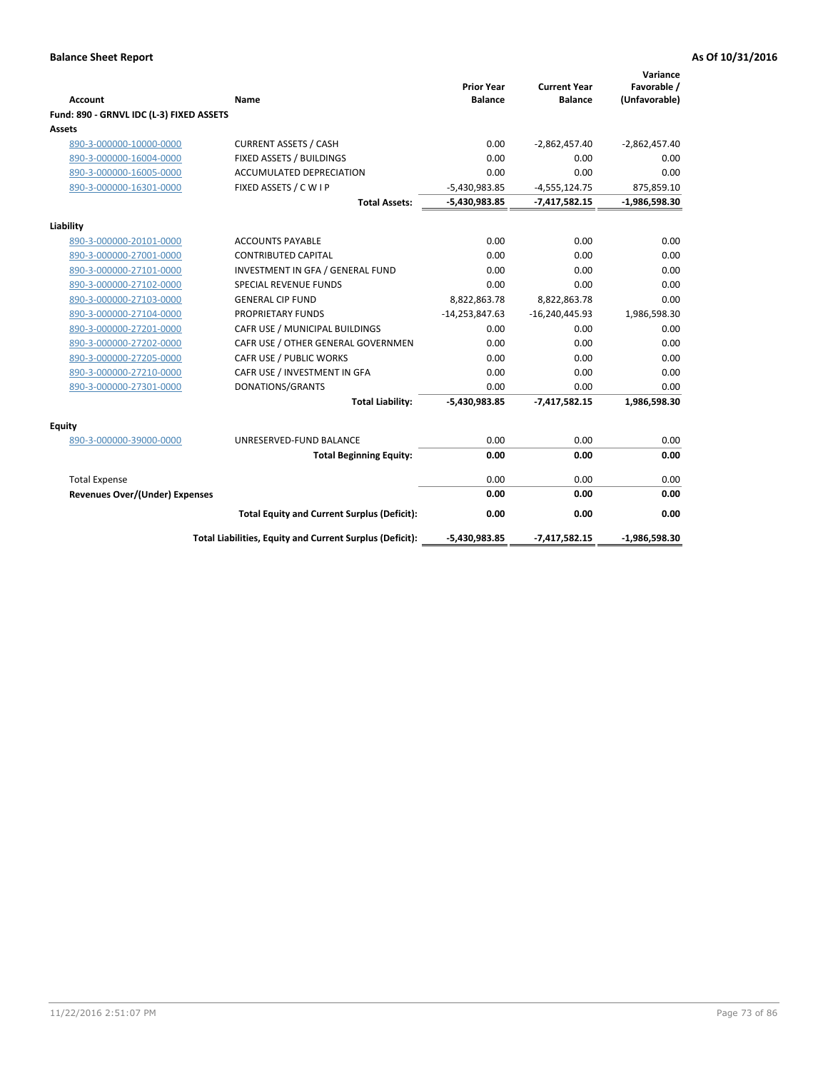|                                          |                                                          | <b>Prior Year</b> | <b>Current Year</b> | Variance<br>Favorable / |
|------------------------------------------|----------------------------------------------------------|-------------------|---------------------|-------------------------|
| <b>Account</b>                           | Name                                                     | <b>Balance</b>    | <b>Balance</b>      | (Unfavorable)           |
| Fund: 890 - GRNVL IDC (L-3) FIXED ASSETS |                                                          |                   |                     |                         |
| <b>Assets</b>                            |                                                          |                   |                     |                         |
| 890-3-000000-10000-0000                  | <b>CURRENT ASSETS / CASH</b>                             | 0.00              | $-2,862,457.40$     | $-2,862,457.40$         |
| 890-3-000000-16004-0000                  | FIXED ASSETS / BUILDINGS                                 | 0.00              | 0.00                | 0.00                    |
| 890-3-000000-16005-0000                  | <b>ACCUMULATED DEPRECIATION</b>                          | 0.00              | 0.00                | 0.00                    |
| 890-3-000000-16301-0000                  | FIXED ASSETS / C W I P                                   | $-5,430,983.85$   | $-4,555,124.75$     | 875,859.10              |
|                                          | <b>Total Assets:</b>                                     | $-5,430,983.85$   | $-7,417,582.15$     | $-1,986,598.30$         |
| Liability                                |                                                          |                   |                     |                         |
| 890-3-000000-20101-0000                  | <b>ACCOUNTS PAYABLE</b>                                  | 0.00              | 0.00                | 0.00                    |
| 890-3-000000-27001-0000                  | <b>CONTRIBUTED CAPITAL</b>                               | 0.00              | 0.00                | 0.00                    |
| 890-3-000000-27101-0000                  | INVESTMENT IN GFA / GENERAL FUND                         | 0.00              | 0.00                | 0.00                    |
| 890-3-000000-27102-0000                  | <b>SPECIAL REVENUE FUNDS</b>                             | 0.00              | 0.00                | 0.00                    |
| 890-3-000000-27103-0000                  | <b>GENERAL CIP FUND</b>                                  | 8,822,863.78      | 8,822,863.78        | 0.00                    |
| 890-3-000000-27104-0000                  | <b>PROPRIETARY FUNDS</b>                                 | $-14,253,847.63$  | $-16,240,445.93$    | 1,986,598.30            |
| 890-3-000000-27201-0000                  | CAFR USE / MUNICIPAL BUILDINGS                           | 0.00              | 0.00                | 0.00                    |
| 890-3-000000-27202-0000                  | CAFR USE / OTHER GENERAL GOVERNMEN                       | 0.00              | 0.00                | 0.00                    |
| 890-3-000000-27205-0000                  | CAFR USE / PUBLIC WORKS                                  | 0.00              | 0.00                | 0.00                    |
| 890-3-000000-27210-0000                  | CAFR USE / INVESTMENT IN GFA                             | 0.00              | 0.00                | 0.00                    |
| 890-3-000000-27301-0000                  | DONATIONS/GRANTS                                         | 0.00              | 0.00                | 0.00                    |
|                                          | <b>Total Liability:</b>                                  | -5,430,983.85     | $-7,417,582.15$     | 1,986,598.30            |
| Equity                                   |                                                          |                   |                     |                         |
| 890-3-000000-39000-0000                  | UNRESERVED-FUND BALANCE                                  | 0.00              | 0.00                | 0.00                    |
|                                          | <b>Total Beginning Equity:</b>                           | 0.00              | 0.00                | 0.00                    |
| <b>Total Expense</b>                     |                                                          | 0.00              | 0.00                | 0.00                    |
| <b>Revenues Over/(Under) Expenses</b>    |                                                          | 0.00              | 0.00                | 0.00                    |
|                                          | <b>Total Equity and Current Surplus (Deficit):</b>       | 0.00              | 0.00                | 0.00                    |
|                                          | Total Liabilities, Equity and Current Surplus (Deficit): | $-5,430,983.85$   | $-7,417,582.15$     | $-1,986,598.30$         |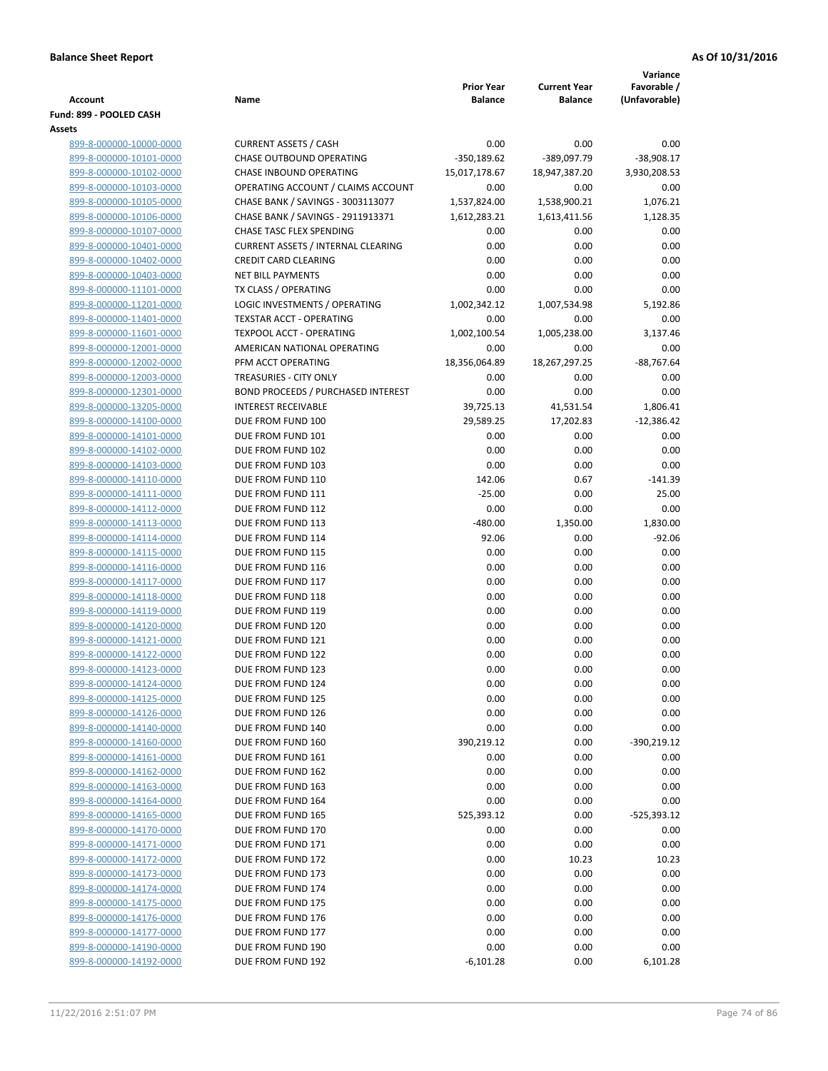| <b>Account</b>                                     | Name                                                    | <b>Prior Year</b><br><b>Balance</b> | <b>Current Year</b><br><b>Balance</b> | Variance<br>Favorable /<br>(Unfavorable) |
|----------------------------------------------------|---------------------------------------------------------|-------------------------------------|---------------------------------------|------------------------------------------|
| Fund: 899 - POOLED CASH                            |                                                         |                                     |                                       |                                          |
| Assets                                             |                                                         |                                     |                                       |                                          |
| 899-8-000000-10000-0000                            | <b>CURRENT ASSETS / CASH</b>                            | 0.00                                | 0.00                                  | 0.00                                     |
| 899-8-000000-10101-0000                            | CHASE OUTBOUND OPERATING                                | $-350,189.62$                       | -389,097.79                           | $-38,908.17$                             |
| 899-8-000000-10102-0000                            | CHASE INBOUND OPERATING                                 | 15,017,178.67                       | 18,947,387.20                         | 3,930,208.53                             |
| 899-8-000000-10103-0000                            | OPERATING ACCOUNT / CLAIMS ACCOUNT                      | 0.00                                | 0.00                                  | 0.00                                     |
| 899-8-000000-10105-0000                            | CHASE BANK / SAVINGS - 3003113077                       | 1,537,824.00                        | 1,538,900.21                          | 1,076.21                                 |
| 899-8-000000-10106-0000                            | CHASE BANK / SAVINGS - 2911913371                       | 1,612,283.21                        | 1,613,411.56                          | 1,128.35                                 |
| 899-8-000000-10107-0000                            | CHASE TASC FLEX SPENDING                                | 0.00                                | 0.00                                  | 0.00                                     |
| 899-8-000000-10401-0000                            | <b>CURRENT ASSETS / INTERNAL CLEARING</b>               | 0.00                                | 0.00                                  | 0.00                                     |
| 899-8-000000-10402-0000                            | <b>CREDIT CARD CLEARING</b><br><b>NET BILL PAYMENTS</b> | 0.00<br>0.00                        | 0.00<br>0.00                          | 0.00<br>0.00                             |
| 899-8-000000-10403-0000<br>899-8-000000-11101-0000 | TX CLASS / OPERATING                                    | 0.00                                | 0.00                                  | 0.00                                     |
| 899-8-000000-11201-0000                            | LOGIC INVESTMENTS / OPERATING                           | 1,002,342.12                        | 1,007,534.98                          | 5,192.86                                 |
| 899-8-000000-11401-0000                            | <b>TEXSTAR ACCT - OPERATING</b>                         | 0.00                                | 0.00                                  | 0.00                                     |
| 899-8-000000-11601-0000                            | <b>TEXPOOL ACCT - OPERATING</b>                         | 1,002,100.54                        | 1,005,238.00                          | 3,137.46                                 |
| 899-8-000000-12001-0000                            | AMERICAN NATIONAL OPERATING                             | 0.00                                | 0.00                                  | 0.00                                     |
| 899-8-000000-12002-0000                            | PFM ACCT OPERATING                                      | 18,356,064.89                       | 18,267,297.25                         | $-88,767.64$                             |
| 899-8-000000-12003-0000                            | TREASURIES - CITY ONLY                                  | 0.00                                | 0.00                                  | 0.00                                     |
| 899-8-000000-12301-0000                            | <b>BOND PROCEEDS / PURCHASED INTEREST</b>               | 0.00                                | 0.00                                  | 0.00                                     |
| 899-8-000000-13205-0000                            | <b>INTEREST RECEIVABLE</b>                              | 39,725.13                           | 41,531.54                             | 1,806.41                                 |
| 899-8-000000-14100-0000                            | DUE FROM FUND 100                                       | 29,589.25                           | 17,202.83                             | $-12,386.42$                             |
| 899-8-000000-14101-0000                            | DUE FROM FUND 101                                       | 0.00                                | 0.00                                  | 0.00                                     |
| 899-8-000000-14102-0000                            | DUE FROM FUND 102                                       | 0.00                                | 0.00                                  | 0.00                                     |
| 899-8-000000-14103-0000                            | DUE FROM FUND 103                                       | 0.00                                | 0.00                                  | 0.00                                     |
| 899-8-000000-14110-0000                            | DUE FROM FUND 110                                       | 142.06                              | 0.67                                  | $-141.39$                                |
| 899-8-000000-14111-0000                            | DUE FROM FUND 111                                       | $-25.00$                            | 0.00                                  | 25.00                                    |
| 899-8-000000-14112-0000                            | DUE FROM FUND 112                                       | 0.00                                | 0.00                                  | 0.00                                     |
| 899-8-000000-14113-0000                            | DUE FROM FUND 113                                       | $-480.00$                           | 1,350.00                              | 1,830.00                                 |
| 899-8-000000-14114-0000                            | DUE FROM FUND 114                                       | 92.06                               | 0.00                                  | $-92.06$                                 |
| 899-8-000000-14115-0000                            | DUE FROM FUND 115                                       | 0.00                                | 0.00                                  | 0.00                                     |
| 899-8-000000-14116-0000                            | DUE FROM FUND 116                                       | 0.00                                | 0.00                                  | 0.00                                     |
| 899-8-000000-14117-0000                            | DUE FROM FUND 117                                       | 0.00                                | 0.00                                  | 0.00                                     |
| 899-8-000000-14118-0000                            | DUE FROM FUND 118                                       | 0.00                                | 0.00                                  | 0.00                                     |
| 899-8-000000-14119-0000                            | DUE FROM FUND 119                                       | 0.00                                | 0.00                                  | 0.00                                     |
| 899-8-000000-14120-0000                            | DUE FROM FUND 120                                       | 0.00                                | 0.00                                  | 0.00                                     |
| 899-8-000000-14121-0000                            | DUE FROM FUND 121                                       | 0.00                                | 0.00                                  | 0.00                                     |
| 899-8-000000-14122-0000                            | DUE FROM FUND 122                                       | 0.00                                | 0.00                                  | 0.00                                     |
| 899-8-000000-14123-0000                            | DUE FROM FUND 123                                       | 0.00                                | 0.00                                  | 0.00                                     |
| 899-8-000000-14124-0000                            | DUE FROM FUND 124                                       | 0.00                                | 0.00                                  | 0.00                                     |
| 899-8-000000-14125-0000                            | DUE FROM FUND 125                                       | 0.00                                | 0.00                                  | 0.00                                     |
| 899-8-000000-14126-0000                            | DUE FROM FUND 126                                       | 0.00                                | 0.00                                  | 0.00                                     |
| 899-8-000000-14140-0000                            | DUE FROM FUND 140                                       | 0.00                                | 0.00                                  | 0.00                                     |
| 899-8-000000-14160-0000                            | DUE FROM FUND 160                                       | 390,219.12                          | 0.00                                  | $-390,219.12$                            |
| 899-8-000000-14161-0000                            | DUE FROM FUND 161                                       | 0.00                                | 0.00                                  | 0.00                                     |
| 899-8-000000-14162-0000                            | DUE FROM FUND 162                                       | 0.00                                | 0.00                                  | 0.00                                     |
| 899-8-000000-14163-0000                            | DUE FROM FUND 163                                       | 0.00                                | 0.00                                  | 0.00                                     |
| 899-8-000000-14164-0000<br>899-8-000000-14165-0000 | DUE FROM FUND 164                                       | 0.00                                | 0.00                                  | 0.00                                     |
| 899-8-000000-14170-0000                            | DUE FROM FUND 165<br>DUE FROM FUND 170                  | 525,393.12<br>0.00                  | 0.00<br>0.00                          | $-525,393.12$<br>0.00                    |
|                                                    |                                                         |                                     |                                       |                                          |
| 899-8-000000-14171-0000<br>899-8-000000-14172-0000 | DUE FROM FUND 171<br>DUE FROM FUND 172                  | 0.00<br>0.00                        | 0.00<br>10.23                         | 0.00<br>10.23                            |
| 899-8-000000-14173-0000                            | DUE FROM FUND 173                                       | 0.00                                | 0.00                                  | 0.00                                     |
| 899-8-000000-14174-0000                            | DUE FROM FUND 174                                       | 0.00                                | 0.00                                  | 0.00                                     |
| 899-8-000000-14175-0000                            | DUE FROM FUND 175                                       | 0.00                                | 0.00                                  | 0.00                                     |
| 899-8-000000-14176-0000                            | DUE FROM FUND 176                                       | 0.00                                | 0.00                                  | 0.00                                     |
| 899-8-000000-14177-0000                            | DUE FROM FUND 177                                       | 0.00                                | 0.00                                  | 0.00                                     |
| 899-8-000000-14190-0000                            | DUE FROM FUND 190                                       | 0.00                                | 0.00                                  | 0.00                                     |
| 899-8-000000-14192-0000                            | DUE FROM FUND 192                                       | $-6,101.28$                         | 0.00                                  | 6,101.28                                 |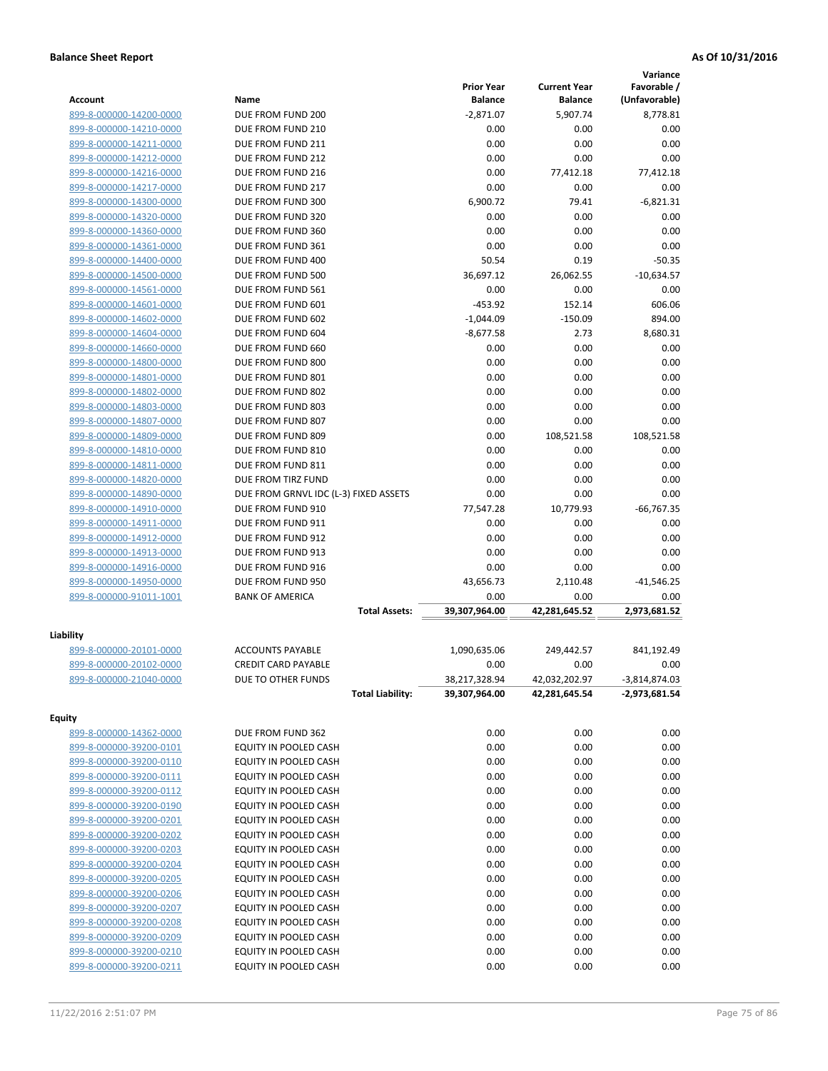| <b>Account</b>                                     | Name                                   | <b>Prior Year</b><br><b>Balance</b> | <b>Current Year</b><br><b>Balance</b> | Variance<br>Favorable /<br>(Unfavorable) |
|----------------------------------------------------|----------------------------------------|-------------------------------------|---------------------------------------|------------------------------------------|
| 899-8-000000-14200-0000                            | DUE FROM FUND 200                      | $-2,871.07$                         | 5,907.74                              | 8,778.81                                 |
| 899-8-000000-14210-0000                            | DUE FROM FUND 210                      | 0.00                                | 0.00                                  | 0.00                                     |
| 899-8-000000-14211-0000                            | DUE FROM FUND 211                      | 0.00                                | 0.00                                  | 0.00                                     |
| 899-8-000000-14212-0000                            | DUE FROM FUND 212                      | 0.00                                | 0.00                                  | 0.00                                     |
| 899-8-000000-14216-0000                            | DUE FROM FUND 216                      | 0.00                                | 77,412.18                             | 77,412.18                                |
| 899-8-000000-14217-0000                            | DUE FROM FUND 217                      | 0.00                                | 0.00                                  | 0.00                                     |
| 899-8-000000-14300-0000                            | DUE FROM FUND 300                      | 6,900.72                            | 79.41                                 | $-6,821.31$                              |
| 899-8-000000-14320-0000                            | DUE FROM FUND 320                      | 0.00                                | 0.00                                  | 0.00                                     |
| 899-8-000000-14360-0000                            | DUE FROM FUND 360                      | 0.00                                | 0.00                                  | 0.00                                     |
| 899-8-000000-14361-0000                            | DUE FROM FUND 361                      | 0.00                                | 0.00                                  | 0.00                                     |
| 899-8-000000-14400-0000                            | DUE FROM FUND 400                      | 50.54                               | 0.19                                  | $-50.35$                                 |
| 899-8-000000-14500-0000                            | DUE FROM FUND 500                      | 36,697.12                           | 26,062.55                             | $-10,634.57$                             |
| 899-8-000000-14561-0000                            | DUE FROM FUND 561                      | 0.00                                | 0.00                                  | 0.00                                     |
| 899-8-000000-14601-0000                            | DUE FROM FUND 601                      | $-453.92$                           | 152.14                                | 606.06                                   |
| 899-8-000000-14602-0000                            | DUE FROM FUND 602                      | $-1,044.09$                         | $-150.09$                             | 894.00                                   |
| 899-8-000000-14604-0000                            | DUE FROM FUND 604                      | $-8,677.58$                         | 2.73                                  | 8,680.31                                 |
| 899-8-000000-14660-0000                            | DUE FROM FUND 660                      | 0.00                                | 0.00                                  | 0.00                                     |
| 899-8-000000-14800-0000                            | DUE FROM FUND 800                      | 0.00                                | 0.00                                  | 0.00                                     |
| 899-8-000000-14801-0000                            | DUE FROM FUND 801                      | 0.00                                | 0.00                                  | 0.00                                     |
| 899-8-000000-14802-0000                            | DUE FROM FUND 802                      | 0.00                                | 0.00                                  | 0.00                                     |
| 899-8-000000-14803-0000                            | DUE FROM FUND 803                      | 0.00                                | 0.00                                  | 0.00                                     |
| 899-8-000000-14807-0000                            | DUE FROM FUND 807<br>DUE FROM FUND 809 | 0.00                                | 0.00                                  | 0.00                                     |
| 899-8-000000-14809-0000<br>899-8-000000-14810-0000 | DUE FROM FUND 810                      | 0.00<br>0.00                        | 108,521.58<br>0.00                    | 108,521.58<br>0.00                       |
| 899-8-000000-14811-0000                            | DUE FROM FUND 811                      | 0.00                                | 0.00                                  | 0.00                                     |
| 899-8-000000-14820-0000                            | DUE FROM TIRZ FUND                     | 0.00                                | 0.00                                  | 0.00                                     |
| 899-8-000000-14890-0000                            | DUE FROM GRNVL IDC (L-3) FIXED ASSETS  | 0.00                                | 0.00                                  | 0.00                                     |
| 899-8-000000-14910-0000                            | DUE FROM FUND 910                      | 77,547.28                           | 10,779.93                             | $-66,767.35$                             |
| 899-8-000000-14911-0000                            | DUE FROM FUND 911                      | 0.00                                | 0.00                                  | 0.00                                     |
| 899-8-000000-14912-0000                            | DUE FROM FUND 912                      | 0.00                                | 0.00                                  | 0.00                                     |
| 899-8-000000-14913-0000                            | DUE FROM FUND 913                      | 0.00                                | 0.00                                  | 0.00                                     |
| 899-8-000000-14916-0000                            | DUE FROM FUND 916                      | 0.00                                | 0.00                                  | 0.00                                     |
| 899-8-000000-14950-0000                            | DUE FROM FUND 950                      | 43,656.73                           | 2,110.48                              | $-41,546.25$                             |
| 899-8-000000-91011-1001                            | <b>BANK OF AMERICA</b>                 | 0.00                                | 0.00                                  | 0.00                                     |
|                                                    | <b>Total Assets:</b>                   | 39,307,964.00                       | 42,281,645.52                         | 2,973,681.52                             |
| Liability                                          |                                        |                                     |                                       |                                          |
| 899-8-000000-20101-0000                            | <b>ACCOUNTS PAYABLE</b>                | 1,090,635.06                        | 249,442.57                            | 841,192.49                               |
| 899-8-000000-20102-0000                            | <b>CREDIT CARD PAYABLE</b>             | 0.00                                | 0.00                                  | 0.00                                     |
| 899-8-000000-21040-0000                            | DUE TO OTHER FUNDS                     | 38,217,328.94                       | 42,032,202.97                         | $-3,814,874.03$                          |
|                                                    | <b>Total Liability:</b>                | 39,307,964.00                       | 42,281,645.54                         | $-2,973,681.54$                          |
| <b>Equity</b>                                      |                                        |                                     |                                       |                                          |
| 899-8-000000-14362-0000                            | DUE FROM FUND 362                      | 0.00                                | 0.00                                  | 0.00                                     |
| 899-8-000000-39200-0101                            | EQUITY IN POOLED CASH                  | 0.00                                | 0.00                                  | 0.00                                     |
| 899-8-000000-39200-0110                            | EQUITY IN POOLED CASH                  | 0.00                                | 0.00                                  | 0.00                                     |
| 899-8-000000-39200-0111                            | EQUITY IN POOLED CASH                  | 0.00                                | 0.00                                  | 0.00                                     |
| 899-8-000000-39200-0112                            | EQUITY IN POOLED CASH                  | 0.00                                | 0.00                                  | 0.00                                     |
| 899-8-000000-39200-0190                            | EQUITY IN POOLED CASH                  | 0.00                                | 0.00                                  | 0.00                                     |
| 899-8-000000-39200-0201                            | EQUITY IN POOLED CASH                  | 0.00                                | 0.00                                  | 0.00                                     |
| 899-8-000000-39200-0202                            | EQUITY IN POOLED CASH                  | 0.00                                | 0.00                                  | 0.00                                     |
| 899-8-000000-39200-0203                            | EQUITY IN POOLED CASH                  | 0.00                                | 0.00                                  | 0.00                                     |
| 899-8-000000-39200-0204                            | EQUITY IN POOLED CASH                  | 0.00                                | 0.00                                  | 0.00                                     |
| 899-8-000000-39200-0205                            | EQUITY IN POOLED CASH                  | 0.00                                | 0.00                                  | 0.00                                     |
| 899-8-000000-39200-0206                            | EQUITY IN POOLED CASH                  | 0.00                                | 0.00                                  | 0.00                                     |
| 899-8-000000-39200-0207                            | EQUITY IN POOLED CASH                  | 0.00                                | 0.00                                  | 0.00                                     |
| 899-8-000000-39200-0208                            | EQUITY IN POOLED CASH                  | 0.00                                | 0.00                                  | 0.00                                     |
| 899-8-000000-39200-0209                            | EQUITY IN POOLED CASH                  | 0.00                                | 0.00                                  | 0.00                                     |
| 899-8-000000-39200-0210                            | EQUITY IN POOLED CASH                  | 0.00                                | 0.00                                  | 0.00                                     |
| 899-8-000000-39200-0211                            | EQUITY IN POOLED CASH                  | 0.00                                | 0.00                                  | 0.00                                     |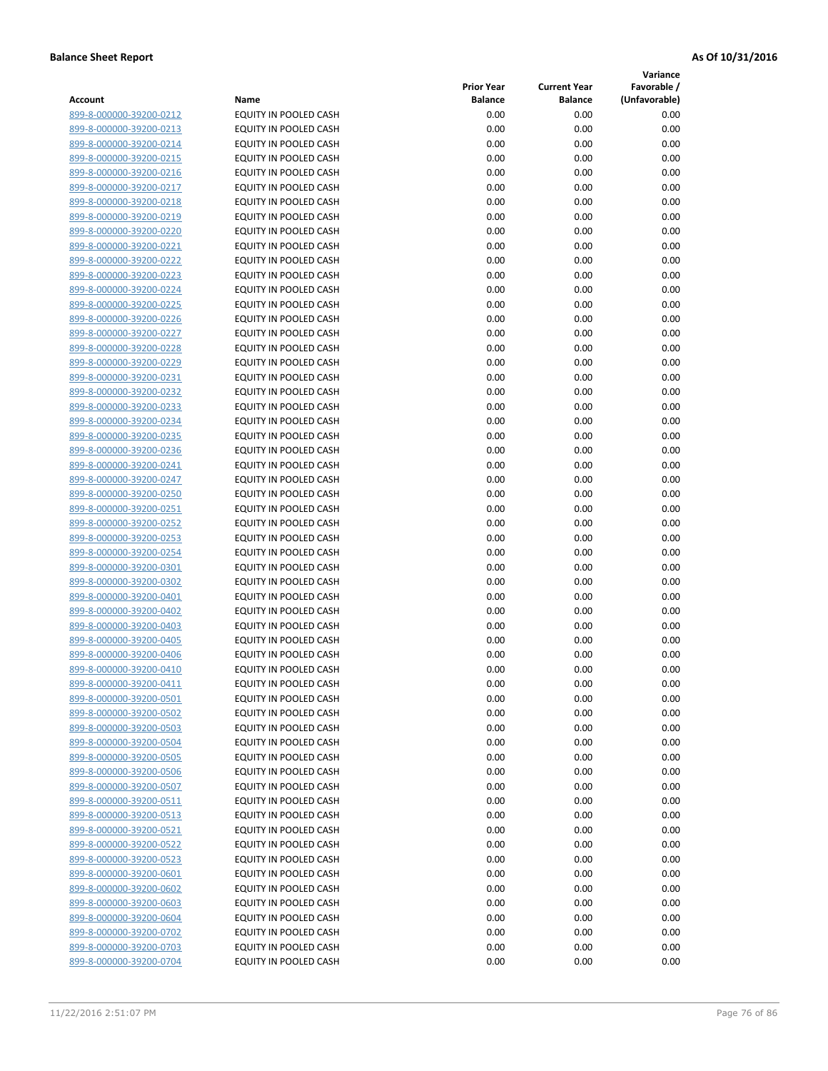**Variance**

| Account                                            | Name                                                  | <b>Prior Year</b><br><b>Balance</b> | <b>Current Year</b><br><b>Balance</b> | Favorable /<br>(Unfavorable) |
|----------------------------------------------------|-------------------------------------------------------|-------------------------------------|---------------------------------------|------------------------------|
| 899-8-000000-39200-0212                            | EQUITY IN POOLED CASH                                 | 0.00                                | 0.00                                  | 0.00                         |
| 899-8-000000-39200-0213                            | EQUITY IN POOLED CASH                                 | 0.00                                | 0.00                                  | 0.00                         |
| 899-8-000000-39200-0214                            | EQUITY IN POOLED CASH                                 | 0.00                                | 0.00                                  | 0.00                         |
| 899-8-000000-39200-0215                            | <b>EQUITY IN POOLED CASH</b>                          | 0.00                                | 0.00                                  | 0.00                         |
| 899-8-000000-39200-0216                            | EQUITY IN POOLED CASH                                 | 0.00                                | 0.00                                  | 0.00                         |
| 899-8-000000-39200-0217                            | EQUITY IN POOLED CASH                                 | 0.00                                | 0.00                                  | 0.00                         |
| 899-8-000000-39200-0218                            | EQUITY IN POOLED CASH                                 | 0.00                                | 0.00                                  | 0.00                         |
| 899-8-000000-39200-0219                            | EQUITY IN POOLED CASH                                 | 0.00                                | 0.00                                  | 0.00                         |
| 899-8-000000-39200-0220                            | EQUITY IN POOLED CASH                                 | 0.00                                | 0.00                                  | 0.00                         |
| 899-8-000000-39200-0221                            | EQUITY IN POOLED CASH                                 | 0.00                                | 0.00                                  | 0.00                         |
| 899-8-000000-39200-0222                            | EQUITY IN POOLED CASH                                 | 0.00                                | 0.00                                  | 0.00                         |
| 899-8-000000-39200-0223                            | EQUITY IN POOLED CASH                                 | 0.00                                | 0.00                                  | 0.00                         |
| 899-8-000000-39200-0224                            | EQUITY IN POOLED CASH                                 | 0.00                                | 0.00                                  | 0.00                         |
| 899-8-000000-39200-0225                            | EQUITY IN POOLED CASH                                 | 0.00                                | 0.00                                  | 0.00                         |
| 899-8-000000-39200-0226                            | EQUITY IN POOLED CASH                                 | 0.00                                | 0.00                                  | 0.00                         |
| 899-8-000000-39200-0227                            | EQUITY IN POOLED CASH                                 | 0.00                                | 0.00                                  | 0.00                         |
| 899-8-000000-39200-0228                            | EQUITY IN POOLED CASH                                 | 0.00                                | 0.00                                  | 0.00                         |
| 899-8-000000-39200-0229                            | EQUITY IN POOLED CASH                                 | 0.00                                | 0.00                                  | 0.00                         |
| 899-8-000000-39200-0231                            | EQUITY IN POOLED CASH                                 | 0.00                                | 0.00                                  | 0.00                         |
| 899-8-000000-39200-0232                            | EQUITY IN POOLED CASH                                 | 0.00                                | 0.00                                  | 0.00                         |
| 899-8-000000-39200-0233                            | <b>EQUITY IN POOLED CASH</b>                          | 0.00                                | 0.00                                  | 0.00                         |
| 899-8-000000-39200-0234                            | EQUITY IN POOLED CASH                                 | 0.00                                | 0.00                                  | 0.00                         |
| 899-8-000000-39200-0235                            | EQUITY IN POOLED CASH                                 | 0.00                                | 0.00                                  | 0.00                         |
| 899-8-000000-39200-0236                            | EQUITY IN POOLED CASH                                 | 0.00                                | 0.00                                  | 0.00                         |
| 899-8-000000-39200-0241                            | EQUITY IN POOLED CASH                                 | 0.00                                | 0.00                                  | 0.00                         |
| 899-8-000000-39200-0247                            | EQUITY IN POOLED CASH                                 | 0.00                                | 0.00                                  | 0.00                         |
| 899-8-000000-39200-0250                            | EQUITY IN POOLED CASH                                 | 0.00                                | 0.00                                  | 0.00                         |
| 899-8-000000-39200-0251                            | EQUITY IN POOLED CASH                                 | 0.00                                | 0.00                                  | 0.00                         |
| 899-8-000000-39200-0252                            | EQUITY IN POOLED CASH                                 | 0.00                                | 0.00                                  | 0.00                         |
| 899-8-000000-39200-0253                            | EQUITY IN POOLED CASH                                 | 0.00                                | 0.00                                  | 0.00                         |
| 899-8-000000-39200-0254                            | EQUITY IN POOLED CASH                                 | 0.00                                | 0.00                                  | 0.00                         |
| 899-8-000000-39200-0301                            | EQUITY IN POOLED CASH                                 | 0.00                                | 0.00                                  | 0.00                         |
| 899-8-000000-39200-0302                            | EQUITY IN POOLED CASH                                 | 0.00                                | 0.00                                  | 0.00                         |
| 899-8-000000-39200-0401                            | EQUITY IN POOLED CASH                                 | 0.00                                | 0.00                                  | 0.00                         |
| 899-8-000000-39200-0402                            | EQUITY IN POOLED CASH                                 | 0.00                                | 0.00                                  | 0.00                         |
| 899-8-000000-39200-0403                            | EQUITY IN POOLED CASH                                 | 0.00                                | 0.00                                  | 0.00                         |
| 899-8-000000-39200-0405                            | EQUITY IN POOLED CASH                                 | 0.00                                | 0.00                                  | 0.00                         |
| 899-8-000000-39200-0406                            | EQUITY IN POOLED CASH                                 | 0.00                                | 0.00                                  | 0.00                         |
| 899-8-000000-39200-0410                            | EQUITY IN POOLED CASH<br><b>EQUITY IN POOLED CASH</b> | 0.00<br>0.00                        | 0.00<br>0.00                          | 0.00<br>0.00                 |
| 899-8-000000-39200-0411<br>899-8-000000-39200-0501 | <b>EQUITY IN POOLED CASH</b>                          |                                     | 0.00                                  | 0.00                         |
| 899-8-000000-39200-0502                            | EQUITY IN POOLED CASH                                 | 0.00<br>0.00                        | 0.00                                  | 0.00                         |
| 899-8-000000-39200-0503                            | EQUITY IN POOLED CASH                                 | 0.00                                | 0.00                                  | 0.00                         |
| 899-8-000000-39200-0504                            | EQUITY IN POOLED CASH                                 | 0.00                                | 0.00                                  | 0.00                         |
| 899-8-000000-39200-0505                            | <b>EQUITY IN POOLED CASH</b>                          | 0.00                                | 0.00                                  | 0.00                         |
| 899-8-000000-39200-0506                            | EQUITY IN POOLED CASH                                 | 0.00                                | 0.00                                  | 0.00                         |
| 899-8-000000-39200-0507                            | EQUITY IN POOLED CASH                                 | 0.00                                | 0.00                                  | 0.00                         |
| 899-8-000000-39200-0511                            | EQUITY IN POOLED CASH                                 | 0.00                                | 0.00                                  | 0.00                         |
| 899-8-000000-39200-0513                            | EQUITY IN POOLED CASH                                 | 0.00                                | 0.00                                  | 0.00                         |
| 899-8-000000-39200-0521                            | EQUITY IN POOLED CASH                                 | 0.00                                | 0.00                                  | 0.00                         |
| 899-8-000000-39200-0522                            | EQUITY IN POOLED CASH                                 | 0.00                                | 0.00                                  | 0.00                         |
| 899-8-000000-39200-0523                            | EQUITY IN POOLED CASH                                 | 0.00                                | 0.00                                  | 0.00                         |
| 899-8-000000-39200-0601                            | EQUITY IN POOLED CASH                                 | 0.00                                | 0.00                                  | 0.00                         |
| 899-8-000000-39200-0602                            | EQUITY IN POOLED CASH                                 | 0.00                                | 0.00                                  | 0.00                         |
| 899-8-000000-39200-0603                            | EQUITY IN POOLED CASH                                 | 0.00                                | 0.00                                  | 0.00                         |
| 899-8-000000-39200-0604                            | EQUITY IN POOLED CASH                                 | 0.00                                | 0.00                                  | 0.00                         |
| 899-8-000000-39200-0702                            | EQUITY IN POOLED CASH                                 | 0.00                                | 0.00                                  | 0.00                         |
| 899-8-000000-39200-0703                            | EQUITY IN POOLED CASH                                 | 0.00                                | 0.00                                  | 0.00                         |
| 899-8-000000-39200-0704                            | EQUITY IN POOLED CASH                                 | 0.00                                | 0.00                                  | 0.00                         |
|                                                    |                                                       |                                     |                                       |                              |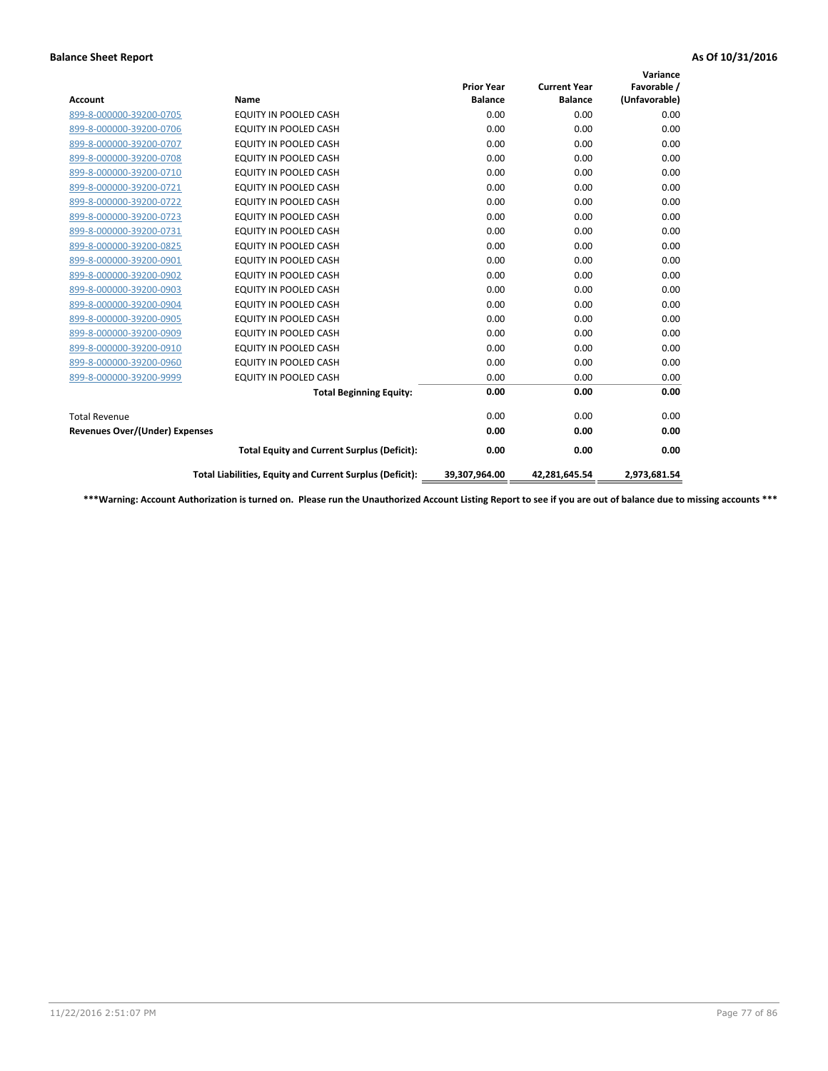|                                |                                                          |                                     |                                       | Variance                     |
|--------------------------------|----------------------------------------------------------|-------------------------------------|---------------------------------------|------------------------------|
| <b>Account</b>                 | Name                                                     | <b>Prior Year</b><br><b>Balance</b> | <b>Current Year</b><br><b>Balance</b> | Favorable /<br>(Unfavorable) |
|                                |                                                          |                                     |                                       |                              |
| 899-8-000000-39200-0705        | <b>EQUITY IN POOLED CASH</b>                             | 0.00                                | 0.00                                  | 0.00                         |
| 899-8-000000-39200-0706        | <b>EQUITY IN POOLED CASH</b>                             | 0.00                                | 0.00                                  | 0.00                         |
| 899-8-000000-39200-0707        | EQUITY IN POOLED CASH                                    | 0.00                                | 0.00                                  | 0.00                         |
| 899-8-000000-39200-0708        | <b>EQUITY IN POOLED CASH</b>                             | 0.00                                | 0.00                                  | 0.00                         |
| 899-8-000000-39200-0710        | EQUITY IN POOLED CASH                                    | 0.00                                | 0.00                                  | 0.00                         |
| 899-8-000000-39200-0721        | <b>EQUITY IN POOLED CASH</b>                             | 0.00                                | 0.00                                  | 0.00                         |
| 899-8-000000-39200-0722        | EQUITY IN POOLED CASH                                    | 0.00                                | 0.00                                  | 0.00                         |
| 899-8-000000-39200-0723        | <b>EQUITY IN POOLED CASH</b>                             | 0.00                                | 0.00                                  | 0.00                         |
| 899-8-000000-39200-0731        | EQUITY IN POOLED CASH                                    | 0.00                                | 0.00                                  | 0.00                         |
| 899-8-000000-39200-0825        | <b>EQUITY IN POOLED CASH</b>                             | 0.00                                | 0.00                                  | 0.00                         |
| 899-8-000000-39200-0901        | <b>EQUITY IN POOLED CASH</b>                             | 0.00                                | 0.00                                  | 0.00                         |
| 899-8-000000-39200-0902        | EQUITY IN POOLED CASH                                    | 0.00                                | 0.00                                  | 0.00                         |
| 899-8-000000-39200-0903        | <b>EQUITY IN POOLED CASH</b>                             | 0.00                                | 0.00                                  | 0.00                         |
| 899-8-000000-39200-0904        | <b>EQUITY IN POOLED CASH</b>                             | 0.00                                | 0.00                                  | 0.00                         |
| 899-8-000000-39200-0905        | <b>EQUITY IN POOLED CASH</b>                             | 0.00                                | 0.00                                  | 0.00                         |
| 899-8-000000-39200-0909        | <b>EQUITY IN POOLED CASH</b>                             | 0.00                                | 0.00                                  | 0.00                         |
| 899-8-000000-39200-0910        | <b>EQUITY IN POOLED CASH</b>                             | 0.00                                | 0.00                                  | 0.00                         |
| 899-8-000000-39200-0960        | EQUITY IN POOLED CASH                                    | 0.00                                | 0.00                                  | 0.00                         |
| 899-8-000000-39200-9999        | <b>EQUITY IN POOLED CASH</b>                             | 0.00                                | 0.00                                  | 0.00                         |
|                                | <b>Total Beginning Equity:</b>                           | 0.00                                | 0.00                                  | 0.00                         |
| <b>Total Revenue</b>           |                                                          | 0.00                                | 0.00                                  | 0.00                         |
| Revenues Over/(Under) Expenses |                                                          | 0.00                                | 0.00                                  | 0.00                         |
|                                | <b>Total Equity and Current Surplus (Deficit):</b>       | 0.00                                | 0.00                                  | 0.00                         |
|                                | Total Liabilities, Equity and Current Surplus (Deficit): | 39,307,964.00                       | 42,281,645.54                         | 2,973,681.54                 |

**\*\*\*Warning: Account Authorization is turned on. Please run the Unauthorized Account Listing Report to see if you are out of balance due to missing accounts \*\*\***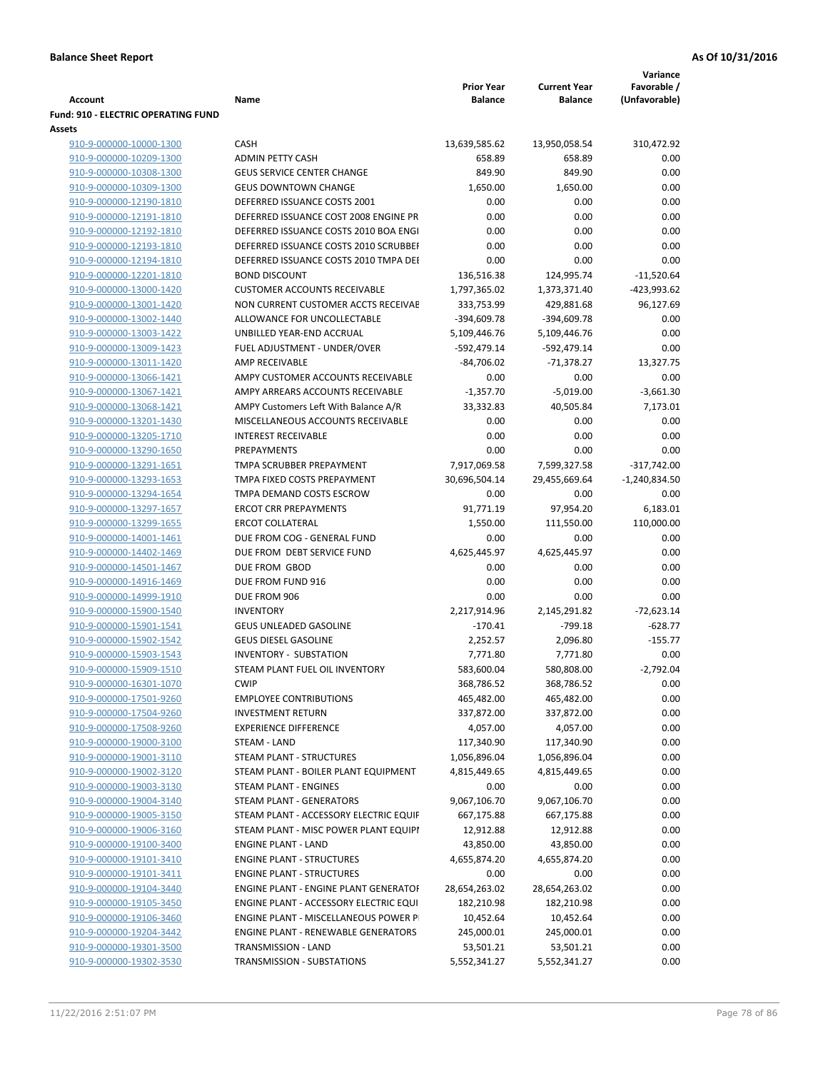|                                                    |                                                          | <b>Prior Year</b>     | <b>Current Year</b>     | Variance<br>Favorable / |
|----------------------------------------------------|----------------------------------------------------------|-----------------------|-------------------------|-------------------------|
| Account                                            | Name                                                     | <b>Balance</b>        | <b>Balance</b>          | (Unfavorable)           |
| Fund: 910 - ELECTRIC OPERATING FUND                |                                                          |                       |                         |                         |
| Assets                                             |                                                          |                       |                         |                         |
| 910-9-000000-10000-1300                            | CASH                                                     | 13,639,585.62         | 13,950,058.54           | 310,472.92              |
| 910-9-000000-10209-1300                            | <b>ADMIN PETTY CASH</b>                                  | 658.89                | 658.89                  | 0.00                    |
| 910-9-000000-10308-1300                            | <b>GEUS SERVICE CENTER CHANGE</b>                        | 849.90                | 849.90                  | 0.00                    |
| 910-9-000000-10309-1300                            | <b>GEUS DOWNTOWN CHANGE</b>                              | 1,650.00              | 1,650.00                | 0.00                    |
| 910-9-000000-12190-1810                            | DEFERRED ISSUANCE COSTS 2001                             | 0.00                  | 0.00                    | 0.00                    |
| 910-9-000000-12191-1810                            | DEFERRED ISSUANCE COST 2008 ENGINE PR                    | 0.00                  | 0.00                    | 0.00                    |
| 910-9-000000-12192-1810                            | DEFERRED ISSUANCE COSTS 2010 BOA ENGI                    | 0.00                  | 0.00                    | 0.00                    |
| 910-9-000000-12193-1810                            | DEFERRED ISSUANCE COSTS 2010 SCRUBBEI                    | 0.00                  | 0.00                    | 0.00                    |
| 910-9-000000-12194-1810                            | DEFERRED ISSUANCE COSTS 2010 TMPA DEI                    | 0.00                  | 0.00                    | 0.00                    |
| 910-9-000000-12201-1810                            | <b>BOND DISCOUNT</b>                                     | 136,516.38            | 124,995.74              | $-11,520.64$            |
| 910-9-000000-13000-1420                            | <b>CUSTOMER ACCOUNTS RECEIVABLE</b>                      | 1,797,365.02          | 1,373,371.40            | -423,993.62             |
| 910-9-000000-13001-1420                            | NON CURRENT CUSTOMER ACCTS RECEIVAE                      | 333,753.99            | 429,881.68              | 96,127.69               |
| 910-9-000000-13002-1440                            | ALLOWANCE FOR UNCOLLECTABLE                              | -394,609.78           | -394,609.78             | 0.00                    |
| 910-9-000000-13003-1422                            | UNBILLED YEAR-END ACCRUAL                                | 5,109,446.76          | 5,109,446.76            | 0.00                    |
| 910-9-000000-13009-1423                            | FUEL ADJUSTMENT - UNDER/OVER                             | -592,479.14           | -592,479.14             | 0.00                    |
| 910-9-000000-13011-1420                            | AMP RECEIVABLE                                           | $-84,706.02$          | $-71,378.27$            | 13,327.75               |
| 910-9-000000-13066-1421                            | AMPY CUSTOMER ACCOUNTS RECEIVABLE                        | 0.00                  | 0.00                    | 0.00                    |
| 910-9-000000-13067-1421                            | AMPY ARREARS ACCOUNTS RECEIVABLE                         | $-1,357.70$           | $-5,019.00$             | $-3,661.30$             |
| 910-9-000000-13068-1421                            | AMPY Customers Left With Balance A/R                     | 33,332.83             | 40,505.84               | 7,173.01                |
| 910-9-000000-13201-1430                            | MISCELLANEOUS ACCOUNTS RECEIVABLE                        | 0.00                  | 0.00                    | 0.00                    |
| 910-9-000000-13205-1710                            | <b>INTEREST RECEIVABLE</b>                               | 0.00                  | 0.00                    | 0.00                    |
| 910-9-000000-13290-1650                            | <b>PREPAYMENTS</b>                                       | 0.00                  | 0.00                    | 0.00                    |
| 910-9-000000-13291-1651                            | TMPA SCRUBBER PREPAYMENT                                 | 7,917,069.58          | 7,599,327.58            | $-317,742.00$           |
| 910-9-000000-13293-1653                            | TMPA FIXED COSTS PREPAYMENT                              | 30,696,504.14         | 29,455,669.64           | $-1,240,834.50$         |
| 910-9-000000-13294-1654                            | TMPA DEMAND COSTS ESCROW<br><b>ERCOT CRR PREPAYMENTS</b> | 0.00                  | 0.00                    | 0.00                    |
| 910-9-000000-13297-1657<br>910-9-000000-13299-1655 | <b>ERCOT COLLATERAL</b>                                  | 91,771.19<br>1,550.00 | 97,954.20<br>111,550.00 | 6,183.01<br>110,000.00  |
| 910-9-000000-14001-1461                            | DUE FROM COG - GENERAL FUND                              | 0.00                  | 0.00                    | 0.00                    |
| 910-9-000000-14402-1469                            | DUE FROM DEBT SERVICE FUND                               | 4,625,445.97          | 4,625,445.97            | 0.00                    |
| 910-9-000000-14501-1467                            | DUE FROM GBOD                                            | 0.00                  | 0.00                    | 0.00                    |
| 910-9-000000-14916-1469                            | DUE FROM FUND 916                                        | 0.00                  | 0.00                    | 0.00                    |
| 910-9-000000-14999-1910                            | DUE FROM 906                                             | 0.00                  | 0.00                    | 0.00                    |
| 910-9-000000-15900-1540                            | <b>INVENTORY</b>                                         | 2,217,914.96          | 2,145,291.82            | $-72,623.14$            |
| 910-9-000000-15901-1541                            | <b>GEUS UNLEADED GASOLINE</b>                            | $-170.41$             | $-799.18$               | $-628.77$               |
| 910-9-000000-15902-1542                            | <b>GEUS DIESEL GASOLINE</b>                              | 2,252.57              | 2,096.80                | $-155.77$               |
| 910-9-000000-15903-1543                            | <b>INVENTORY - SUBSTATION</b>                            | 7,771.80              | 7,771.80                | 0.00                    |
| 910-9-000000-15909-1510                            | STEAM PLANT FUEL OIL INVENTORY                           | 583,600.04            | 580,808.00              | $-2,792.04$             |
| 910-9-000000-16301-1070                            | <b>CWIP</b>                                              | 368,786.52            | 368,786.52              | 0.00                    |
| 910-9-000000-17501-9260                            | <b>EMPLOYEE CONTRIBUTIONS</b>                            | 465,482.00            | 465,482.00              | 0.00                    |
| 910-9-000000-17504-9260                            | <b>INVESTMENT RETURN</b>                                 | 337,872.00            | 337,872.00              | 0.00                    |
| 910-9-000000-17508-9260                            | <b>EXPERIENCE DIFFERENCE</b>                             | 4,057.00              | 4,057.00                | 0.00                    |
| 910-9-000000-19000-3100                            | STEAM - LAND                                             | 117,340.90            | 117,340.90              | 0.00                    |
| 910-9-000000-19001-3110                            | STEAM PLANT - STRUCTURES                                 | 1,056,896.04          | 1,056,896.04            | 0.00                    |
| 910-9-000000-19002-3120                            | STEAM PLANT - BOILER PLANT EQUIPMENT                     | 4,815,449.65          | 4,815,449.65            | 0.00                    |
| 910-9-000000-19003-3130                            | STEAM PLANT - ENGINES                                    | 0.00                  | 0.00                    | 0.00                    |
| 910-9-000000-19004-3140                            | STEAM PLANT - GENERATORS                                 | 9,067,106.70          | 9,067,106.70            | 0.00                    |
| 910-9-000000-19005-3150                            | STEAM PLANT - ACCESSORY ELECTRIC EQUIF                   | 667,175.88            | 667,175.88              | 0.00                    |
| 910-9-000000-19006-3160                            | STEAM PLANT - MISC POWER PLANT EQUIPI                    | 12,912.88             | 12,912.88               | 0.00                    |
| 910-9-000000-19100-3400                            | <b>ENGINE PLANT - LAND</b>                               | 43,850.00             | 43,850.00               | 0.00                    |
| 910-9-000000-19101-3410                            | <b>ENGINE PLANT - STRUCTURES</b>                         | 4,655,874.20          | 4,655,874.20            | 0.00                    |
| 910-9-000000-19101-3411                            | <b>ENGINE PLANT - STRUCTURES</b>                         | 0.00                  | 0.00                    | 0.00                    |
| 910-9-000000-19104-3440                            | ENGINE PLANT - ENGINE PLANT GENERATOF                    | 28,654,263.02         | 28,654,263.02           | 0.00                    |
| 910-9-000000-19105-3450                            | ENGINE PLANT - ACCESSORY ELECTRIC EQUI                   | 182,210.98            | 182,210.98              | 0.00                    |
| 910-9-000000-19106-3460                            | ENGINE PLANT - MISCELLANEOUS POWER P                     | 10,452.64             | 10,452.64               | 0.00                    |
| 910-9-000000-19204-3442                            | <b>ENGINE PLANT - RENEWABLE GENERATORS</b>               | 245,000.01            | 245,000.01              | 0.00                    |
| 910-9-000000-19301-3500                            | TRANSMISSION - LAND                                      | 53,501.21             | 53,501.21               | 0.00                    |
| 910-9-000000-19302-3530                            | TRANSMISSION - SUBSTATIONS                               | 5,552,341.27          | 5,552,341.27            | 0.00                    |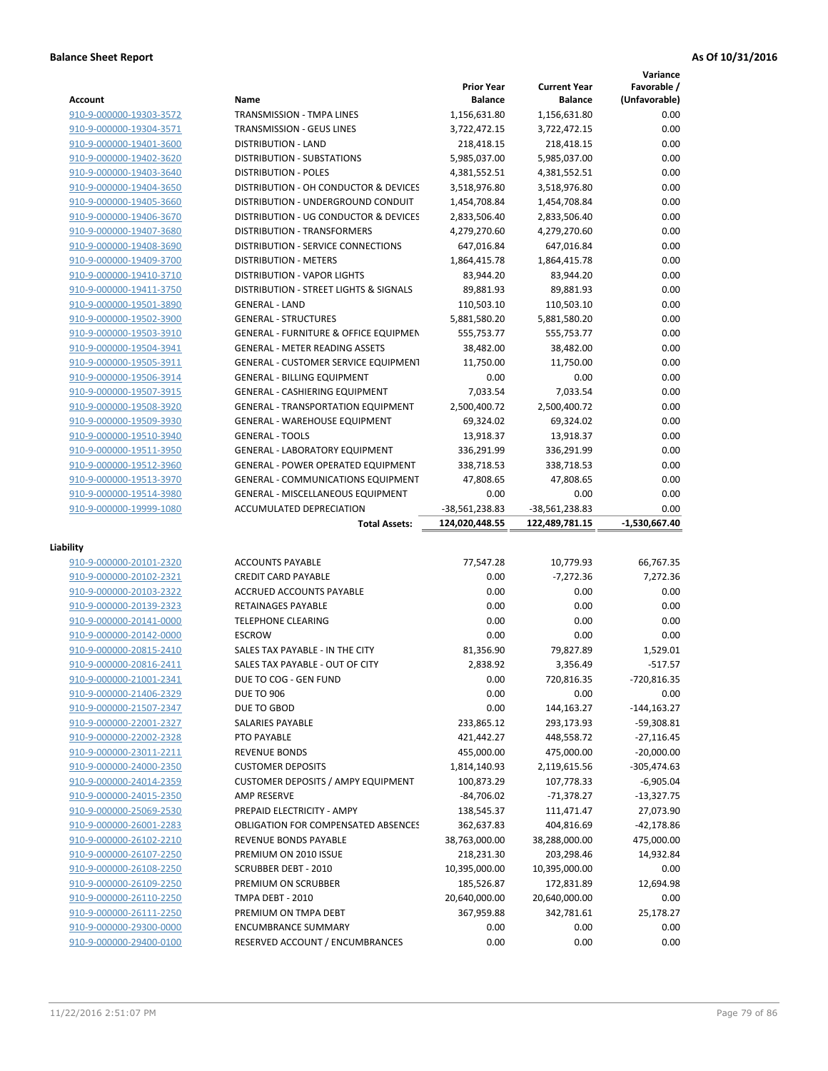|                                                    |                                                               |                                     |                                       | Variance                     |
|----------------------------------------------------|---------------------------------------------------------------|-------------------------------------|---------------------------------------|------------------------------|
| <b>Account</b>                                     | Name                                                          | <b>Prior Year</b><br><b>Balance</b> | <b>Current Year</b><br><b>Balance</b> | Favorable /<br>(Unfavorable) |
| 910-9-000000-19303-3572                            | <b>TRANSMISSION - TMPA LINES</b>                              | 1,156,631.80                        | 1,156,631.80                          | 0.00                         |
| 910-9-000000-19304-3571                            | <b>TRANSMISSION - GEUS LINES</b>                              | 3,722,472.15                        | 3,722,472.15                          | 0.00                         |
| 910-9-000000-19401-3600                            | <b>DISTRIBUTION - LAND</b>                                    | 218,418.15                          | 218,418.15                            | 0.00                         |
| 910-9-000000-19402-3620                            | DISTRIBUTION - SUBSTATIONS                                    | 5,985,037.00                        | 5,985,037.00                          | 0.00                         |
| 910-9-000000-19403-3640                            | <b>DISTRIBUTION - POLES</b>                                   | 4,381,552.51                        | 4,381,552.51                          | 0.00                         |
| 910-9-000000-19404-3650                            | DISTRIBUTION - OH CONDUCTOR & DEVICES                         | 3,518,976.80                        | 3,518,976.80                          | 0.00                         |
| 910-9-000000-19405-3660                            | DISTRIBUTION - UNDERGROUND CONDUIT                            | 1,454,708.84                        | 1,454,708.84                          | 0.00                         |
| 910-9-000000-19406-3670                            | DISTRIBUTION - UG CONDUCTOR & DEVICES                         | 2,833,506.40                        | 2,833,506.40                          | 0.00                         |
| 910-9-000000-19407-3680                            | DISTRIBUTION - TRANSFORMERS                                   | 4,279,270.60                        | 4,279,270.60                          | 0.00                         |
| 910-9-000000-19408-3690                            | DISTRIBUTION - SERVICE CONNECTIONS                            | 647,016.84                          | 647,016.84                            | 0.00                         |
| 910-9-000000-19409-3700                            | <b>DISTRIBUTION - METERS</b>                                  | 1,864,415.78                        | 1,864,415.78                          | 0.00                         |
| 910-9-000000-19410-3710                            | <b>DISTRIBUTION - VAPOR LIGHTS</b>                            | 83,944.20                           | 83,944.20                             | 0.00                         |
| 910-9-000000-19411-3750                            | DISTRIBUTION - STREET LIGHTS & SIGNALS                        | 89,881.93                           | 89,881.93                             | 0.00                         |
| 910-9-000000-19501-3890                            | <b>GENERAL - LAND</b>                                         | 110,503.10                          | 110,503.10                            | 0.00                         |
| 910-9-000000-19502-3900                            | <b>GENERAL - STRUCTURES</b>                                   | 5,881,580.20                        | 5,881,580.20                          | 0.00                         |
| 910-9-000000-19503-3910                            | <b>GENERAL - FURNITURE &amp; OFFICE EQUIPMEN</b>              | 555,753.77                          | 555,753.77                            | 0.00                         |
| 910-9-000000-19504-3941                            | <b>GENERAL - METER READING ASSETS</b>                         | 38,482.00                           | 38,482.00                             | 0.00                         |
| 910-9-000000-19505-3911                            | <b>GENERAL - CUSTOMER SERVICE EQUIPMENT</b>                   | 11,750.00                           | 11,750.00                             | 0.00                         |
| 910-9-000000-19506-3914                            | <b>GENERAL - BILLING EQUIPMENT</b>                            | 0.00                                | 0.00                                  | 0.00                         |
| 910-9-000000-19507-3915                            | <b>GENERAL - CASHIERING EQUIPMENT</b>                         | 7,033.54                            | 7,033.54                              | 0.00                         |
| 910-9-000000-19508-3920                            | <b>GENERAL - TRANSPORTATION EQUIPMENT</b>                     | 2,500,400.72                        | 2,500,400.72                          | 0.00                         |
| 910-9-000000-19509-3930                            | <b>GENERAL - WAREHOUSE EQUIPMENT</b>                          | 69,324.02                           | 69,324.02                             | 0.00                         |
| 910-9-000000-19510-3940                            | <b>GENERAL - TOOLS</b>                                        | 13,918.37                           | 13,918.37                             | 0.00                         |
| 910-9-000000-19511-3950                            | <b>GENERAL - LABORATORY EQUIPMENT</b>                         | 336,291.99                          | 336,291.99                            | 0.00                         |
| 910-9-000000-19512-3960                            | <b>GENERAL - POWER OPERATED EQUIPMENT</b>                     | 338,718.53                          | 338,718.53                            | 0.00                         |
| 910-9-000000-19513-3970                            | <b>GENERAL - COMMUNICATIONS EQUIPMENT</b>                     | 47,808.65                           | 47,808.65                             | 0.00                         |
| 910-9-000000-19514-3980                            | <b>GENERAL - MISCELLANEOUS EQUIPMENT</b>                      | 0.00                                | 0.00                                  | 0.00                         |
| 910-9-000000-19999-1080                            | <b>ACCUMULATED DEPRECIATION</b>                               | -38,561,238.83                      | -38,561,238.83                        | 0.00                         |
|                                                    |                                                               |                                     |                                       |                              |
|                                                    | <b>Total Assets:</b>                                          | 124,020,448.55                      | 122,489,781.15                        | -1,530,667.40                |
|                                                    |                                                               |                                     |                                       |                              |
| Liability                                          |                                                               |                                     |                                       |                              |
| 910-9-000000-20101-2320                            | <b>ACCOUNTS PAYABLE</b>                                       | 77,547.28                           | 10,779.93                             | 66,767.35                    |
| 910-9-000000-20102-2321                            | <b>CREDIT CARD PAYABLE</b>                                    | 0.00                                | $-7,272.36$                           | 7,272.36                     |
| 910-9-000000-20103-2322                            | <b>ACCRUED ACCOUNTS PAYABLE</b>                               | 0.00                                | 0.00                                  | 0.00                         |
| 910-9-000000-20139-2323                            | RETAINAGES PAYABLE                                            | 0.00                                | 0.00                                  | 0.00                         |
| 910-9-000000-20141-0000                            | <b>TELEPHONE CLEARING</b>                                     | 0.00                                | 0.00                                  | 0.00                         |
| 910-9-000000-20142-0000                            | <b>ESCROW</b>                                                 | 0.00                                | 0.00                                  | 0.00                         |
| 910-9-000000-20815-2410                            | SALES TAX PAYABLE - IN THE CITY                               | 81,356.90                           | 79,827.89                             | 1.529.01                     |
| 910-9-000000-20816-2411                            | SALES TAX PAYABLE - OUT OF CITY                               | 2,838.92                            | 3,356.49                              | $-517.57$                    |
| 910-9-000000-21001-2341                            | DUE TO COG - GEN FUND                                         | 0.00                                | 720,816.35                            | $-720,816.35$                |
| 910-9-000000-21406-2329                            | <b>DUE TO 906</b>                                             | 0.00                                | 0.00                                  | 0.00                         |
| 910-9-000000-21507-2347                            | DUE TO GBOD                                                   | 0.00                                | 144,163.27                            | $-144, 163.27$               |
| 910-9-000000-22001-2327                            | <b>SALARIES PAYABLE</b>                                       | 233,865.12                          | 293,173.93                            | $-59,308.81$                 |
| 910-9-000000-22002-2328                            | PTO PAYABLE                                                   | 421,442.27                          | 448,558.72                            | $-27,116.45$                 |
| 910-9-000000-23011-2211                            | <b>REVENUE BONDS</b>                                          | 455,000.00                          | 475,000.00                            | $-20,000.00$                 |
| 910-9-000000-24000-2350                            | <b>CUSTOMER DEPOSITS</b>                                      | 1,814,140.93                        | 2,119,615.56                          | -305,474.63                  |
| 910-9-000000-24014-2359                            | <b>CUSTOMER DEPOSITS / AMPY EQUIPMENT</b>                     | 100,873.29                          | 107,778.33                            | $-6,905.04$                  |
| 910-9-000000-24015-2350                            | AMP RESERVE                                                   | $-84,706.02$                        | $-71,378.27$                          | $-13,327.75$                 |
| 910-9-000000-25069-2530                            | PREPAID ELECTRICITY - AMPY                                    | 138,545.37                          | 111,471.47                            | 27,073.90                    |
| 910-9-000000-26001-2283                            | <b>OBLIGATION FOR COMPENSATED ABSENCES</b>                    | 362,637.83                          | 404,816.69                            | -42,178.86                   |
| 910-9-000000-26102-2210                            | REVENUE BONDS PAYABLE                                         | 38,763,000.00                       | 38,288,000.00                         | 475,000.00                   |
| 910-9-000000-26107-2250                            | PREMIUM ON 2010 ISSUE                                         | 218,231.30                          | 203,298.46                            | 14,932.84                    |
| 910-9-000000-26108-2250                            | <b>SCRUBBER DEBT - 2010</b>                                   | 10,395,000.00                       | 10,395,000.00                         | 0.00                         |
| 910-9-000000-26109-2250                            | PREMIUM ON SCRUBBER                                           | 185,526.87                          | 172,831.89                            | 12,694.98                    |
| 910-9-000000-26110-2250                            | TMPA DEBT - 2010                                              | 20,640,000.00                       | 20,640,000.00                         | 0.00                         |
| 910-9-000000-26111-2250                            | PREMIUM ON TMPA DEBT                                          | 367,959.88                          | 342,781.61                            | 25,178.27                    |
| 910-9-000000-29300-0000<br>910-9-000000-29400-0100 | <b>ENCUMBRANCE SUMMARY</b><br>RESERVED ACCOUNT / ENCUMBRANCES | 0.00<br>0.00                        | 0.00<br>0.00                          | 0.00<br>0.00                 |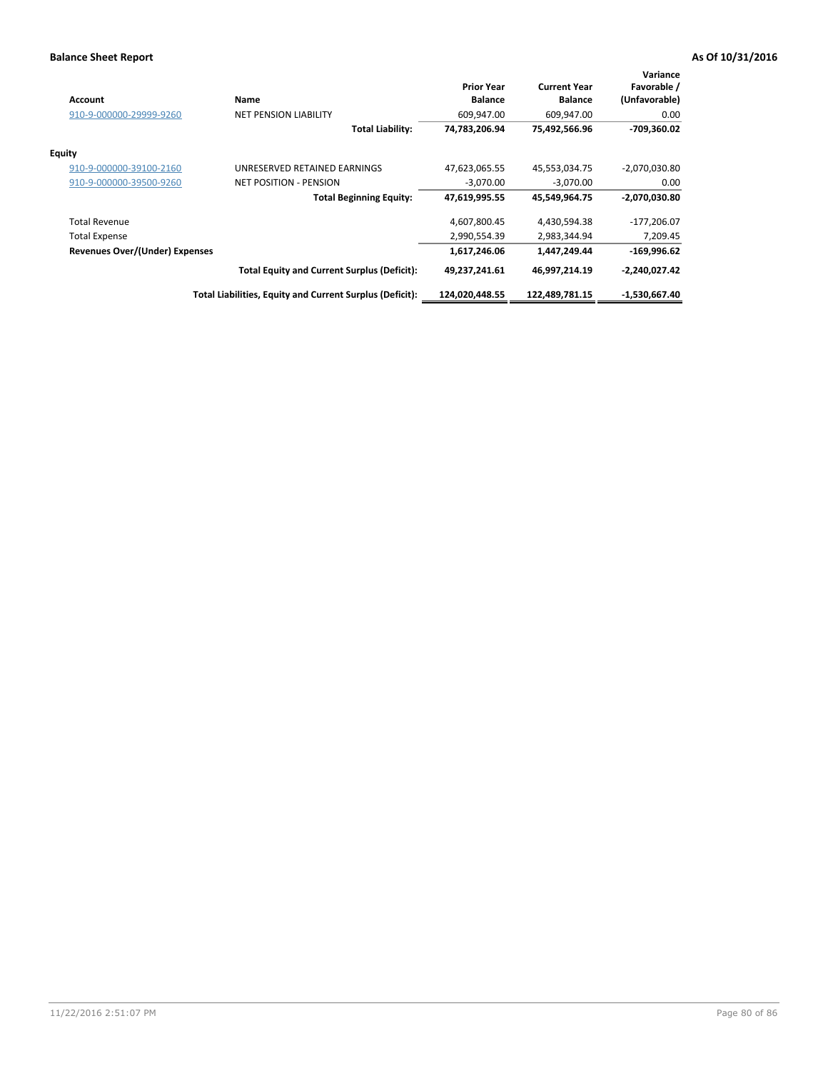| <b>Account</b>                        | Name                                                     | <b>Prior Year</b><br><b>Balance</b> | <b>Current Year</b><br><b>Balance</b> | Variance<br>Favorable /<br>(Unfavorable) |
|---------------------------------------|----------------------------------------------------------|-------------------------------------|---------------------------------------|------------------------------------------|
| 910-9-000000-29999-9260               | <b>NET PENSION LIABILITY</b>                             | 609,947.00                          | 609,947.00                            | 0.00                                     |
|                                       | <b>Total Liability:</b>                                  | 74,783,206.94                       | 75,492,566.96                         | -709,360.02                              |
| <b>Equity</b>                         |                                                          |                                     |                                       |                                          |
| 910-9-000000-39100-2160               | UNRESERVED RETAINED EARNINGS                             | 47,623,065.55                       | 45,553,034.75                         | $-2,070,030.80$                          |
| 910-9-000000-39500-9260               | <b>NET POSITION - PENSION</b>                            | $-3,070.00$                         | $-3,070.00$                           | 0.00                                     |
|                                       | <b>Total Beginning Equity:</b>                           | 47,619,995.55                       | 45,549,964.75                         | $-2,070,030.80$                          |
| <b>Total Revenue</b>                  |                                                          | 4,607,800.45                        | 4,430,594.38                          | $-177,206.07$                            |
| Total Expense                         |                                                          | 2,990,554.39                        | 2,983,344.94                          | 7,209.45                                 |
| <b>Revenues Over/(Under) Expenses</b> |                                                          | 1,617,246.06                        | 1,447,249.44                          | $-169,996.62$                            |
|                                       | <b>Total Equity and Current Surplus (Deficit):</b>       | 49,237,241.61                       | 46,997,214.19                         | $-2,240,027.42$                          |
|                                       | Total Liabilities, Equity and Current Surplus (Deficit): | 124,020,448.55                      | 122,489,781.15                        | -1,530,667.40                            |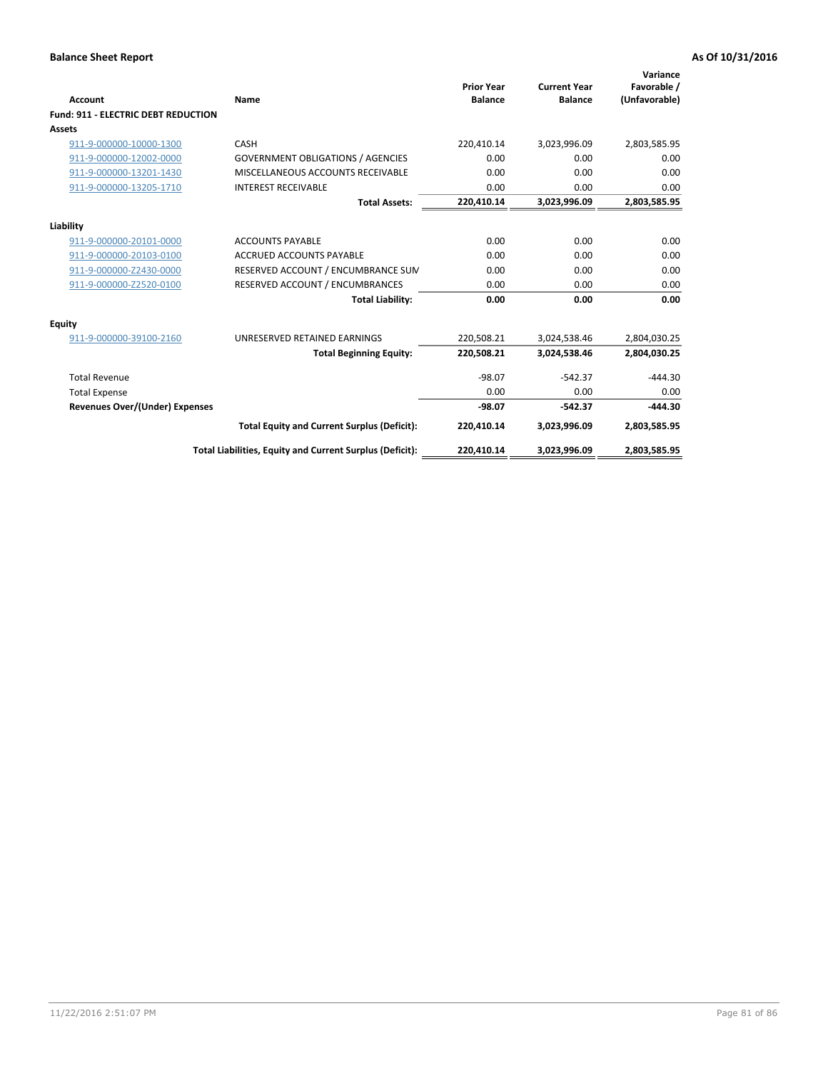| Account                                    | Name                                                     | <b>Prior Year</b><br><b>Balance</b> | <b>Current Year</b><br><b>Balance</b> | Variance<br>Favorable /<br>(Unfavorable) |
|--------------------------------------------|----------------------------------------------------------|-------------------------------------|---------------------------------------|------------------------------------------|
| <b>Fund: 911 - ELECTRIC DEBT REDUCTION</b> |                                                          |                                     |                                       |                                          |
| Assets                                     |                                                          |                                     |                                       |                                          |
| 911-9-000000-10000-1300                    | CASH                                                     | 220,410.14                          | 3,023,996.09                          | 2,803,585.95                             |
| 911-9-000000-12002-0000                    | <b>GOVERNMENT OBLIGATIONS / AGENCIES</b>                 | 0.00                                | 0.00                                  | 0.00                                     |
| 911-9-000000-13201-1430                    | MISCELLANEOUS ACCOUNTS RECEIVABLE                        | 0.00                                | 0.00                                  | 0.00                                     |
| 911-9-000000-13205-1710                    | <b>INTEREST RECEIVABLE</b>                               | 0.00                                | 0.00                                  | 0.00                                     |
|                                            | <b>Total Assets:</b>                                     | 220,410.14                          | 3,023,996.09                          | 2,803,585.95                             |
| Liability                                  |                                                          |                                     |                                       |                                          |
| 911-9-000000-20101-0000                    | <b>ACCOUNTS PAYABLE</b>                                  | 0.00                                | 0.00                                  | 0.00                                     |
| 911-9-000000-20103-0100                    | <b>ACCRUED ACCOUNTS PAYABLE</b>                          | 0.00                                | 0.00                                  | 0.00                                     |
| 911-9-000000-Z2430-0000                    | RESERVED ACCOUNT / ENCUMBRANCE SUM                       | 0.00                                | 0.00                                  | 0.00                                     |
| 911-9-000000-Z2520-0100                    | RESERVED ACCOUNT / ENCUMBRANCES                          | 0.00                                | 0.00                                  | 0.00                                     |
|                                            | <b>Total Liability:</b>                                  | 0.00                                | 0.00                                  | 0.00                                     |
| <b>Equity</b>                              |                                                          |                                     |                                       |                                          |
| 911-9-000000-39100-2160                    | UNRESERVED RETAINED EARNINGS                             | 220,508.21                          | 3,024,538.46                          | 2,804,030.25                             |
|                                            | <b>Total Beginning Equity:</b>                           | 220,508.21                          | 3,024,538.46                          | 2,804,030.25                             |
| <b>Total Revenue</b>                       |                                                          | $-98.07$                            | $-542.37$                             | $-444.30$                                |
| <b>Total Expense</b>                       |                                                          | 0.00                                | 0.00                                  | 0.00                                     |
| <b>Revenues Over/(Under) Expenses</b>      |                                                          | $-98.07$                            | $-542.37$                             | $-444.30$                                |
|                                            | <b>Total Equity and Current Surplus (Deficit):</b>       | 220,410.14                          | 3,023,996.09                          | 2,803,585.95                             |
|                                            | Total Liabilities, Equity and Current Surplus (Deficit): | 220,410.14                          | 3,023,996.09                          | 2,803,585.95                             |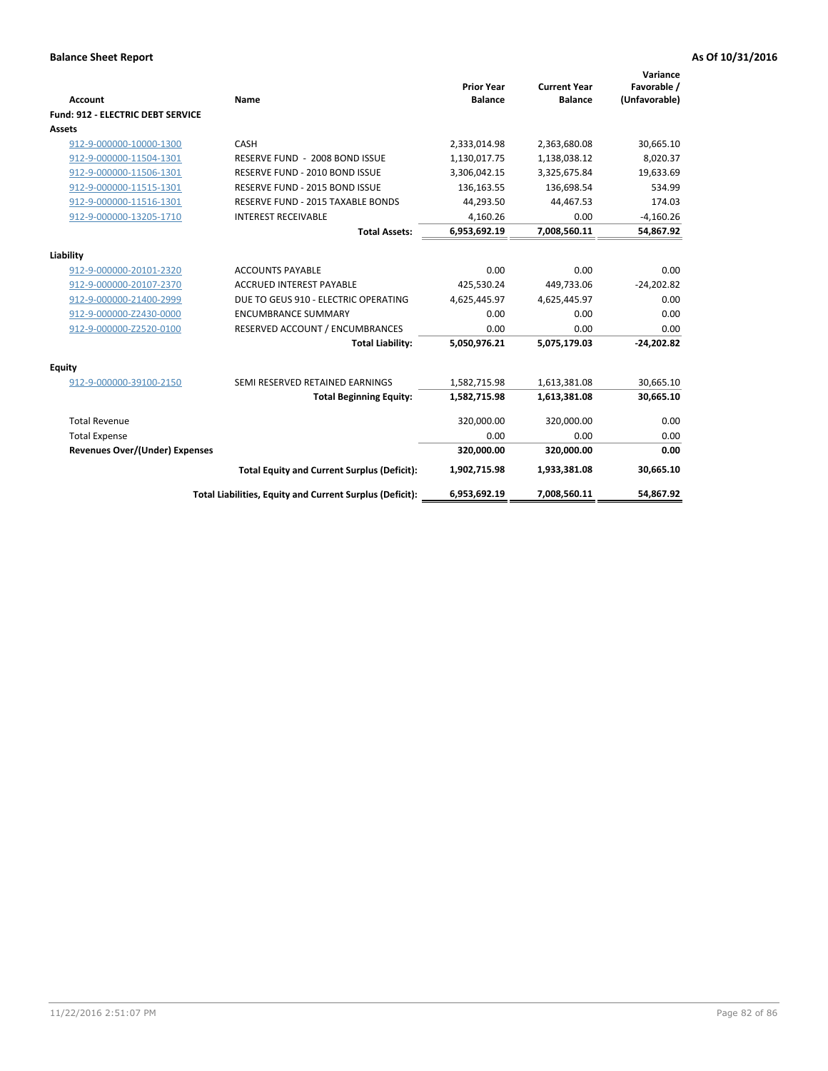| Account                                  | Name                                                     | <b>Prior Year</b><br><b>Balance</b> | <b>Current Year</b><br><b>Balance</b> | Variance<br>Favorable /<br>(Unfavorable) |
|------------------------------------------|----------------------------------------------------------|-------------------------------------|---------------------------------------|------------------------------------------|
| <b>Fund: 912 - ELECTRIC DEBT SERVICE</b> |                                                          |                                     |                                       |                                          |
| <b>Assets</b>                            |                                                          |                                     |                                       |                                          |
| 912-9-000000-10000-1300                  | CASH                                                     | 2,333,014.98                        | 2,363,680.08                          | 30,665.10                                |
| 912-9-000000-11504-1301                  | RESERVE FUND - 2008 BOND ISSUE                           | 1,130,017.75                        | 1,138,038.12                          | 8,020.37                                 |
| 912-9-000000-11506-1301                  | RESERVE FUND - 2010 BOND ISSUE                           | 3,306,042.15                        | 3,325,675.84                          | 19,633.69                                |
| 912-9-000000-11515-1301                  | RESERVE FUND - 2015 BOND ISSUE                           | 136,163.55                          | 136,698.54                            | 534.99                                   |
| 912-9-000000-11516-1301                  | <b>RESERVE FUND - 2015 TAXABLE BONDS</b>                 | 44,293.50                           | 44,467.53                             | 174.03                                   |
| 912-9-000000-13205-1710                  | <b>INTEREST RECEIVABLE</b>                               | 4,160.26                            | 0.00                                  | $-4,160.26$                              |
|                                          | <b>Total Assets:</b>                                     | 6,953,692.19                        | 7,008,560.11                          | 54,867.92                                |
| Liability                                |                                                          |                                     |                                       |                                          |
| 912-9-000000-20101-2320                  | <b>ACCOUNTS PAYABLE</b>                                  | 0.00                                | 0.00                                  | 0.00                                     |
| 912-9-000000-20107-2370                  | <b>ACCRUED INTEREST PAYABLE</b>                          | 425,530.24                          | 449,733.06                            | $-24,202.82$                             |
| 912-9-000000-21400-2999                  | DUE TO GEUS 910 - ELECTRIC OPERATING                     | 4,625,445.97                        | 4,625,445.97                          | 0.00                                     |
| 912-9-000000-Z2430-0000                  | <b>ENCUMBRANCE SUMMARY</b>                               | 0.00                                | 0.00                                  | 0.00                                     |
| 912-9-000000-Z2520-0100                  | RESERVED ACCOUNT / ENCUMBRANCES                          | 0.00                                | 0.00                                  | 0.00                                     |
|                                          | <b>Total Liability:</b>                                  | 5,050,976.21                        | 5,075,179.03                          | $-24,202.82$                             |
| Equity                                   |                                                          |                                     |                                       |                                          |
| 912-9-000000-39100-2150                  | SEMI RESERVED RETAINED EARNINGS                          | 1,582,715.98                        | 1,613,381.08                          | 30,665.10                                |
|                                          | <b>Total Beginning Equity:</b>                           | 1,582,715.98                        | 1,613,381.08                          | 30,665.10                                |
| <b>Total Revenue</b>                     |                                                          | 320,000.00                          | 320,000.00                            | 0.00                                     |
| <b>Total Expense</b>                     |                                                          | 0.00                                | 0.00                                  | 0.00                                     |
| Revenues Over/(Under) Expenses           |                                                          | 320,000.00                          | 320,000.00                            | 0.00                                     |
|                                          | <b>Total Equity and Current Surplus (Deficit):</b>       | 1,902,715.98                        | 1,933,381.08                          | 30,665.10                                |
|                                          | Total Liabilities, Equity and Current Surplus (Deficit): | 6,953,692.19                        | 7,008,560.11                          | 54.867.92                                |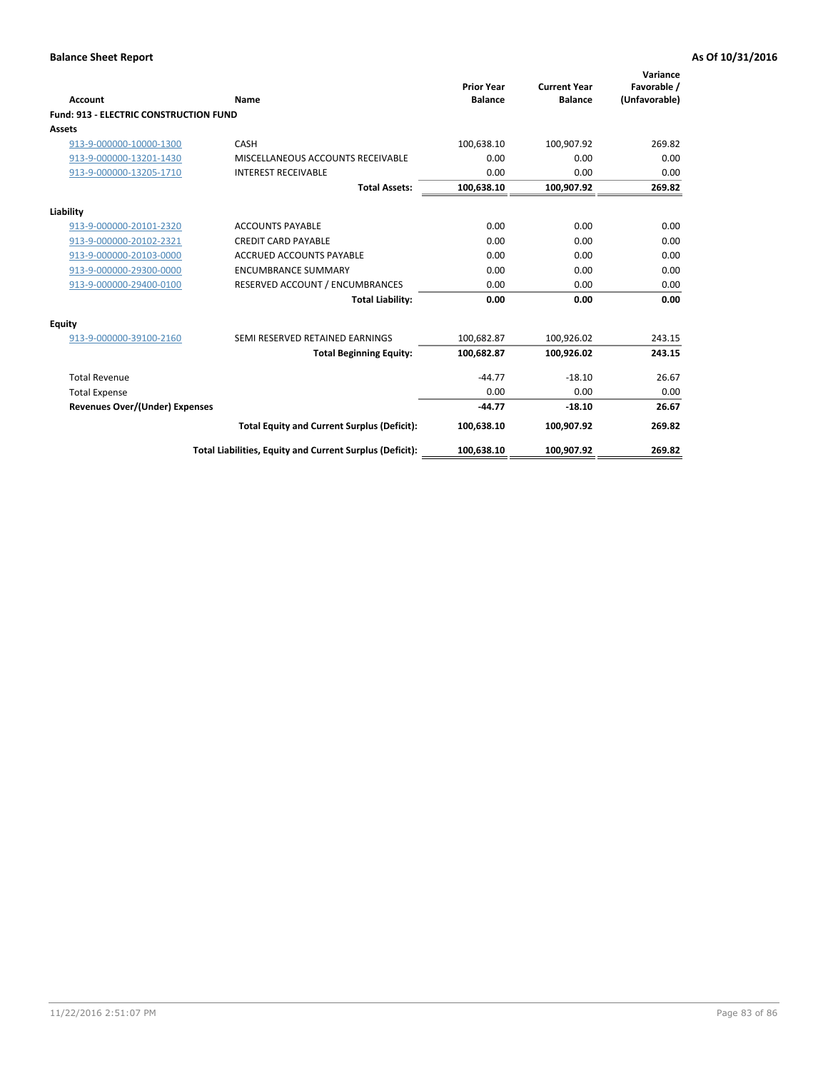| Account                                       | Name                                                     | <b>Prior Year</b><br><b>Balance</b> | <b>Current Year</b><br><b>Balance</b> | Variance<br>Favorable /<br>(Unfavorable) |
|-----------------------------------------------|----------------------------------------------------------|-------------------------------------|---------------------------------------|------------------------------------------|
| <b>Fund: 913 - ELECTRIC CONSTRUCTION FUND</b> |                                                          |                                     |                                       |                                          |
| Assets                                        |                                                          |                                     |                                       |                                          |
| 913-9-000000-10000-1300                       | CASH                                                     | 100,638.10                          | 100,907.92                            | 269.82                                   |
| 913-9-000000-13201-1430                       | MISCELLANEOUS ACCOUNTS RECEIVABLE                        | 0.00                                | 0.00                                  | 0.00                                     |
| 913-9-000000-13205-1710                       | <b>INTEREST RECEIVABLE</b>                               | 0.00                                | 0.00                                  | 0.00                                     |
|                                               | <b>Total Assets:</b>                                     | 100,638.10                          | 100,907.92                            | 269.82                                   |
|                                               |                                                          |                                     |                                       |                                          |
| Liability<br>913-9-000000-20101-2320          | <b>ACCOUNTS PAYABLE</b>                                  | 0.00                                | 0.00                                  | 0.00                                     |
| 913-9-000000-20102-2321                       | <b>CREDIT CARD PAYABLE</b>                               | 0.00                                | 0.00                                  | 0.00                                     |
|                                               |                                                          |                                     |                                       |                                          |
| 913-9-000000-20103-0000                       | <b>ACCRUED ACCOUNTS PAYABLE</b>                          | 0.00                                | 0.00                                  | 0.00                                     |
| 913-9-000000-29300-0000                       | <b>ENCUMBRANCE SUMMARY</b>                               | 0.00                                | 0.00                                  | 0.00                                     |
| 913-9-000000-29400-0100                       | RESERVED ACCOUNT / ENCUMBRANCES                          | 0.00                                | 0.00                                  | 0.00                                     |
|                                               | <b>Total Liability:</b>                                  | 0.00                                | 0.00                                  | 0.00                                     |
| <b>Equity</b>                                 |                                                          |                                     |                                       |                                          |
| 913-9-000000-39100-2160                       | SEMI RESERVED RETAINED EARNINGS                          | 100,682.87                          | 100,926.02                            | 243.15                                   |
|                                               | <b>Total Beginning Equity:</b>                           | 100,682.87                          | 100,926.02                            | 243.15                                   |
| <b>Total Revenue</b>                          |                                                          | $-44.77$                            | $-18.10$                              | 26.67                                    |
| <b>Total Expense</b>                          |                                                          | 0.00                                | 0.00                                  | 0.00                                     |
| <b>Revenues Over/(Under) Expenses</b>         |                                                          | $-44.77$                            | $-18.10$                              | 26.67                                    |
|                                               | <b>Total Equity and Current Surplus (Deficit):</b>       | 100,638.10                          | 100,907.92                            | 269.82                                   |
|                                               | Total Liabilities, Equity and Current Surplus (Deficit): | 100,638.10                          | 100,907.92                            | 269.82                                   |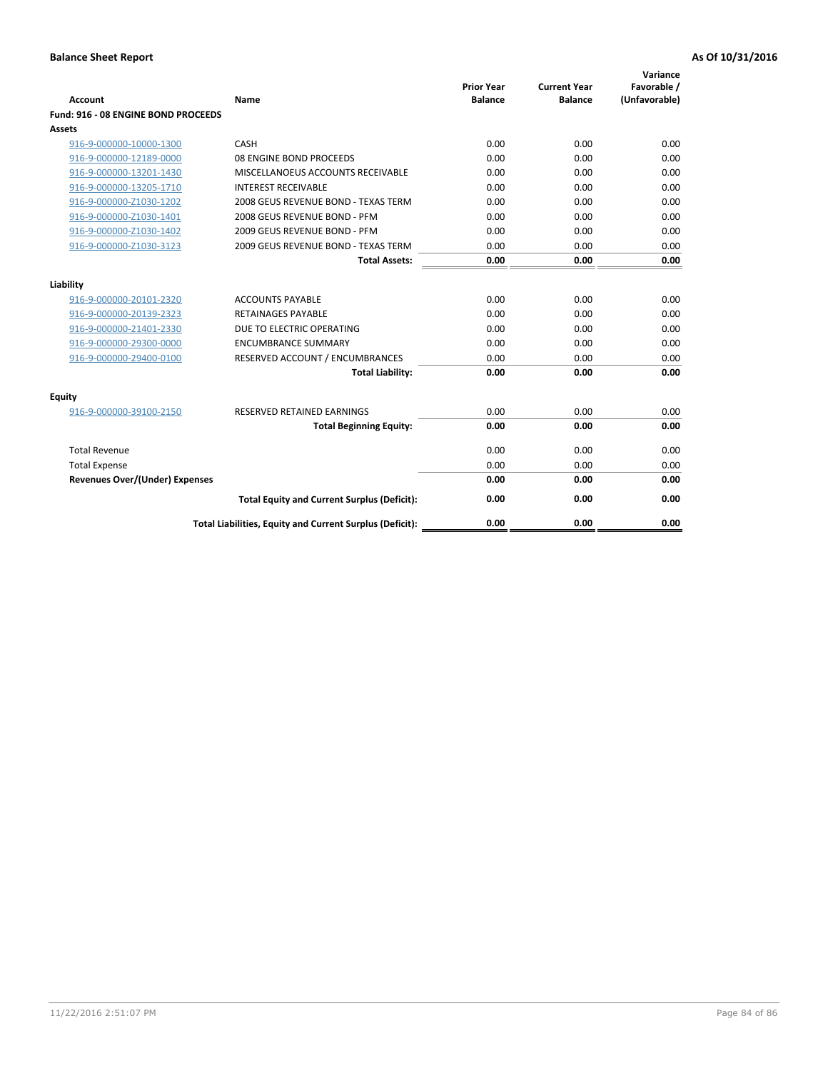|                                       |                                                          | <b>Prior Year</b> | <b>Current Year</b> | Variance<br>Favorable / |
|---------------------------------------|----------------------------------------------------------|-------------------|---------------------|-------------------------|
| <b>Account</b>                        | Name                                                     | <b>Balance</b>    | <b>Balance</b>      | (Unfavorable)           |
| Fund: 916 - 08 ENGINE BOND PROCEEDS   |                                                          |                   |                     |                         |
| Assets                                |                                                          |                   |                     |                         |
| 916-9-000000-10000-1300               | CASH                                                     | 0.00              | 0.00                | 0.00                    |
| 916-9-000000-12189-0000               | 08 ENGINE BOND PROCEEDS                                  | 0.00              | 0.00                | 0.00                    |
| 916-9-000000-13201-1430               | MISCELLANOEUS ACCOUNTS RECEIVABLE                        | 0.00              | 0.00                | 0.00                    |
| 916-9-000000-13205-1710               | <b>INTEREST RECEIVABLE</b>                               | 0.00              | 0.00                | 0.00                    |
| 916-9-000000-Z1030-1202               | 2008 GEUS REVENUE BOND - TEXAS TERM                      | 0.00              | 0.00                | 0.00                    |
| 916-9-000000-Z1030-1401               | 2008 GEUS REVENUE BOND - PFM                             | 0.00              | 0.00                | 0.00                    |
| 916-9-000000-Z1030-1402               | 2009 GEUS REVENUE BOND - PFM                             | 0.00              | 0.00                | 0.00                    |
| 916-9-000000-Z1030-3123               | 2009 GEUS REVENUE BOND - TEXAS TERM                      | 0.00              | 0.00                | 0.00                    |
|                                       | <b>Total Assets:</b>                                     | 0.00              | 0.00                | 0.00                    |
| Liability                             |                                                          |                   |                     |                         |
| 916-9-000000-20101-2320               | <b>ACCOUNTS PAYABLE</b>                                  | 0.00              | 0.00                | 0.00                    |
| 916-9-000000-20139-2323               | <b>RETAINAGES PAYABLE</b>                                | 0.00              | 0.00                | 0.00                    |
| 916-9-000000-21401-2330               | DUE TO ELECTRIC OPERATING                                | 0.00              | 0.00                | 0.00                    |
| 916-9-000000-29300-0000               | <b>ENCUMBRANCE SUMMARY</b>                               | 0.00              | 0.00                | 0.00                    |
| 916-9-000000-29400-0100               | RESERVED ACCOUNT / ENCUMBRANCES                          | 0.00              | 0.00                | 0.00                    |
|                                       | <b>Total Liability:</b>                                  | 0.00              | 0.00                | 0.00                    |
| Equity                                |                                                          |                   |                     |                         |
| 916-9-000000-39100-2150               | <b>RESERVED RETAINED EARNINGS</b>                        | 0.00              | 0.00                | 0.00                    |
|                                       | <b>Total Beginning Equity:</b>                           | 0.00              | 0.00                | 0.00                    |
| <b>Total Revenue</b>                  |                                                          | 0.00              | 0.00                | 0.00                    |
| <b>Total Expense</b>                  |                                                          | 0.00              | 0.00                | 0.00                    |
| <b>Revenues Over/(Under) Expenses</b> |                                                          | 0.00              | 0.00                | 0.00                    |
|                                       | <b>Total Equity and Current Surplus (Deficit):</b>       | 0.00              | 0.00                | 0.00                    |
|                                       | Total Liabilities, Equity and Current Surplus (Deficit): | 0.00              | 0.00                | 0.00                    |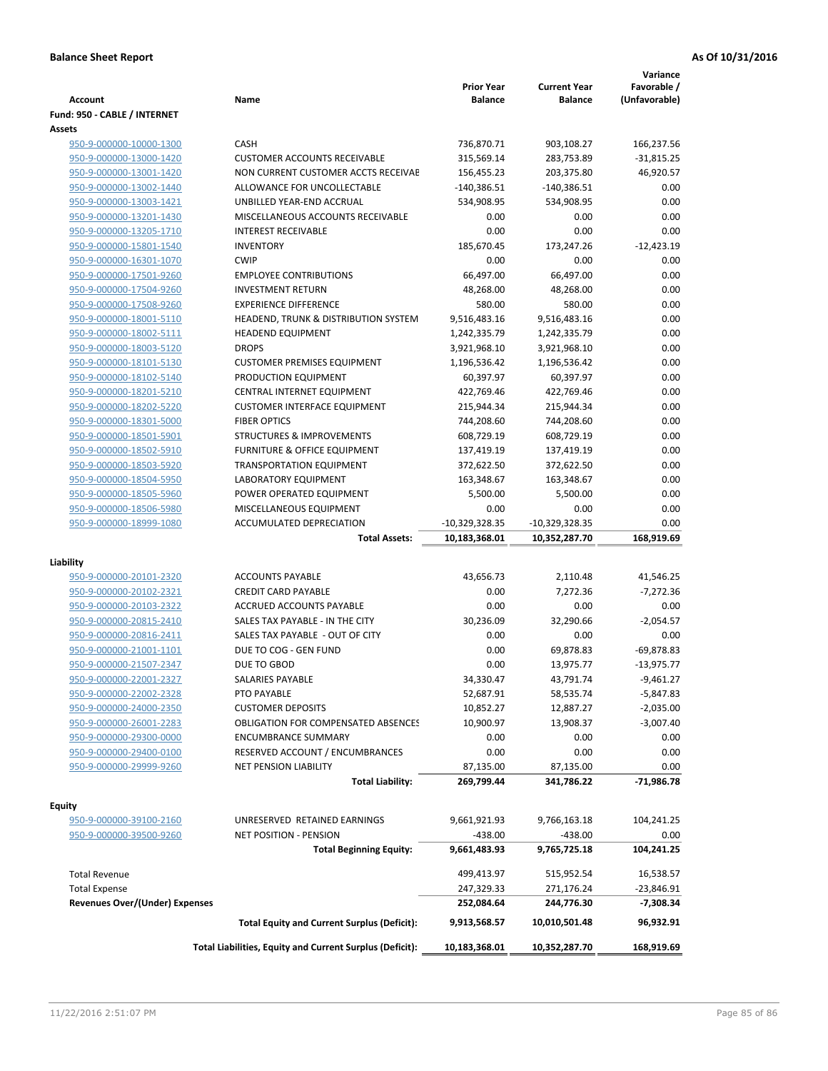| <b>Account</b>                        | Name                                                     | <b>Prior Year</b><br><b>Balance</b> | <b>Current Year</b><br><b>Balance</b> | Variance<br>Favorable /<br>(Unfavorable) |
|---------------------------------------|----------------------------------------------------------|-------------------------------------|---------------------------------------|------------------------------------------|
| Fund: 950 - CABLE / INTERNET          |                                                          |                                     |                                       |                                          |
| Assets                                |                                                          |                                     |                                       |                                          |
| 950-9-000000-10000-1300               | CASH                                                     | 736,870.71                          | 903,108.27                            | 166,237.56                               |
| 950-9-000000-13000-1420               | <b>CUSTOMER ACCOUNTS RECEIVABLE</b>                      | 315,569.14                          | 283,753.89                            | $-31,815.25$                             |
| 950-9-000000-13001-1420               | NON CURRENT CUSTOMER ACCTS RECEIVAE                      | 156,455.23                          | 203,375.80                            | 46,920.57                                |
| 950-9-000000-13002-1440               | ALLOWANCE FOR UNCOLLECTABLE                              | $-140,386.51$                       | $-140,386.51$                         | 0.00                                     |
| 950-9-000000-13003-1421               | UNBILLED YEAR-END ACCRUAL                                | 534,908.95                          | 534,908.95                            | 0.00                                     |
| 950-9-000000-13201-1430               | MISCELLANEOUS ACCOUNTS RECEIVABLE                        | 0.00                                | 0.00                                  | 0.00                                     |
| 950-9-000000-13205-1710               | <b>INTEREST RECEIVABLE</b>                               | 0.00                                | 0.00                                  | 0.00                                     |
| 950-9-000000-15801-1540               | <b>INVENTORY</b>                                         | 185,670.45                          | 173,247.26                            | $-12,423.19$                             |
| 950-9-000000-16301-1070               | <b>CWIP</b>                                              | 0.00                                | 0.00                                  | 0.00                                     |
| 950-9-000000-17501-9260               | <b>EMPLOYEE CONTRIBUTIONS</b>                            | 66,497.00                           | 66,497.00                             | 0.00                                     |
| 950-9-000000-17504-9260               | <b>INVESTMENT RETURN</b>                                 | 48,268.00                           | 48,268.00                             | 0.00                                     |
| 950-9-000000-17508-9260               | <b>EXPERIENCE DIFFERENCE</b>                             | 580.00                              | 580.00                                | 0.00                                     |
| 950-9-000000-18001-5110               | HEADEND, TRUNK & DISTRIBUTION SYSTEM                     | 9,516,483.16                        | 9,516,483.16                          | 0.00                                     |
| 950-9-000000-18002-5111               | <b>HEADEND EQUIPMENT</b>                                 | 1,242,335.79                        | 1,242,335.79                          | 0.00                                     |
| 950-9-000000-18003-5120               | <b>DROPS</b>                                             | 3,921,968.10                        | 3,921,968.10                          | 0.00                                     |
| 950-9-000000-18101-5130               | <b>CUSTOMER PREMISES EQUIPMENT</b>                       | 1,196,536.42                        | 1,196,536.42                          | 0.00                                     |
| 950-9-000000-18102-5140               | PRODUCTION EQUIPMENT                                     | 60,397.97                           | 60,397.97                             | 0.00                                     |
| 950-9-000000-18201-5210               | CENTRAL INTERNET EQUIPMENT                               | 422,769.46                          | 422,769.46                            | 0.00                                     |
| 950-9-000000-18202-5220               | <b>CUSTOMER INTERFACE EQUIPMENT</b>                      | 215,944.34                          | 215,944.34                            | 0.00                                     |
| 950-9-000000-18301-5000               | <b>FIBER OPTICS</b>                                      | 744,208.60                          | 744,208.60                            | 0.00                                     |
| 950-9-000000-18501-5901               | <b>STRUCTURES &amp; IMPROVEMENTS</b>                     | 608,729.19                          | 608,729.19                            | 0.00                                     |
| 950-9-000000-18502-5910               | <b>FURNITURE &amp; OFFICE EQUIPMENT</b>                  | 137,419.19                          | 137,419.19                            | 0.00                                     |
| 950-9-000000-18503-5920               | <b>TRANSPORTATION EQUIPMENT</b>                          | 372,622.50                          | 372,622.50                            | 0.00                                     |
| 950-9-000000-18504-5950               | LABORATORY EQUIPMENT                                     | 163,348.67                          | 163,348.67                            | 0.00                                     |
| 950-9-000000-18505-5960               | POWER OPERATED EQUIPMENT                                 | 5,500.00                            | 5,500.00                              | 0.00                                     |
| 950-9-000000-18506-5980               | MISCELLANEOUS EQUIPMENT                                  | 0.00                                | 0.00                                  | 0.00                                     |
| 950-9-000000-18999-1080               | ACCUMULATED DEPRECIATION                                 | -10,329,328.35                      | $-10,329,328.35$                      | 0.00                                     |
|                                       | <b>Total Assets:</b>                                     | 10,183,368.01                       | 10,352,287.70                         | 168,919.69                               |
|                                       |                                                          |                                     |                                       |                                          |
| Liability                             |                                                          |                                     |                                       |                                          |
| 950-9-000000-20101-2320               | <b>ACCOUNTS PAYABLE</b>                                  | 43,656.73                           | 2,110.48                              | 41,546.25                                |
| 950-9-000000-20102-2321               | <b>CREDIT CARD PAYABLE</b>                               | 0.00                                | 7,272.36                              | $-7,272.36$                              |
| 950-9-000000-20103-2322               | <b>ACCRUED ACCOUNTS PAYABLE</b>                          | 0.00                                | 0.00                                  | 0.00                                     |
| 950-9-000000-20815-2410               | SALES TAX PAYABLE - IN THE CITY                          | 30,236.09                           | 32,290.66                             | $-2,054.57$                              |
| 950-9-000000-20816-2411               | SALES TAX PAYABLE - OUT OF CITY                          | 0.00                                | 0.00                                  | 0.00                                     |
| 950-9-000000-21001-1101               | DUE TO COG - GEN FUND                                    | 0.00                                | 69.878.83                             | $-69,878.83$                             |
| 950-9-000000-21507-2347               | DUE TO GBOD                                              | 0.00                                | 13,975.77                             | $-13,975.77$                             |
| 950-9-000000-22001-2327               | SALARIES PAYABLE                                         | 34,330.47                           | 43,791.74                             | $-9,461.27$                              |
| 950-9-000000-22002-2328               | PTO PAYABLE                                              | 52,687.91                           | 58,535.74                             | $-5,847.83$                              |
| 950-9-000000-24000-2350               | <b>CUSTOMER DEPOSITS</b>                                 | 10,852.27                           | 12,887.27                             | $-2,035.00$                              |
| 950-9-000000-26001-2283               | <b>OBLIGATION FOR COMPENSATED ABSENCES</b>               | 10,900.97                           | 13,908.37                             | $-3,007.40$                              |
| 950-9-000000-29300-0000               | <b>ENCUMBRANCE SUMMARY</b>                               | 0.00                                | 0.00                                  | 0.00                                     |
| 950-9-000000-29400-0100               | RESERVED ACCOUNT / ENCUMBRANCES                          | 0.00                                | 0.00                                  | 0.00                                     |
| 950-9-000000-29999-9260               | <b>NET PENSION LIABILITY</b>                             | 87,135.00                           | 87,135.00                             | 0.00                                     |
|                                       | <b>Total Liability:</b>                                  | 269,799.44                          | 341,786.22                            | -71,986.78                               |
| Equity                                |                                                          |                                     |                                       |                                          |
| 950-9-000000-39100-2160               | UNRESERVED RETAINED EARNINGS                             | 9,661,921.93                        | 9,766,163.18                          | 104,241.25                               |
| 950-9-000000-39500-9260               | NET POSITION - PENSION                                   | $-438.00$                           | $-438.00$                             | 0.00                                     |
|                                       | <b>Total Beginning Equity:</b>                           | 9,661,483.93                        | 9,765,725.18                          | 104,241.25                               |
| <b>Total Revenue</b>                  |                                                          | 499,413.97                          | 515,952.54                            | 16,538.57                                |
| <b>Total Expense</b>                  |                                                          | 247,329.33                          | 271,176.24                            | -23,846.91                               |
| <b>Revenues Over/(Under) Expenses</b> |                                                          | 252,084.64                          | 244,776.30                            | $-7,308.34$                              |
|                                       | <b>Total Equity and Current Surplus (Deficit):</b>       | 9,913,568.57                        | 10,010,501.48                         | 96,932.91                                |
|                                       | Total Liabilities, Equity and Current Surplus (Deficit): | 10,183,368.01                       | 10,352,287.70                         | 168,919.69                               |